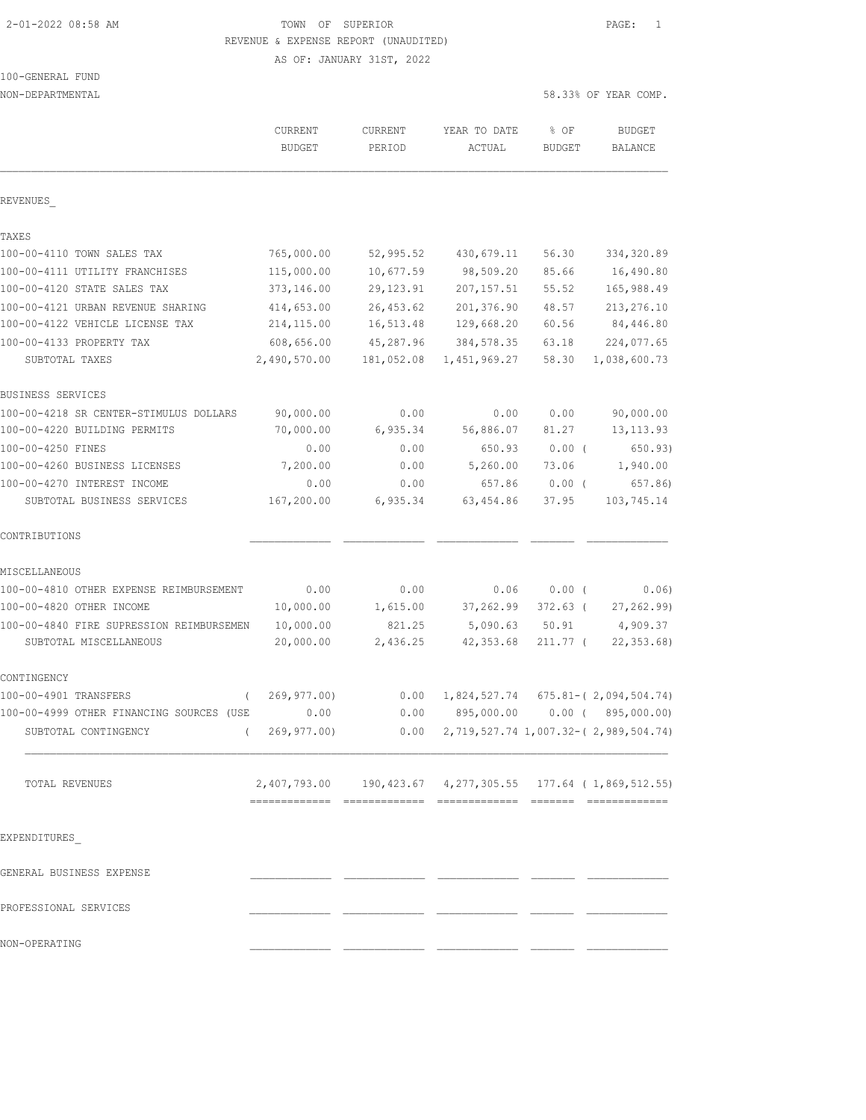# 2-01-2022 08:58 AM TOWN OF SUPERIOR PAGE: 1 REVENUE & EXPENSE REPORT (UNAUDITED)

AS OF: JANUARY 31ST, 2022

#### 100-GENERAL FUND NON-DEPARTMENTAL 58.33% OF YEAR COMP.

|                                          | CURRENT<br><b>BUDGET</b>                                   | CURRENT<br>PERIOD | YEAR TO DATE<br>ACTUAL | % OF<br><b>BUDGET</b> | <b>BUDGET</b><br>BALANCE                       |
|------------------------------------------|------------------------------------------------------------|-------------------|------------------------|-----------------------|------------------------------------------------|
| REVENUES                                 |                                                            |                   |                        |                       |                                                |
| TAXES                                    |                                                            |                   |                        |                       |                                                |
| 100-00-4110 TOWN SALES TAX               | 765,000.00                                                 | 52,995.52         | 430,679.11             | 56.30                 | 334,320.89                                     |
| 100-00-4111 UTILITY FRANCHISES           | 115,000.00                                                 | 10,677.59         | 98,509.20              | 85.66                 | 16,490.80                                      |
| 100-00-4120 STATE SALES TAX              | 373,146.00                                                 | 29, 123.91        | 207, 157.51            | 55.52                 | 165,988.49                                     |
| 100-00-4121 URBAN REVENUE SHARING        | 414,653.00                                                 | 26, 453.62        | 201,376.90             | 48.57                 | 213, 276.10                                    |
| 100-00-4122 VEHICLE LICENSE TAX          | 214, 115.00                                                | 16,513.48         | 129,668.20             | 60.56                 | 84,446.80                                      |
| 100-00-4133 PROPERTY TAX                 | 608,656.00                                                 | 45,287.96         | 384,578.35             | 63.18                 | 224,077.65                                     |
| SUBTOTAL TAXES                           | 2,490,570.00                                               | 181,052.08        | 1,451,969.27           | 58.30                 | 1,038,600.73                                   |
| BUSINESS SERVICES                        |                                                            |                   |                        |                       |                                                |
| 100-00-4218 SR CENTER-STIMULUS DOLLARS   | 90,000.00                                                  | 0.00              | 0.00                   | 0.00                  | 90,000.00                                      |
| 100-00-4220 BUILDING PERMITS             | 70,000.00                                                  | 6,935.34          | 56,886.07              | 81.27                 | 13, 113.93                                     |
| 100-00-4250 FINES                        | 0.00                                                       | 0.00              | 650.93                 | $0.00$ (              | 650.93)                                        |
| 100-00-4260 BUSINESS LICENSES            | 7,200.00                                                   | 0.00              | 5,260.00               | 73.06                 | 1,940.00                                       |
| 100-00-4270 INTEREST INCOME              | 0.00                                                       | 0.00              | 657.86                 | $0.00$ (              | 657.86)                                        |
| SUBTOTAL BUSINESS SERVICES               | 167,200.00                                                 | 6,935.34          | 63,454.86              | 37.95                 | 103,745.14                                     |
| CONTRIBUTIONS                            |                                                            |                   |                        |                       |                                                |
| MISCELLANEOUS                            |                                                            |                   |                        |                       |                                                |
| 100-00-4810 OTHER EXPENSE REIMBURSEMENT  | 0.00                                                       | 0.00              | 0.06                   | 0.00(                 | 0.06)                                          |
| 100-00-4820 OTHER INCOME                 | 10,000.00                                                  | 1,615.00          | 37,262.99              | 372.63 (              | 27, 262.99)                                    |
| 100-00-4840 FIRE SUPRESSION REIMBURSEMEN | 10,000.00                                                  | 821.25            | 5,090.63               | 50.91                 | 4,909.37                                       |
| SUBTOTAL MISCELLANEOUS                   | 20,000.00                                                  | 2,436.25          | 42,353.68              | $211.77$ (            | 22, 353.68                                     |
| CONTINGENCY                              |                                                            |                   |                        |                       |                                                |
| 100-00-4901 TRANSFERS<br>$\left($        | 269,977.00)                                                | 0.00              | 1,824,527.74           |                       | $675.81 - (2,094,504.74)$                      |
| 100-00-4999 OTHER FINANCING SOURCES (USE | 0.00                                                       | 0.00              | 895,000.00             |                       | $0.00$ ( $895,000.00$ )                        |
| SUBTOTAL CONTINGENCY<br>$\left($         | 269,977.00)                                                | 0.00              |                        |                       | 2, 719, 527. 74 1, 007. 32 - (2, 989, 504. 74) |
| TOTAL REVENUES                           | 2,407,793.00 190,423.67 4,277,305.55 177.64 (1,869,512.55) |                   |                        |                       |                                                |
|                                          |                                                            |                   |                        |                       |                                                |
| EXPENDITURES                             |                                                            |                   |                        |                       |                                                |
| GENERAL BUSINESS EXPENSE                 |                                                            |                   |                        |                       |                                                |
| PROFESSIONAL SERVICES                    |                                                            |                   |                        |                       |                                                |

NON-OPERATING \_\_\_\_\_\_\_\_\_\_\_\_\_ \_\_\_\_\_\_\_\_\_\_\_\_\_ \_\_\_\_\_\_\_\_\_\_\_\_\_ \_\_\_\_\_\_\_ \_\_\_\_\_\_\_\_\_\_\_\_\_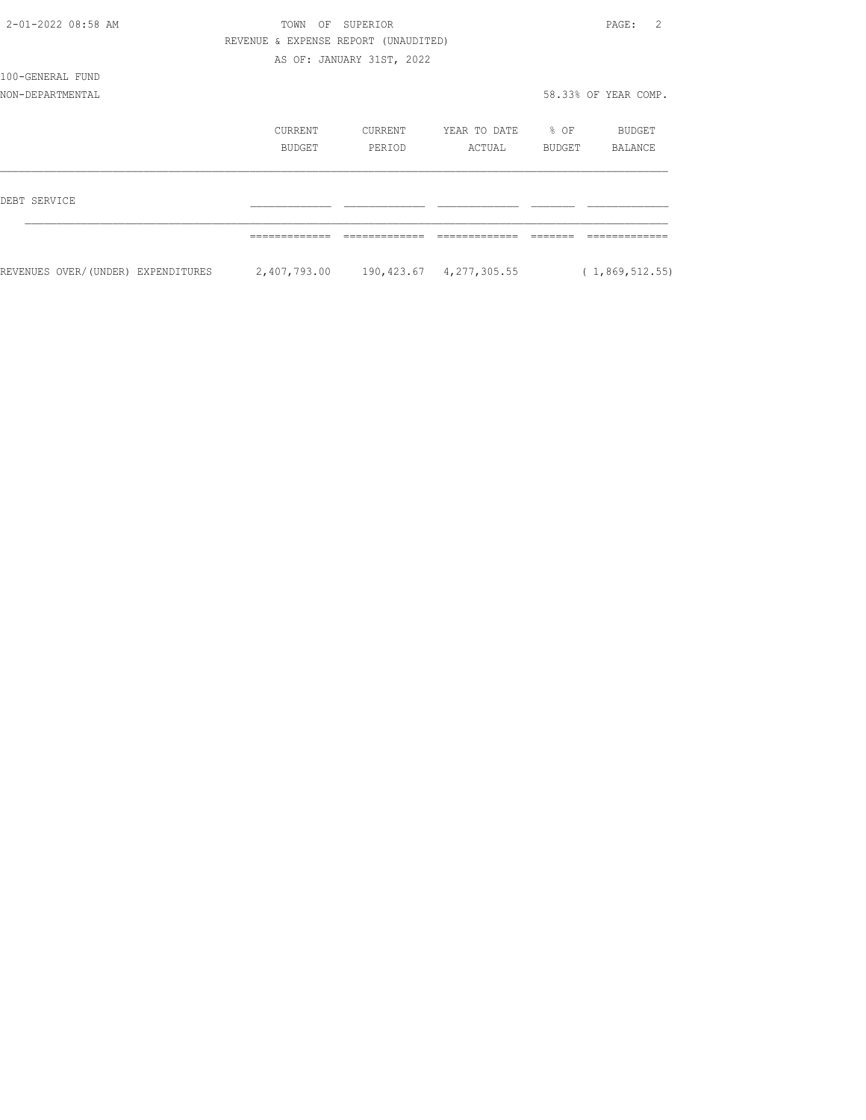| 2-01-2022 08:58 AM                 | TOWN<br>OF                           | SUPERIOR                  |                                      |                  | $\mathcal{L}$<br>PAGE: |
|------------------------------------|--------------------------------------|---------------------------|--------------------------------------|------------------|------------------------|
|                                    | REVENUE & EXPENSE REPORT (UNAUDITED) |                           |                                      |                  |                        |
|                                    |                                      | AS OF: JANUARY 31ST, 2022 |                                      |                  |                        |
| 100-GENERAL FUND                   |                                      |                           |                                      |                  |                        |
| NON-DEPARTMENTAL                   |                                      |                           |                                      |                  | 58.33% OF YEAR COMP.   |
|                                    | CURRENT                              | CURRENT                   | YEAR TO DATE                         | $\textdegree$ OF | BUDGET                 |
|                                    | BUDGET                               | PERIOD                    | ACTUAL                               | BUDGET           | BALANCE                |
| DEBT SERVICE                       |                                      |                           |                                      |                  |                        |
|                                    |                                      |                           |                                      |                  |                        |
| REVENUES OVER/(UNDER) EXPENDITURES |                                      |                           | 2,407,793.00 190,423.67 4,277,305.55 |                  | (1, 869, 512.55)       |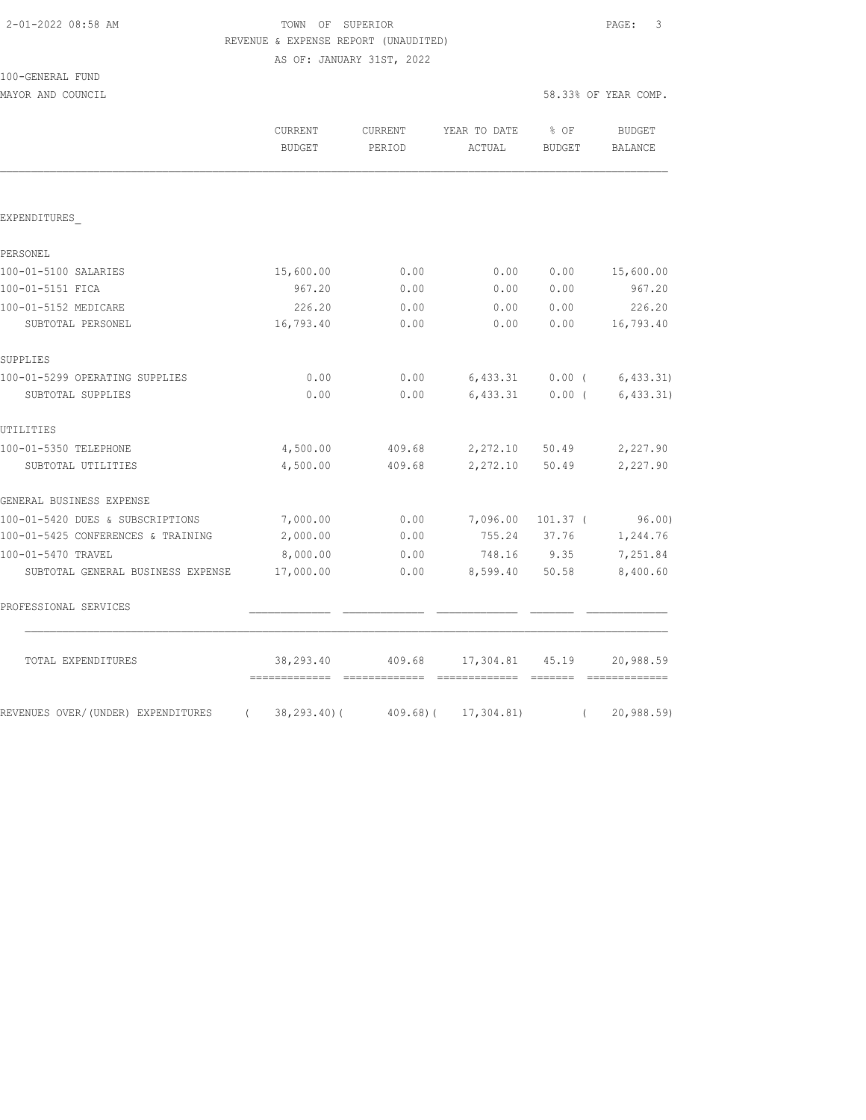# TOWN OF SUPERIOR **PAGE:** 3 REVENUE & EXPENSE REPORT (UNAUDITED)

AS OF: JANUARY 31ST, 2022

| 100-GENERAL FUND |  |
|------------------|--|
|                  |  |

MAYOR AND COUNCIL SERVICE SERVICE SERVICE SERVICE SOME SOLUTION OF THE SOLUTION SERVICE SERVICE SERVICE SERVICE

|                                                | CURRENT<br><b>BUDGET</b>   | CURRENT<br>PERIOD        | YEAR TO DATE<br>ACTUAL | % OF<br><b>BUDGET</b> | <b>BUDGET</b><br><b>BALANCE</b> |
|------------------------------------------------|----------------------------|--------------------------|------------------------|-----------------------|---------------------------------|
|                                                |                            |                          |                        |                       |                                 |
| EXPENDITURES                                   |                            |                          |                        |                       |                                 |
| PERSONEL                                       |                            |                          |                        |                       |                                 |
| 100-01-5100 SALARIES                           | 15,600.00                  | 0.00                     | 0.00                   | 0.00                  | 15,600.00                       |
| 100-01-5151 FICA                               | 967.20                     | 0.00                     | 0.00                   | 0.00                  | 967.20                          |
| 100-01-5152 MEDICARE                           | 226.20                     | 0.00                     | 0.00                   | 0.00                  | 226.20                          |
| SUBTOTAL PERSONEL                              | 16,793.40                  | 0.00                     | 0.00                   | 0.00                  | 16,793.40                       |
| SUPPLIES                                       |                            |                          |                        |                       |                                 |
| 100-01-5299 OPERATING SUPPLIES                 | 0.00                       | 0.00                     | 6,433.31               | $0.00$ (              | 6, 433.31)                      |
| SUBTOTAL SUPPLIES                              | 0.00                       | 0.00                     | 6,433.31               | $0.00$ (              | 6, 433.31)                      |
| UTILITIES                                      |                            |                          |                        |                       |                                 |
| 100-01-5350 TELEPHONE                          | 4,500.00                   | 409.68                   | 2,272.10               | 50.49                 | 2,227.90                        |
| SUBTOTAL UTILITIES                             | 4,500.00                   | 409.68                   | 2,272.10               | 50.49                 | 2,227.90                        |
| GENERAL BUSINESS EXPENSE                       |                            |                          |                        |                       |                                 |
| 100-01-5420 DUES & SUBSCRIPTIONS               | 7,000.00                   | 0.00                     | 7,096.00               | $101.37$ (            | 96.00                           |
| 100-01-5425 CONFERENCES & TRAINING             | 2,000.00                   | 0.00                     | 755.24                 | 37.76                 | 1,244.76                        |
| 100-01-5470 TRAVEL                             | 8,000.00                   | 0.00                     | 748.16                 | 9.35                  | 7,251.84                        |
| SUBTOTAL GENERAL BUSINESS EXPENSE              | 17,000.00                  | 0.00                     | 8,599.40               | 50.58                 | 8,400.60                        |
| PROFESSIONAL SERVICES                          |                            |                          |                        |                       |                                 |
| TOTAL EXPENDITURES                             | 38,293.40<br>============= | 409.68<br>-------------- | 17,304.81<br>========  | 45.19<br>--------     | 20,988.59                       |
| REVENUES OVER/(UNDER) EXPENDITURES<br>$\left($ | $38, 293.40$ (             | $409.68$ ) (             | 17, 304.81)            | $\left($              | 20,988.59)                      |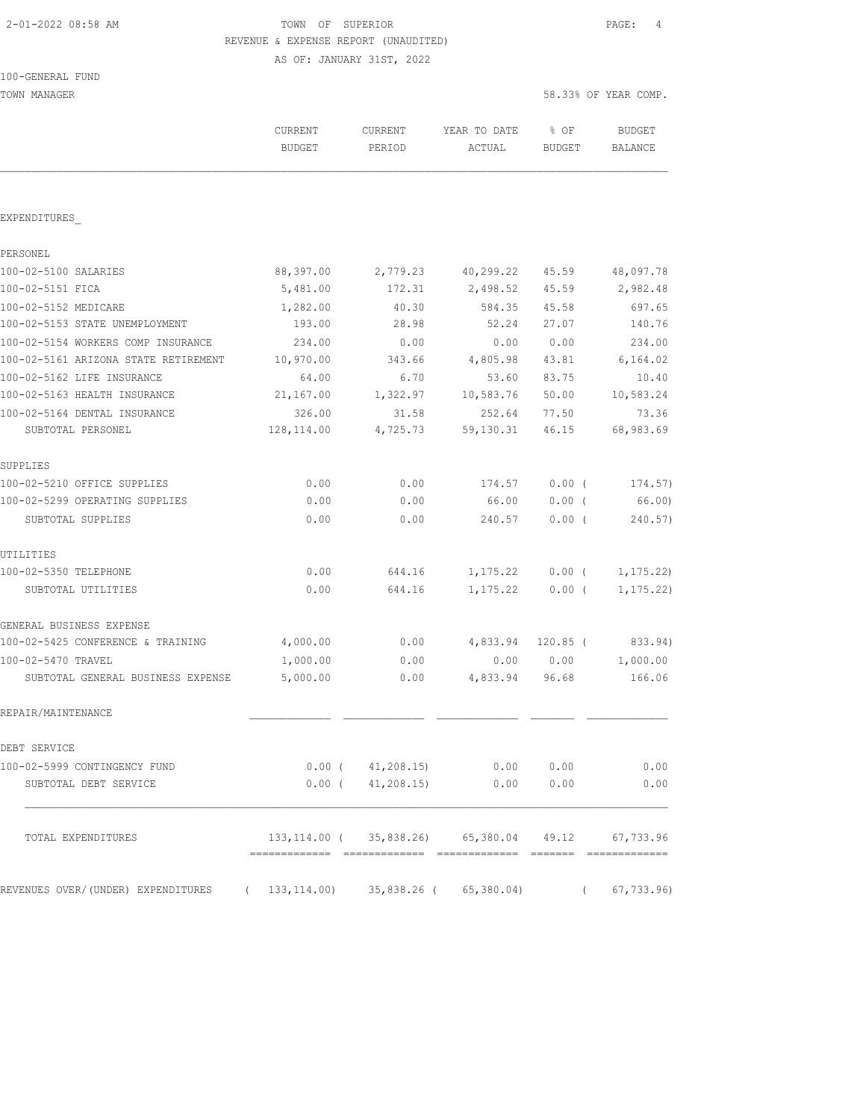# 2-01-2022 08:58 AM TOWN OF SUPERIOR PAGE: 4 REVENUE & EXPENSE REPORT (UNAUDITED)

AS OF: JANUARY 31ST, 2022

TOWN MANAGER SERIES AND THE SERIES OF THE SERIES OF THE SERIES OF SERIES OF THE SERIES OF THE SERIES OF THE SERIES OF THE SERIES OF SERIES OF THE SERIES OF THE SERIES OF THE SERIES OF THE SERIES OF THE SERIES OF THE SERIES

| EXPENDITURES<br>PERSONEL<br>100-02-5100 SALARIES<br>100-02-5151 FICA<br>100-02-5152 MEDICARE<br>100-02-5153 STATE UNEMPLOYMENT<br>100-02-5154 WORKERS COMP INSURANCE<br>100-02-5161 ARIZONA STATE RETIREMENT<br>100-02-5162 LIFE INSURANCE<br>100-02-5163 HEALTH INSURANCE<br>100-02-5164 DENTAL INSURANCE<br>SUBTOTAL PERSONEL<br>SUPPLIES<br>100-02-5210 OFFICE SUPPLIES<br>100-02-5299 OPERATING SUPPLIES<br>SUBTOTAL SUPPLIES | 88,397.00    |                 |                                         |            |            |
|-----------------------------------------------------------------------------------------------------------------------------------------------------------------------------------------------------------------------------------------------------------------------------------------------------------------------------------------------------------------------------------------------------------------------------------|--------------|-----------------|-----------------------------------------|------------|------------|
|                                                                                                                                                                                                                                                                                                                                                                                                                                   |              |                 |                                         |            |            |
|                                                                                                                                                                                                                                                                                                                                                                                                                                   |              |                 |                                         |            |            |
|                                                                                                                                                                                                                                                                                                                                                                                                                                   |              |                 |                                         |            |            |
|                                                                                                                                                                                                                                                                                                                                                                                                                                   |              | 2,779.23        | 40,299.22                               | 45.59      | 48,097.78  |
|                                                                                                                                                                                                                                                                                                                                                                                                                                   | 5,481.00     | 172.31          | 2,498.52                                | 45.59      | 2,982.48   |
|                                                                                                                                                                                                                                                                                                                                                                                                                                   | 1,282.00     | 40.30           | 584.35                                  | 45.58      | 697.65     |
|                                                                                                                                                                                                                                                                                                                                                                                                                                   | 193.00       | 28.98           | 52.24                                   | 27.07      | 140.76     |
|                                                                                                                                                                                                                                                                                                                                                                                                                                   | 234.00       | 0.00            | 0.00                                    | 0.00       | 234.00     |
|                                                                                                                                                                                                                                                                                                                                                                                                                                   | 10,970.00    | 343.66          | 4,805.98                                | 43.81      | 6,164.02   |
|                                                                                                                                                                                                                                                                                                                                                                                                                                   | 64.00        | 6.70            | 53.60                                   | 83.75      | 10.40      |
|                                                                                                                                                                                                                                                                                                                                                                                                                                   | 21,167.00    | 1,322.97        | 10,583.76                               | 50.00      | 10,583.24  |
|                                                                                                                                                                                                                                                                                                                                                                                                                                   | 326.00       | 31.58           | 252.64                                  | 77.50      | 73.36      |
|                                                                                                                                                                                                                                                                                                                                                                                                                                   | 128,114.00   | 4,725.73        | 59,130.31                               | 46.15      | 68,983.69  |
|                                                                                                                                                                                                                                                                                                                                                                                                                                   |              |                 |                                         |            |            |
|                                                                                                                                                                                                                                                                                                                                                                                                                                   | 0.00         | 0.00            | 174.57                                  | $0.00$ (   | 174.57)    |
|                                                                                                                                                                                                                                                                                                                                                                                                                                   | 0.00         | 0.00            | 66.00                                   | $0.00$ (   | 66.00)     |
| UTILITIES<br>100-02-5350 TELEPHONE                                                                                                                                                                                                                                                                                                                                                                                                | 0.00         | 0.00            | 240.57                                  | $0.00$ (   | 240.57)    |
|                                                                                                                                                                                                                                                                                                                                                                                                                                   |              |                 |                                         |            |            |
|                                                                                                                                                                                                                                                                                                                                                                                                                                   | 0.00         | 644.16          | 1,175.22                                | $0.00$ (   | 1, 175.22) |
| SUBTOTAL UTILITIES                                                                                                                                                                                                                                                                                                                                                                                                                | 0.00         | 644.16          | 1,175.22                                | $0.00$ (   | 1, 175.22) |
| GENERAL BUSINESS EXPENSE                                                                                                                                                                                                                                                                                                                                                                                                          |              |                 |                                         |            |            |
| 100-02-5425 CONFERENCE & TRAINING                                                                                                                                                                                                                                                                                                                                                                                                 | 4,000.00     | 0.00            | 4,833.94                                | $120.85$ ( | 833.94)    |
| 100-02-5470 TRAVEL                                                                                                                                                                                                                                                                                                                                                                                                                | 1,000.00     | 0.00            | 0.00                                    | 0.00       | 1,000.00   |
| SUBTOTAL GENERAL BUSINESS EXPENSE                                                                                                                                                                                                                                                                                                                                                                                                 | 5,000.00     | 0.00            | 4,833.94                                | 96.68      | 166.06     |
| REPAIR/MAINTENANCE                                                                                                                                                                                                                                                                                                                                                                                                                |              |                 |                                         |            |            |
| DEBT SERVICE                                                                                                                                                                                                                                                                                                                                                                                                                      |              |                 |                                         |            |            |
| 100-02-5999 CONTINGENCY FUND                                                                                                                                                                                                                                                                                                                                                                                                      |              | 0.00(41,208.15) | 0.00                                    | 0.00       | 0.00       |
| SUBTOTAL DEBT SERVICE                                                                                                                                                                                                                                                                                                                                                                                                             |              | 0.00(41,208,15) | 0.00                                    | 0.00       | 0.00       |
| TOTAL EXPENDITURES                                                                                                                                                                                                                                                                                                                                                                                                                |              |                 | 133, 114, 00 ( 35, 838, 26) 65, 380, 04 | 49.12      | 67,733.96  |
| REVENUES OVER/(UNDER) EXPENDITURES                                                                                                                                                                                                                                                                                                                                                                                                | 133, 114.00) | 35,838.26 (     | 65,380.04)                              |            |            |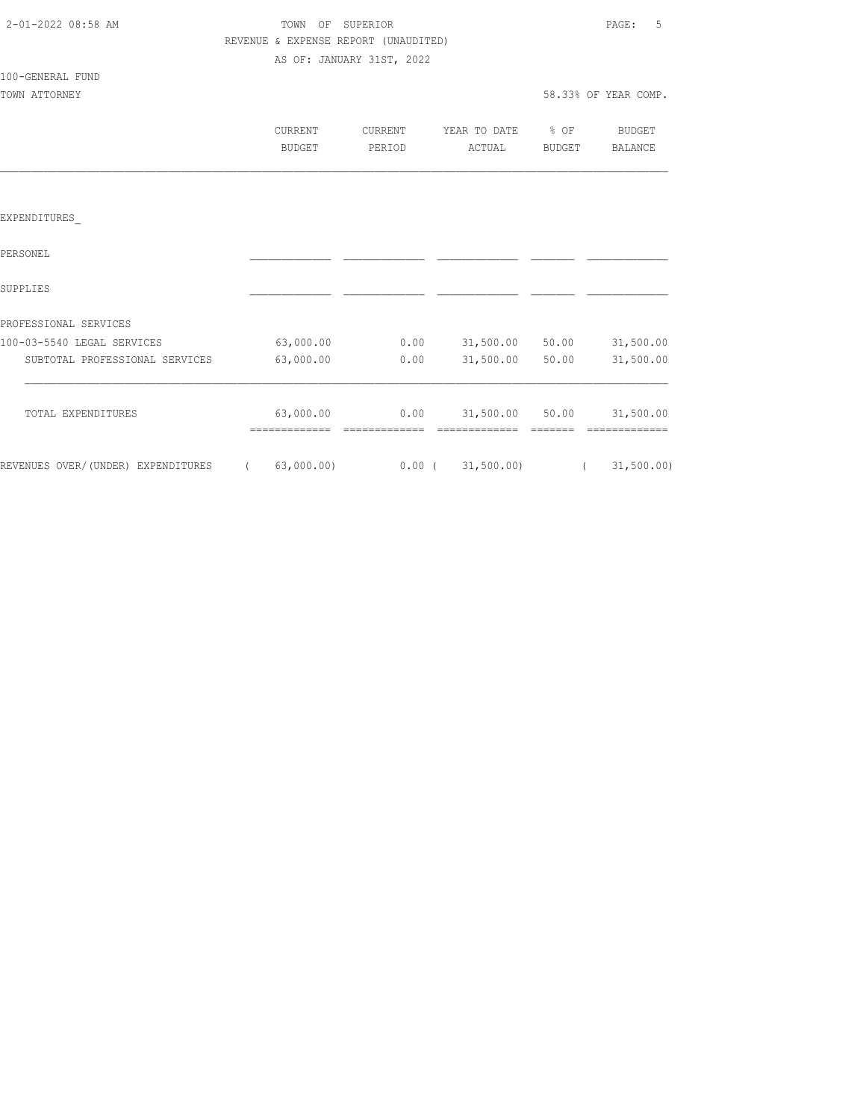| 2-01-2022 08:58 AM |  |
|--------------------|--|
|                    |  |

# TOWN OF SUPERIOR **PAGE:** 5 REVENUE & EXPENSE REPORT (UNAUDITED)

AS OF: JANUARY 31ST, 2022

#### 100-GENERAL FUND

| CURRENT | CURRENT | YEAR TO DATE % OF |        | <b>BUDGET</b> |
|---------|---------|-------------------|--------|---------------|
| BUDGET  | PERTOD  | ACTUAL            | BUDGET | BALANCE       |
|         |         |                   |        |               |
|         |         |                   |        |               |

#### EXPENDITURES\_

| PERSONEL                           |                         |          |            |       |            |
|------------------------------------|-------------------------|----------|------------|-------|------------|
| SUPPLIES                           |                         |          |            |       |            |
| PROFESSIONAL SERVICES              |                         |          |            |       |            |
| 100-03-5540 LEGAL SERVICES         | 63,000.00               | 0.00     | 31,500.00  | 50.00 | 31,500.00  |
| SUBTOTAL PROFESSIONAL SERVICES     | 63,000.00               | 0.00     | 31,500.00  | 50.00 | 31,500.00  |
| TOTAL EXPENDITURES                 | 63,000.00<br>---------- | 0.00     | 31,500.00  | 50.00 | 31,500.00  |
| REVENUES OVER/(UNDER) EXPENDITURES | 63,000.00)              | $0.00$ ( | 31,500.00) |       | 31,500.00) |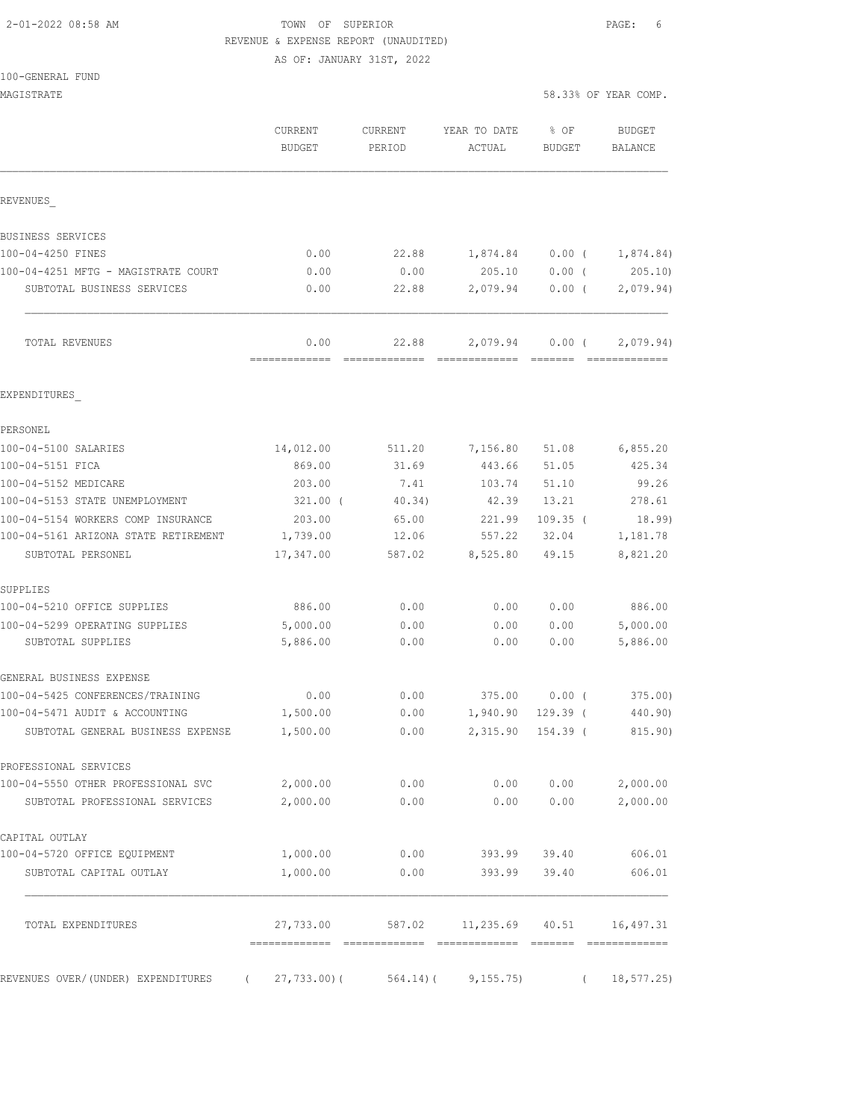### 2-01-2022 08:58 AM TOWN OF SUPERIOR PAGE: 6 REVENUE & EXPENSE REPORT (UNAUDITED)

AS OF: JANUARY 31ST, 2022

|  |  |  | 100-GENERAL FUND |  |
|--|--|--|------------------|--|
|--|--|--|------------------|--|

| MAGISTRATE                                     |                          |                   |                                            | 58.33% OF YEAR COMP. |                                                                                                                                                                                                                                                                                                                                                                                                                                                                                                     |
|------------------------------------------------|--------------------------|-------------------|--------------------------------------------|----------------------|-----------------------------------------------------------------------------------------------------------------------------------------------------------------------------------------------------------------------------------------------------------------------------------------------------------------------------------------------------------------------------------------------------------------------------------------------------------------------------------------------------|
|                                                | CURRENT<br><b>BUDGET</b> | CURRENT<br>PERIOD | YEAR TO DATE<br>ACTUAL                     | % OF<br>BUDGET       | BUDGET<br>BALANCE                                                                                                                                                                                                                                                                                                                                                                                                                                                                                   |
|                                                |                          |                   |                                            |                      |                                                                                                                                                                                                                                                                                                                                                                                                                                                                                                     |
| REVENUES                                       |                          |                   |                                            |                      |                                                                                                                                                                                                                                                                                                                                                                                                                                                                                                     |
| BUSINESS SERVICES                              |                          |                   |                                            |                      |                                                                                                                                                                                                                                                                                                                                                                                                                                                                                                     |
| 100-04-4250 FINES                              | 0.00                     | 22.88             | 1,874.84                                   | $0.00$ (             | 1,874.84)                                                                                                                                                                                                                                                                                                                                                                                                                                                                                           |
| 100-04-4251 MFTG - MAGISTRATE COURT            | 0.00                     | 0.00              | 205.10                                     | $0.00$ (             | 205.10                                                                                                                                                                                                                                                                                                                                                                                                                                                                                              |
| SUBTOTAL BUSINESS SERVICES                     | 0.00                     | 22.88             | 2,079.94                                   | $0.00$ (             | 2,079.94)                                                                                                                                                                                                                                                                                                                                                                                                                                                                                           |
| TOTAL REVENUES                                 | 0.00<br>-------------    | 22.88             | 2,079.94                                   | $0.00$ (             | 2,079.94)<br>$\begin{array}{cccccccccccccc} \multicolumn{2}{c}{} & \multicolumn{2}{c}{} & \multicolumn{2}{c}{} & \multicolumn{2}{c}{} & \multicolumn{2}{c}{} & \multicolumn{2}{c}{} & \multicolumn{2}{c}{} & \multicolumn{2}{c}{} & \multicolumn{2}{c}{} & \multicolumn{2}{c}{} & \multicolumn{2}{c}{} & \multicolumn{2}{c}{} & \multicolumn{2}{c}{} & \multicolumn{2}{c}{} & \multicolumn{2}{c}{} & \multicolumn{2}{c}{} & \multicolumn{2}{c}{} & \multicolumn{2}{c}{} & \multicolumn{2}{c}{} & \$ |
| EXPENDITURES                                   |                          |                   |                                            |                      |                                                                                                                                                                                                                                                                                                                                                                                                                                                                                                     |
| PERSONEL                                       |                          |                   |                                            |                      |                                                                                                                                                                                                                                                                                                                                                                                                                                                                                                     |
| 100-04-5100 SALARIES                           | 14,012.00                | 511.20            | 7,156.80                                   | 51.08                | 6,855.20                                                                                                                                                                                                                                                                                                                                                                                                                                                                                            |
| 100-04-5151 FICA                               | 869.00                   | 31.69             | 443.66                                     | 51.05                | 425.34                                                                                                                                                                                                                                                                                                                                                                                                                                                                                              |
| 100-04-5152 MEDICARE                           | 203.00                   | 7.41              | 103.74                                     | 51.10                | 99.26                                                                                                                                                                                                                                                                                                                                                                                                                                                                                               |
| 100-04-5153 STATE UNEMPLOYMENT                 | $321.00$ (               | 40.34)            | 42.39                                      | 13.21                | 278.61                                                                                                                                                                                                                                                                                                                                                                                                                                                                                              |
| 100-04-5154 WORKERS COMP INSURANCE             | 203.00                   | 65.00             | 221.99                                     | $109.35$ (           | 18.99)                                                                                                                                                                                                                                                                                                                                                                                                                                                                                              |
| 100-04-5161 ARIZONA STATE RETIREMENT           | 1,739.00                 | 12.06             | 557.22                                     | 32.04                | 1,181.78                                                                                                                                                                                                                                                                                                                                                                                                                                                                                            |
| SUBTOTAL PERSONEL                              | 17,347.00                | 587.02            | 8,525.80                                   | 49.15                | 8,821.20                                                                                                                                                                                                                                                                                                                                                                                                                                                                                            |
| SUPPLIES                                       |                          |                   |                                            |                      |                                                                                                                                                                                                                                                                                                                                                                                                                                                                                                     |
| 100-04-5210 OFFICE SUPPLIES                    | 886.00                   | 0.00              | 0.00                                       | 0.00                 | 886.00                                                                                                                                                                                                                                                                                                                                                                                                                                                                                              |
| 100-04-5299 OPERATING SUPPLIES                 | 5,000.00                 | 0.00              | 0.00                                       | 0.00                 | 5,000.00                                                                                                                                                                                                                                                                                                                                                                                                                                                                                            |
| SUBTOTAL SUPPLIES                              | 5,886.00                 | 0.00              | 0.00                                       | 0.00                 | 5,886.00                                                                                                                                                                                                                                                                                                                                                                                                                                                                                            |
| GENERAL BUSINESS EXPENSE                       |                          |                   |                                            |                      |                                                                                                                                                                                                                                                                                                                                                                                                                                                                                                     |
| 100-04-5425 CONFERENCES/TRAINING               | 0.00                     | 0.00              | 375.00                                     | $0.00$ (             | 375.00                                                                                                                                                                                                                                                                                                                                                                                                                                                                                              |
| 100-04-5471 AUDIT & ACCOUNTING                 | 1,500.00                 | 0.00              | 1,940.90                                   | $129.39$ (           | 440.90)                                                                                                                                                                                                                                                                                                                                                                                                                                                                                             |
| SUBTOTAL GENERAL BUSINESS EXPENSE              | 1,500.00                 | 0.00              |                                            |                      | 2,315.90 154.39 (815.90)                                                                                                                                                                                                                                                                                                                                                                                                                                                                            |
| PROFESSIONAL SERVICES                          |                          |                   |                                            |                      |                                                                                                                                                                                                                                                                                                                                                                                                                                                                                                     |
| 100-04-5550 OTHER PROFESSIONAL SVC             | 2,000.00                 | 0.00              | 0.00                                       | 0.00                 | 2,000.00                                                                                                                                                                                                                                                                                                                                                                                                                                                                                            |
| SUBTOTAL PROFESSIONAL SERVICES                 | 2,000.00                 | 0.00              | 0.00                                       | 0.00                 | 2,000.00                                                                                                                                                                                                                                                                                                                                                                                                                                                                                            |
| CAPITAL OUTLAY                                 |                          |                   |                                            |                      |                                                                                                                                                                                                                                                                                                                                                                                                                                                                                                     |
| 100-04-5720 OFFICE EQUIPMENT                   | 1,000.00                 | 0.00              | 393.99                                     | 39.40                | 606.01                                                                                                                                                                                                                                                                                                                                                                                                                                                                                              |
| SUBTOTAL CAPITAL OUTLAY                        | 1,000.00                 | 0.00              | 393.99                                     | 39.40                | 606.01                                                                                                                                                                                                                                                                                                                                                                                                                                                                                              |
| TOTAL EXPENDITURES                             |                          |                   | 27,733.00 587.02 11,235.69 40.51 16,497.31 |                      |                                                                                                                                                                                                                                                                                                                                                                                                                                                                                                     |
| REVENUES OVER/(UNDER) EXPENDITURES<br>$\left($ | $27,733.00$ ) (          | 564.14) (         | 9, 155.75)                                 | $\left($             | 18, 577.25                                                                                                                                                                                                                                                                                                                                                                                                                                                                                          |
|                                                |                          |                   |                                            |                      |                                                                                                                                                                                                                                                                                                                                                                                                                                                                                                     |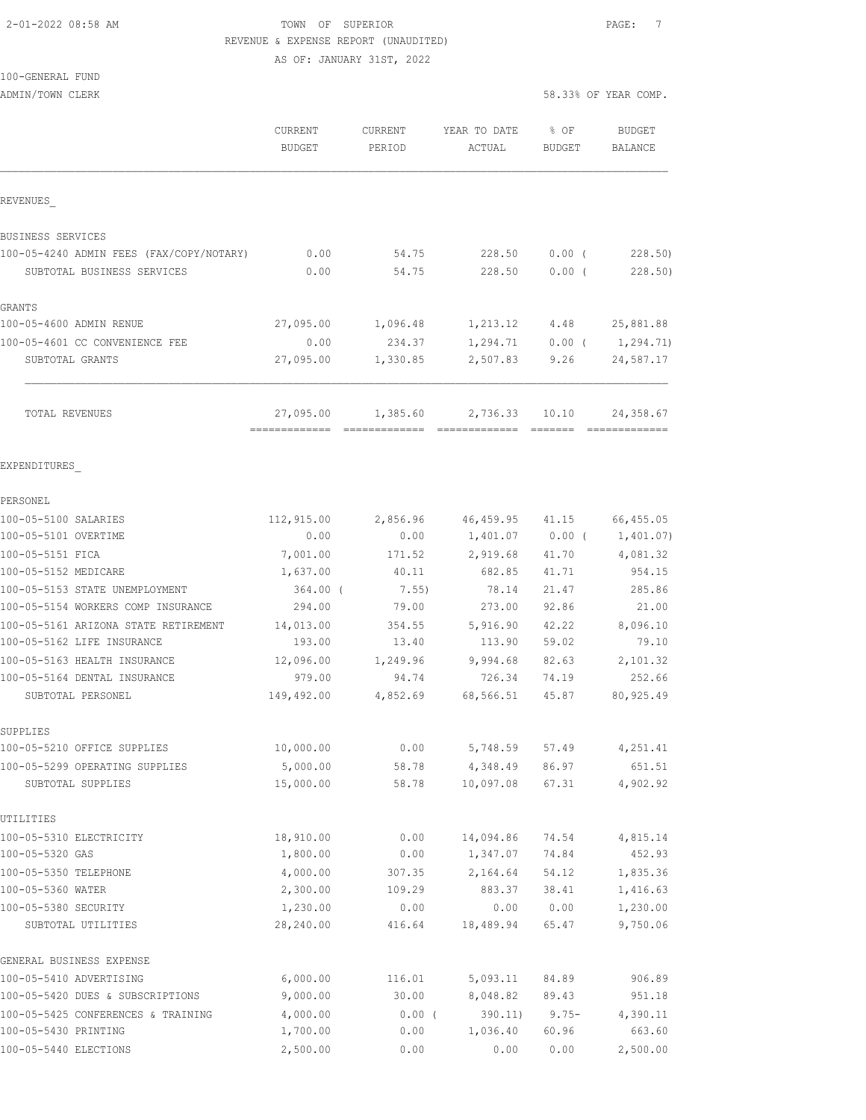#### 2-01-2022 08:58 AM **PAGE:** 7 REVENUE & EXPENSE REPORT (UNAUDITED)

AS OF: JANUARY 31ST, 2022

#### 100-GENERAL FUND

|                                                     | CURRENT<br><b>BUDGET</b> | CURRENT<br>PERIOD | YEAR TO DATE<br>ACTUAL | % OF<br><b>BUDGET</b> | <b>BUDGET</b><br><b>BALANCE</b> |
|-----------------------------------------------------|--------------------------|-------------------|------------------------|-----------------------|---------------------------------|
| REVENUES                                            |                          |                   |                        |                       |                                 |
| BUSINESS SERVICES                                   |                          |                   |                        |                       |                                 |
| 100-05-4240 ADMIN FEES (FAX/COPY/NOTARY)            | 0.00                     | 54.75             | 228.50                 | $0.00$ (              | 228.50)                         |
| SUBTOTAL BUSINESS SERVICES                          | 0.00                     | 54.75             | 228.50                 | $0.00$ (              | 228.50                          |
| GRANTS                                              |                          |                   |                        |                       |                                 |
| 100-05-4600 ADMIN RENUE                             | 27,095.00                | 1,096.48          | 1,213.12               | 4.48                  | 25,881.88                       |
| 100-05-4601 CC CONVENIENCE FEE                      | 0.00                     | 234.37            | 1,294.71               |                       | $0.00$ ( $1,294.71$ )           |
| SUBTOTAL GRANTS                                     | 27,095.00                | 1,330.85          | 2,507.83               | 9.26                  | 24,587.17                       |
| TOTAL REVENUES                                      | 27,095.00                | 1,385.60          | 2,736.33               | 10.10                 | 24,358.67                       |
| EXPENDITURES                                        |                          |                   |                        |                       |                                 |
| PERSONEL                                            |                          |                   |                        |                       |                                 |
| 100-05-5100 SALARIES                                | 112,915.00               | 2,856.96          | 46,459.95              | 41.15                 | 66,455.05                       |
| 100-05-5101 OVERTIME                                | 0.00                     | 0.00              | 1,401.07               |                       | $0.00$ ( $1,401.07$ )           |
| 100-05-5151 FICA                                    | 7,001.00                 | 171.52            | 2,919.68               | 41.70                 | 4,081.32                        |
| 100-05-5152 MEDICARE                                | 1,637.00                 | 40.11             | 682.85                 | 41.71                 | 954.15                          |
| 100-05-5153 STATE UNEMPLOYMENT                      | 364.00 (                 | 7.55)             | 78.14                  | 21.47                 | 285.86                          |
| 100-05-5154 WORKERS COMP INSURANCE                  | 294.00                   | 79.00             | 273.00                 | 92.86                 | 21.00                           |
| 100-05-5161 ARIZONA STATE RETIREMENT                | 14,013.00                | 354.55            | 5,916.90               | 42.22                 | 8,096.10                        |
| 100-05-5162 LIFE INSURANCE                          | 193.00                   | 13.40             | 113.90                 | 59.02                 | 79.10                           |
| 100-05-5163 HEALTH INSURANCE                        | 12,096.00                | 1,249.96          | 9,994.68               | 82.63                 | 2,101.32                        |
| 100-05-5164 DENTAL INSURANCE                        | 979.00                   | 94.74             | 726.34                 | 74.19                 | 252.66                          |
| SUBTOTAL PERSONEL                                   | 149,492.00               | 4,852.69          | 68,566.51              | 45.87                 | 80, 925.49                      |
| SUPPLIES                                            |                          |                   |                        |                       |                                 |
| 100-05-5210 OFFICE SUPPLIES                         | 10,000.00                | 0.00              | 5,748.59               | 57.49                 | 4,251.41                        |
| 100-05-5299 OPERATING SUPPLIES<br>SUBTOTAL SUPPLIES | 5,000.00<br>15,000.00    | 58.78<br>58.78    | 4,348.49<br>10,097.08  | 86.97<br>67.31        | 651.51<br>4,902.92              |
| UTILITIES                                           |                          |                   |                        |                       |                                 |
| 100-05-5310 ELECTRICITY                             | 18,910.00                | 0.00              | 14,094.86              | 74.54                 | 4,815.14                        |
| 100-05-5320 GAS                                     | 1,800.00                 | 0.00              | 1,347.07               | 74.84                 | 452.93                          |
| 100-05-5350 TELEPHONE                               | 4,000.00                 | 307.35            | 2,164.64               | 54.12                 | 1,835.36                        |
| 100-05-5360 WATER                                   | 2,300.00                 | 109.29            | 883.37                 | 38.41                 | 1,416.63                        |
| 100-05-5380 SECURITY                                | 1,230.00                 | 0.00              | 0.00                   | 0.00                  | 1,230.00                        |
| SUBTOTAL UTILITIES                                  | 28,240.00                | 416.64            | 18,489.94              | 65.47                 | 9,750.06                        |
| GENERAL BUSINESS EXPENSE                            |                          |                   |                        |                       |                                 |
| 100-05-5410 ADVERTISING                             | 6,000.00                 | 116.01            | 5,093.11               | 84.89                 | 906.89                          |
| 100-05-5420 DUES & SUBSCRIPTIONS                    | 9,000.00                 | 30.00             | 8,048.82               | 89.43                 | 951.18                          |
| 100-05-5425 CONFERENCES & TRAINING                  | 4,000.00                 | 0.00(             | 390.11)                | $9.75 -$              | 4,390.11                        |
| 100-05-5430 PRINTING                                | 1,700.00                 | 0.00              | 1,036.40               | 60.96                 | 663.60                          |
| 100-05-5440 ELECTIONS                               | 2,500.00                 | 0.00              | 0.00                   | 0.00                  | 2,500.00                        |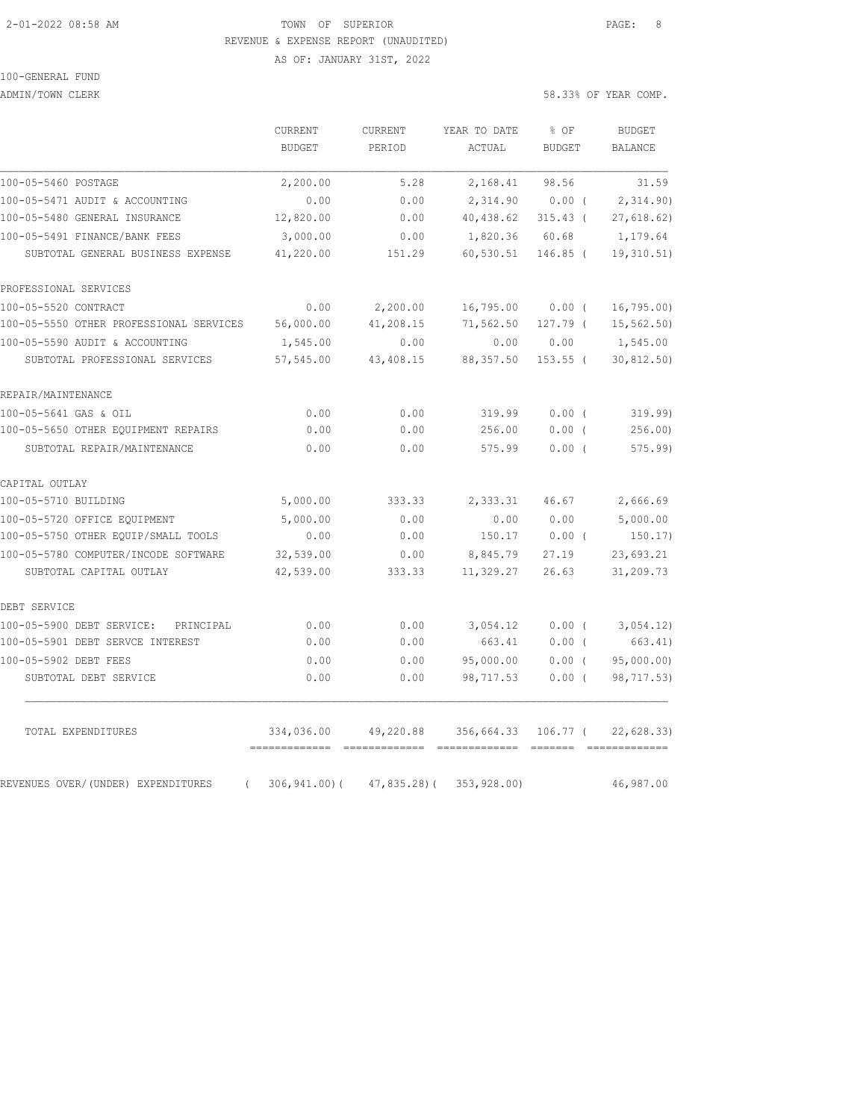#### 2-01-2022 08:58 AM TOWN OF SUPERIOR PAGE: 8 REVENUE & EXPENSE REPORT (UNAUDITED)

AS OF: JANUARY 31ST, 2022

# 100-GENERAL FUND

ADMIN/TOWN CLERK 58.33% OF YEAR COMP.

|                                                | CURRENT<br><b>BUDGET</b> | CURRENT<br>PERIOD | YEAR TO DATE | % OF<br><b>BUDGET</b> | <b>BUDGET</b>  |
|------------------------------------------------|--------------------------|-------------------|--------------|-----------------------|----------------|
|                                                |                          |                   | ACTUAL       |                       | <b>BALANCE</b> |
| 100-05-5460 POSTAGE                            | 2,200.00                 | 5.28              | 2,168.41     | 98.56                 | 31.59          |
| 100-05-5471 AUDIT & ACCOUNTING                 | 0.00                     | 0.00              | 2,314.90     | $0.00$ (              | 2,314.90)      |
| 100-05-5480 GENERAL INSURANCE                  | 12,820.00                | 0.00              | 40,438.62    | $315.43$ (            | 27,618.62)     |
| 100-05-5491 FINANCE/BANK FEES                  | 3,000.00                 | 0.00              | 1,820.36     | 60.68                 | 1,179.64       |
| SUBTOTAL GENERAL BUSINESS EXPENSE              | 41,220.00                | 151.29            | 60,530.51    | 146.85 (              | 19, 310.51)    |
| PROFESSIONAL SERVICES                          |                          |                   |              |                       |                |
| 100-05-5520 CONTRACT                           | 0.00                     | 2,200.00          | 16,795.00    | $0.00$ (              | 16, 795.00     |
| 100-05-5550 OTHER PROFESSIONAL SERVICES        | 56,000.00                | 41,208.15         | 71,562.50    | 127.79 (              | 15, 562.50     |
| 100-05-5590 AUDIT & ACCOUNTING                 | 1,545.00                 | 0.00              | 0.00         | 0.00                  | 1,545.00       |
| SUBTOTAL PROFESSIONAL SERVICES                 | 57,545.00                | 43,408.15         | 88, 357.50   | $153.55$ (            | 30, 812.50)    |
| REPAIR/MAINTENANCE                             |                          |                   |              |                       |                |
| 100-05-5641 GAS & OIL                          | 0.00                     | 0.00              | 319.99       | $0.00$ (              | 319.99)        |
| 100-05-5650 OTHER EQUIPMENT REPAIRS            | 0.00                     | 0.00              | 256.00       | 0.00(                 | 256.00         |
| SUBTOTAL REPAIR/MAINTENANCE                    | 0.00                     | 0.00              | 575.99       | 0.00(                 | 575.99         |
| CAPITAL OUTLAY                                 |                          |                   |              |                       |                |
| 100-05-5710 BUILDING                           | 5,000.00                 | 333.33            | 2,333.31     | 46.67                 | 2,666.69       |
| 100-05-5720 OFFICE EQUIPMENT                   | 5,000.00                 | 0.00              | 0.00         | 0.00                  | 5,000.00       |
| 100-05-5750 OTHER EQUIP/SMALL TOOLS            | 0.00                     | 0.00              | 150.17       | $0.00$ (              | 150.17)        |
| 100-05-5780 COMPUTER/INCODE SOFTWARE           | 32,539.00                | 0.00              | 8,845.79     | 27.19                 | 23,693.21      |
| SUBTOTAL CAPITAL OUTLAY                        | 42,539.00                | 333.33            | 11,329.27    | 26.63                 | 31,209.73      |
| DEBT SERVICE                                   |                          |                   |              |                       |                |
| 100-05-5900 DEBT SERVICE: PRINCIPAL            | 0.00                     | 0.00              | 3,054.12     | $0.00$ (              | 3,054.12)      |
| 100-05-5901 DEBT SERVCE INTEREST               | 0.00                     | 0.00              | 663.41       | 0.00(                 | 663.41)        |
| 100-05-5902 DEBT FEES                          | 0.00                     | 0.00              | 95,000.00    | $0.00$ (              | 95,000.00)     |
| SUBTOTAL DEBT SERVICE                          | 0.00                     | 0.00              | 98,717.53    | $0.00$ (              | 98,717.53)     |
| TOTAL EXPENDITURES                             | 334,036.00               | 49,220.88         | 356,664.33   | 106.77 (              | 22,628.33)     |
| REVENUES OVER/(UNDER) EXPENDITURES<br>$\left($ | $306, 941.00$ (          | 47,835.28)(       | 353,928.00)  |                       | 46,987.00      |
|                                                |                          |                   |              |                       |                |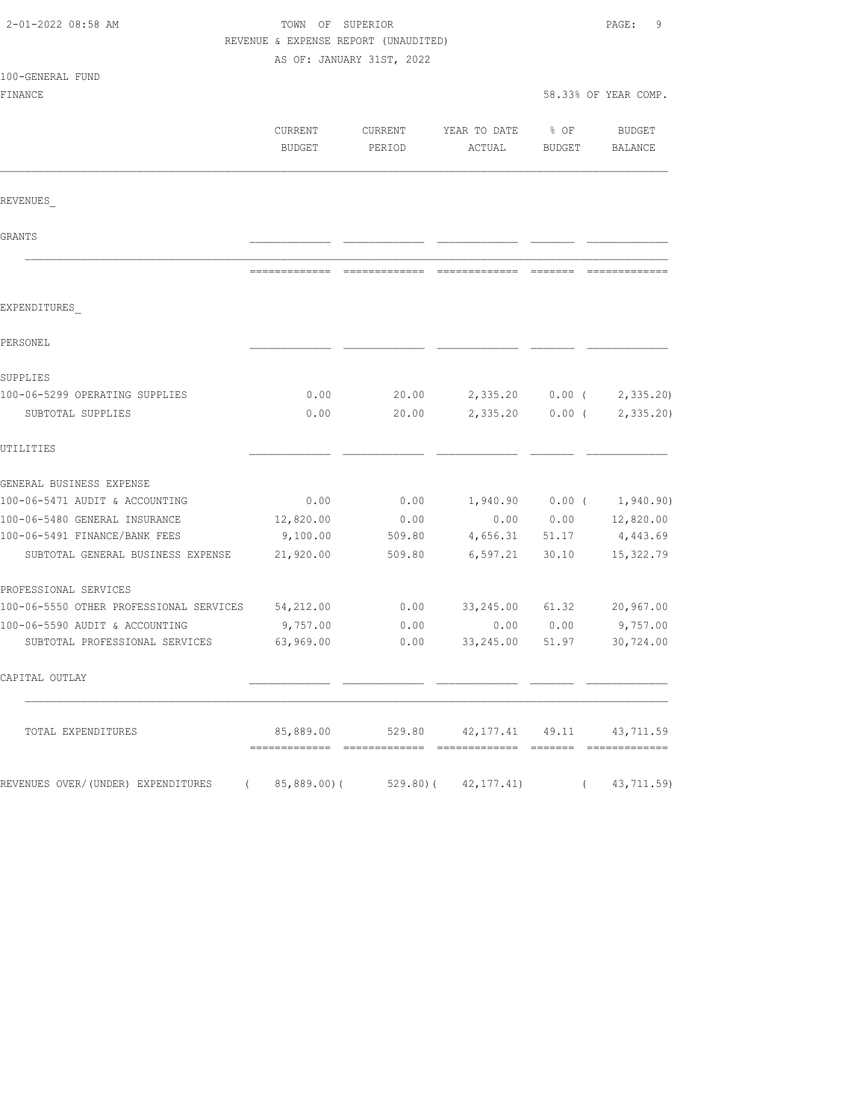| 2-01-2022 08:58 AM                                                 | TOWN OF SUPERIOR<br>REVENUE & EXPENSE REPORT (UNAUDITED) | PAGE:<br>9                |                                            |                |                             |
|--------------------------------------------------------------------|----------------------------------------------------------|---------------------------|--------------------------------------------|----------------|-----------------------------|
|                                                                    |                                                          | AS OF: JANUARY 31ST, 2022 |                                            |                |                             |
| 100-GENERAL FUND                                                   |                                                          |                           |                                            |                |                             |
| FINANCE                                                            |                                                          |                           |                                            |                | 58.33% OF YEAR COMP.        |
|                                                                    | CURRENT<br><b>BUDGET</b>                                 | CURRENT<br>PERIOD         | YEAR TO DATE<br>ACTUAL                     | % OF<br>BUDGET | BUDGET<br>BALANCE           |
| REVENUES                                                           |                                                          |                           |                                            |                |                             |
| GRANTS                                                             |                                                          |                           |                                            |                |                             |
|                                                                    |                                                          |                           |                                            |                |                             |
| EXPENDITURES                                                       |                                                          |                           |                                            |                |                             |
| PERSONEL                                                           |                                                          |                           |                                            |                |                             |
| SUPPLIES                                                           |                                                          |                           |                                            |                |                             |
| 100-06-5299 OPERATING SUPPLIES                                     | 0.00                                                     | 20.00                     | 2,335.20                                   | $0.00$ (       | 2,335.20                    |
| SUBTOTAL SUPPLIES                                                  | 0.00                                                     | 20.00                     | 2,335.20                                   | $0.00$ (       | 2, 335.20                   |
| UTILITIES                                                          |                                                          |                           |                                            |                |                             |
| GENERAL BUSINESS EXPENSE                                           |                                                          |                           |                                            |                |                             |
| 100-06-5471 AUDIT & ACCOUNTING                                     | 0.00                                                     | 0.00                      |                                            |                | $1,940.90$ 0.00 ( 1,940.90) |
| 100-06-5480 GENERAL INSURANCE                                      | 12,820.00                                                | 0.00                      | 0.00                                       | 0.00           | 12,820.00                   |
| 100-06-5491 FINANCE/BANK FEES<br>SUBTOTAL GENERAL BUSINESS EXPENSE | 9,100.00<br>21,920.00                                    | 509.80<br>509.80          | 4,656.31<br>6,597.21                       | 51.17<br>30.10 | 4,443.69<br>15,322.79       |
|                                                                    |                                                          |                           |                                            |                |                             |
| PROFESSIONAL SERVICES                                              |                                                          |                           |                                            |                |                             |
| 100-06-5550 OTHER PROFESSIONAL SERVICES                            | 54,212.00                                                | 0.00                      | 33,245.00                                  |                | $61.32$ $20,967.00$         |
| 100-06-5590 AUDIT & ACCOUNTING                                     | 9,757.00                                                 | 0.00                      | 0.00                                       | 0.00           | 9,757.00                    |
| SUBTOTAL PROFESSIONAL SERVICES                                     | 63,969.00                                                | 0.00                      | 33,245.00                                  | 51.97          | 30,724.00                   |
| CAPITAL OUTLAY                                                     |                                                          |                           |                                            |                |                             |
| TOTAL EXPENDITURES                                                 |                                                          |                           | 85,889.00 529.80 42,177.41 49.11 43,711.59 |                |                             |
| REVENUES OVER/(UNDER) EXPENDITURES (                               |                                                          |                           | 85,889.00)(529.80)(42,177.41)              |                | (43, 711.59)                |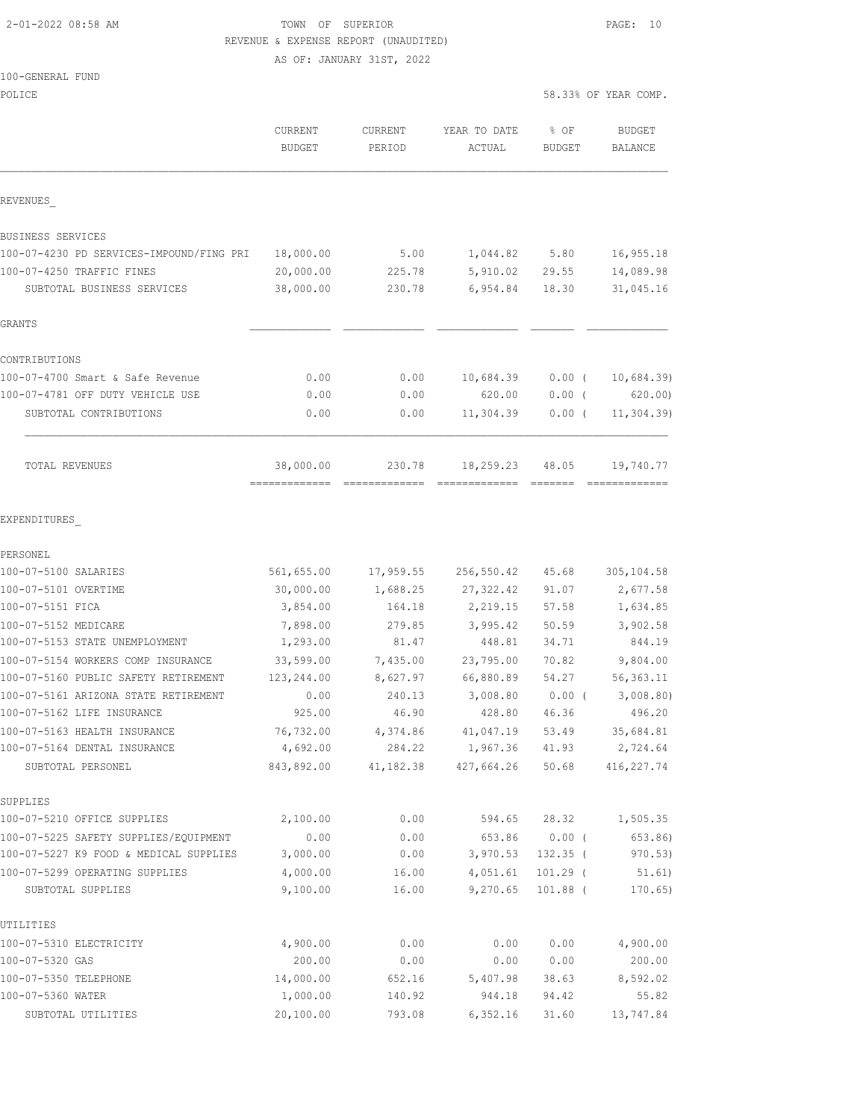#### 2-01-2022 08:58 AM TOWN OF SUPERIOR PAGE: 10 REVENUE & EXPENSE REPORT (UNAUDITED)

AS OF: JANUARY 31ST, 2022

#### 100-GENERAL FUND

| POLICE                                                       |                          |                   |                                    | 58.33% OF YEAR COMP.  |                          |  |
|--------------------------------------------------------------|--------------------------|-------------------|------------------------------------|-----------------------|--------------------------|--|
|                                                              | CURRENT<br><b>BUDGET</b> | CURRENT<br>PERIOD | YEAR TO DATE<br>ACTUAL             | % OF<br><b>BUDGET</b> | <b>BUDGET</b><br>BALANCE |  |
| REVENUES                                                     |                          |                   |                                    |                       |                          |  |
| BUSINESS SERVICES                                            |                          |                   |                                    |                       |                          |  |
| 100-07-4230 PD SERVICES-IMPOUND/FING PRI                     | 18,000.00                | 5.00              | 1,044.82                           | 5.80                  | 16,955.18                |  |
| 100-07-4250 TRAFFIC FINES                                    | 20,000.00                | 225.78            | 5,910.02                           | 29.55                 | 14,089.98                |  |
| SUBTOTAL BUSINESS SERVICES                                   | 38,000.00                | 230.78            | 6,954.84                           | 18.30                 | 31,045.16                |  |
| GRANTS                                                       |                          |                   |                                    |                       |                          |  |
| CONTRIBUTIONS                                                |                          |                   |                                    |                       |                          |  |
| 100-07-4700 Smart & Safe Revenue                             | 0.00                     | 0.00              | 10,684.39                          | $0.00$ (              | 10,684.39                |  |
| 100-07-4781 OFF DUTY VEHICLE USE                             | 0.00                     | 0.00              | 620.00                             | $0.00$ (              | 620.00                   |  |
| SUBTOTAL CONTRIBUTIONS                                       | 0.00                     | 0.00              | 11,304.39                          | $0.00$ (              | 11, 304.39               |  |
| TOTAL REVENUES                                               | 38,000.00                | 230.78            | 18,259.23                          | 48.05                 | 19,740.77                |  |
| EXPENDITURES                                                 |                          |                   |                                    |                       |                          |  |
| PERSONEL                                                     |                          |                   |                                    |                       |                          |  |
| 100-07-5100 SALARIES                                         | 561,655.00               | 17,959.55         | 256,550.42                         | 45.68                 | 305, 104.58              |  |
| 100-07-5101 OVERTIME                                         | 30,000.00                | 1,688.25          | 27, 322.42                         | 91.07                 | 2,677.58                 |  |
| 100-07-5151 FICA                                             | 3,854.00                 | 164.18            | 2,219.15                           | 57.58                 | 1,634.85                 |  |
| 100-07-5152 MEDICARE                                         | 7,898.00                 | 279.85            | 3,995.42                           | 50.59                 | 3,902.58                 |  |
| 100-07-5153 STATE UNEMPLOYMENT                               | 1,293.00                 | 81.47             | 448.81                             | 34.71                 | 844.19                   |  |
| 100-07-5154 WORKERS COMP INSURANCE                           | 33,599.00                | 7,435.00          | 23,795.00                          | 70.82                 | 9,804.00                 |  |
| 100-07-5160 PUBLIC SAFETY RETIREMENT                         | 123,244.00               | 8,627.97          | 66,880.89                          | 54.27                 | 56, 363.11               |  |
| 100-07-5161 ARIZONA STATE RETIREMENT                         | 0.00                     | 240.13            | 3,008.80                           | $0.00$ (              | 3,008.80                 |  |
| 100-07-5162 LIFE INSURANCE                                   | 925.00                   | 46.90             | 428.80                             | 46.36                 | 496.20                   |  |
| 100-07-5163 HEALTH INSURANCE<br>100-07-5164 DENTAL INSURANCE | 76,732.00                | 4,374.86          | 41,047.19                          | 53.49                 | 35,684.81                |  |
| SUBTOTAL PERSONEL                                            | 4,692.00<br>843,892.00   | 284.22            | 1,967.36<br>41, 182.38 427, 664.26 | 41.93<br>50.68        | 2,724.64<br>416, 227.74  |  |
| SUPPLIES                                                     |                          |                   |                                    |                       |                          |  |
| 100-07-5210 OFFICE SUPPLIES                                  | 2,100.00                 | 0.00              | 594.65                             | 28.32                 | 1,505.35                 |  |
| 100-07-5225 SAFETY SUPPLIES/EQUIPMENT                        | 0.00                     | 0.00              | 653.86                             | $0.00$ (              | 653.86)                  |  |
| 100-07-5227 K9 FOOD & MEDICAL SUPPLIES                       | 3,000.00                 | 0.00              | 3,970.53                           | $132.35$ (            | 970.53)                  |  |
| 100-07-5299 OPERATING SUPPLIES                               | 4,000.00                 | 16.00             | 4,051.61                           | $101.29$ (            | 51.61)                   |  |
| SUBTOTAL SUPPLIES                                            | 9,100.00                 | 16.00             | 9,270.65                           | $101.88$ (            | 170.65)                  |  |
| UTILITIES                                                    |                          |                   |                                    |                       |                          |  |
| 100-07-5310 ELECTRICITY                                      | 4,900.00                 | 0.00              | 0.00                               | 0.00                  | 4,900.00                 |  |
| 100-07-5320 GAS                                              | 200.00                   | 0.00              | 0.00                               | 0.00                  | 200.00                   |  |
| 100-07-5350 TELEPHONE                                        | 14,000.00                | 652.16            | 5,407.98                           | 38.63                 | 8,592.02                 |  |

100-07-5360 WATER 1,000.00 140.92 944.18 94.42 55.82 SUBTOTAL UTILITIES 20,100.00 793.08 6,352.16 31.60 13,747.84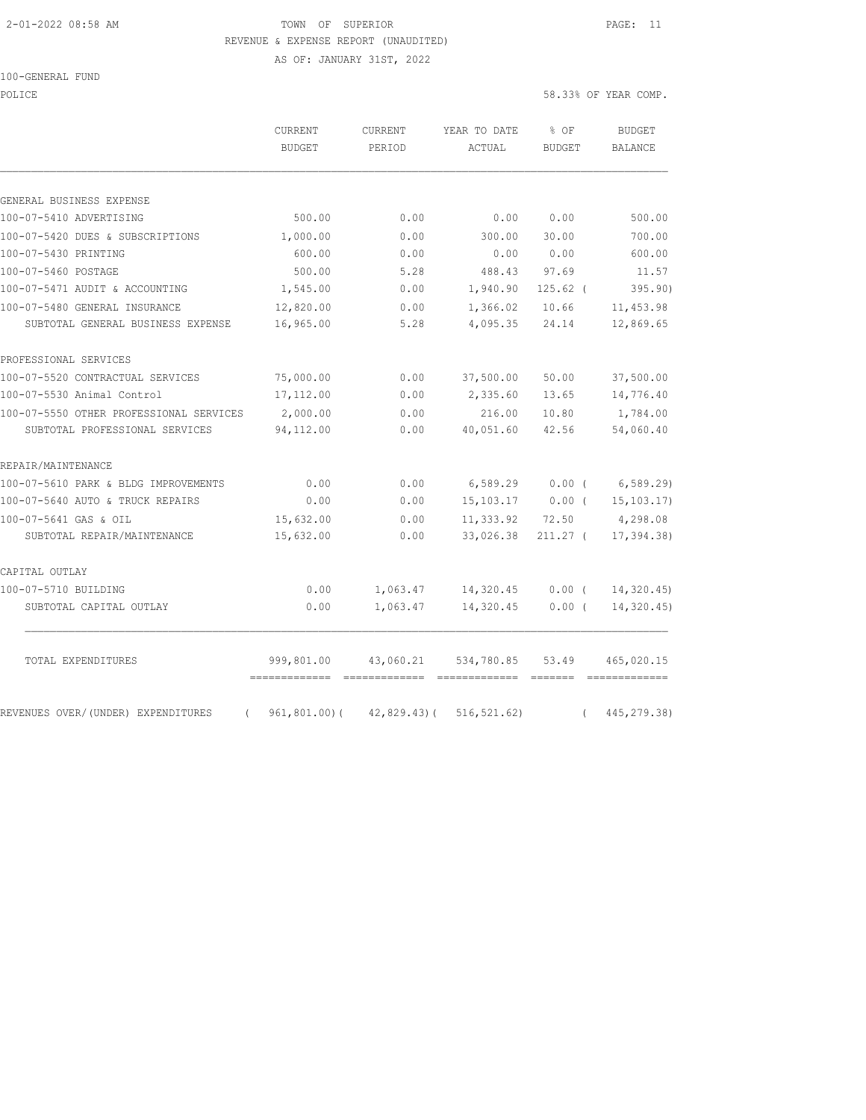#### 2-01-2022 08:58 AM TOWN OF SUPERIOR PAGE: 11 REVENUE & EXPENSE REPORT (UNAUDITED)

AS OF: JANUARY 31ST, 2022

100-GENERAL FUND

POLICE 58.33% OF YEAR COMP.

|                                                | CURRENT<br><b>BUDGET</b>                    | CURRENT<br>PERIOD                | YEAR TO DATE<br>ACTUAL            | % OF<br><b>BUDGET</b> | <b>BUDGET</b><br><b>BALANCE</b> |
|------------------------------------------------|---------------------------------------------|----------------------------------|-----------------------------------|-----------------------|---------------------------------|
|                                                |                                             |                                  |                                   |                       |                                 |
| GENERAL BUSINESS EXPENSE                       |                                             |                                  |                                   |                       |                                 |
| 100-07-5410 ADVERTISING                        | 500.00                                      | 0.00                             | 0.00                              | 0.00                  | 500.00                          |
| 100-07-5420 DUES & SUBSCRIPTIONS               | 1,000.00                                    | 0.00                             | 300.00                            | 30.00                 | 700.00                          |
| 100-07-5430 PRINTING                           | 600.00                                      | 0.00                             | 0.00                              | 0.00                  | 600.00                          |
| 100-07-5460 POSTAGE                            | 500.00                                      | 5.28                             | 488.43                            | 97.69                 | 11.57                           |
| 100-07-5471 AUDIT & ACCOUNTING                 | 1,545.00                                    | 0.00                             | 1,940.90                          | $125.62$ (            | 395.90)                         |
| 100-07-5480 GENERAL INSURANCE                  | 12,820.00                                   | 0.00                             | 1,366.02                          | 10.66                 | 11, 453.98                      |
| SUBTOTAL GENERAL BUSINESS EXPENSE              | 16,965.00                                   | 5.28                             | 4,095.35                          | 24.14                 | 12,869.65                       |
| PROFESSIONAL SERVICES                          |                                             |                                  |                                   |                       |                                 |
| 100-07-5520 CONTRACTUAL SERVICES               | 75,000.00                                   | 0.00                             | 37,500.00                         | 50.00                 | 37,500.00                       |
| 100-07-5530 Animal Control                     | 17,112.00                                   | 0.00                             | 2,335.60                          | 13.65                 | 14,776.40                       |
| 100-07-5550 OTHER PROFESSIONAL SERVICES        | 2,000.00                                    | 0.00                             | 216.00                            | 10.80                 | 1,784.00                        |
| SUBTOTAL PROFESSIONAL SERVICES                 | 94,112.00                                   | 0.00                             | 40,051.60                         | 42.56                 | 54,060.40                       |
| REPAIR/MAINTENANCE                             |                                             |                                  |                                   |                       |                                 |
| 100-07-5610 PARK & BLDG IMPROVEMENTS           | 0.00                                        | 0.00                             | 6,589.29                          | $0.00$ (              | 6,589.29                        |
| 100-07-5640 AUTO & TRUCK REPAIRS               | 0.00                                        | 0.00                             | 15, 103. 17                       | $0.00$ (              | 15, 103.17                      |
| 100-07-5641 GAS & OIL                          | 15,632.00                                   | 0.00                             | 11,333.92                         | 72.50                 | 4,298.08                        |
| SUBTOTAL REPAIR/MAINTENANCE                    | 15,632.00                                   | 0.00                             | 33,026.38                         | $211.27$ (            | 17,394.38)                      |
| CAPITAL OUTLAY                                 |                                             |                                  |                                   |                       |                                 |
| 100-07-5710 BUILDING                           | 0.00                                        | 1,063.47                         | 14,320.45                         | 0.00(                 | 14,320.45)                      |
| SUBTOTAL CAPITAL OUTLAY                        | 0.00                                        | 1,063.47                         | 14,320.45                         | $0.00$ (              | 14,320.45)                      |
|                                                |                                             |                                  |                                   |                       |                                 |
| TOTAL EXPENDITURES                             | 999,801.00<br>-------------- -------------- | 43,060.21                        | 534,780.85<br>eccessessess eccess | 53.49                 | 465,020.15<br>--------------    |
| REVENUES OVER/(UNDER) EXPENDITURES<br>$\left($ |                                             | $961, 801.00$ ( $42, 829.43$ ) ( | 516, 521.62)                      | $\left($              | 445, 279.38)                    |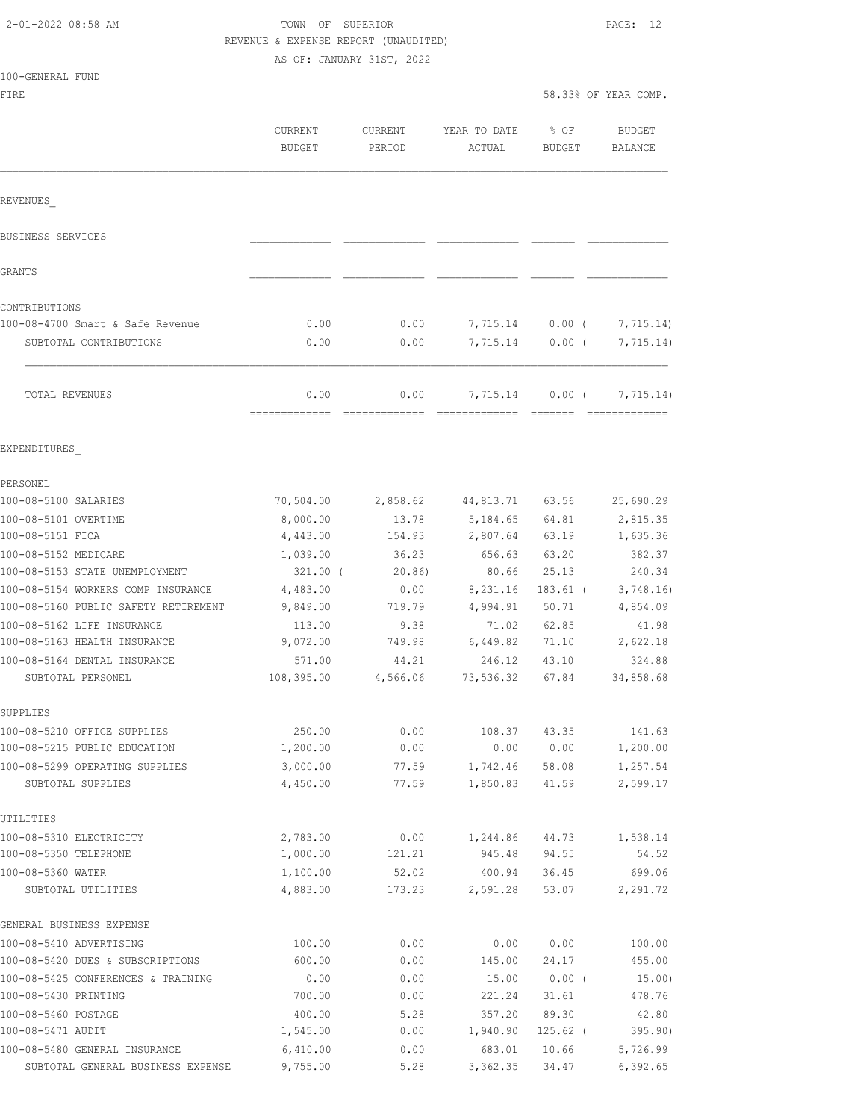### TOWN OF SUPERIOR **PAGE:** 12 REVENUE & EXPENSE REPORT (UNAUDITED)

AS OF: JANUARY 31ST, 2022

| FIRE                                                        |                          |                            |                                                                                                                                                                                                                                                                                                                                                                                                                                                                                                    | 58.33% OF YEAR COMP.  |                                 |
|-------------------------------------------------------------|--------------------------|----------------------------|----------------------------------------------------------------------------------------------------------------------------------------------------------------------------------------------------------------------------------------------------------------------------------------------------------------------------------------------------------------------------------------------------------------------------------------------------------------------------------------------------|-----------------------|---------------------------------|
|                                                             | CURRENT<br><b>BUDGET</b> | CURRENT<br>PERIOD          | YEAR TO DATE<br>ACTUAL                                                                                                                                                                                                                                                                                                                                                                                                                                                                             | % OF<br><b>BUDGET</b> | <b>BUDGET</b><br><b>BALANCE</b> |
| REVENUES                                                    |                          |                            |                                                                                                                                                                                                                                                                                                                                                                                                                                                                                                    |                       |                                 |
| BUSINESS SERVICES                                           |                          |                            |                                                                                                                                                                                                                                                                                                                                                                                                                                                                                                    |                       |                                 |
| GRANTS                                                      |                          |                            |                                                                                                                                                                                                                                                                                                                                                                                                                                                                                                    |                       |                                 |
| CONTRIBUTIONS                                               |                          |                            |                                                                                                                                                                                                                                                                                                                                                                                                                                                                                                    |                       |                                 |
| 100-08-4700 Smart & Safe Revenue                            | 0.00                     | 0.00                       | 7,715.14                                                                                                                                                                                                                                                                                                                                                                                                                                                                                           | $0.00$ (              | 7,715.14)                       |
| SUBTOTAL CONTRIBUTIONS                                      | 0.00                     | 0.00                       | 7,715.14                                                                                                                                                                                                                                                                                                                                                                                                                                                                                           | 0.00(                 | 7,715.14)                       |
| TOTAL REVENUES                                              | 0.00<br>=============    | 0.00<br>$-$ ============== | 7,715.14<br>$\begin{array}{cccccccccccccc} \multicolumn{2}{c}{} & \multicolumn{2}{c}{} & \multicolumn{2}{c}{} & \multicolumn{2}{c}{} & \multicolumn{2}{c}{} & \multicolumn{2}{c}{} & \multicolumn{2}{c}{} & \multicolumn{2}{c}{} & \multicolumn{2}{c}{} & \multicolumn{2}{c}{} & \multicolumn{2}{c}{} & \multicolumn{2}{c}{} & \multicolumn{2}{c}{} & \multicolumn{2}{c}{} & \multicolumn{2}{c}{} & \multicolumn{2}{c}{} & \multicolumn{2}{c}{} & \multicolumn{2}{c}{} & \multicolumn{2}{c}{} & \$ | 0.00(<br>--------     | 7,715.14)<br><b>CONSECTIONS</b> |
| EXPENDITURES                                                |                          |                            |                                                                                                                                                                                                                                                                                                                                                                                                                                                                                                    |                       |                                 |
| PERSONEL                                                    |                          |                            |                                                                                                                                                                                                                                                                                                                                                                                                                                                                                                    |                       |                                 |
| 100-08-5100 SALARIES                                        | 70,504.00                | 2,858.62                   | 44,813.71                                                                                                                                                                                                                                                                                                                                                                                                                                                                                          | 63.56                 | 25,690.29                       |
| 100-08-5101 OVERTIME                                        | 8,000.00                 | 13.78                      | 5,184.65                                                                                                                                                                                                                                                                                                                                                                                                                                                                                           | 64.81                 | 2,815.35                        |
| 100-08-5151 FICA                                            | 4,443.00                 | 154.93                     | 2,807.64                                                                                                                                                                                                                                                                                                                                                                                                                                                                                           | 63.19                 | 1,635.36                        |
| 100-08-5152 MEDICARE                                        | 1,039.00                 | 36.23                      | 656.63                                                                                                                                                                                                                                                                                                                                                                                                                                                                                             | 63.20                 | 382.37                          |
| 100-08-5153 STATE UNEMPLOYMENT                              | $321.00$ (               | 20.86)                     | 80.66                                                                                                                                                                                                                                                                                                                                                                                                                                                                                              | 25.13                 | 240.34                          |
| 100-08-5154 WORKERS COMP INSURANCE                          | 4,483.00                 | 0.00                       | 8,231.16                                                                                                                                                                                                                                                                                                                                                                                                                                                                                           | $183.61$ (            | 3,748.16                        |
| 100-08-5160 PUBLIC SAFETY RETIREMENT                        | 9,849.00                 | 719.79                     | 4,994.91                                                                                                                                                                                                                                                                                                                                                                                                                                                                                           | 50.71                 | 4,854.09                        |
| 100-08-5162 LIFE INSURANCE                                  | 113.00                   | 9.38                       | 71.02                                                                                                                                                                                                                                                                                                                                                                                                                                                                                              | 62.85                 | 41.98                           |
| 100-08-5163 HEALTH INSURANCE                                | 9,072.00                 | 749.98                     | 6,449.82                                                                                                                                                                                                                                                                                                                                                                                                                                                                                           | 71.10                 | 2,622.18                        |
| 100-08-5164 DENTAL INSURANCE                                | 571.00                   | 44.21                      | 246.12                                                                                                                                                                                                                                                                                                                                                                                                                                                                                             | 43.10                 | 324.88                          |
| SUBTOTAL PERSONEL                                           | 108,395.00               | 4,566.06                   | 73,536.32                                                                                                                                                                                                                                                                                                                                                                                                                                                                                          | 67.84                 | 34,858.68                       |
| SUPPLIES                                                    |                          |                            |                                                                                                                                                                                                                                                                                                                                                                                                                                                                                                    |                       |                                 |
| 100-08-5210 OFFICE SUPPLIES<br>100-08-5215 PUBLIC EDUCATION | 250.00<br>1,200.00       | 0.00<br>0.00               | 108.37<br>0.00                                                                                                                                                                                                                                                                                                                                                                                                                                                                                     | 43.35<br>0.00         | 141.63<br>1,200.00              |
| 100-08-5299 OPERATING SUPPLIES                              | 3,000.00                 | 77.59                      | 1,742.46                                                                                                                                                                                                                                                                                                                                                                                                                                                                                           | 58.08                 | 1,257.54                        |
| SUBTOTAL SUPPLIES                                           | 4,450.00                 | 77.59                      | 1,850.83                                                                                                                                                                                                                                                                                                                                                                                                                                                                                           | 41.59                 | 2,599.17                        |
| UTILITIES                                                   |                          |                            |                                                                                                                                                                                                                                                                                                                                                                                                                                                                                                    |                       |                                 |
| 100-08-5310 ELECTRICITY                                     | 2,783.00                 | 0.00                       | 1,244.86                                                                                                                                                                                                                                                                                                                                                                                                                                                                                           | 44.73                 | 1,538.14                        |
| 100-08-5350 TELEPHONE                                       | 1,000.00                 | 121.21                     | 945.48                                                                                                                                                                                                                                                                                                                                                                                                                                                                                             | 94.55                 | 54.52                           |
| 100-08-5360 WATER                                           | 1,100.00                 | 52.02                      | 400.94                                                                                                                                                                                                                                                                                                                                                                                                                                                                                             | 36.45                 | 699.06                          |
| SUBTOTAL UTILITIES                                          | 4,883.00                 | 173.23                     | 2,591.28                                                                                                                                                                                                                                                                                                                                                                                                                                                                                           | 53.07                 | 2,291.72                        |
| GENERAL BUSINESS EXPENSE                                    |                          |                            |                                                                                                                                                                                                                                                                                                                                                                                                                                                                                                    |                       |                                 |
| 100-08-5410 ADVERTISING                                     | 100.00                   | 0.00                       | 0.00                                                                                                                                                                                                                                                                                                                                                                                                                                                                                               | 0.00                  | 100.00                          |
| 100-08-5420 DUES & SUBSCRIPTIONS                            | 600.00                   | 0.00                       | 145.00                                                                                                                                                                                                                                                                                                                                                                                                                                                                                             | 24.17                 | 455.00                          |
| 100-08-5425 CONFERENCES & TRAINING<br>100-08-5430 PRINTING  | 0.00<br>700.00           | 0.00<br>0.00               | 15.00<br>221.24                                                                                                                                                                                                                                                                                                                                                                                                                                                                                    | 0.00(<br>31.61        | 15.00)<br>478.76                |
| 100-08-5460 POSTAGE                                         | 400.00                   | 5.28                       | 357.20                                                                                                                                                                                                                                                                                                                                                                                                                                                                                             | 89.30                 | 42.80                           |
| 100-08-5471 AUDIT                                           | 1,545.00                 | 0.00                       | 1,940.90                                                                                                                                                                                                                                                                                                                                                                                                                                                                                           | $125.62$ (            | 395.90)                         |
| 100-08-5480 GENERAL INSURANCE                               | 6,410.00                 | 0.00                       | 683.01                                                                                                                                                                                                                                                                                                                                                                                                                                                                                             | 10.66                 | 5,726.99                        |

SUBTOTAL GENERAL BUSINESS EXPENSE 9,755.00 5.28 3,362.35 34.47 6,392.65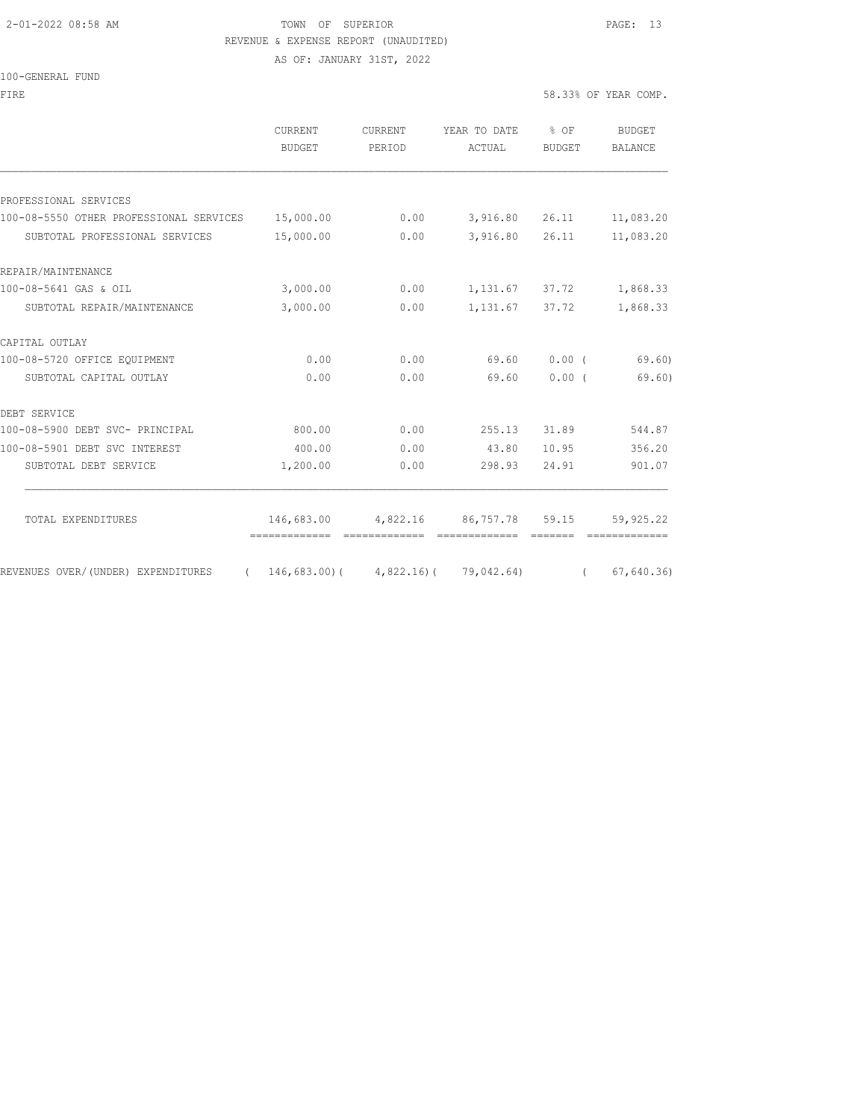#### 2-01-2022 08:58 AM TOWN OF SUPERIOR PAGE: 13 REVENUE & EXPENSE REPORT (UNAUDITED)

AS OF: JANUARY 31ST, 2022

#### 100-GENERAL FUND

FIRE  $58.33\text{*}$  OF YEAR COMP.

| $0.00$ $3,916.80$ $26.11$<br>3,916.80 26.11<br>1, 131.67 37.72<br>1, 131.67 37.72 | 11,083.20<br>11,083.20<br>1,868.33<br>1,868.33               |
|-----------------------------------------------------------------------------------|--------------------------------------------------------------|
|                                                                                   |                                                              |
|                                                                                   |                                                              |
|                                                                                   |                                                              |
|                                                                                   |                                                              |
|                                                                                   |                                                              |
|                                                                                   |                                                              |
|                                                                                   |                                                              |
|                                                                                   |                                                              |
| 69.60                                                                             | 0.00(<br>69.60)                                              |
| 69.60                                                                             | $0.00$ (<br>69.60                                            |
|                                                                                   |                                                              |
| 255.13                                                                            | 544.87<br>31.89                                              |
| 43.80                                                                             | 356.20<br>10.95                                              |
| 298.93                                                                            | 24.91<br>901.07                                              |
| 146,683.00 4,822.16 86,757.78 59.15                                               | 59,925.22                                                    |
|                                                                                   | =============<br>$146,683.00$ ( $4,822.16$ ) ( $79,042.64$ ) |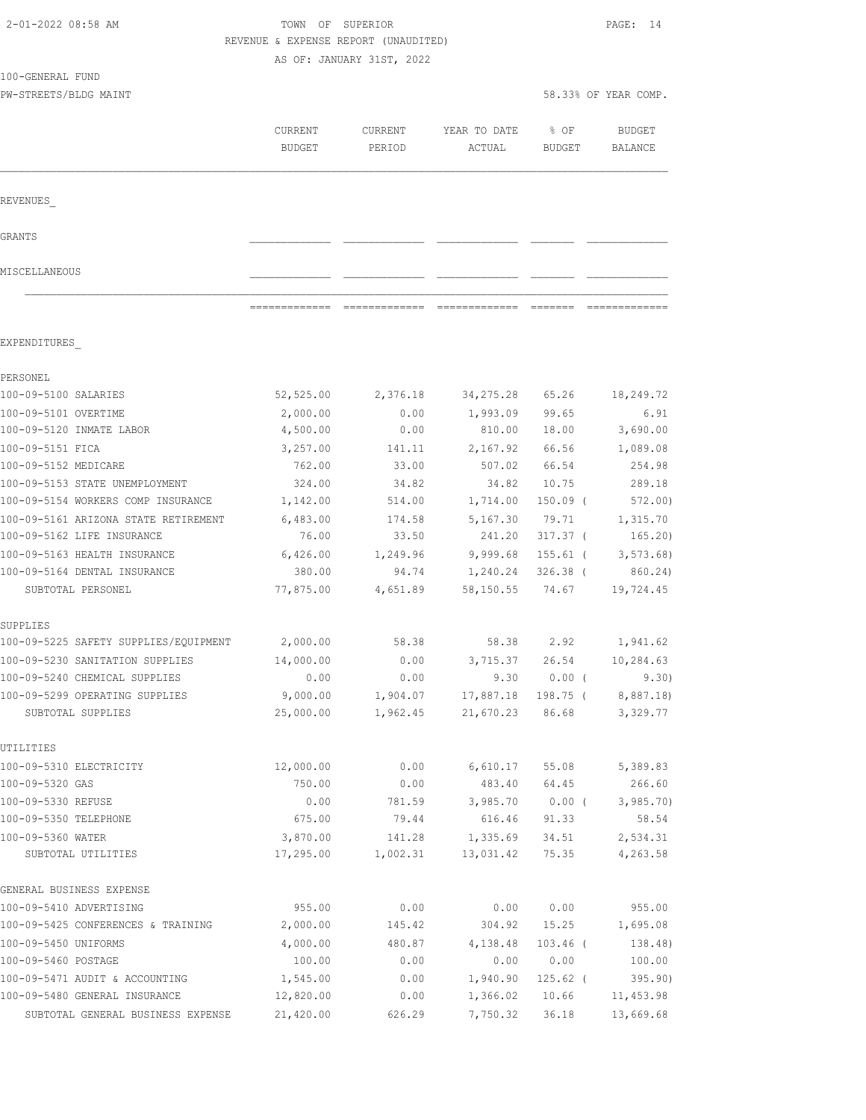|                                                                 | REVENUE & EXPENSE REPORT (UNAUDITED) | AS OF: JANUARY 31ST, 2022 |                        |                        |                          |
|-----------------------------------------------------------------|--------------------------------------|---------------------------|------------------------|------------------------|--------------------------|
| 100-GENERAL FUND                                                |                                      |                           |                        |                        |                          |
| PW-STREETS/BLDG MAINT                                           |                                      |                           |                        |                        | 58.33% OF YEAR COMP.     |
|                                                                 | CURRENT<br><b>BUDGET</b>             | CURRENT<br>PERIOD         | YEAR TO DATE<br>ACTUAL | % OF<br>BUDGET         | <b>BUDGET</b><br>BALANCE |
| REVENUES                                                        |                                      |                           |                        |                        |                          |
| GRANTS                                                          |                                      |                           |                        |                        |                          |
| MISCELLANEOUS                                                   |                                      |                           |                        |                        |                          |
|                                                                 |                                      |                           |                        |                        |                          |
| EXPENDITURES                                                    |                                      |                           |                        |                        |                          |
| PERSONEL                                                        |                                      |                           |                        |                        |                          |
| 100-09-5100 SALARIES                                            | 52,525.00                            | 2,376.18                  | 34, 275.28             | 65.26                  | 18,249.72                |
| 100-09-5101 OVERTIME                                            | 2,000.00                             | 0.00                      | 1,993.09               | 99.65                  | 6.91                     |
| 100-09-5120 INMATE LABOR                                        | 4,500.00                             | 0.00                      | 810.00                 | 18.00                  | 3,690.00                 |
| 100-09-5151 FICA                                                | 3,257.00                             | 141.11                    | 2,167.92               | 66.56                  | 1,089.08                 |
| 100-09-5152 MEDICARE                                            | 762.00                               | 33.00                     | 507.02                 | 66.54                  | 254.98                   |
| 100-09-5153 STATE UNEMPLOYMENT                                  | 324.00                               | 34.82                     | 34.82                  | 10.75                  | 289.18                   |
| 100-09-5154 WORKERS COMP INSURANCE                              | 1,142.00                             | 514.00                    | 1,714.00               | $150.09$ (             | 572.00                   |
| 100-09-5161 ARIZONA STATE RETIREMENT                            | 6,483.00                             | 174.58                    | 5,167.30               | 79.71                  | 1,315.70                 |
| 100-09-5162 LIFE INSURANCE                                      | 76.00                                | 33.50                     | 241.20                 | $317.37$ (             | 165.20)                  |
| 100-09-5163 HEALTH INSURANCE<br>100-09-5164 DENTAL INSURANCE    | 6,426.00<br>380.00                   | 1,249.96<br>94.74         | 9,999.68<br>1,240.24   | 155.61 (<br>$326.38$ ( | 3, 573.68<br>860.24)     |
| SUBTOTAL PERSONEL                                               | 77,875.00                            | 4,651.89                  | 58,150.55              | 74.67                  | 19,724.45                |
| SUPPLIES                                                        |                                      |                           |                        |                        |                          |
| 100-09-5225 SAFETY SUPPLIES/EQUIPMENT                           | 2,000.00                             | 58.38                     | 58.38                  | 2.92                   | 1,941.62                 |
| 100-09-5230 SANITATION SUPPLIES                                 | 14,000.00                            | 0.00                      | 3,715.37               | 26.54                  | 10,284.63                |
| 100-09-5240 CHEMICAL SUPPLIES                                   | 0.00                                 | 0.00                      | 9.30                   | $0.00$ (               | 9.30)                    |
| 100-09-5299 OPERATING SUPPLIES                                  | 9,000.00                             | 1,904.07                  | 17,887.18              | 198.75 (               | 8,887.18)                |
| SUBTOTAL SUPPLIES                                               | 25,000.00                            | 1,962.45                  | 21,670.23              | 86.68                  | 3,329.77                 |
| UTILITIES                                                       |                                      |                           |                        |                        |                          |
| 100-09-5310 ELECTRICITY                                         | 12,000.00                            | 0.00                      | 6,610.17               | 55.08                  | 5,389.83                 |
| 100-09-5320 GAS                                                 | 750.00                               | 0.00                      | 483.40                 | 64.45                  | 266.60                   |
| 100-09-5330 REFUSE                                              | 0.00                                 | 781.59                    | 3,985.70               | $0.00$ (               | 3,985.70                 |
| 100-09-5350 TELEPHONE                                           | 675.00                               | 79.44                     | 616.46                 | 91.33                  | 58.54                    |
| 100-09-5360 WATER                                               | 3,870.00                             | 141.28                    | 1,335.69               | 34.51                  | 2,534.31                 |
| SUBTOTAL UTILITIES                                              | 17,295.00                            | 1,002.31                  | 13,031.42              | 75.35                  | 4,263.58                 |
| GENERAL BUSINESS EXPENSE                                        |                                      |                           |                        |                        |                          |
| 100-09-5410 ADVERTISING                                         | 955.00                               | 0.00                      | 0.00                   | 0.00                   | 955.00                   |
| 100-09-5425 CONFERENCES & TRAINING                              | 2,000.00                             | 145.42                    | 304.92                 | 15.25                  | 1,695.08                 |
| 100-09-5450 UNIFORMS                                            | 4,000.00                             | 480.87                    | 4,138.48               | $103.46$ (             | 138.48)                  |
| 100-09-5460 POSTAGE                                             | 100.00                               | 0.00                      | 0.00                   | 0.00                   | 100.00                   |
| 100-09-5471 AUDIT & ACCOUNTING<br>100-09-5480 GENERAL INSURANCE | 1,545.00<br>12,820.00                | 0.00<br>0.00              | 1,940.90<br>1,366.02   | $125.62$ (<br>10.66    | 395.90)<br>11, 453.98    |
|                                                                 |                                      |                           |                        |                        |                          |

SUBTOTAL GENERAL BUSINESS EXPENSE 21,420.00 626.29 7,750.32 36.18 13,669.68

2-01-2022 08:58 AM TOWN OF SUPERIOR PAGE: 14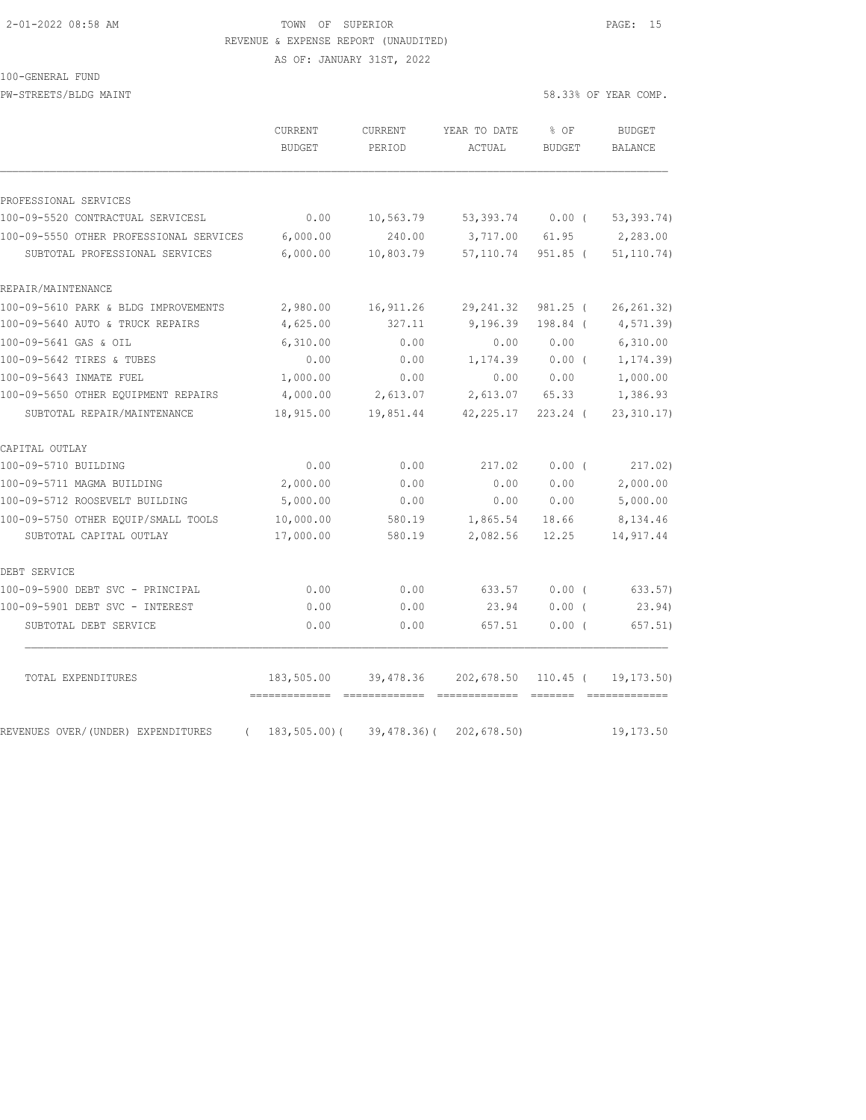#### 2-01-2022 08:58 AM TOWN OF SUPERIOR PAGE: 15 REVENUE & EXPENSE REPORT (UNAUDITED)

AS OF: JANUARY 31ST, 2022

100-GENERAL FUND

PW-STREETS/BLDG MAINT 38.33% OF YEAR COMP.

|                                         | <b>CURRENT</b><br>BUDGET                        | <b>CURRENT</b><br>PERIOD | YEAR TO DATE<br>ACTUAL | % OF<br><b>BUDGET</b> | <b>BUDGET</b><br>BALANCE |
|-----------------------------------------|-------------------------------------------------|--------------------------|------------------------|-----------------------|--------------------------|
| PROFESSIONAL SERVICES                   |                                                 |                          |                        |                       |                          |
| 100-09-5520 CONTRACTUAL SERVICESL       | 0.00                                            | 10,563.79                | 53,393.74 0.00 (       |                       | 53, 393.74)              |
| 100-09-5550 OTHER PROFESSIONAL SERVICES | 6,000.00                                        | 240.00                   | 3,717.00               | 61.95                 | 2,283.00                 |
| SUBTOTAL PROFESSIONAL SERVICES          | 6,000.00                                        | 10,803.79                | 57,110.74              | 951.85 (              | 51, 110.74)              |
| REPAIR/MAINTENANCE                      |                                                 |                          |                        |                       |                          |
| 100-09-5610 PARK & BLDG IMPROVEMENTS    | 2,980.00                                        | 16,911.26                | 29, 241.32             | $981.25$ (            | 26, 261.32)              |
| 100-09-5640 AUTO & TRUCK REPAIRS        | 4,625.00                                        | 327.11                   | 9,196.39               | 198.84 (              | 4,571.39)                |
| 100-09-5641 GAS & OIL                   | 6,310.00                                        | 0.00                     | 0.00                   | 0.00                  | 6,310.00                 |
| 100-09-5642 TIRES & TUBES               | 0.00                                            | 0.00                     | 1,174.39               | $0.00$ (              | 1, 174.39)               |
| 100-09-5643 INMATE FUEL                 | 1,000.00                                        | 0.00                     | 0.00                   | 0.00                  | 1,000.00                 |
| 100-09-5650 OTHER EQUIPMENT REPAIRS     | 4,000.00                                        | 2,613.07                 | 2,613.07               | 65.33                 | 1,386.93                 |
| SUBTOTAL REPAIR/MAINTENANCE             | 18,915.00                                       | 19,851.44                | 42, 225.17             | $223.24$ (            | 23, 310.17)              |
| CAPITAL OUTLAY                          |                                                 |                          |                        |                       |                          |
| 100-09-5710 BUILDING                    | 0.00                                            | 0.00                     | 217.02                 | 0.00(                 | 217.02)                  |
| 100-09-5711 MAGMA BUILDING              | 2,000.00                                        | 0.00                     | 0.00                   | 0.00                  | 2,000.00                 |
| 100-09-5712 ROOSEVELT BUILDING          | 5,000.00                                        | 0.00                     | 0.00                   | 0.00                  | 5,000.00                 |
| 100-09-5750 OTHER EQUIP/SMALL TOOLS     | 10,000.00                                       | 580.19                   | 1,865.54               | 18.66                 | 8,134.46                 |
| SUBTOTAL CAPITAL OUTLAY                 | 17,000.00                                       | 580.19                   | 2,082.56               | 12.25                 | 14,917.44                |
| DEBT SERVICE                            |                                                 |                          |                        |                       |                          |
| 100-09-5900 DEBT SVC - PRINCIPAL        | 0.00                                            | 0.00                     | 633.57                 | 0.00(                 | 633.57)                  |
| 100-09-5901 DEBT SVC - INTEREST         | 0.00                                            | 0.00                     | 23.94                  | $0.00$ (              | 23.94)                   |
| SUBTOTAL DEBT SERVICE                   | 0.00                                            | 0.00                     | 657.51                 | 0.00(                 | 657.51)                  |
| TOTAL EXPENDITURES                      | 183,505.00                                      | 39,478.36                | 202,678.50             | $110.45$ (            | 19, 173.50)              |
| REVENUES OVER/(UNDER) EXPENDITURES      | ------------- --------------<br>$183, 505.00$ ( | 39,478.36)(              | 202,678.50)            |                       | 19, 173.50               |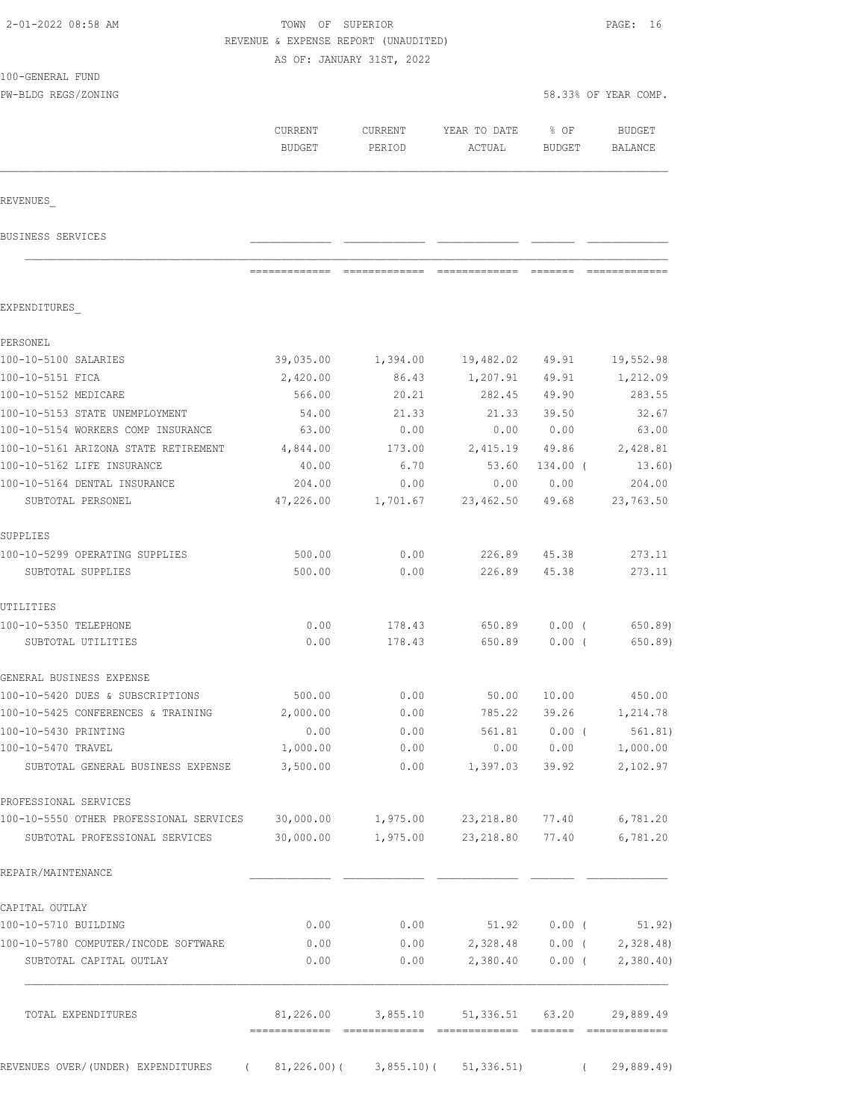| 2-01-2022 08:58 AM                                                             | TOWN OF SUPERIOR         |                                      |                        |                       | PAGE: 16                 |
|--------------------------------------------------------------------------------|--------------------------|--------------------------------------|------------------------|-----------------------|--------------------------|
|                                                                                |                          | REVENUE & EXPENSE REPORT (UNAUDITED) |                        |                       |                          |
| 100-GENERAL FUND                                                               |                          | AS OF: JANUARY 31ST, 2022            |                        |                       |                          |
| PW-BLDG REGS/ZONING                                                            |                          |                                      |                        |                       | 58.33% OF YEAR COMP.     |
|                                                                                |                          |                                      |                        |                       |                          |
|                                                                                | CURRENT<br><b>BUDGET</b> | <b>CURRENT</b><br>PERIOD             | YEAR TO DATE<br>ACTUAL | % OF<br><b>BUDGET</b> | <b>BUDGET</b><br>BALANCE |
|                                                                                |                          |                                      |                        |                       |                          |
| REVENUES                                                                       |                          |                                      |                        |                       |                          |
| BUSINESS SERVICES                                                              |                          |                                      |                        |                       |                          |
|                                                                                | =============            | - =============                      | $22222222222222$       | --------              |                          |
| EXPENDITURES                                                                   |                          |                                      |                        |                       |                          |
| PERSONEL                                                                       |                          |                                      |                        |                       |                          |
| 100-10-5100 SALARIES                                                           | 39,035.00                | 1,394.00                             | 19,482.02              | 49.91                 | 19,552.98                |
| 100-10-5151 FICA                                                               | 2,420.00                 | 86.43                                | 1,207.91               | 49.91                 | 1,212.09                 |
| 100-10-5152 MEDICARE                                                           | 566.00                   | 20.21                                | 282.45                 | 49.90                 | 283.55                   |
| 100-10-5153 STATE UNEMPLOYMENT                                                 | 54.00                    | 21.33                                | 21.33                  | 39.50                 | 32.67                    |
| 100-10-5154 WORKERS COMP INSURANCE                                             | 63.00                    | 0.00                                 | 0.00                   | 0.00                  | 63.00                    |
| 100-10-5161 ARIZONA STATE RETIREMENT                                           | 4,844.00                 | 173.00                               | 2,415.19               | 49.86                 | 2,428.81                 |
| 100-10-5162 LIFE INSURANCE                                                     | 40.00                    | 6.70                                 | 53.60                  | $134.00$ (            | 13.60)                   |
| 100-10-5164 DENTAL INSURANCE                                                   | 204.00                   | 0.00                                 | 0.00                   | 0.00                  | 204.00                   |
| SUBTOTAL PERSONEL                                                              | 47,226.00                | 1,701.67                             | 23,462.50              | 49.68                 | 23,763.50                |
| SUPPLIES                                                                       |                          |                                      |                        |                       |                          |
| 100-10-5299 OPERATING SUPPLIES                                                 | 500.00                   | 0.00                                 | 226.89                 | 45.38                 | 273.11                   |
| SUBTOTAL SUPPLIES                                                              | 500.00                   | 0.00                                 | 226.89                 | 45.38                 | 273.11                   |
| UTILITIES                                                                      |                          |                                      |                        |                       |                          |
| 100-10-5350 TELEPHONE                                                          | 0.00                     | 178.43                               | 650.89                 | $0.00$ (              | 650.89)                  |
| SUBTOTAL UTILITIES                                                             | 0.00                     | 178.43                               | 650.89                 | 0.00(                 | 650.89)                  |
| GENERAL BUSINESS EXPENSE                                                       |                          |                                      |                        |                       |                          |
| 100-10-5420 DUES & SUBSCRIPTIONS                                               | 500.00                   | 0.00                                 | 50.00                  | 10.00                 | 450.00                   |
| 100-10-5425 CONFERENCES & TRAINING                                             | 2,000.00                 | 0.00                                 | 785.22                 | 39.26                 | 1,214.78                 |
| 100-10-5430 PRINTING                                                           | 0.00                     | 0.00                                 |                        | 561.81 0.00 (         | 561.81)                  |
| 100-10-5470 TRAVEL                                                             | 1,000.00                 | 0.00                                 |                        | 0.00 0.00             | 1,000.00                 |
| SUBTOTAL GENERAL BUSINESS EXPENSE                                              | 3,500.00                 | 0.00                                 | 1,397.03               | 39.92                 | 2,102.97                 |
| PROFESSIONAL SERVICES                                                          |                          |                                      |                        |                       |                          |
| 100-10-5550 OTHER PROFESSIONAL SERVICES                                        | 30,000.00                | 1,975.00                             | 23,218.80              | 77.40                 | 6,781.20                 |
| SUBTOTAL PROFESSIONAL SERVICES                                                 | 30,000.00                | 1,975.00                             | 23,218.80 77.40        |                       | 6,781.20                 |
| REPAIR/MAINTENANCE                                                             |                          |                                      |                        |                       |                          |
| CAPITAL OUTLAY                                                                 |                          |                                      |                        |                       |                          |
| 100-10-5710 BUILDING                                                           | 0.00                     | 0.00                                 | 51.92                  | $0.00$ (              | 51.92)                   |
| 100-10-5780 COMPUTER/INCODE SOFTWARE                                           | 0.00                     | 0.00                                 | 2,328.48               | $0.00$ (              | 2,328.48                 |
| SUBTOTAL CAPITAL OUTLAY                                                        | 0.00                     | 0.00                                 | 2,380.40               | $0.00$ (              | 2,380.40                 |
| TOTAL EXPENDITURES                                                             | 81,226.00                |                                      | 3,855.10 51,336.51     | 63.20                 | 29,889.49                |
|                                                                                |                          |                                      |                        |                       |                          |
| REVENUES OVER/(UNDER) EXPENDITURES     (  81,226.00)(   3,855.10)(  51,336.51) |                          |                                      |                        |                       | (29,889.49)              |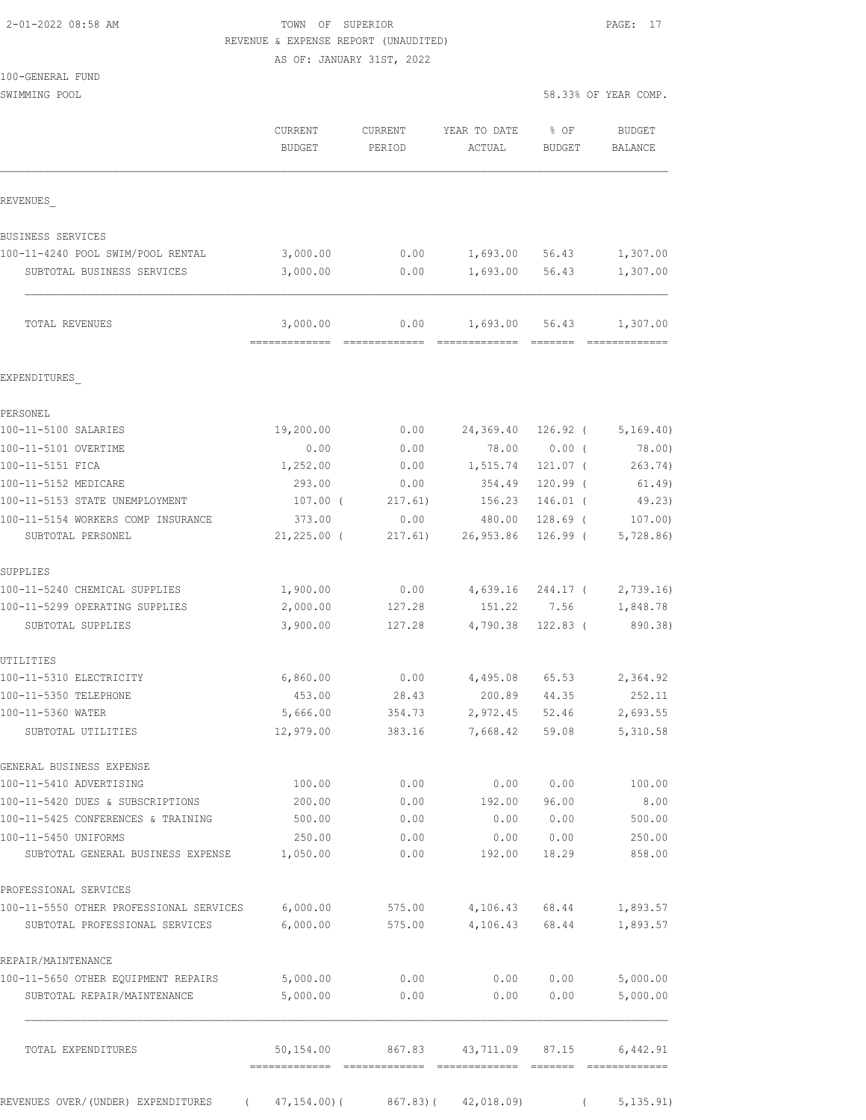| 2-01-2022 08:58 AM |  |
|--------------------|--|
|                    |  |

### TOWN OF SUPERIOR **PAGE:** 17 REVENUE & EXPENSE REPORT (UNAUDITED)

AS OF: JANUARY 31ST, 2022

| 100-GENERAL FUND |  |
|------------------|--|
|------------------|--|

|                                                     | <b>CURRENT</b><br><b>BUDGET</b> | CURRENT<br>PERIOD | YEAR TO DATE<br>ACTUAL     | % OF<br>BUDGET  | <b>BUDGET</b><br>BALANCE  |
|-----------------------------------------------------|---------------------------------|-------------------|----------------------------|-----------------|---------------------------|
| REVENUES                                            |                                 |                   |                            |                 |                           |
| BUSINESS SERVICES                                   |                                 |                   |                            |                 |                           |
| 100-11-4240 POOL SWIM/POOL RENTAL                   | 3,000.00                        | 0.00              |                            | 1,693.00 56.43  | 1,307.00                  |
| SUBTOTAL BUSINESS SERVICES                          | 3,000.00                        | 0.00              | 1,693.00                   | 56.43           | 1,307.00                  |
| TOTAL REVENUES                                      | 3,000.00<br>=============       | 0.00              | 1,693.00<br>=============  | 56.43<br>EEEEEE | 1,307.00<br>============= |
| EXPENDITURES                                        |                                 |                   |                            |                 |                           |
| PERSONEL                                            |                                 |                   |                            |                 |                           |
| 100-11-5100 SALARIES                                | 19,200.00                       | 0.00              | 24,369.40                  |                 | $126.92$ ( $5,169.40$ )   |
| 100-11-5101 OVERTIME                                | 0.00                            | 0.00              | 78.00                      | $0.00$ (        | 78.00)                    |
| 100-11-5151 FICA                                    | 1,252.00                        | 0.00              | 1,515.74                   | 121.07 (        | 263.74)                   |
| 100-11-5152 MEDICARE                                | 293.00                          | 0.00              | 354.49                     | $120.99$ (      | 61.49)                    |
| 100-11-5153 STATE UNEMPLOYMENT                      | 107.00 (                        | 217.61)           | 156.23                     | $146.01$ (      | 49.23)                    |
| 100-11-5154 WORKERS COMP INSURANCE                  | 373.00                          | 0.00              | 480.00                     | $128.69$ (      | 107.00                    |
| SUBTOTAL PERSONEL                                   | $21,225.00$ (                   | 217.61)           | 26,953.86                  | 126.99 (        | 5,728.86                  |
| SUPPLIES                                            |                                 |                   |                            |                 |                           |
| 100-11-5240 CHEMICAL SUPPLIES                       | 1,900.00                        | 0.00              | 4,639.16                   | 244.17 (        | 2,739.16                  |
| 100-11-5299 OPERATING SUPPLIES                      | 2,000.00                        | 127.28            | 151.22                     | 7.56            | 1,848.78                  |
| SUBTOTAL SUPPLIES                                   | 3,900.00                        | 127.28            | 4,790.38                   | $122.83$ (      | 890.38)                   |
| UTILITIES                                           |                                 |                   |                            |                 |                           |
| 100-11-5310 ELECTRICITY                             | 6,860.00                        | 0.00              | 4,495.08                   | 65.53           | 2,364.92                  |
| 100-11-5350 TELEPHONE                               | 453.00                          | 28.43             | 200.89                     | 44.35           | 252.11                    |
| 100-11-5360 WATER<br>SUBTOTAL UTILITIES             | 5,666.00<br>12,979.00           | 354.73<br>383.16  | 2,972.45<br>7,668.42       | 52.46<br>59.08  | 2,693.55<br>5,310.58      |
|                                                     |                                 |                   |                            |                 |                           |
| GENERAL BUSINESS EXPENSE<br>100-11-5410 ADVERTISING | 100.00                          | 0.00              | 0.00                       | 0.00            | 100.00                    |
| 100-11-5420 DUES & SUBSCRIPTIONS                    | 200.00                          | 0.00              | 192.00                     | 96.00           | 8.00                      |
| 100-11-5425 CONFERENCES & TRAINING                  | 500.00                          | 0.00              | 0.00                       | 0.00            | 500.00                    |
| 100-11-5450 UNIFORMS                                | 250.00                          | 0.00              | 0.00                       | 0.00            | 250.00                    |
| SUBTOTAL GENERAL BUSINESS EXPENSE                   | 1,050.00                        | 0.00              | 192.00                     | 18.29           | 858.00                    |
| PROFESSIONAL SERVICES                               |                                 |                   |                            |                 |                           |
| 100-11-5550 OTHER PROFESSIONAL SERVICES             | 6,000.00                        | 575.00            | 4,106.43                   | 68.44           | 1,893.57                  |
| SUBTOTAL PROFESSIONAL SERVICES                      | 6,000.00                        | 575.00            | 4,106.43                   | 68.44           | 1,893.57                  |
| REPAIR/MAINTENANCE                                  |                                 |                   |                            |                 |                           |
| 100-11-5650 OTHER EQUIPMENT REPAIRS                 | 5,000.00                        | 0.00              | 0.00                       | 0.00            | 5,000.00                  |
| SUBTOTAL REPAIR/MAINTENANCE                         | 5,000.00                        | 0.00              | 0.00                       | 0.00            | 5,000.00                  |
| TOTAL EXPENDITURES                                  | 50,154.00<br>-------------      | 867.83            | 43,711.09<br>============= | 87.15           | 6,442.91                  |
| REVENUES OVER/(UNDER) EXPENDITURES<br>$\left($      | $47, 154.00$ ) (                | 867.83(           | 42,018.09                  |                 | 5, 135.91)                |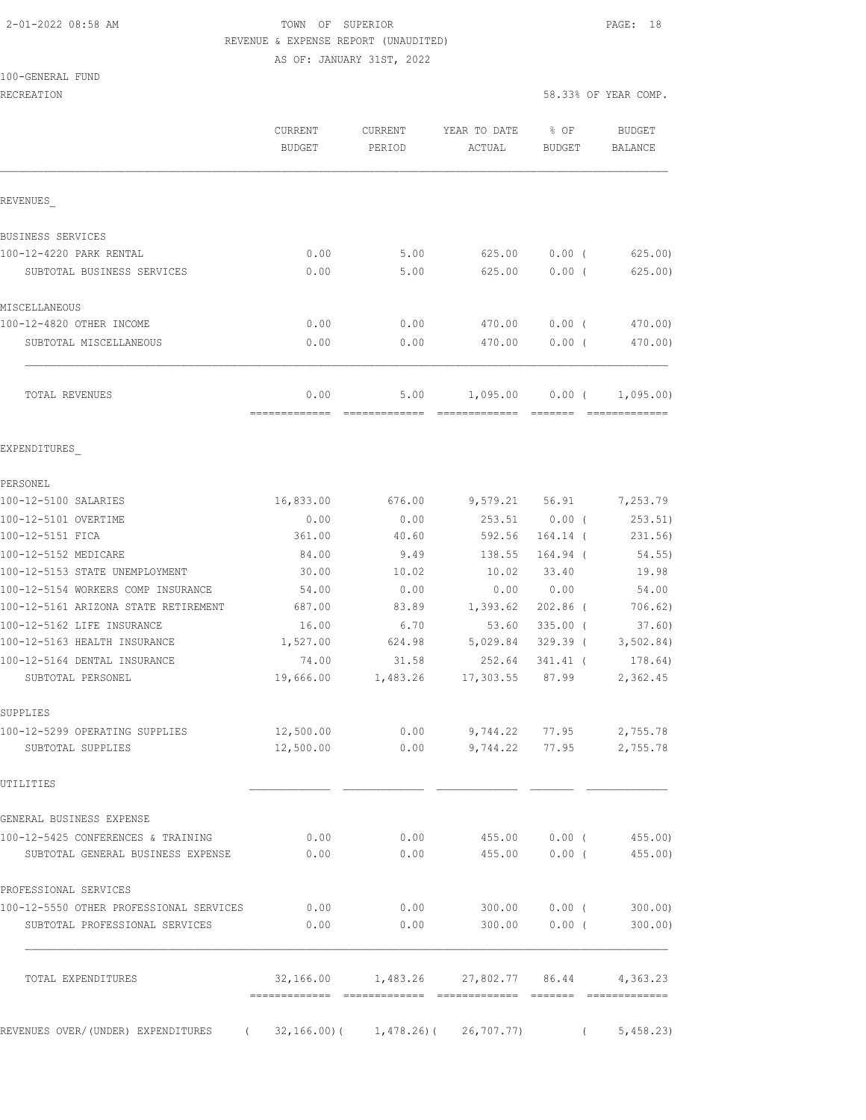100-GENERAL FUND

### 2-01-2022 08:58 AM TOWN OF SUPERIOR PAGE: 18 REVENUE & EXPENSE REPORT (UNAUDITED)

AS OF: JANUARY 31ST, 2022

RECREATION 58.33% OF YEAR COMP.

|                                                                                | CURRENT<br><b>BUDGET</b> | <b>CURRENT</b><br>PERIOD | YEAR TO DATE<br>ACTUAL                        | $\textdegree$ OF<br>BUDGET | <b>BUDGET</b><br><b>BALANCE</b> |
|--------------------------------------------------------------------------------|--------------------------|--------------------------|-----------------------------------------------|----------------------------|---------------------------------|
| REVENUES                                                                       |                          |                          |                                               |                            |                                 |
| BUSINESS SERVICES                                                              |                          |                          |                                               |                            |                                 |
| 100-12-4220 PARK RENTAL                                                        | 0.00                     | 5.00                     | 625.00                                        | $0.00$ (                   | 625.00                          |
| SUBTOTAL BUSINESS SERVICES                                                     | 0.00                     | 5.00                     | 625.00                                        | 0.00(                      | 625.00)                         |
| MISCELLANEOUS                                                                  |                          |                          |                                               |                            |                                 |
| 100-12-4820 OTHER INCOME                                                       | 0.00                     | 0.00                     | 470.00                                        | $0.00$ (                   | 470.00)                         |
| SUBTOTAL MISCELLANEOUS                                                         | 0.00                     | 0.00                     | 470.00                                        | 0.00(                      | 470.00)                         |
| TOTAL REVENUES                                                                 | 0.00<br>-------------    | 5.00                     | 1,095.00                                      | $0.00$ (                   | 1,095.00)                       |
| EXPENDITURES                                                                   |                          |                          |                                               |                            |                                 |
| PERSONEL                                                                       |                          |                          |                                               |                            |                                 |
| 100-12-5100 SALARIES                                                           | 16,833.00                | 676.00                   | 9,579.21 56.91                                |                            | 7,253.79                        |
| 100-12-5101 OVERTIME                                                           | 0.00                     | 0.00                     | 253.51                                        | $0.00$ (                   | 253.51)                         |
| 100-12-5151 FICA                                                               | 361.00                   | 40.60                    | 592.56                                        | $164.14$ (                 | 231.56)                         |
| 100-12-5152 MEDICARE                                                           | 84.00                    | 9.49                     | 138.55                                        | 164.94 (                   | 54.55)                          |
| 100-12-5153 STATE UNEMPLOYMENT                                                 | 30.00                    | 10.02                    | 10.02                                         | 33.40                      | 19.98                           |
| 100-12-5154 WORKERS COMP INSURANCE                                             | 54.00                    | 0.00                     | 0.00                                          | 0.00                       | 54.00                           |
| 100-12-5161 ARIZONA STATE RETIREMENT                                           | 687.00                   | 83.89                    | 1,393.62                                      | $202.86$ (                 | 706.62)                         |
| 100-12-5162 LIFE INSURANCE                                                     | 16.00                    | 6.70                     | 53.60                                         | $335.00$ (                 | 37.60)                          |
| 100-12-5163 HEALTH INSURANCE                                                   | 1,527.00                 | 624.98                   | 5,029.84                                      | 329.39 (                   | 3,502.84)                       |
| 100-12-5164 DENTAL INSURANCE                                                   | 74.00                    | 31.58                    | 252.64                                        | 341.41 (                   | 178.64)                         |
| SUBTOTAL PERSONEL                                                              | 19,666.00                | 1,483.26                 | 17,303.55                                     | 87.99                      | 2,362.45                        |
| SUPPLIES                                                                       |                          |                          |                                               |                            |                                 |
| 100-12-5299 OPERATING SUPPLIES                                                 | 12,500.00                | 0.00                     | 9,744.22                                      | 77.95                      | 2,755.78                        |
| SUBTOTAL SUPPLIES                                                              | 12,500.00                |                          | $0.00$ $9,744.22$ $77.95$ $2,755.78$          |                            |                                 |
| UTILITIES                                                                      |                          |                          |                                               |                            |                                 |
| GENERAL BUSINESS EXPENSE                                                       |                          |                          |                                               |                            |                                 |
| 100-12-5425 CONFERENCES & TRAINING<br>SUBTOTAL GENERAL BUSINESS EXPENSE        | 0.00<br>0.00             | 0.00                     | $0.00$ 455.00 0.00 (455.00)                   |                            | 455.00   0.00   455.00)         |
| PROFESSIONAL SERVICES                                                          |                          |                          |                                               |                            |                                 |
| 100-12-5550 OTHER PROFESSIONAL SERVICES                                        | 0.00                     | 0.00                     |                                               |                            |                                 |
| SUBTOTAL PROFESSIONAL SERVICES                                                 | 0.00                     | 0.00                     | 300.00                                        | $0.00$ (                   | 300.00)                         |
| TOTAL EXPENDITURES                                                             |                          |                          | $32,166.00$ 1,483.26 27,802.77 86.44 4,363.23 |                            |                                 |
| REVENUES OVER/(UNDER) EXPENDITURES (32,166.00)(1,478.26)(26,707.77) (5,458.23) |                          |                          |                                               |                            |                                 |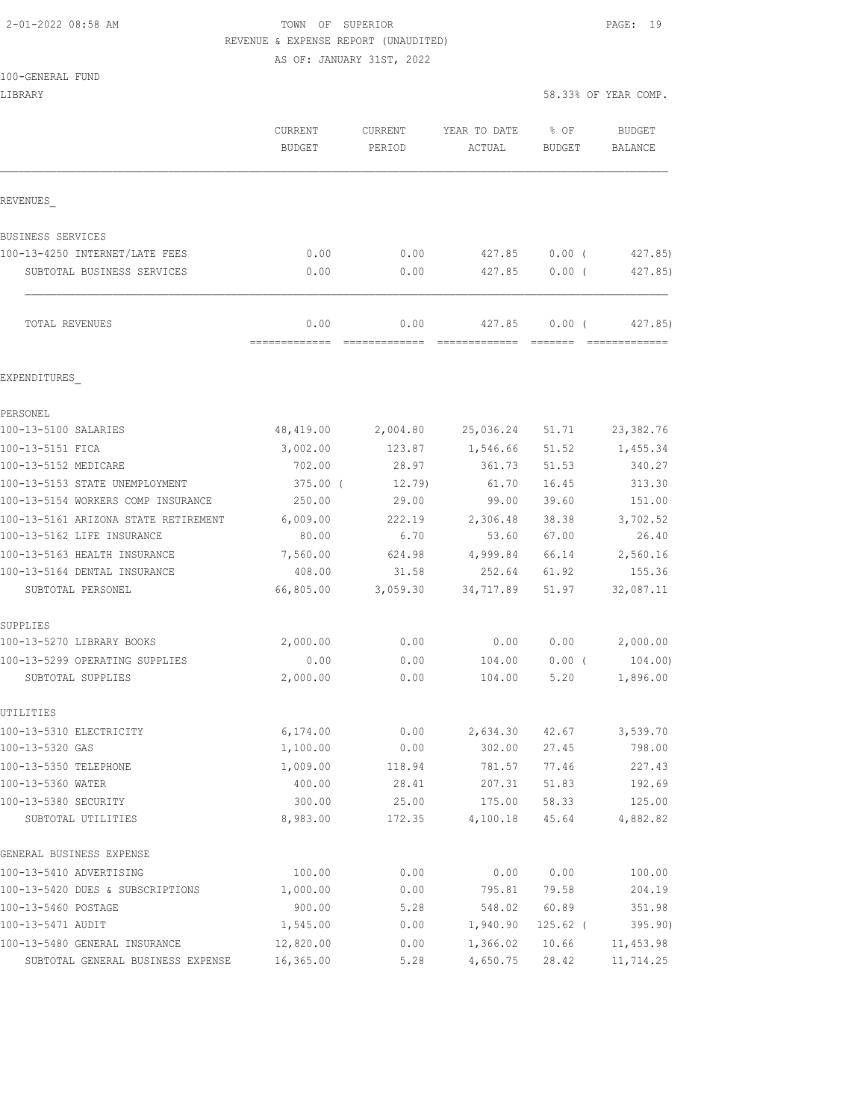# 2-01-2022 08:58 AM TOWN OF SUPERIOR PAGE: 19

| REVENUE & EXPENSE REPORT (UNAUDITED)                |                           |              |                  |               |                      |  |
|-----------------------------------------------------|---------------------------|--------------|------------------|---------------|----------------------|--|
|                                                     | AS OF: JANUARY 31ST, 2022 |              |                  |               |                      |  |
| 100-GENERAL FUND                                    |                           |              |                  |               |                      |  |
| LIBRARY                                             |                           |              |                  |               | 58.33% OF YEAR COMP. |  |
|                                                     | CURRENT                   | CURRENT      | YEAR TO DATE     | % OF          | <b>BUDGET</b>        |  |
|                                                     | <b>BUDGET</b>             | PERIOD       | ACTUAL           | <b>BUDGET</b> | <b>BALANCE</b>       |  |
| REVENUES                                            |                           |              |                  |               |                      |  |
| <b>BUSINESS SERVICES</b>                            |                           |              |                  |               |                      |  |
| 100-13-4250 INTERNET/LATE FEES                      | 0.00                      | 0.00         | 427.85           | $0.00$ (      | 427.85)              |  |
| SUBTOTAL BUSINESS SERVICES                          | 0.00                      | 0.00         | 427.85           | $0.00$ (      | 427.85)              |  |
| TOTAL REVENUES                                      | 0.00                      | 0.00         | 427.85           | 0.00(         | 427.85)              |  |
|                                                     |                           |              |                  |               |                      |  |
| EXPENDITURES                                        |                           |              |                  |               |                      |  |
| PERSONEL                                            |                           |              |                  |               |                      |  |
| 100-13-5100 SALARIES                                | 48,419.00                 | 2,004.80     | 25,036.24 51.71  |               | 23, 382.76           |  |
| 100-13-5151 FICA                                    | 3,002.00                  | 123.87       | 1,546.66 51.52   |               | 1,455.34             |  |
| 100-13-5152 MEDICARE                                | 702.00                    | 28.97        | 361.73           | 51.53         | 340.27               |  |
| 100-13-5153 STATE UNEMPLOYMENT                      | 375.00 (                  | $12.79$ )    | 61.70            | 16.45         | 313.30               |  |
| 100-13-5154 WORKERS COMP INSURANCE                  | 250.00                    | 29.00        | 99.00            | 39.60         | 151.00               |  |
| 100-13-5161 ARIZONA STATE RETIREMENT                | 6,009.00                  | 222.19       | 2,306.48         | 38.38         | 3,702.52             |  |
| 100-13-5162 LIFE INSURANCE                          | 80.00                     | 6.70         | 53.60            | 67.00         | 26.40                |  |
| 100-13-5163 HEALTH INSURANCE                        | 7,560.00                  | 624.98       | 4,999.84         | 66.14         | 2,560.16             |  |
| 100-13-5164 DENTAL INSURANCE                        | 408.00                    | 31.58        |                  | 252.64 61.92  | 155.36               |  |
| SUBTOTAL PERSONEL                                   | 66,805.00                 | 3,059.30     | 34,717.89        | 51.97         | 32,087.11            |  |
| SUPPLIES<br>100-13-5270 LIBRARY BOOKS               | 2,000.00                  | 0.00         | 0.00             | 0.00          | 2,000.00             |  |
|                                                     |                           |              |                  |               | 104.00)              |  |
| 100-13-5299 OPERATING SUPPLIES<br>SUBTOTAL SUPPLIES | 0.00<br>2,000.00          | 0.00<br>0.00 | 104.00<br>104.00 | 0.00(<br>5.20 | 1,896.00             |  |
| UTILITIES                                           |                           |              |                  |               |                      |  |
| 100-13-5310 ELECTRICITY                             | 6,174.00                  | 0.00         | 2,634.30         | 42.67         | 3,539.70             |  |
| 100-13-5320 GAS                                     | 1,100.00                  | 0.00         | 302.00           | 27.45         | 798.00               |  |
| 100-13-5350 TELEPHONE                               | 1,009.00                  | 118.94       | 781.57           | 77.46         | 227.43               |  |
| 100-13-5360 WATER                                   | 400.00                    | 28.41        | 207.31           | 51.83         | 192.69               |  |
| 100-13-5380 SECURITY                                | 300.00                    | 25.00        | 175.00           | 58.33         | 125.00               |  |
| SUBTOTAL UTILITIES                                  | 8,983.00                  | 172.35       | 4,100.18         | 45.64         | 4,882.82             |  |
| GENERAL BUSINESS EXPENSE                            |                           |              |                  |               |                      |  |
| 100-13-5410 ADVERTISING                             | 100.00                    | 0.00         | 0.00             | 0.00          | 100.00               |  |
| 100-13-5420 DUES & SUBSCRIPTIONS                    | 1,000.00                  | 0.00         | 795.81           | 79.58         | 204.19               |  |

100-13-5460 POSTAGE 900.00 5.28 548.02 60.89 351.98 100-13-5471 AUDIT 1,545.00 0.00 1,940.90 125.62 ( 395.90) 100-13-5480 GENERAL INSURANCE 12,820.00 0.00 1,366.02 10.66 11,453.98 SUBTOTAL GENERAL BUSINESS EXPENSE 16,365.00 5.28 4,650.75 28.42 11,714.25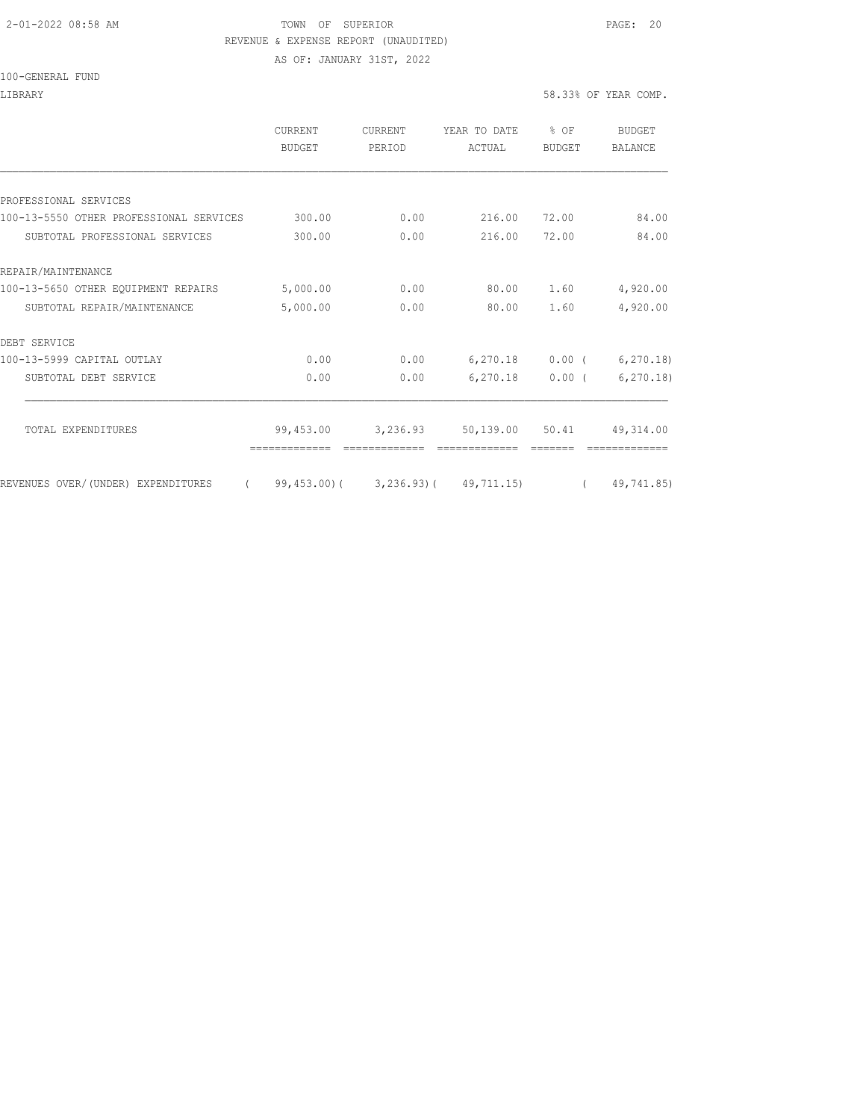#### 2-01-2022 08:58 AM TOWN OF SUPERIOR PAGE: 20 REVENUE & EXPENSE REPORT (UNAUDITED)

AS OF: JANUARY 31ST, 2022

#### 100-GENERAL FUND

#### LIBRARY 58.33% OF YEAR COMP.

|                                         | <b>CURRENT</b><br>BUDGET | CURRENT<br>PERIOD | YEAR TO DATE<br>ACTUAL                                     | % OF<br><b>BUDGET</b> | <b>BUDGET</b><br><b>BALANCE</b> |
|-----------------------------------------|--------------------------|-------------------|------------------------------------------------------------|-----------------------|---------------------------------|
|                                         |                          |                   |                                                            |                       |                                 |
| PROFESSIONAL SERVICES                   |                          |                   |                                                            |                       |                                 |
| 100-13-5550 OTHER PROFESSIONAL SERVICES | 300.00                   | 0.00              | 216.00                                                     | 72.00                 | 84.00                           |
| SUBTOTAL PROFESSIONAL SERVICES          | 300.00                   | 0.00              | 216.00                                                     | 72.00                 | 84.00                           |
| REPAIR/MAINTENANCE                      |                          |                   |                                                            |                       |                                 |
| 100-13-5650 OTHER EQUIPMENT REPAIRS     | 5,000.00                 | 0.00              | 80.00                                                      | 1.60                  | 4,920.00                        |
| SUBTOTAL REPAIR/MAINTENANCE             | 5,000.00                 | 0.00              | 80.00                                                      | 1.60                  | 4,920.00                        |
| DEBT SERVICE                            |                          |                   |                                                            |                       |                                 |
| 100-13-5999 CAPITAL OUTLAY              | 0.00                     | 0.00              | $6,270.18$ 0.00 (                                          |                       | 6, 270.18                       |
| SUBTOTAL DEBT SERVICE                   | 0.00                     | 0.00              | 6,270.18                                                   | $0.00$ (              | 6, 270.18                       |
| TOTAL EXPENDITURES                      | 99,453.00                | 3,236.93          | 50,139.00 50.41                                            |                       | 49, 314.00                      |
|                                         |                          |                   |                                                            |                       |                                 |
| REVENUES OVER/ (UNDER) EXPENDITURES     |                          |                   | $(99, 453.00)$ $(3, 236.93)$ $(49, 711.15)$ $(49, 741.85)$ |                       |                                 |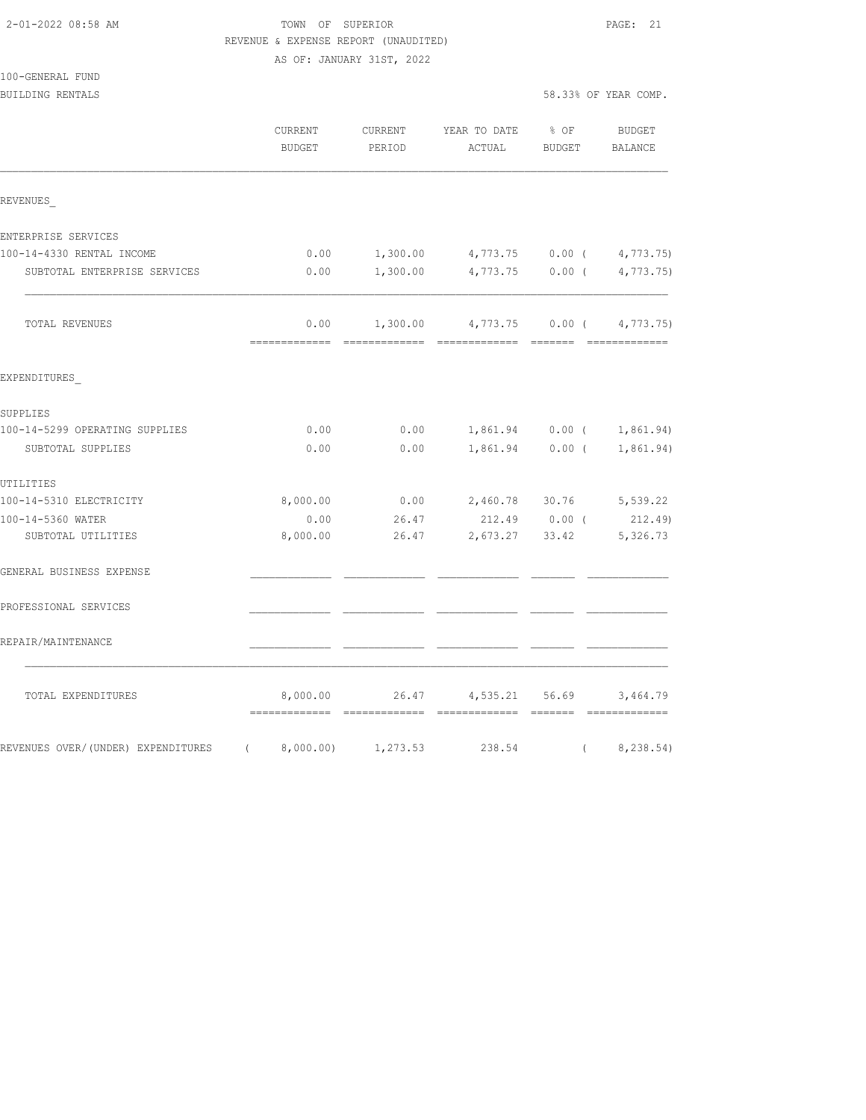### TOWN OF SUPERIOR **PAGE: 21** REVENUE & EXPENSE REPORT (UNAUDITED)

|                                | AS OF: JANUARY 31ST, 2022 |          |                                               |                      |                             |
|--------------------------------|---------------------------|----------|-----------------------------------------------|----------------------|-----------------------------|
| 100-GENERAL FUND               |                           |          |                                               |                      |                             |
| <b>BUILDING RENTALS</b>        |                           |          |                                               | 58.33% OF YEAR COMP. |                             |
|                                | CURRENT                   |          | CURRENT YEAR TO DATE % OF BUDGET              |                      |                             |
|                                | BUDGET                    | PERIOD   | ACTUAL                                        | BUDGET               | BALANCE                     |
| REVENUES                       |                           |          |                                               |                      |                             |
| ENTERPRISE SERVICES            |                           |          |                                               |                      |                             |
| 100-14-4330 RENTAL INCOME      |                           |          | $0.00$ 1,300.00 4,773.75 0.00 (4,773.75)      |                      |                             |
| SUBTOTAL ENTERPRISE SERVICES   | 0.00                      | 1,300.00 |                                               |                      | 4,773.75 0.00 ( 4,773.75)   |
| TOTAL REVENUES                 |                           |          | $0.00$ 1,300.00 4,773.75 0.00 ( 4,773.75)     |                      |                             |
| EXPENDITURES                   |                           |          |                                               |                      |                             |
| SUPPLIES                       |                           |          |                                               |                      |                             |
| 100-14-5299 OPERATING SUPPLIES | 0.00                      | 0.00     |                                               |                      | 1,861.94   0.00   1,861.94) |
| SUBTOTAL SUPPLIES              | 0.00                      | 0.00     |                                               | 1,861.94 0.00 (      | 1,861.94)                   |
| UTILITIES                      |                           |          |                                               |                      |                             |
| 100-14-5310 ELECTRICITY        |                           |          | 8,000.00   0.00   2,460.78   30.76   5,539.22 |                      |                             |
| $\overline{a}$                 | $\sim$ $\sim$ $\sim$      |          |                                               |                      |                             |

| دى شىن ئىسلى بى                    |           |          |                |          |           |
|------------------------------------|-----------|----------|----------------|----------|-----------|
| 100-14-5310 ELECTRICITY            | 8,000.00  | 0.00     | 2,460.78       | 30.76    | 5,539.22  |
| 100-14-5360 WATER                  | 0.00      | 26.47    | 212.49         | $0.00$ ( | 212.49)   |
| SUBTOTAL UTILITIES                 | 8,000.00  | 26.47    | 2,673.27       | 33.42    | 5,326.73  |
| GENERAL BUSINESS EXPENSE           |           |          |                |          |           |
| PROFESSIONAL SERVICES              |           |          |                |          |           |
| REPAIR/MAINTENANCE                 |           |          |                |          |           |
| TOTAL EXPENDITURES                 | 8,000.00  | 26.47    | 4,535.21 56.69 |          | 3,464.79  |
| REVENUES OVER/(UNDER) EXPENDITURES | 8,000.00) | 1,273.53 | 238.54         |          | 8,238.54) |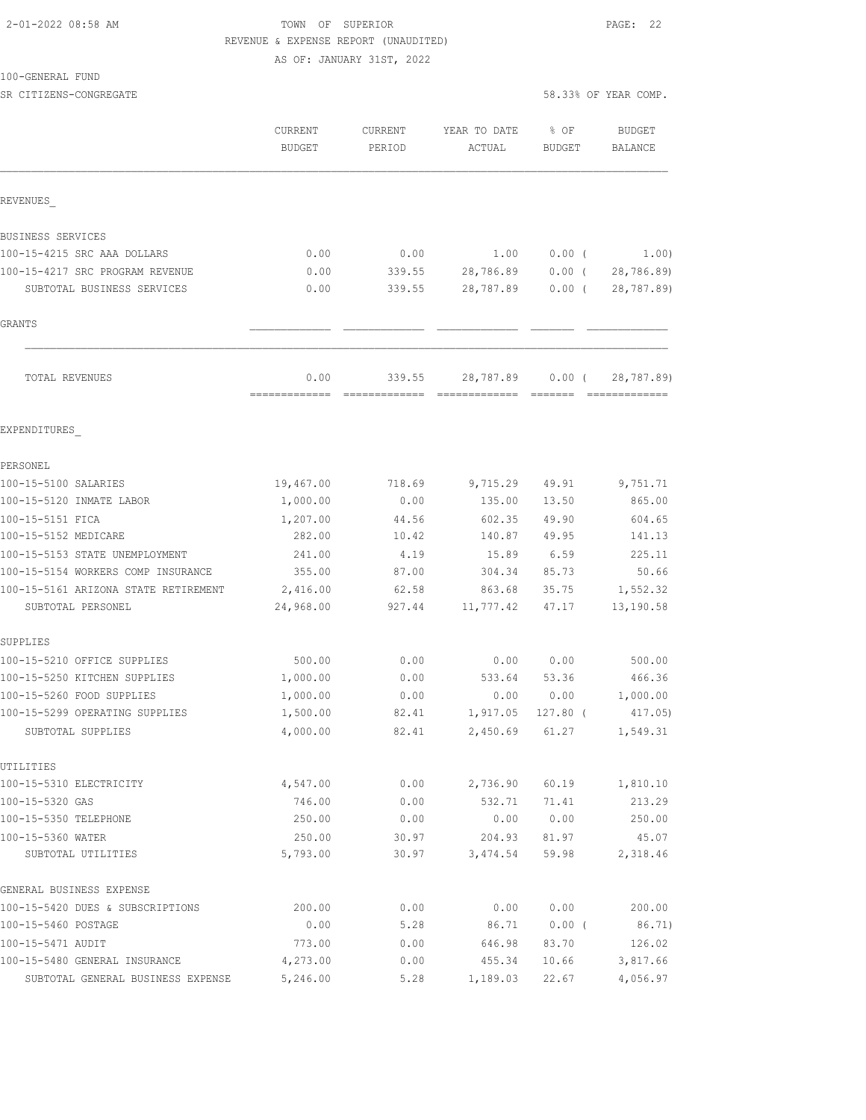#### 2-01-2022 08:58 AM TOWN OF SUPERIOR PAGE: 22 REVENUE & EXPENSE REPORT (UNAUDITED)

AS OF: JANUARY 31ST, 2022

#### 100-GENERAL FUND

SR CITIZENS-CONGREGATE 58.33% OF YEAR COMP.

|                                      | CURRENT<br><b>BUDGET</b> | CURRENT<br>PERIOD       | YEAR TO DATE<br>ACTUAL                                                                                                                                                                                                                                                                                                                                                                                                                                                                              | % OF<br><b>BUDGET</b> | <b>BUDGET</b><br>BALANCE |
|--------------------------------------|--------------------------|-------------------------|-----------------------------------------------------------------------------------------------------------------------------------------------------------------------------------------------------------------------------------------------------------------------------------------------------------------------------------------------------------------------------------------------------------------------------------------------------------------------------------------------------|-----------------------|--------------------------|
| REVENUES                             |                          |                         |                                                                                                                                                                                                                                                                                                                                                                                                                                                                                                     |                       |                          |
| BUSINESS SERVICES                    |                          |                         |                                                                                                                                                                                                                                                                                                                                                                                                                                                                                                     |                       |                          |
| 100-15-4215 SRC AAA DOLLARS          | 0.00                     | 0.00                    | 1.00                                                                                                                                                                                                                                                                                                                                                                                                                                                                                                | $0.00$ (              | 1.00)                    |
| 100-15-4217 SRC PROGRAM REVENUE      | 0.00                     | 339.55                  | 28,786.89                                                                                                                                                                                                                                                                                                                                                                                                                                                                                           | $0.00$ (              | 28,786.89)               |
| SUBTOTAL BUSINESS SERVICES           | 0.00                     | 339.55                  | 28,787.89                                                                                                                                                                                                                                                                                                                                                                                                                                                                                           | $0.00$ (              | 28,787.89)               |
| <b>GRANTS</b>                        |                          |                         |                                                                                                                                                                                                                                                                                                                                                                                                                                                                                                     |                       |                          |
| TOTAL REVENUES                       | 0.00<br>=============    | 339.55<br>============= | 28,787.89<br>$\begin{array}{cccccccccccccc} \multicolumn{2}{c}{} & \multicolumn{2}{c}{} & \multicolumn{2}{c}{} & \multicolumn{2}{c}{} & \multicolumn{2}{c}{} & \multicolumn{2}{c}{} & \multicolumn{2}{c}{} & \multicolumn{2}{c}{} & \multicolumn{2}{c}{} & \multicolumn{2}{c}{} & \multicolumn{2}{c}{} & \multicolumn{2}{c}{} & \multicolumn{2}{c}{} & \multicolumn{2}{c}{} & \multicolumn{2}{c}{} & \multicolumn{2}{c}{} & \multicolumn{2}{c}{} & \multicolumn{2}{c}{} & \multicolumn{2}{c}{} & \$ | $0.00$ (<br>--------  | 28,787.89)               |
| EXPENDITURES                         |                          |                         |                                                                                                                                                                                                                                                                                                                                                                                                                                                                                                     |                       |                          |
| PERSONEL                             |                          |                         |                                                                                                                                                                                                                                                                                                                                                                                                                                                                                                     |                       |                          |
| 100-15-5100 SALARIES                 | 19,467.00                | 718.69                  | 9,715.29                                                                                                                                                                                                                                                                                                                                                                                                                                                                                            | 49.91                 | 9,751.71                 |
| 100-15-5120 INMATE LABOR             | 1,000.00                 | 0.00                    | 135.00                                                                                                                                                                                                                                                                                                                                                                                                                                                                                              | 13.50                 | 865.00                   |
| 100-15-5151 FICA                     | 1,207.00                 | 44.56                   | 602.35                                                                                                                                                                                                                                                                                                                                                                                                                                                                                              | 49.90                 | 604.65                   |
| 100-15-5152 MEDICARE                 | 282.00                   | 10.42                   | 140.87                                                                                                                                                                                                                                                                                                                                                                                                                                                                                              | 49.95                 | 141.13                   |
| 100-15-5153 STATE UNEMPLOYMENT       | 241.00                   | 4.19                    | 15.89                                                                                                                                                                                                                                                                                                                                                                                                                                                                                               | 6.59                  | 225.11                   |
| 100-15-5154 WORKERS COMP INSURANCE   | 355.00                   | 87.00                   | 304.34                                                                                                                                                                                                                                                                                                                                                                                                                                                                                              | 85.73                 | 50.66                    |
| 100-15-5161 ARIZONA STATE RETIREMENT | 2,416.00                 | 62.58                   | 863.68                                                                                                                                                                                                                                                                                                                                                                                                                                                                                              | 35.75                 | 1,552.32                 |
| SUBTOTAL PERSONEL                    | 24,968.00                | 927.44                  | 11,777.42                                                                                                                                                                                                                                                                                                                                                                                                                                                                                           | 47.17                 | 13,190.58                |
| SUPPLIES                             |                          |                         |                                                                                                                                                                                                                                                                                                                                                                                                                                                                                                     |                       |                          |
| 100-15-5210 OFFICE SUPPLIES          | 500.00                   | 0.00                    | 0.00                                                                                                                                                                                                                                                                                                                                                                                                                                                                                                | 0.00                  | 500.00                   |
| 100-15-5250 KITCHEN SUPPLIES         | 1,000.00                 | 0.00                    | 533.64                                                                                                                                                                                                                                                                                                                                                                                                                                                                                              | 53.36                 | 466.36                   |
| 100-15-5260 FOOD SUPPLIES            | 1,000.00                 | 0.00                    | 0.00                                                                                                                                                                                                                                                                                                                                                                                                                                                                                                | 0.00                  | 1,000.00                 |
| 100-15-5299 OPERATING SUPPLIES       | 1,500.00                 | 82.41                   | 1,917.05                                                                                                                                                                                                                                                                                                                                                                                                                                                                                            | $127.80$ (            | 417.05)                  |
| SUBTOTAL SUPPLIES                    | 4,000.00                 | 82.41                   | 2,450.69                                                                                                                                                                                                                                                                                                                                                                                                                                                                                            | 61.27                 | 1,549.31                 |
| UTILITIES                            |                          |                         |                                                                                                                                                                                                                                                                                                                                                                                                                                                                                                     |                       |                          |
| 100-15-5310 ELECTRICITY              | 4,547.00                 | 0.00                    | 2,736.90                                                                                                                                                                                                                                                                                                                                                                                                                                                                                            | 60.19                 | 1,810.10                 |
| 100-15-5320 GAS                      | 746.00                   | 0.00                    | 532.71                                                                                                                                                                                                                                                                                                                                                                                                                                                                                              | 71.41                 | 213.29                   |
| 100-15-5350 TELEPHONE                | 250.00                   | 0.00                    | 0.00                                                                                                                                                                                                                                                                                                                                                                                                                                                                                                | 0.00                  | 250.00                   |
| 100-15-5360 WATER                    | 250.00                   | 30.97                   | 204.93                                                                                                                                                                                                                                                                                                                                                                                                                                                                                              | 81.97                 | 45.07                    |
| SUBTOTAL UTILITIES                   | 5,793.00                 | 30.97                   | 3,474.54                                                                                                                                                                                                                                                                                                                                                                                                                                                                                            | 59.98                 | 2,318.46                 |
| GENERAL BUSINESS EXPENSE             |                          |                         |                                                                                                                                                                                                                                                                                                                                                                                                                                                                                                     |                       |                          |
| 100-15-5420 DUES & SUBSCRIPTIONS     | 200.00                   | 0.00                    | 0.00                                                                                                                                                                                                                                                                                                                                                                                                                                                                                                | 0.00                  | 200.00                   |
| 100-15-5460 POSTAGE                  | 0.00                     | 5.28                    | 86.71                                                                                                                                                                                                                                                                                                                                                                                                                                                                                               | $0.00$ (              | 86.71)                   |
| 100-15-5471 AUDIT                    | 773.00                   | 0.00                    | 646.98                                                                                                                                                                                                                                                                                                                                                                                                                                                                                              | 83.70                 | 126.02                   |
| 100-15-5480 GENERAL INSURANCE        | 4,273.00                 | 0.00                    | 455.34                                                                                                                                                                                                                                                                                                                                                                                                                                                                                              | 10.66                 | 3,817.66                 |
| SUBTOTAL GENERAL BUSINESS EXPENSE    | 5,246.00                 | 5.28                    | 1,189.03                                                                                                                                                                                                                                                                                                                                                                                                                                                                                            | 22.67                 | 4,056.97                 |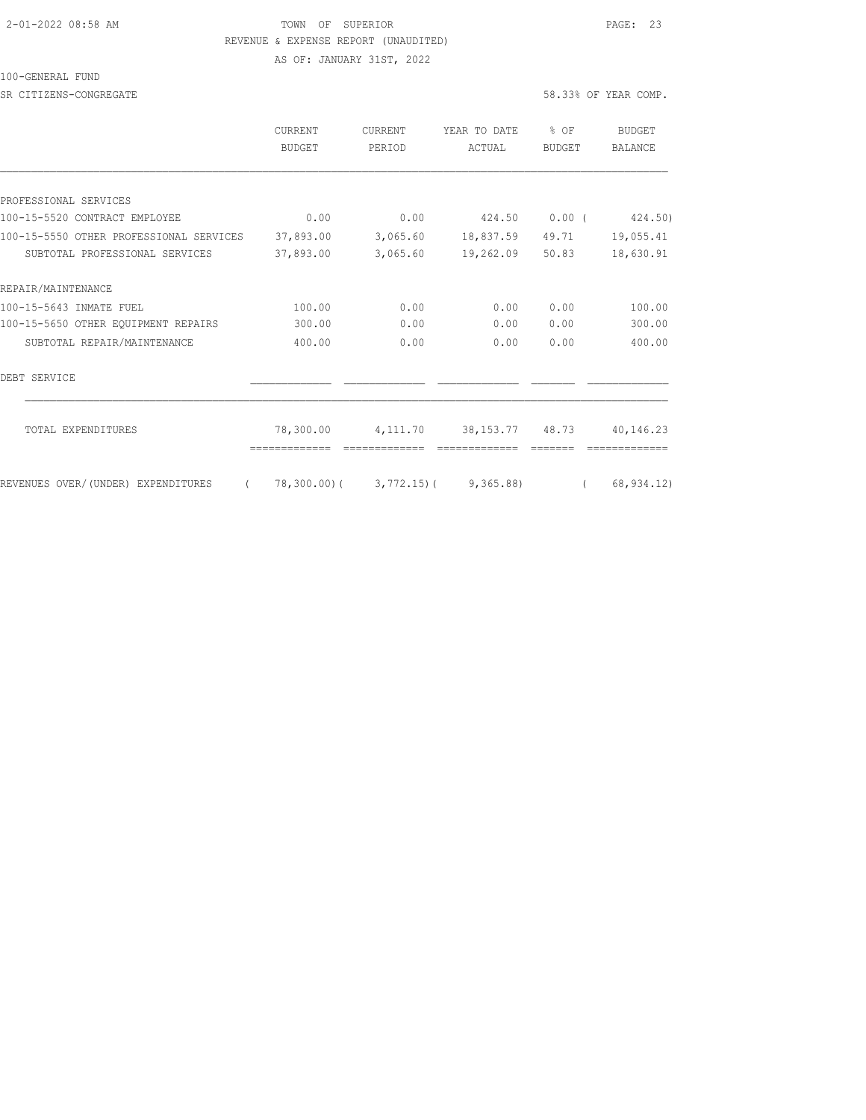#### 2-01-2022 08:58 AM TOWN OF SUPERIOR PAGE: 23 REVENUE & EXPENSE REPORT (UNAUDITED)

AS OF: JANUARY 31ST, 2022

#### 100-GENERAL FUND

SR CITIZENS-CONGREGATE 58.33% OF YEAR COMP.

|                                                | CURRENT<br><b>BUDGET</b> | <b>CURRENT</b><br>PERIOD | YEAR TO DATE<br>ACTUAL                    | % OF<br><b>BUDGET</b> | BUDGET<br>BALANCE |
|------------------------------------------------|--------------------------|--------------------------|-------------------------------------------|-----------------------|-------------------|
|                                                |                          |                          |                                           |                       |                   |
| PROFESSIONAL SERVICES                          |                          |                          |                                           |                       |                   |
| 100-15-5520 CONTRACT EMPLOYEE                  | 0.00                     | 0.00                     | 424.50                                    | $0.00$ (              | 424.50)           |
| 100-15-5550 OTHER PROFESSIONAL SERVICES        | 37,893.00                | 3,065.60                 | 18,837.59                                 | 49.71                 | 19,055.41         |
| SUBTOTAL PROFESSIONAL SERVICES                 | 37,893.00                | 3,065.60                 | 19,262.09                                 | 50.83                 | 18,630.91         |
| REPAIR/MAINTENANCE                             |                          |                          |                                           |                       |                   |
| 100-15-5643 INMATE FUEL                        | 100.00                   | 0.00                     | 0.00                                      | 0.00                  | 100.00            |
| 100-15-5650 OTHER EQUIPMENT REPAIRS            | 300.00                   | 0.00                     | 0.00                                      | 0.00                  | 300.00            |
| SUBTOTAL REPAIR/MAINTENANCE                    | 400.00                   | 0.00                     | 0.00                                      | 0.00                  | 400.00            |
| DEBT SERVICE                                   |                          |                          |                                           |                       |                   |
| TOTAL EXPENDITURES                             | 78,300.00                | 4,111.70                 | 38, 153, 77                               | 48.73                 | 40,146.23         |
| REVENUES OVER/(UNDER) EXPENDITURES<br>$\left($ |                          |                          | $78,300.00$ ( $3,772.15$ ) ( $9,365.88$ ) | $\left($              | 68, 934.12)       |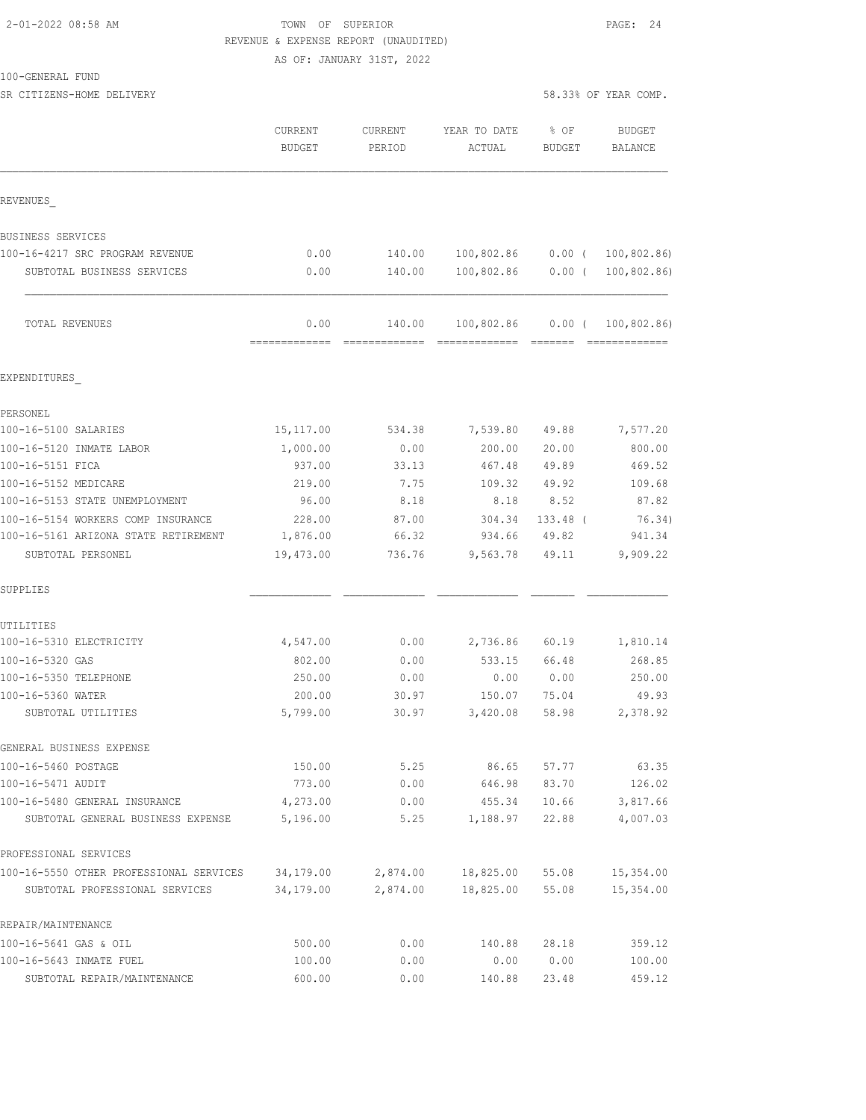### 2-01-2022 08:58 AM TOWN OF SUPERIOR PAGE: 24 REVENUE & EXPENSE REPORT (UNAUDITED)

AS OF: JANUARY 31ST, 2022

SR CITIZENS-HOME DELIVERY 58.33% OF YEAR COMP.

|                                         | CURRENT<br><b>BUDGET</b> | CURRENT<br>PERIOD | YEAR TO DATE<br>ACTUAL | % OF<br><b>BUDGET</b> | <b>BUDGET</b><br>BALANCE |
|-----------------------------------------|--------------------------|-------------------|------------------------|-----------------------|--------------------------|
| REVENUES                                |                          |                   |                        |                       |                          |
| BUSINESS SERVICES                       |                          |                   |                        |                       |                          |
| 100-16-4217 SRC PROGRAM REVENUE         | 0.00                     | 140.00            | 100,802.86             | $0.00$ (              | 100,802.86)              |
| SUBTOTAL BUSINESS SERVICES              | 0.00                     | 140.00            | 100,802.86             | $0.00$ (              | 100, 802.86              |
| TOTAL REVENUES                          | 0.00<br>-------------    | 140.00            | 100,802.86             | 0.00(                 | 100,802.86)              |
| EXPENDITURES                            |                          |                   |                        |                       |                          |
| PERSONEL                                |                          |                   |                        |                       |                          |
| 100-16-5100 SALARIES                    | 15, 117.00               | 534.38            | 7,539.80               | 49.88                 | 7,577.20                 |
| 100-16-5120 INMATE LABOR                | 1,000.00                 | 0.00              | 200.00                 | 20.00                 | 800.00                   |
| 100-16-5151 FICA                        | 937.00                   | 33.13             | 467.48                 | 49.89                 | 469.52                   |
| 100-16-5152 MEDICARE                    | 219.00                   | 7.75              | 109.32                 | 49.92                 | 109.68                   |
| 100-16-5153 STATE UNEMPLOYMENT          | 96.00                    | 8.18              | 8.18                   | 8.52                  | 87.82                    |
| 100-16-5154 WORKERS COMP INSURANCE      | 228.00                   | 87.00             | 304.34                 | 133.48 (              | 76.34)                   |
| 100-16-5161 ARIZONA STATE RETIREMENT    | 1,876.00                 | 66.32             | 934.66                 | 49.82                 | 941.34                   |
| SUBTOTAL PERSONEL                       | 19,473.00                | 736.76            | 9,563.78               | 49.11                 | 9,909.22                 |
| SUPPLIES                                |                          |                   |                        |                       |                          |
| UTILITIES                               |                          |                   |                        |                       |                          |
| 100-16-5310 ELECTRICITY                 | 4,547.00                 | 0.00              | 2,736.86               | 60.19                 | 1,810.14                 |
| 100-16-5320 GAS                         | 802.00                   | 0.00              | 533.15                 | 66.48                 | 268.85                   |
| 100-16-5350 TELEPHONE                   | 250.00                   | 0.00              | 0.00                   | 0.00                  | 250.00                   |
| 100-16-5360 WATER                       | 200.00                   | 30.97             | 150.07                 | 75.04                 | 49.93                    |
| SUBTOTAL UTILITIES                      | 5,799.00                 | 30.97             | 3,420.08               | 58.98                 | 2,378.92                 |
| GENERAL BUSINESS EXPENSE                |                          |                   |                        |                       |                          |
| 100-16-5460 POSTAGE                     | 150.00                   | 5.25              | 86.65                  | 57.77                 | 63.35                    |
| 100-16-5471 AUDIT                       | 773.00                   | 0.00              | 646.98                 | 83.70                 | 126.02                   |
| 100-16-5480 GENERAL INSURANCE           | 4,273.00                 | 0.00              | 455.34                 | 10.66                 | 3,817.66                 |
| SUBTOTAL GENERAL BUSINESS EXPENSE       | 5,196.00                 | 5.25              | 1,188.97               | 22.88                 | 4,007.03                 |
| PROFESSIONAL SERVICES                   |                          |                   |                        |                       |                          |
| 100-16-5550 OTHER PROFESSIONAL SERVICES | 34,179.00                | 2,874.00          | 18,825.00              | 55.08                 | 15,354.00                |
| SUBTOTAL PROFESSIONAL SERVICES          | 34,179.00                | 2,874.00          | 18,825.00              | 55.08                 | 15,354.00                |
| REPAIR/MAINTENANCE                      |                          |                   |                        |                       |                          |
| 100-16-5641 GAS & OIL                   | 500.00                   | 0.00              | 140.88                 | 28.18                 | 359.12                   |
| 100-16-5643 INMATE FUEL                 | 100.00                   | 0.00              | 0.00                   | 0.00                  | 100.00                   |
| SUBTOTAL REPAIR/MAINTENANCE             | 600.00                   | 0.00              | 140.88                 | 23.48                 | 459.12                   |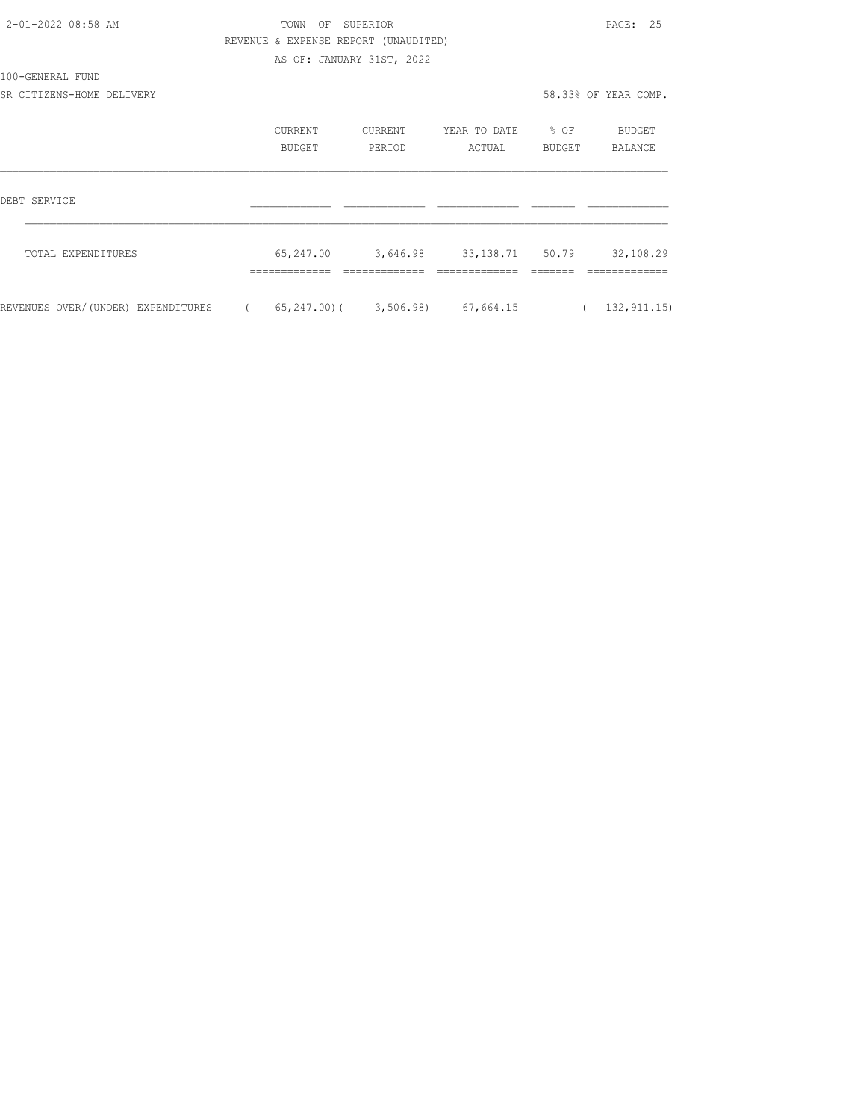| 2-01-2022 08:58 AM                 |            | TOWN                                 | OF SUPERIOR               |                                          |                  | PAGE: 25             |
|------------------------------------|------------|--------------------------------------|---------------------------|------------------------------------------|------------------|----------------------|
|                                    |            | REVENUE & EXPENSE REPORT (UNAUDITED) |                           |                                          |                  |                      |
|                                    |            |                                      | AS OF: JANUARY 31ST, 2022 |                                          |                  |                      |
| 100-GENERAL FUND                   |            |                                      |                           |                                          |                  |                      |
| SR CITIZENS-HOME DELIVERY          |            |                                      |                           |                                          |                  | 58.33% OF YEAR COMP. |
|                                    |            | CURRENT                              | CURRENT                   | YEAR TO DATE                             | $\frac{1}{2}$ OF | BUDGET               |
|                                    |            | <b>BUDGET</b>                        | PERIOD                    | ACTUAL                                   | BUDGET           | BALANCE              |
| DEBT SERVICE                       |            |                                      |                           |                                          |                  |                      |
|                                    |            |                                      |                           |                                          |                  |                      |
| TOTAL EXPENDITURES                 |            | 65,247.00                            | 3,646.98                  | 33,138.71 50.79                          |                  | 32,108.29            |
|                                    |            |                                      |                           |                                          |                  |                      |
| REVENUES OVER/(UNDER) EXPENDITURES | $\sqrt{2}$ |                                      |                           | $65, 247, 00$ ( $3, 506, 98$ ) 67,664,15 | $\left($         | 132, 911.15)         |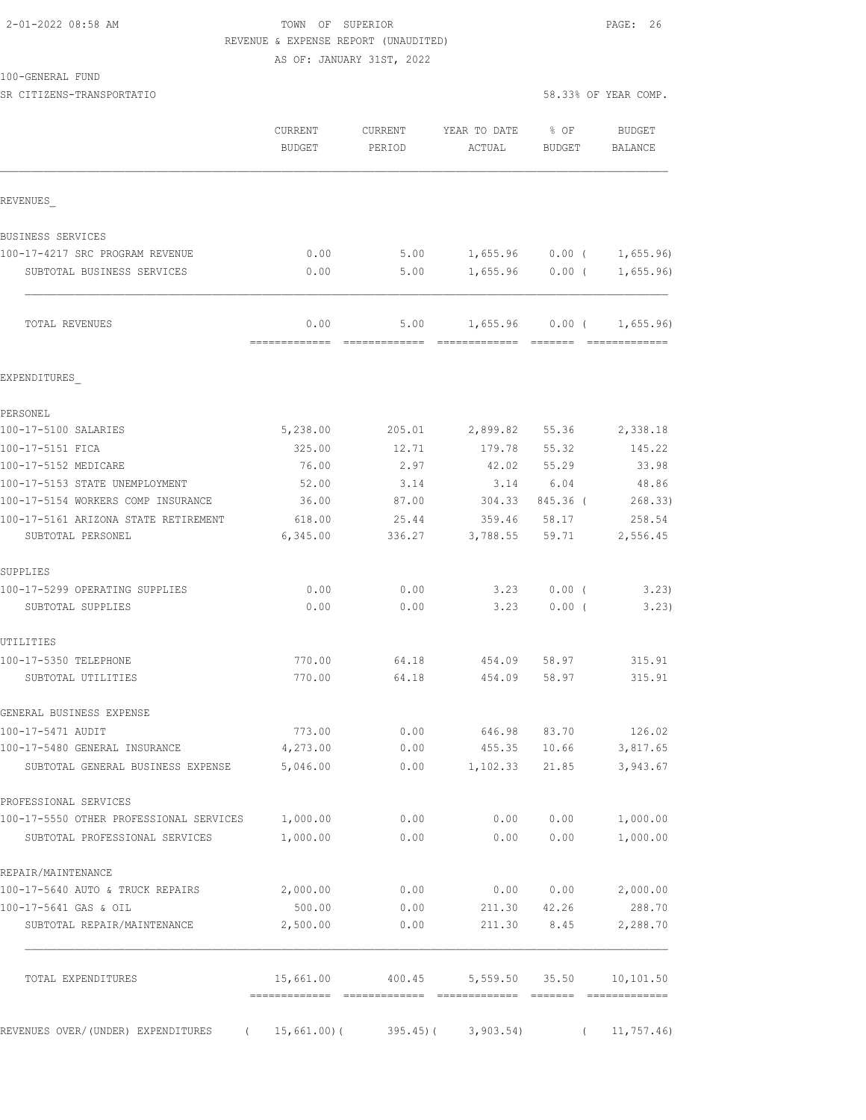# 2-01-2022 08:58 AM TOWN OF SUPERIOR PAGE: 26 REVENUE & EXPENSE REPORT (UNAUDITED)

AS OF: JANUARY 31ST, 2022

| 100-GENERAL FUND |  |
|------------------|--|
|------------------|--|

SR CITIZENS-TRANSPORTATIO 58.33% OF YEAR COMP.

|                                                                    | CURRENT<br><b>BUDGET</b> | CURRENT<br>PERIOD | YEAR TO DATE<br>ACTUAL  | % OF<br><b>BUDGET</b> | <b>BUDGET</b><br>BALANCE |
|--------------------------------------------------------------------|--------------------------|-------------------|-------------------------|-----------------------|--------------------------|
| REVENUES                                                           |                          |                   |                         |                       |                          |
| BUSINESS SERVICES                                                  |                          |                   |                         |                       |                          |
| 100-17-4217 SRC PROGRAM REVENUE                                    | 0.00                     | 5.00              | 1,655.96                | $0.00$ (              | 1,655.96)                |
| SUBTOTAL BUSINESS SERVICES                                         | 0.00                     | 5.00              | 1,655.96                | $0.00$ (              | 1,655.96                 |
| TOTAL REVENUES                                                     | 0.00                     | 5.00              |                         | $1,655.96$ 0.00 (     | 1,655.96)                |
| EXPENDITURES                                                       |                          |                   |                         |                       |                          |
| PERSONEL                                                           |                          |                   |                         |                       |                          |
| 100-17-5100 SALARIES                                               | 5,238.00                 | 205.01            | 2,899.82                | 55.36                 | 2,338.18                 |
| 100-17-5151 FICA                                                   | 325.00                   | 12.71             | 179.78                  | 55.32                 | 145.22                   |
| 100-17-5152 MEDICARE                                               | 76.00                    | 2.97              | 42.02                   | 55.29                 | 33.98                    |
| 100-17-5153 STATE UNEMPLOYMENT                                     | 52.00                    | 3.14              | 3.14                    | 6.04                  | 48.86                    |
| 100-17-5154 WORKERS COMP INSURANCE                                 | 36.00                    | 87.00             | 304.33                  | 845.36 (              | 268.33)                  |
| 100-17-5161 ARIZONA STATE RETIREMENT<br>SUBTOTAL PERSONEL          | 618.00<br>6,345.00       | 25.44<br>336.27   | 359.46<br>3,788.55      | 58.17<br>59.71        | 258.54<br>2,556.45       |
| SUPPLIES                                                           |                          |                   |                         |                       |                          |
| 100-17-5299 OPERATING SUPPLIES                                     | 0.00                     | 0.00              | 3.23                    | $0.00$ (              | 3.23                     |
| SUBTOTAL SUPPLIES                                                  | 0.00                     | 0.00              | 3.23                    | 0.00(                 | 3.23)                    |
| UTILITIES                                                          |                          |                   |                         |                       |                          |
| 100-17-5350 TELEPHONE                                              | 770.00                   | 64.18             | 454.09                  | 58.97                 | 315.91                   |
| SUBTOTAL UTILITIES                                                 | 770.00                   | 64.18             | 454.09                  | 58.97                 | 315.91                   |
| GENERAL BUSINESS EXPENSE                                           |                          |                   |                         |                       |                          |
| 100-17-5471 AUDIT                                                  | 773.00                   | 0.00              | 646.98                  | 83.70                 | 126.02                   |
| 100-17-5480 GENERAL INSURANCE<br>SUBTOTAL GENERAL BUSINESS EXPENSE | 4,273.00<br>5,046.00     | 0.00<br>0.00      | 1,102.33                | 455.35 10.66<br>21.85 | 3,817.65<br>3,943.67     |
| PROFESSIONAL SERVICES                                              |                          |                   |                         |                       |                          |
| 100-17-5550 OTHER PROFESSIONAL SERVICES 1,000.00                   |                          | 0.00              | 0.00                    | 0.00                  | 1,000.00                 |
| SUBTOTAL PROFESSIONAL SERVICES                                     | 1,000.00                 | 0.00              | 0.00                    | 0.00                  | 1,000.00                 |
| REPAIR/MAINTENANCE                                                 |                          |                   |                         |                       |                          |
| 100-17-5640 AUTO & TRUCK REPAIRS                                   | 2,000.00                 | 0.00              | 0.00                    | 0.00                  | 2,000.00                 |
| 100-17-5641 GAS & OIL                                              | 500.00                   | 0.00              | 211.30                  | 42.26                 | 288.70                   |
| SUBTOTAL REPAIR/MAINTENANCE                                        | 2,500.00                 | 0.00              | 211.30                  | 8.45                  | 2,288.70                 |
| TOTAL EXPENDITURES                                                 | 15,661.00                | 400.45            |                         | 5,559.50 35.50        | 10,101.50                |
| REVENUES OVER/(UNDER) EXPENDITURES<br>$\sqrt{2}$                   | 15,661.00)(              |                   | $395.45$ ( $3,903.54$ ) | $\left($              | 11, 757.46               |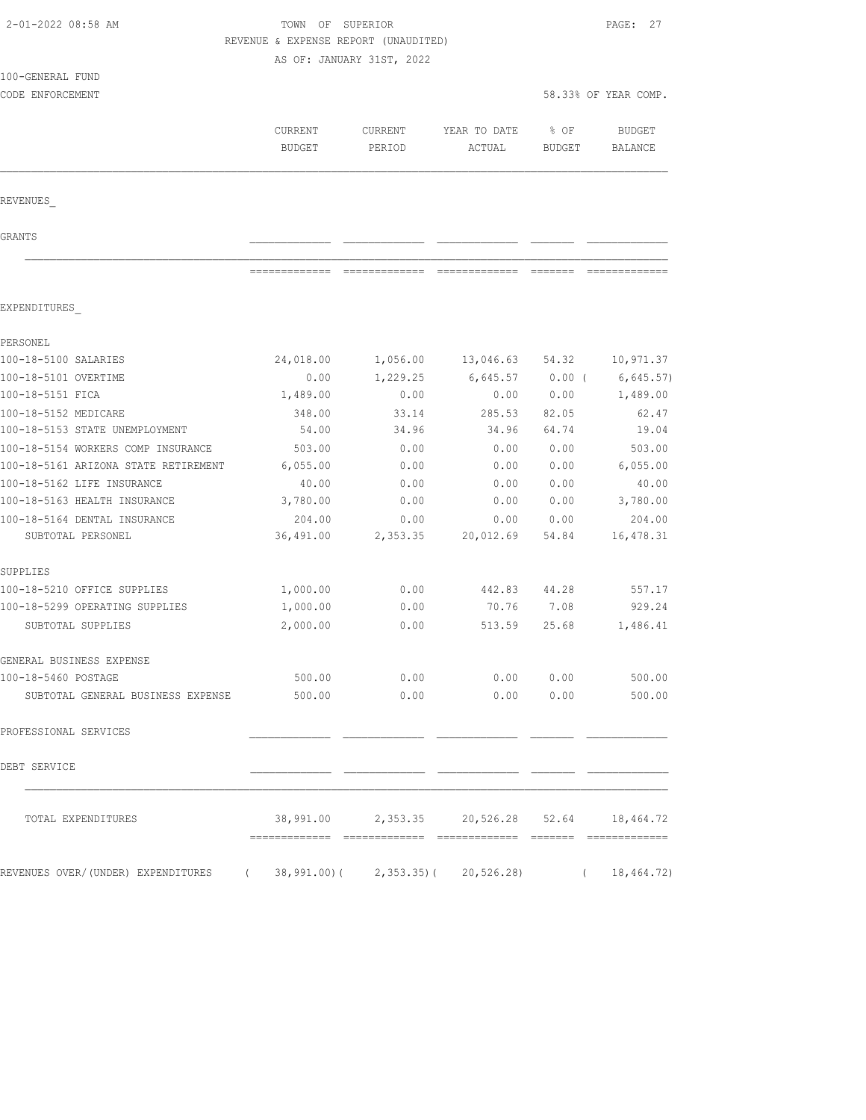| 2-01-2022 08:58 AM                               | TOWN OF SUPERIOR | PAGE: 27                                                          |                                              |               |                            |
|--------------------------------------------------|------------------|-------------------------------------------------------------------|----------------------------------------------|---------------|----------------------------|
|                                                  |                  | REVENUE & EXPENSE REPORT (UNAUDITED)<br>AS OF: JANUARY 31ST, 2022 |                                              |               |                            |
| 100-GENERAL FUND                                 |                  |                                                                   |                                              |               |                            |
| CODE ENFORCEMENT                                 |                  |                                                                   |                                              |               | 58.33% OF YEAR COMP.       |
|                                                  |                  |                                                                   |                                              |               |                            |
|                                                  | CURRENT          | CURRENT                                                           | YEAR TO DATE                                 | % OF          | <b>BUDGET</b>              |
|                                                  | <b>BUDGET</b>    | PERIOD                                                            | ACTUAL                                       | <b>BUDGET</b> | BALANCE                    |
| REVENUES                                         |                  |                                                                   |                                              |               |                            |
|                                                  |                  |                                                                   |                                              |               |                            |
| GRANTS                                           |                  |                                                                   |                                              |               |                            |
|                                                  |                  |                                                                   |                                              |               |                            |
|                                                  |                  |                                                                   |                                              |               |                            |
| EXPENDITURES                                     |                  |                                                                   |                                              |               |                            |
|                                                  |                  |                                                                   |                                              |               |                            |
| PERSONEL                                         |                  |                                                                   |                                              |               |                            |
| 100-18-5100 SALARIES                             | 24,018.00        | 1,056.00                                                          | 13,046.63                                    | 54.32         | 10,971.37                  |
| 100-18-5101 OVERTIME                             | 0.00             | 1,229.25                                                          | 6,645.57                                     | $0.00$ (      | 6,645.57)                  |
| 100-18-5151 FICA                                 | 1,489.00         | 0.00                                                              | 0.00                                         | 0.00          | 1,489.00                   |
| 100-18-5152 MEDICARE                             | 348.00           | 33.14                                                             | 285.53                                       | 82.05         | 62.47                      |
| 100-18-5153 STATE UNEMPLOYMENT                   | 54.00            | 34.96                                                             | 34.96                                        | 64.74         | 19.04                      |
| 100-18-5154 WORKERS COMP INSURANCE               | 503.00           | 0.00                                                              | 0.00                                         | 0.00          | 503.00                     |
| 100-18-5161 ARIZONA STATE RETIREMENT             | 6,055.00         | 0.00                                                              | 0.00                                         | 0.00          | 6,055.00                   |
| 100-18-5162 LIFE INSURANCE                       | 40.00            | 0.00                                                              | 0.00                                         | 0.00          | 40.00                      |
| 100-18-5163 HEALTH INSURANCE                     | 3,780.00         | 0.00                                                              | 0.00                                         | 0.00          | 3,780.00                   |
| 100-18-5164 DENTAL INSURANCE                     | 204.00           | 0.00                                                              | 0.00                                         | 0.00          | 204.00                     |
| SUBTOTAL PERSONEL                                | 36,491.00        | 2,353.35                                                          | 20,012.69                                    | 54.84         | 16, 478.31                 |
| SUPPLIES                                         |                  |                                                                   |                                              |               |                            |
| 100-18-5210 OFFICE SUPPLIES                      | 1,000.00         | 0.00                                                              | 442.83                                       | 44.28         | 557.17                     |
| 100-18-5299 OPERATING SUPPLIES                   | 1,000.00         | 0.00                                                              | 70.76                                        | 7.08          | 929.24                     |
| SUBTOTAL SUPPLIES                                | 2,000.00         | 0.00                                                              | 513.59                                       | 25.68         | 1,486.41                   |
| GENERAL BUSINESS EXPENSE                         |                  |                                                                   |                                              |               |                            |
| 100-18-5460 POSTAGE                              | 500.00           | 0.00                                                              | 0.00                                         | 0.00          | 500.00                     |
| SUBTOTAL GENERAL BUSINESS EXPENSE                |                  | 500.00 0.00                                                       | 0.00                                         | 0.00          | 500.00                     |
| PROFESSIONAL SERVICES                            |                  |                                                                   |                                              |               |                            |
| DEBT SERVICE                                     |                  |                                                                   |                                              |               |                            |
| TOTAL EXPENDITURES                               |                  |                                                                   | 38,991.00 2,353.35 20,526.28 52.64 18,464.72 |               |                            |
| REVENUES OVER/(UNDER) EXPENDITURES<br>$\sqrt{2}$ |                  | $38,991.00$ ( 2,353.35) ( 20,526.28)                              |                                              |               | 18, 464. 72)<br>$\sqrt{2}$ |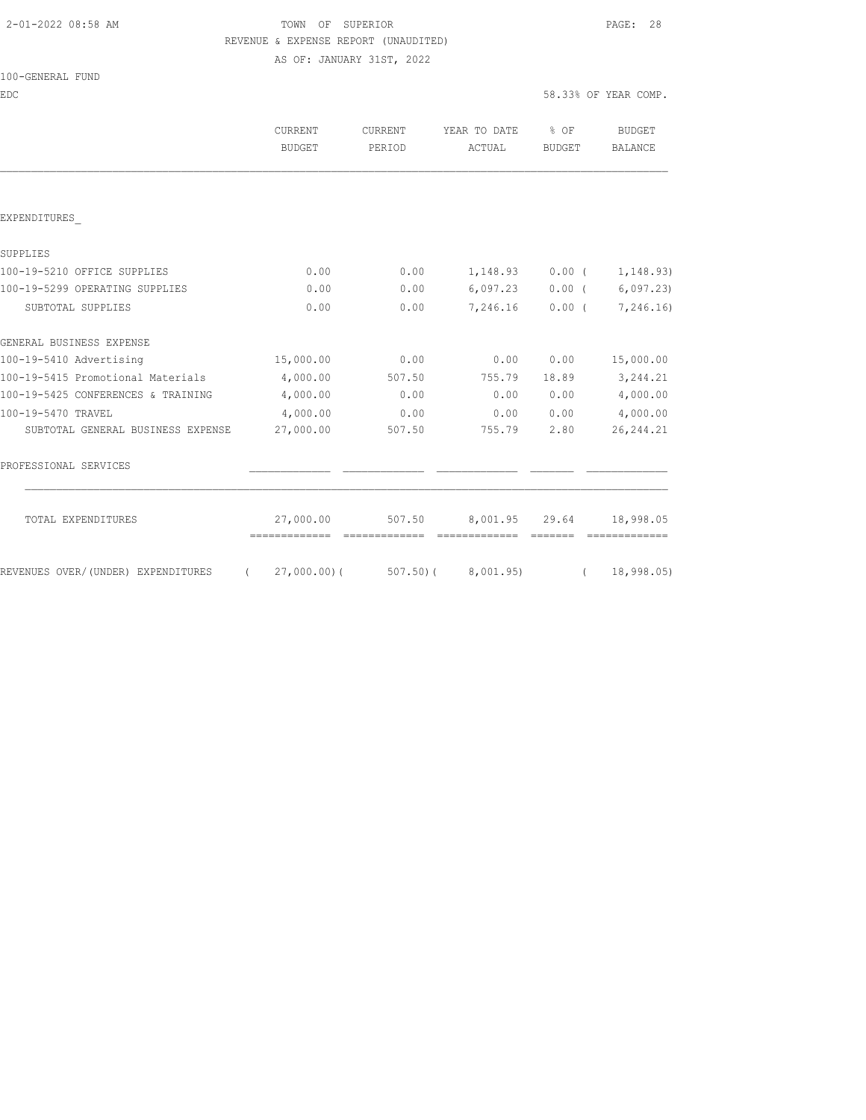# 2-01-2022 08:58 AM TOWN OF SUPERIOR PAGE: 28 REVENUE & EXPENSE REPORT (UNAUDITED)

AS OF: JANUARY 31ST, 2022

| 100-GENERAL FUND |  |
|------------------|--|
|------------------|--|

EDC 58.33% OF YEAR COMP.

|                                                | <b>CURRENT</b><br><b>BUDGET</b> | <b>CURRENT</b><br>PERIOD | YEAR TO DATE<br>ACTUAL | $\frac{1}{6}$ OF<br><b>BUDGET</b> | BUDGET<br><b>BALANCE</b>    |
|------------------------------------------------|---------------------------------|--------------------------|------------------------|-----------------------------------|-----------------------------|
|                                                |                                 |                          |                        |                                   |                             |
| EXPENDITURES                                   |                                 |                          |                        |                                   |                             |
| SUPPLIES                                       |                                 |                          |                        |                                   |                             |
| 100-19-5210 OFFICE SUPPLIES                    | 0.00                            | 0.00                     |                        |                                   | $1,148.93$ 0.00 ( 1,148.93) |
| 100-19-5299 OPERATING SUPPLIES                 | 0.00                            | 0.00                     | 6,097.23               |                                   | $0.00$ ( 6,097.23)          |
| SUBTOTAL SUPPLIES                              | 0.00                            | 0.00                     | 7,246.16               | $0.00$ (                          | 7,246.16)                   |
| GENERAL BUSINESS EXPENSE                       |                                 |                          |                        |                                   |                             |
| 100-19-5410 Advertising                        | 15,000.00                       | 0.00                     | 0.00                   | 0.00                              | 15,000.00                   |
| 100-19-5415 Promotional Materials              | 4,000.00                        | 507.50                   | 755.79                 | 18.89                             | 3,244.21                    |
| 100-19-5425 CONFERENCES & TRAINING             | 4,000.00                        | 0.00                     | 0.00                   | 0.00                              | 4,000.00                    |
| 100-19-5470 TRAVEL                             | 4,000.00                        | 0.00                     | 0.00                   | 0.00                              | 4,000.00                    |
| SUBTOTAL GENERAL BUSINESS EXPENSE              | 27,000.00                       | 507.50                   | 755.79                 | 2.80                              | 26, 244.21                  |
| PROFESSIONAL SERVICES                          |                                 |                          |                        |                                   |                             |
| TOTAL EXPENDITURES                             | 27,000.00<br>=============      | 507.50                   |                        | 8,001.95 29.64                    | 18,998.05<br>=============  |
| REVENUES OVER/(UNDER) EXPENDITURES<br>$\left($ | $27,000.00)$ (                  | $507.50$ ) (             | 8,001.95)              | $\left($                          | 18,998.05)                  |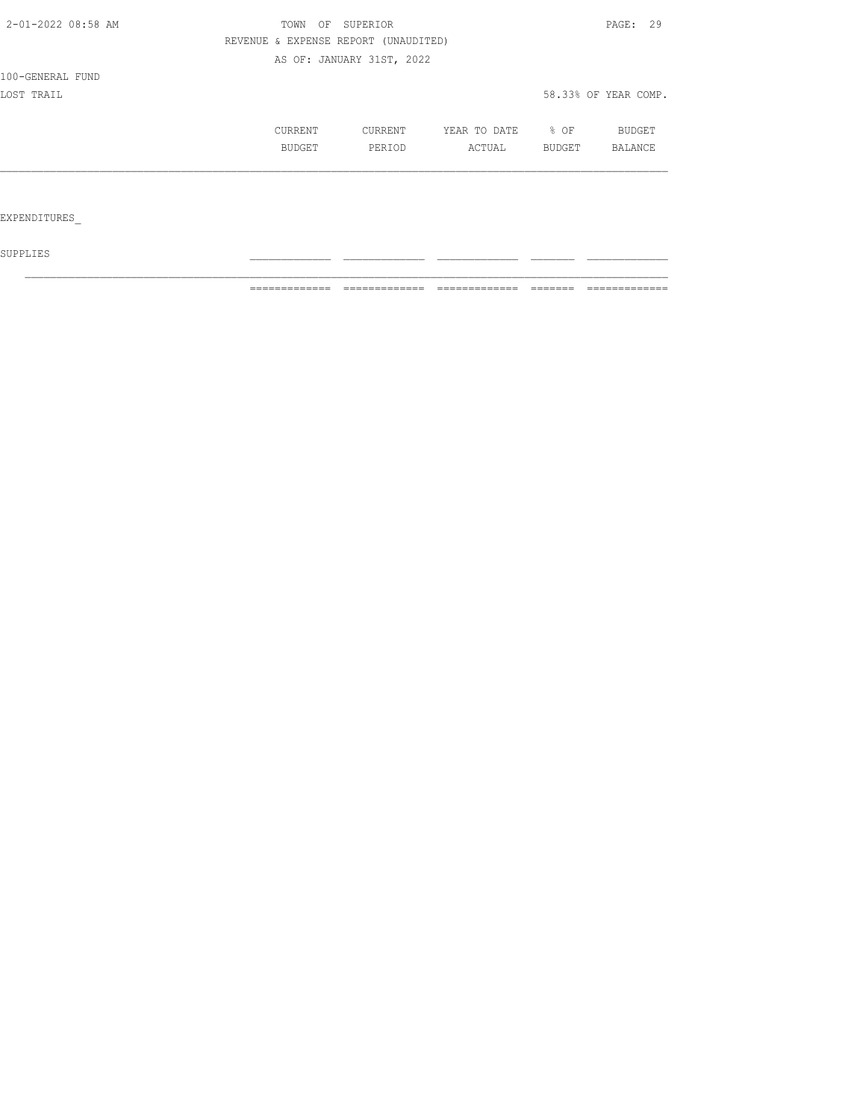| 2-01-2022 08:58 AM | OF<br>TOWN | SUPERIOR                             |              |        | PAGE: 29             |
|--------------------|------------|--------------------------------------|--------------|--------|----------------------|
|                    |            | REVENUE & EXPENSE REPORT (UNAUDITED) |              |        |                      |
|                    |            | AS OF: JANUARY 31ST, 2022            |              |        |                      |
| 100-GENERAL FUND   |            |                                      |              |        |                      |
| LOST TRAIL         |            |                                      |              |        | 58.33% OF YEAR COMP. |
|                    | CURRENT    | CURRENT                              | YEAR TO DATE | % OF   | <b>BUDGET</b>        |
|                    | BUDGET     | PERIOD                               | ACTUAL       | BUDGET | BALANCE              |
|                    |            |                                      |              |        |                      |
|                    |            |                                      |              |        |                      |
| EXPENDITURES       |            |                                      |              |        |                      |

 ${\tt SUPPLIES}$ 

============= ============= ============= ======= =============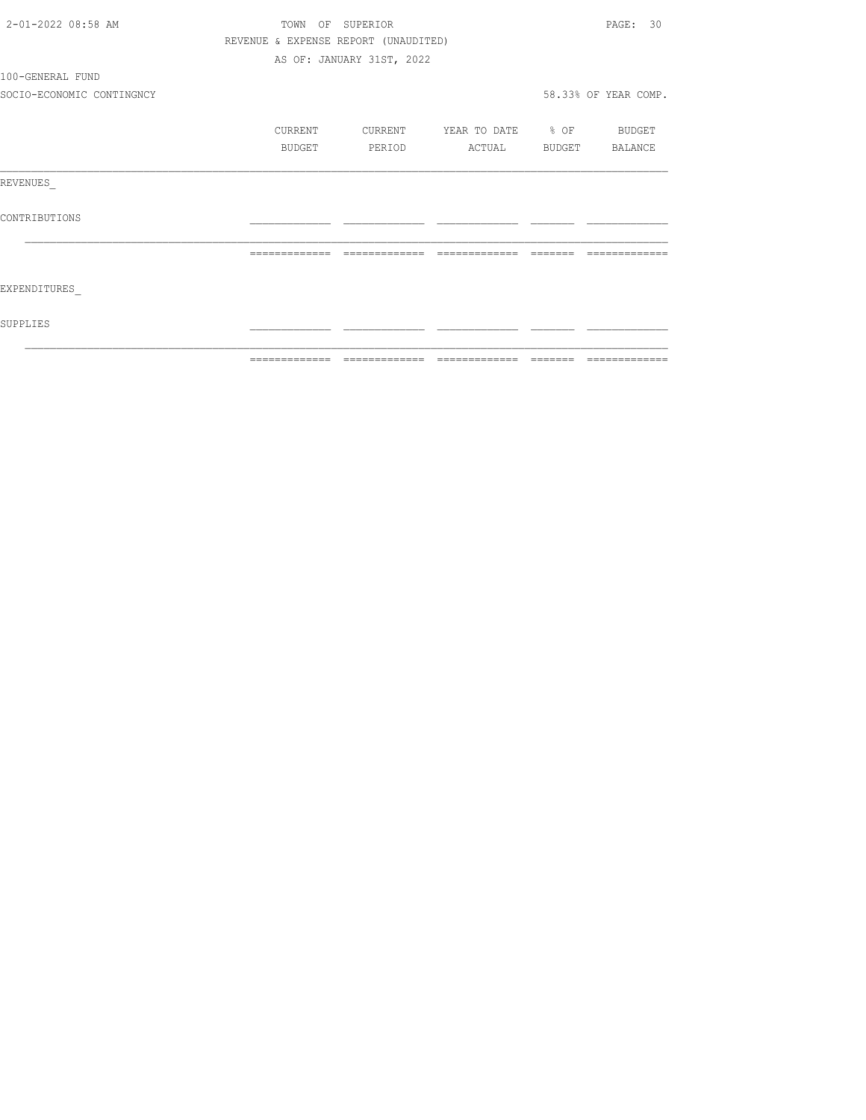| 2-01-2022 08:58 AM        | TOWN                                 | OF SUPERIOR               |                                  |          |                      |  |
|---------------------------|--------------------------------------|---------------------------|----------------------------------|----------|----------------------|--|
|                           | REVENUE & EXPENSE REPORT (UNAUDITED) |                           |                                  |          |                      |  |
|                           |                                      | AS OF: JANUARY 31ST, 2022 |                                  |          |                      |  |
| 100-GENERAL FUND          |                                      |                           |                                  |          |                      |  |
| SOCIO-ECONOMIC CONTINGNCY |                                      |                           |                                  |          | 58.33% OF YEAR COMP. |  |
|                           | CURRENT                              |                           | CURRENT YEAR TO DATE % OF BUDGET |          |                      |  |
|                           | BUDGET                               | PERIOD                    | ACTUAL BUDGET BALANCE            |          |                      |  |
| REVENUES                  |                                      |                           |                                  |          |                      |  |
| CONTRIBUTIONS             |                                      |                           |                                  |          |                      |  |
|                           | =============                        | --------------            | --------------                   | -------- |                      |  |
| EXPENDITURES              |                                      |                           |                                  |          |                      |  |
| SUPPLIES                  |                                      |                           |                                  |          |                      |  |
|                           |                                      |                           |                                  |          |                      |  |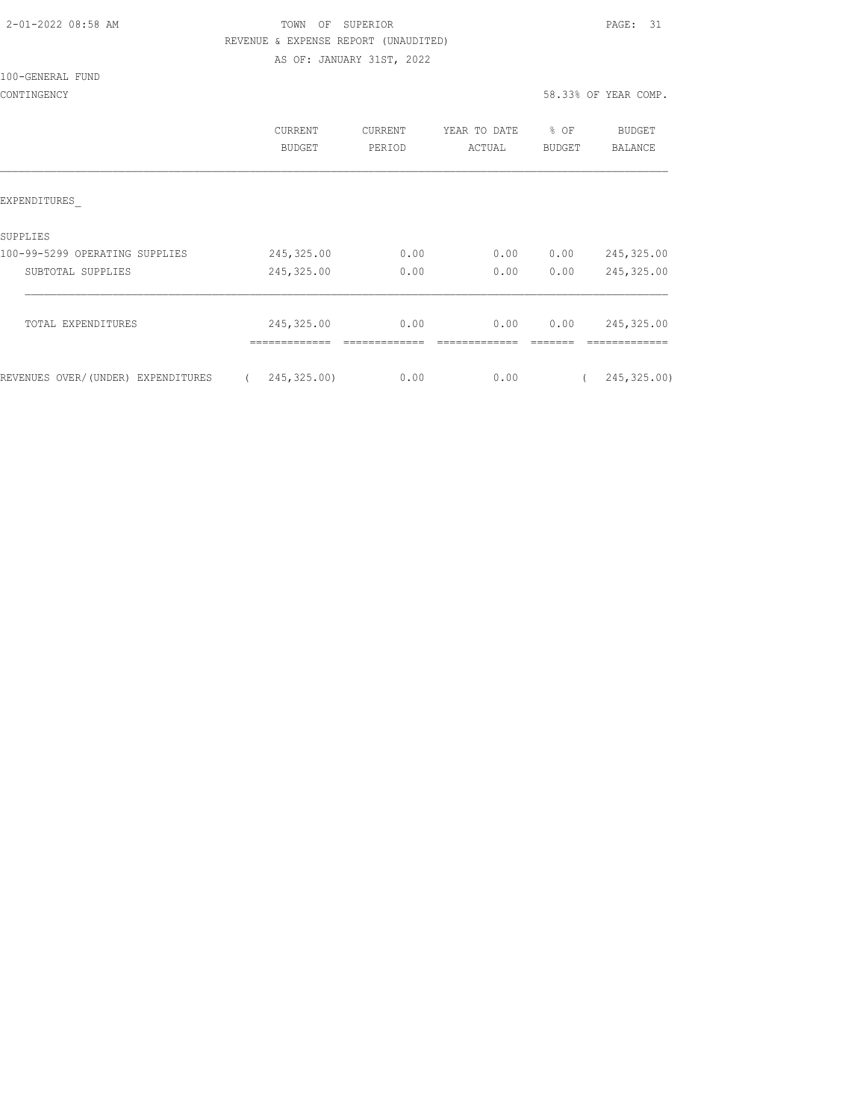| 2-01-2022 08:58 AM |  |
|--------------------|--|
|                    |  |

# TOWN OF SUPERIOR **PAGE:** 31 REVENUE & EXPENSE REPORT (UNAUDITED)

AS OF: JANUARY 31ST, 2022

#### 100-GENERAL FUND

|                                    | <b>CURRENT</b><br><b>BUDGET</b> | <b>CURRENT</b><br>PERIOD | YEAR TO DATE<br>ACTUAL | % OF<br><b>BUDGET</b> | BUDGET<br>BALANCE |
|------------------------------------|---------------------------------|--------------------------|------------------------|-----------------------|-------------------|
| EXPENDITURES                       |                                 |                          |                        |                       |                   |
| SUPPLIES                           |                                 |                          |                        |                       |                   |
| 100-99-5299 OPERATING SUPPLIES     | 245, 325.00                     | 0.00                     | 0.00                   | 0.00                  | 245, 325.00       |
| SUBTOTAL SUPPLIES                  | 245,325.00                      | 0.00                     | 0.00                   | 0.00                  | 245, 325.00       |
|                                    |                                 |                          |                        |                       |                   |
| TOTAL EXPENDITURES                 | 245,325.00                      | 0.00                     | 0.00                   | 0.00                  | 245,325.00        |
| REVENUES OVER/(UNDER) EXPENDITURES | 245,325.00)                     | 0.00                     | 0.00                   |                       | 245, 325.00)      |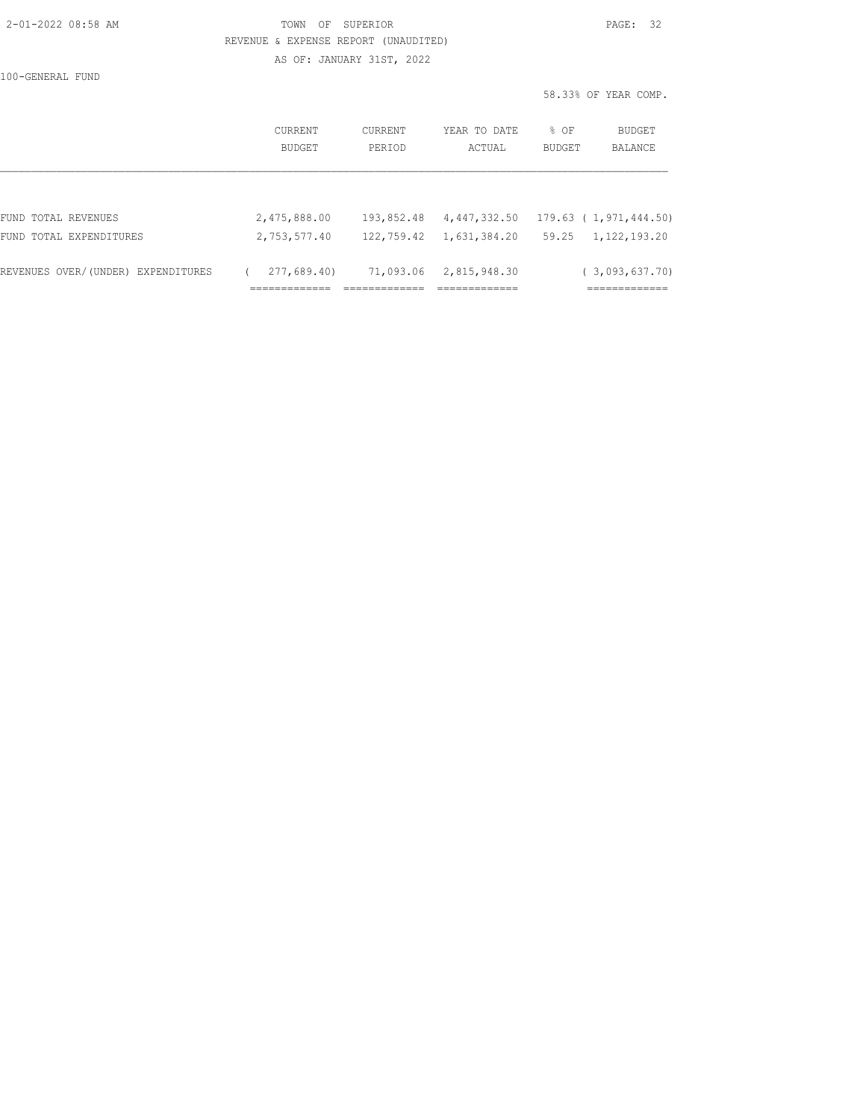| 2-01-2022 08:58 AM |  |
|--------------------|--|
|                    |  |

# TOWN OF SUPERIOR **Example 2010** PAGE: 32 REVENUE & EXPENSE REPORT (UNAUDITED)

AS OF: JANUARY 31ST, 2022

100-GENERAL FUND

|         |         |              |        | 58.33% OF YEAR COMP. |
|---------|---------|--------------|--------|----------------------|
| CURRENT | CURRENT | YEAR TO DATE | % OF   | BUDGET               |
| BUDGET  | PERIOD  | ACTUAL       | BUDGET | <b>BALANCE</b>       |
|         |         |              |        |                      |

| REVENUES OVER/(UNDER) EXPENDITURES | 277,689.40)  | 71,093.06 2,815,948.30 | (3,093,637,70)                                          |
|------------------------------------|--------------|------------------------|---------------------------------------------------------|
| FUND TOTAL EXPENDITURES            | 2,753,577.40 |                        | $122, 759.42$ $1, 631, 384.20$ $59.25$ $1, 122, 193.20$ |
| FUND TOTAL REVENUES                | 2,475,888.00 |                        | $193,852.48$ $4,447,332.50$ $179.63$ (1,971,444.50)     |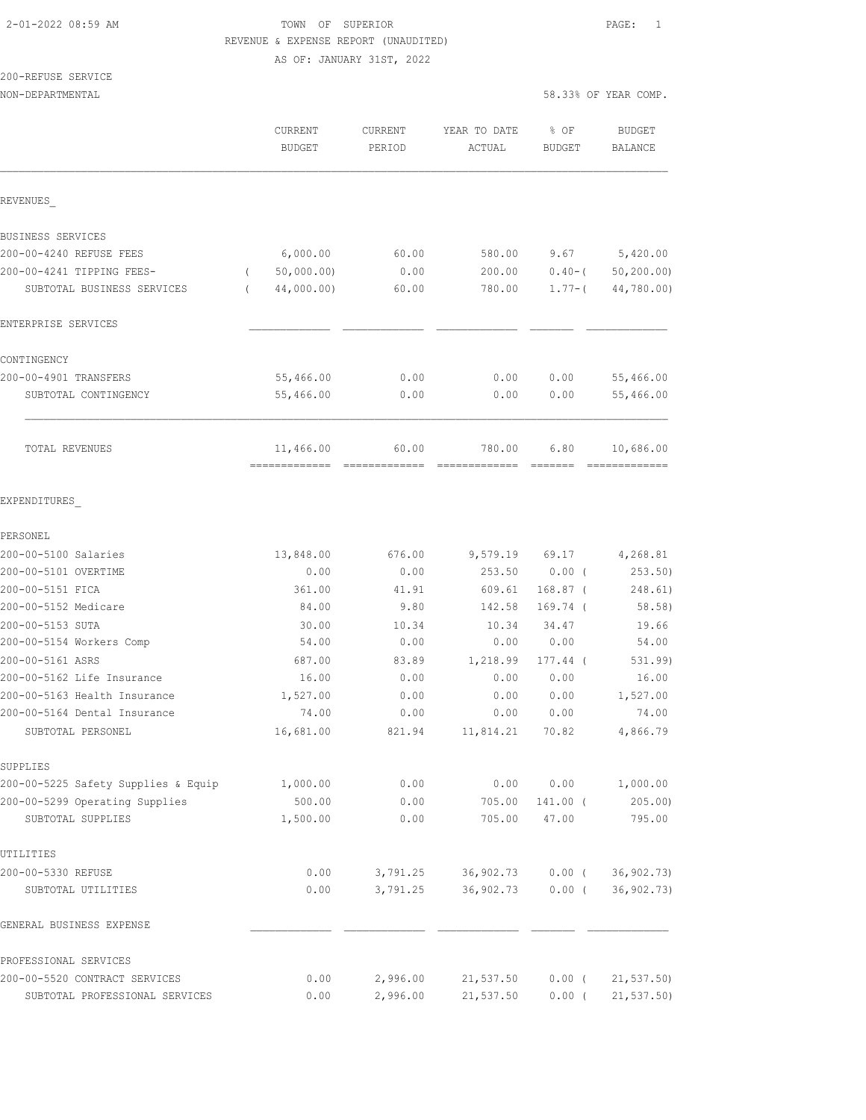# 2-01-2022 08:59 AM TOWN OF SUPERIOR PAGE: 1 REVENUE & EXPENSE REPORT (UNAUDITED)

AS OF: JANUARY 31ST, 2022

# 200-REFUSE SERVICE

NON-DEPARTMENTAL 58.33% OF YEAR COMP.

|                                     | CURRENT<br><b>BUDGET</b>   | <b>CURRENT</b><br>PERIOD | YEAR TO DATE<br>ACTUAL | % OF<br><b>BUDGET</b>                                                                                                                                                                                                                                                                                                                                                                                                                                                                              | <b>BUDGET</b><br><b>BALANCE</b> |
|-------------------------------------|----------------------------|--------------------------|------------------------|----------------------------------------------------------------------------------------------------------------------------------------------------------------------------------------------------------------------------------------------------------------------------------------------------------------------------------------------------------------------------------------------------------------------------------------------------------------------------------------------------|---------------------------------|
| REVENUES                            |                            |                          |                        |                                                                                                                                                                                                                                                                                                                                                                                                                                                                                                    |                                 |
| BUSINESS SERVICES                   |                            |                          |                        |                                                                                                                                                                                                                                                                                                                                                                                                                                                                                                    |                                 |
| 200-00-4240 REFUSE FEES             | 6,000.00                   | 60.00                    | 580.00                 | 9.67                                                                                                                                                                                                                                                                                                                                                                                                                                                                                               | 5,420.00                        |
| 200-00-4241 TIPPING FEES-           | 50,000.00)<br>$\left($     | 0.00                     | 200.00                 | $0.40 - ($                                                                                                                                                                                                                                                                                                                                                                                                                                                                                         | 50, 200.00                      |
| SUBTOTAL BUSINESS SERVICES          | 44,000.00)<br>$\left($     | 60.00                    | 780.00                 | $1.77 - ($                                                                                                                                                                                                                                                                                                                                                                                                                                                                                         | 44,780.00)                      |
| ENTERPRISE SERVICES                 |                            |                          |                        |                                                                                                                                                                                                                                                                                                                                                                                                                                                                                                    |                                 |
| CONTINGENCY                         |                            |                          |                        |                                                                                                                                                                                                                                                                                                                                                                                                                                                                                                    |                                 |
| 200-00-4901 TRANSFERS               | 55,466.00                  | 0.00                     | 0.00                   | 0.00                                                                                                                                                                                                                                                                                                                                                                                                                                                                                               | 55,466.00                       |
| SUBTOTAL CONTINGENCY                | 55,466.00                  | 0.00                     | 0.00                   | 0.00                                                                                                                                                                                                                                                                                                                                                                                                                                                                                               | 55,466.00                       |
| TOTAL REVENUES                      | 11,466.00<br>============= | 60.00                    | 780.00                 | 6.80<br>$\qquad \qquad \qquad =\qquad \qquad =\qquad \qquad =\qquad \qquad =\qquad \qquad =\qquad \qquad =\qquad \qquad =\qquad \qquad =\qquad \qquad =\qquad \qquad =\qquad \qquad =\qquad \qquad =\qquad \qquad =\qquad \qquad =\qquad \qquad =\qquad \qquad =\qquad \qquad =\qquad \qquad =\qquad \qquad =\qquad \qquad =\qquad \qquad =\qquad \qquad =\qquad \qquad =\qquad \qquad =\qquad \qquad =\qquad \qquad =\qquad \qquad =\qquad \qquad =\qquad \qquad =\qquad \qquad =\qquad \qquad =$ | 10,686.00                       |
| EXPENDITURES                        |                            |                          |                        |                                                                                                                                                                                                                                                                                                                                                                                                                                                                                                    |                                 |
| PERSONEL                            |                            |                          |                        |                                                                                                                                                                                                                                                                                                                                                                                                                                                                                                    |                                 |
| 200-00-5100 Salaries                | 13,848.00                  | 676.00                   | 9,579.19               | 69.17                                                                                                                                                                                                                                                                                                                                                                                                                                                                                              | 4,268.81                        |
| 200-00-5101 OVERTIME                | 0.00                       | 0.00                     | 253.50                 | 0.00(                                                                                                                                                                                                                                                                                                                                                                                                                                                                                              | 253.50)                         |
| 200-00-5151 FICA                    | 361.00                     | 41.91                    | 609.61                 | $168.87$ (                                                                                                                                                                                                                                                                                                                                                                                                                                                                                         | 248.61)                         |
| 200-00-5152 Medicare                | 84.00                      | 9.80                     | 142.58                 | 169.74 (                                                                                                                                                                                                                                                                                                                                                                                                                                                                                           | 58.58)                          |
| 200-00-5153 SUTA                    | 30.00                      | 10.34                    | 10.34                  | 34.47                                                                                                                                                                                                                                                                                                                                                                                                                                                                                              | 19.66                           |
| 200-00-5154 Workers Comp            | 54.00                      | 0.00                     | 0.00                   | 0.00                                                                                                                                                                                                                                                                                                                                                                                                                                                                                               | 54.00                           |
| 200-00-5161 ASRS                    | 687.00                     | 83.89                    | 1,218.99               | 177.44 (                                                                                                                                                                                                                                                                                                                                                                                                                                                                                           | 531.99)                         |
| 200-00-5162 Life Insurance          | 16.00                      | 0.00                     | 0.00                   | 0.00                                                                                                                                                                                                                                                                                                                                                                                                                                                                                               | 16.00                           |
| 200-00-5163 Health Insurance        | 1,527.00                   | 0.00                     | 0.00                   | 0.00                                                                                                                                                                                                                                                                                                                                                                                                                                                                                               | 1,527.00                        |
| 200-00-5164 Dental Insurance        | 74.00                      | 0.00                     | 0.00                   | 0.00                                                                                                                                                                                                                                                                                                                                                                                                                                                                                               | 74.00                           |
| SUBTOTAL PERSONEL                   | 16,681.00                  | 821.94                   | 11,814.21              | 70.82                                                                                                                                                                                                                                                                                                                                                                                                                                                                                              | 4,866.79                        |
| SUPPLIES                            |                            |                          |                        |                                                                                                                                                                                                                                                                                                                                                                                                                                                                                                    |                                 |
| 200-00-5225 Safety Supplies & Equip | 1,000.00                   | 0.00                     | 0.00                   | 0.00                                                                                                                                                                                                                                                                                                                                                                                                                                                                                               | 1,000.00                        |
| 200-00-5299 Operating Supplies      | 500.00                     | 0.00                     | 705.00                 | 141.00 (                                                                                                                                                                                                                                                                                                                                                                                                                                                                                           | 205.00                          |
| SUBTOTAL SUPPLIES                   | 1,500.00                   | 0.00                     | 705.00                 | 47.00                                                                                                                                                                                                                                                                                                                                                                                                                                                                                              | 795.00                          |
| UTILITIES                           |                            |                          |                        |                                                                                                                                                                                                                                                                                                                                                                                                                                                                                                    |                                 |
| 200-00-5330 REFUSE                  | 0.00                       | 3,791.25                 | 36,902.73              | $0.00$ (                                                                                                                                                                                                                                                                                                                                                                                                                                                                                           | 36, 902.73)                     |
| SUBTOTAL UTILITIES                  | 0.00                       | 3,791.25                 | 36,902.73              | $0.00$ (                                                                                                                                                                                                                                                                                                                                                                                                                                                                                           | 36,902.73)                      |
| GENERAL BUSINESS EXPENSE            |                            |                          |                        |                                                                                                                                                                                                                                                                                                                                                                                                                                                                                                    |                                 |
| PROFESSIONAL SERVICES               |                            |                          |                        |                                                                                                                                                                                                                                                                                                                                                                                                                                                                                                    |                                 |

| 200-00-5520 CONTRACT SERVICES  | 0.00 | 2,996.00 | 21,537.50                  | 0.00(21,537.50) |
|--------------------------------|------|----------|----------------------------|-----------------|
| SUBTOTAL PROFESSIONAL SERVICES | 0.00 | 2,996.00 | 21,537.50 0.00 (21,537.50) |                 |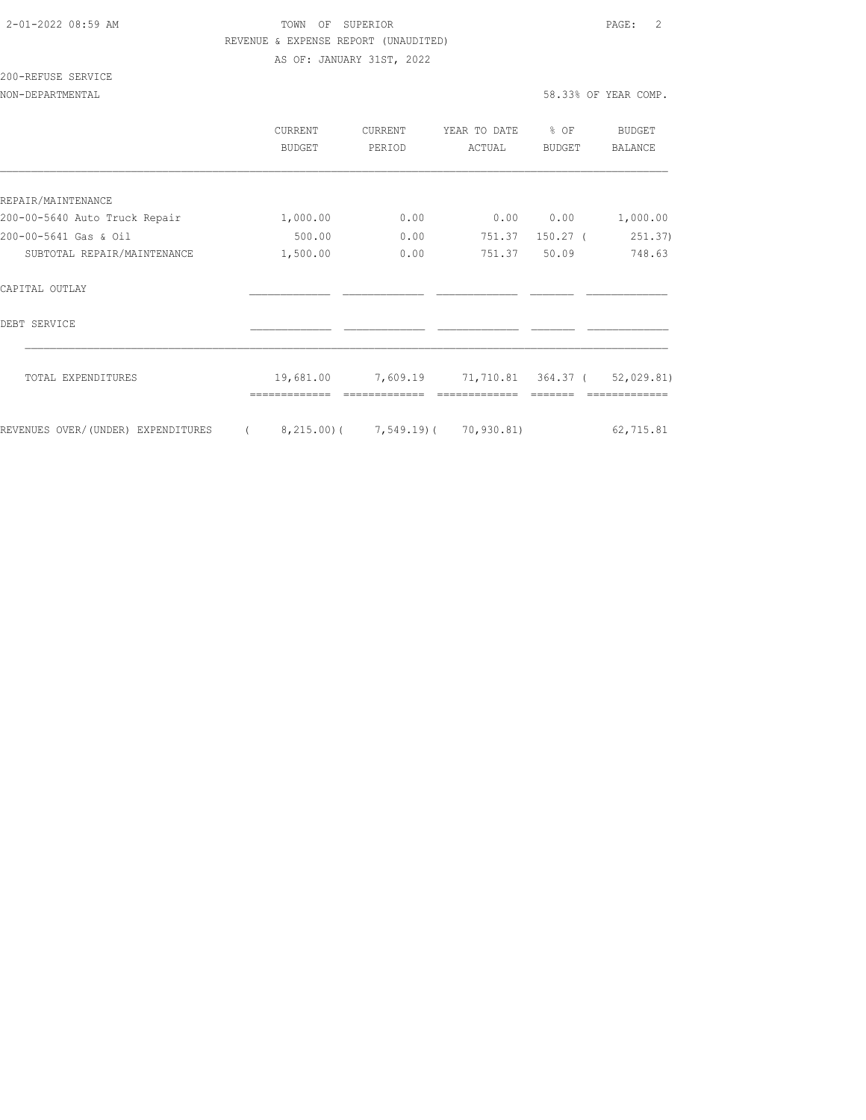### 2-01-2022 08:59 AM TOWN OF SUPERIOR PAGE: 2 REVENUE & EXPENSE REPORT (UNAUDITED)

AS OF: JANUARY 31ST, 2022

# 200-REFUSE SERVICE

#### NON-DEPARTMENTAL 58.33% OF YEAR COMP.

|                                    | CURRENT<br><b>BUDGET</b> | CURRENT<br>PERIOD                          | YEAR TO DATE<br>ACTUAL | % OF<br>BUDGET | <b>BUDGET</b><br><b>BALANCE</b> |
|------------------------------------|--------------------------|--------------------------------------------|------------------------|----------------|---------------------------------|
|                                    |                          |                                            |                        |                |                                 |
| REPAIR/MAINTENANCE                 |                          |                                            |                        |                |                                 |
| 200-00-5640 Auto Truck Repair      | 1,000.00                 | 0.00                                       | 0.00                   | 0.00           | 1,000.00                        |
| 200-00-5641 Gas & Oil              | 500.00                   | 0.00                                       | 751.37                 | $150.27$ (     | 251.37)                         |
| SUBTOTAL REPAIR/MAINTENANCE        | 1,500.00                 | 0.00                                       | 751.37                 | 50.09          | 748.63                          |
| CAPITAL OUTLAY                     |                          |                                            |                        |                |                                 |
| DEBT SERVICE                       |                          |                                            |                        |                |                                 |
| TOTAL EXPENDITURES                 | 19,681.00                | 7,609.19 71,710.81 364.37 ( 52,029.81)     |                        |                |                                 |
|                                    |                          |                                            |                        |                |                                 |
| REVENUES OVER/(UNDER) EXPENDITURES |                          | $8, 215.00$ ( $7, 549.19$ ( $70, 930.81$ ) |                        |                | 62,715.81                       |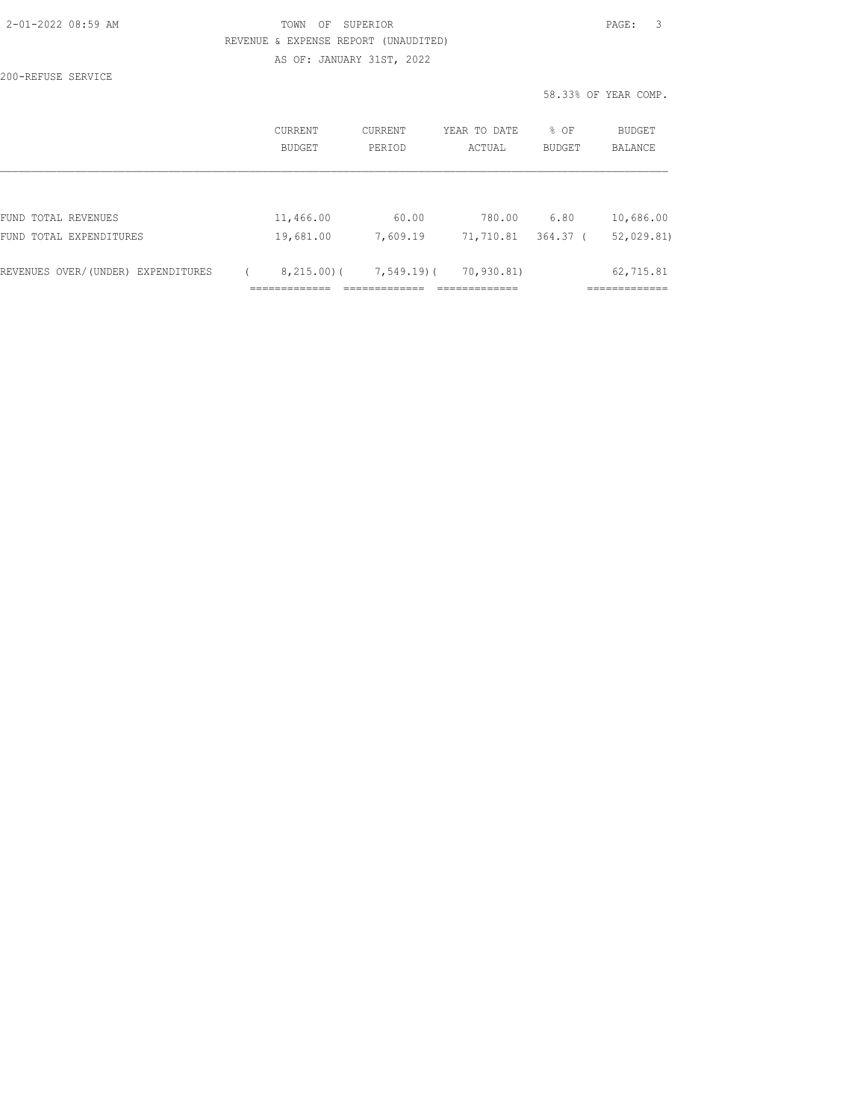# TOWN OF SUPERIOR **Example 20:20 AM TOWN OF SUPERIOR** REVENUE & EXPENSE REPORT (UNAUDITED)

AS OF: JANUARY 31ST, 2022

200-REFUSE SERVICE

58.33% OF YEAR COMP.

|                                    | CURRENT<br>BUDGET | CURRENT<br>YEAR TO DATE<br>PERIOD<br>ACTUAL |            | % OF<br><b>BUDGET</b> | <b>BUDGET</b><br><b>BALANCE</b> |
|------------------------------------|-------------------|---------------------------------------------|------------|-----------------------|---------------------------------|
|                                    |                   |                                             |            |                       |                                 |
| FUND TOTAL REVENUES                | 11,466.00         | 60.00                                       | 780.00     | 6.80                  | 10,686.00                       |
| FUND TOTAL EXPENDITURES            | 19,681.00         | 7,609.19                                    | 71,710.81  | 364.37 (              | 52,029.81)                      |
|                                    |                   |                                             |            |                       |                                 |
| REVENUES OVER/(UNDER) EXPENDITURES | 8,215.00(         | 7,549.19)(                                  | 70,930.81) |                       | 62,715.81                       |
|                                    |                   |                                             |            |                       |                                 |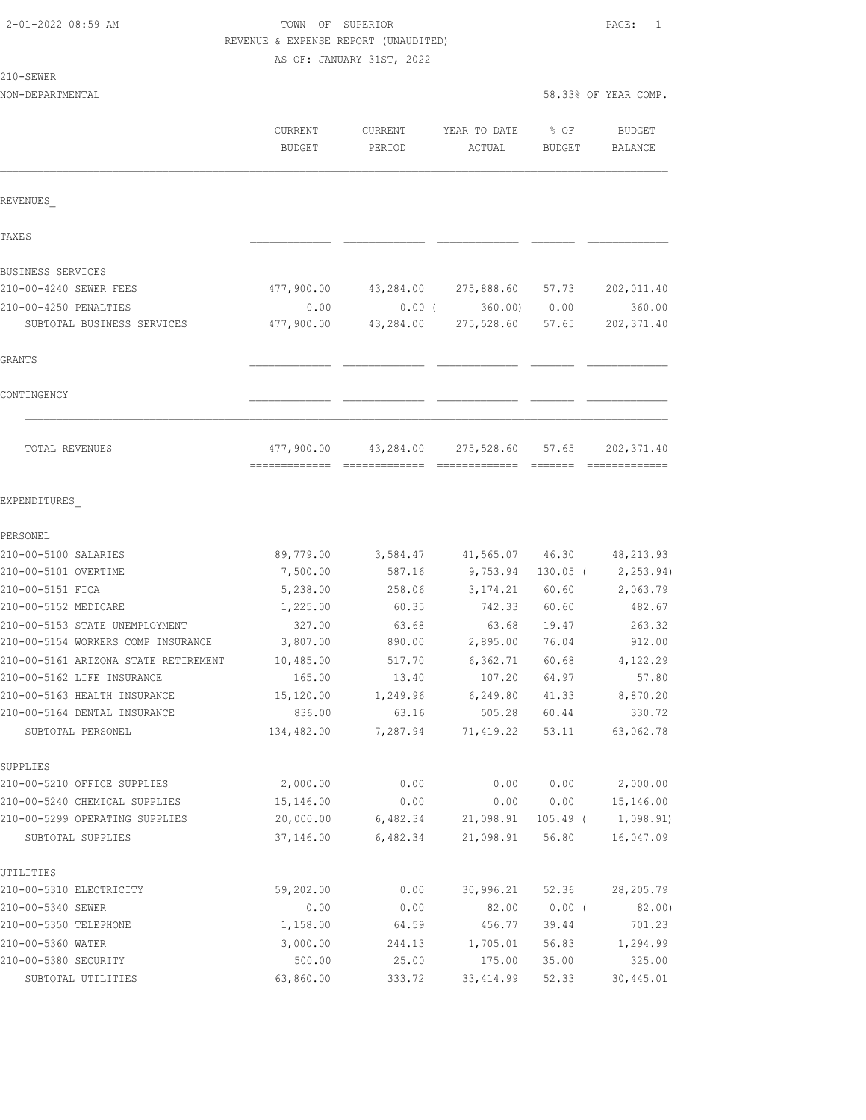# TOWN OF SUPERIOR **PAGE:** 1 REVENUE & EXPENSE REPORT (UNAUDITED)

AS OF: JANUARY 31ST, 2022

|  | × | 1,50<br>H.W |  |
|--|---|-------------|--|
|  |   |             |  |

| 210-SEWER                            |                          |                   |                        |                       |                          |
|--------------------------------------|--------------------------|-------------------|------------------------|-----------------------|--------------------------|
| NON-DEPARTMENTAL                     |                          |                   |                        |                       | 58.33% OF YEAR COMP.     |
|                                      |                          |                   |                        |                       |                          |
|                                      | CURRENT<br><b>BUDGET</b> | CURRENT<br>PERIOD | YEAR TO DATE<br>ACTUAL | % OF<br><b>BUDGET</b> | <b>BUDGET</b><br>BALANCE |
|                                      |                          |                   |                        |                       |                          |
| REVENUES                             |                          |                   |                        |                       |                          |
| TAXE S                               |                          |                   |                        |                       |                          |
| BUSINESS SERVICES                    |                          |                   |                        |                       |                          |
| 210-00-4240 SEWER FEES               | 477,900.00               | 43,284.00         | 275,888.60             | 57.73                 | 202,011.40               |
| 210-00-4250 PENALTIES                | 0.00                     | $0.00$ (          | 360.00                 | 0.00                  | 360.00                   |
| SUBTOTAL BUSINESS SERVICES           | 477,900.00               | 43,284.00         | 275,528.60             | 57.65                 | 202, 371.40              |
| GRANTS                               |                          |                   |                        |                       |                          |
| CONTINGENCY                          |                          |                   |                        |                       |                          |
| TOTAL REVENUES                       | 477,900.00               | 43,284.00         | 275,528.60             | 57.65                 | 202, 371.40              |
|                                      |                          |                   |                        |                       |                          |
| EXPENDITURES                         |                          |                   |                        |                       |                          |
| PERSONEL                             |                          |                   |                        |                       |                          |
| 210-00-5100 SALARIES                 | 89,779.00                | 3,584.47          | 41,565.07              | 46.30                 | 48, 213.93               |
| 210-00-5101 OVERTIME                 | 7,500.00                 | 587.16            | 9,753.94               | $130.05$ (            | 2, 253.94)               |
| 210-00-5151 FICA                     | 5,238.00                 | 258.06            | 3, 174.21              | 60.60                 | 2,063.79                 |
| 210-00-5152 MEDICARE                 | 1,225.00                 | 60.35             | 742.33                 | 60.60                 | 482.67                   |
| 210-00-5153 STATE UNEMPLOYMENT       | 327.00                   | 63.68             | 63.68                  | 19.47                 | 263.32                   |
| 210-00-5154 WORKERS COMP INSURANCE   | 3,807.00                 | 890.00            | 2,895.00               | 76.04                 | 912.00                   |
| 210-00-5161 ARIZONA STATE RETIREMENT | 10,485.00                | 517.70            | 6,362.71               | 60.68                 | 4,122.29                 |
| 210-00-5162 LIFE INSURANCE           | 165.00                   | 13.40             | 107.20                 | 64.97                 | 57.80                    |
| 210-00-5163 HEALTH INSURANCE         | 15,120.00                | 1,249.96          | 6,249.80               | 41.33                 | 8,870.20                 |
| 210-00-5164 DENTAL INSURANCE         | 836.00                   | 63.16             | 505.28                 | 60.44                 | 330.72                   |
| SUBTOTAL PERSONEL                    | 134,482.00               | 7,287.94          | 71,419.22              | 53.11                 | 63,062.78                |
| SUPPLIES                             |                          |                   |                        |                       |                          |
| 210-00-5210 OFFICE SUPPLIES          | 2,000.00                 | 0.00              | 0.00                   | 0.00                  | 2,000.00                 |
| 210-00-5240 CHEMICAL SUPPLIES        | 15,146.00                | 0.00              | 0.00                   | 0.00                  | 15,146.00                |
| 210-00-5299 OPERATING SUPPLIES       | 20,000.00                | 6,482.34          | 21,098.91              | $105.49$ (            | 1,098.91)                |
| SUBTOTAL SUPPLIES                    | 37,146.00                | 6,482.34          | 21,098.91              | 56.80                 | 16,047.09                |
| UTILITIES                            |                          |                   |                        |                       |                          |
| 210-00-5310 ELECTRICITY              | 59,202.00                | 0.00              | 30, 996.21             | 52.36                 | 28,205.79                |
| 210-00-5340 SEWER                    | 0.00                     | 0.00              | 82.00                  | $0.00$ (              | 82.00)                   |
| 210-00-5350 TELEPHONE                | 1,158.00                 | 64.59             | 456.77                 | 39.44                 | 701.23                   |
| 210-00-5360 WATER                    | 3,000.00                 | 244.13            | 1,705.01               | 56.83                 | 1,294.99                 |
| 210-00-5380 SECURITY                 | 500.00                   | 25.00             | 175.00                 | 35.00                 | 325.00                   |

SUBTOTAL UTILITIES 63,860.00 333.72 33,414.99 52.33 30,445.01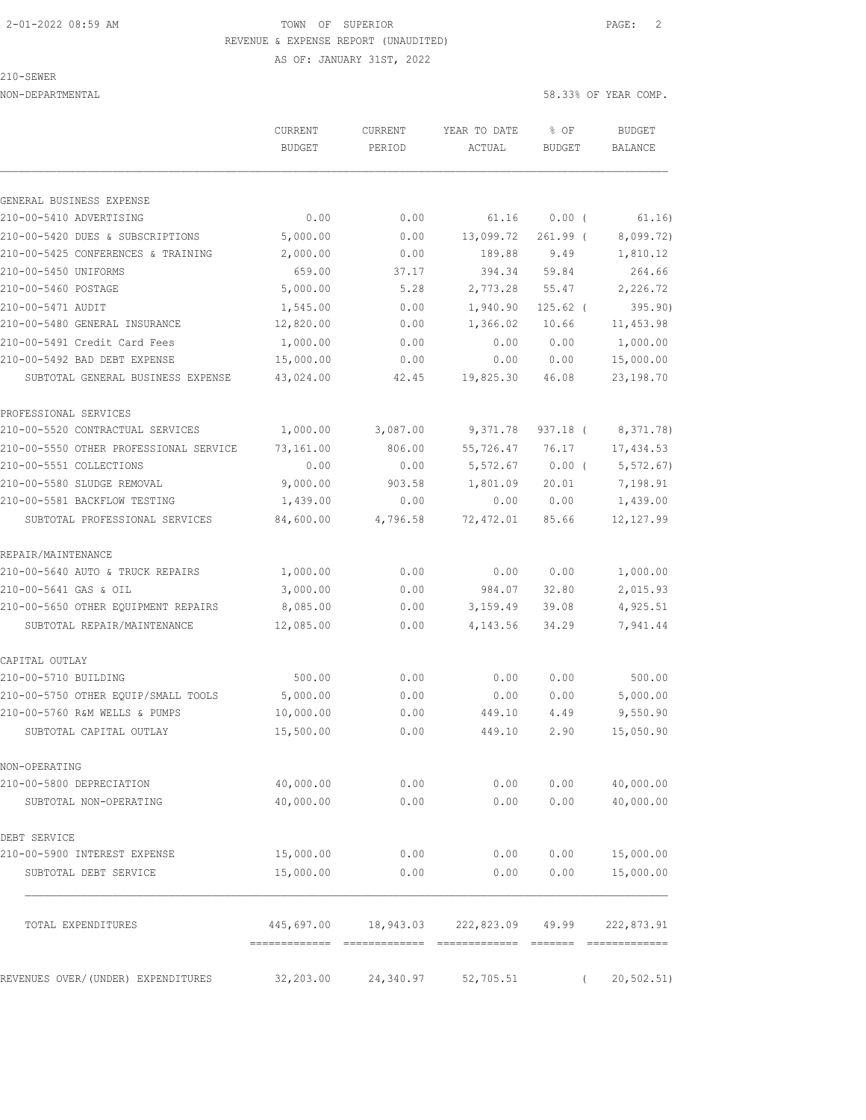AS OF: JANUARY 31ST, 2022

#### 210-SEWER

|                                                                    | <b>CURRENT</b><br><b>BUDGET</b> | <b>CURRENT</b><br>PERIOD | YEAR TO DATE                          | % OF           | <b>BUDGET</b><br><b>BALANCE</b> |
|--------------------------------------------------------------------|---------------------------------|--------------------------|---------------------------------------|----------------|---------------------------------|
|                                                                    |                                 |                          | ACTUAL                                | <b>BUDGET</b>  |                                 |
| GENERAL BUSINESS EXPENSE                                           |                                 |                          |                                       |                |                                 |
| 210-00-5410 ADVERTISING                                            | 0.00                            | 0.00                     | 61.16                                 | 0.00(          | 61.16)                          |
| 210-00-5420 DUES & SUBSCRIPTIONS                                   | 5,000.00                        | 0.00                     | 13,099.72                             | $261.99$ (     | 8,099.72)                       |
| 210-00-5425 CONFERENCES & TRAINING                                 | 2,000.00                        | 0.00                     | 189.88                                | 9.49           | 1,810.12                        |
| 210-00-5450 UNIFORMS                                               | 659.00                          | 37.17                    | 394.34                                | 59.84          | 264.66                          |
| 210-00-5460 POSTAGE                                                | 5,000.00                        | 5.28                     | 2,773.28                              | 55.47          | 2,226.72                        |
| 210-00-5471 AUDIT                                                  | 1,545.00                        | 0.00                     | 1,940.90                              | $125.62$ (     | 395.90)                         |
| 210-00-5480 GENERAL INSURANCE                                      | 12,820.00                       | 0.00                     | 1,366.02                              | 10.66          | 11, 453.98                      |
| 210-00-5491 Credit Card Fees                                       | 1,000.00                        | 0.00                     | 0.00                                  | 0.00           | 1,000.00                        |
| 210-00-5492 BAD DEBT EXPENSE                                       | 15,000.00                       | 0.00                     | 0.00                                  | 0.00           | 15,000.00                       |
| SUBTOTAL GENERAL BUSINESS EXPENSE                                  | 43,024.00                       | 42.45                    | 19,825.30                             | 46.08          | 23, 198.70                      |
| PROFESSIONAL SERVICES                                              |                                 |                          |                                       |                |                                 |
| 210-00-5520 CONTRACTUAL SERVICES                                   | 1,000.00                        | 3,087.00                 | 9,371.78                              | $937.18$ (     | 8, 371.78)                      |
| 210-00-5550 OTHER PROFESSIONAL SERVICE                             | 73,161.00                       | 806.00                   | 55,726.47                             | 76.17          | 17,434.53                       |
| 210-00-5551 COLLECTIONS                                            | 0.00                            | 0.00                     | 5,572.67                              | $0.00$ (       | 5, 572.67)                      |
| 210-00-5580 SLUDGE REMOVAL                                         | 9,000.00                        | 903.58                   | 1,801.09                              | 20.01          | 7,198.91                        |
| 210-00-5581 BACKFLOW TESTING                                       | 1,439.00                        | 0.00                     | 0.00                                  | 0.00           | 1,439.00                        |
| SUBTOTAL PROFESSIONAL SERVICES                                     | 84,600.00                       | 4,796.58                 | 72,472.01                             | 85.66          | 12, 127.99                      |
|                                                                    |                                 |                          |                                       |                |                                 |
| REPAIR/MAINTENANCE<br>210-00-5640 AUTO & TRUCK REPAIRS             |                                 | 0.00                     | 0.00                                  | 0.00           | 1,000.00                        |
|                                                                    | 1,000.00                        |                          |                                       |                |                                 |
| 210-00-5641 GAS & OIL                                              | 3,000.00                        | 0.00                     | 984.07                                | 32.80          | 2,015.93                        |
| 210-00-5650 OTHER EQUIPMENT REPAIRS<br>SUBTOTAL REPAIR/MAINTENANCE | 8,085.00<br>12,085.00           | 0.00<br>0.00             | 3,159.49<br>4,143.56                  | 39.08<br>34.29 | 4,925.51<br>7,941.44            |
|                                                                    |                                 |                          |                                       |                |                                 |
| CAPITAL OUTLAY                                                     |                                 |                          |                                       |                |                                 |
| 210-00-5710 BUILDING                                               | 500.00                          | 0.00                     | 0.00                                  | 0.00           | 500.00                          |
| 210-00-5750 OTHER EQUIP/SMALL TOOLS                                | 5,000.00                        | 0.00                     | 0.00                                  | 0.00           | 5,000.00                        |
| 210-00-5760 R&M WELLS & PUMPS                                      | 10,000.00                       | 0.00                     | 449.10                                | 4.49           | 9,550.90                        |
| SUBTOTAL CAPITAL OUTLAY                                            | 15,500.00                       | 0.00                     | 449.10                                | 2.90           | 15,050.90                       |
| NON-OPERATING                                                      |                                 |                          |                                       |                |                                 |
| 210-00-5800 DEPRECIATION                                           | 40,000.00                       | 0.00                     | 0.00                                  | 0.00           | 40,000.00                       |
| SUBTOTAL NON-OPERATING                                             | 40,000.00                       | 0.00                     | 0.00                                  | 0.00           | 40,000.00                       |
| DEBT SERVICE                                                       |                                 |                          |                                       |                |                                 |
| 210-00-5900 INTEREST EXPENSE                                       | 15,000.00                       | 0.00                     | 0.00                                  | 0.00           | 15,000.00                       |
| SUBTOTAL DEBT SERVICE                                              | 15,000.00                       | 0.00                     | 0.00                                  | 0.00           | 15,000.00                       |
| TOTAL EXPENDITURES                                                 |                                 |                          | 445,697.00 18,943.03 222,823.09 49.99 |                | 222,873.91                      |
|                                                                    |                                 |                          |                                       |                |                                 |
| REVENUES OVER/(UNDER) EXPENDITURES                                 | 32,203.00                       | 24,340.97                | 52,705.51                             | $\left($       | 20, 502.51)                     |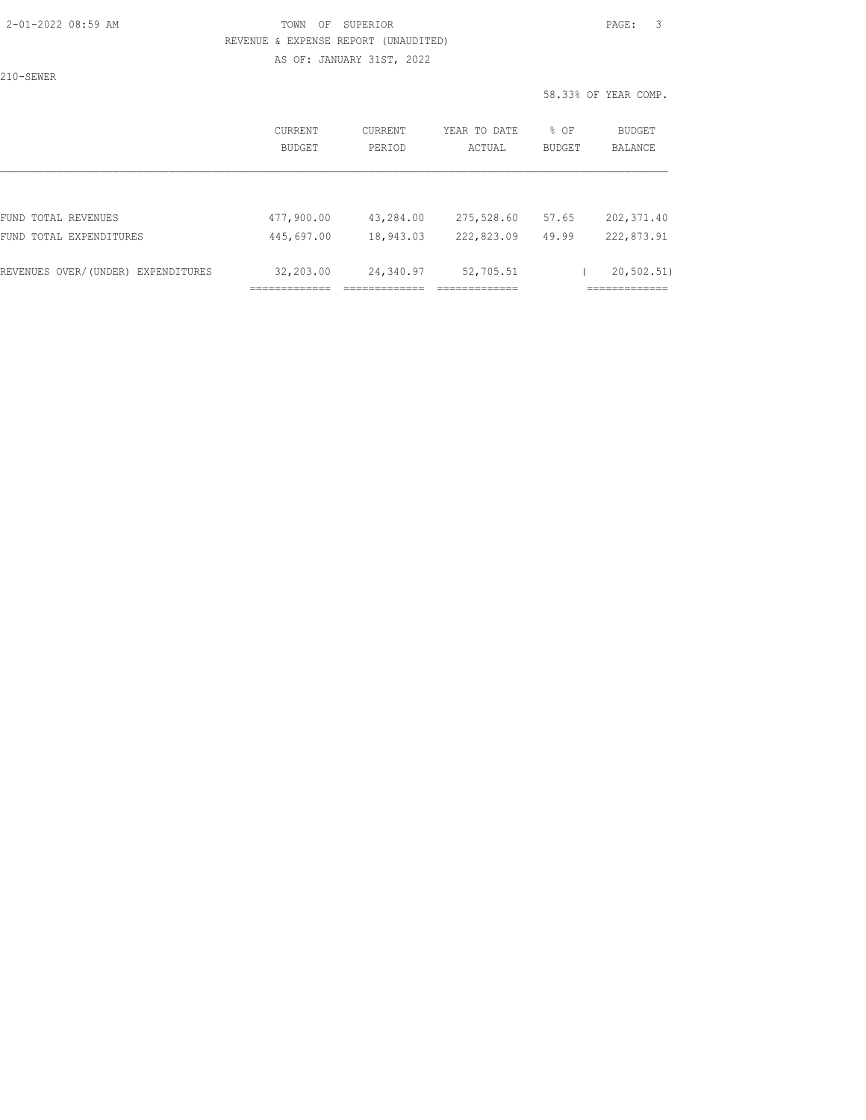AS OF: JANUARY 31ST, 2022

210-SEWER

|                                    |                          |                          |                        | 58.33% OF YEAR COMP.    |                                 |
|------------------------------------|--------------------------|--------------------------|------------------------|-------------------------|---------------------------------|
|                                    | <b>CURRENT</b><br>BUDGET | <b>CURRENT</b><br>PERIOD | YEAR TO DATE<br>ACTUAL | $8$ OF<br><b>BUDGET</b> | <b>BUDGET</b><br><b>BALANCE</b> |
|                                    |                          |                          |                        |                         |                                 |
| FUND TOTAL REVENUES                | 477,900.00               | 43,284.00                | 275,528.60             | 57.65                   | 202, 371.40                     |
| FUND TOTAL EXPENDITURES            | 445,697.00               | 18,943.03                | 222,823.09             | 49.99                   | 222,873.91                      |
| REVENUES OVER/(UNDER) EXPENDITURES | 32,203.00                | 24,340.97                | 52,705.51              |                         | 20, 502, 51)                    |

============= ============= ============= =============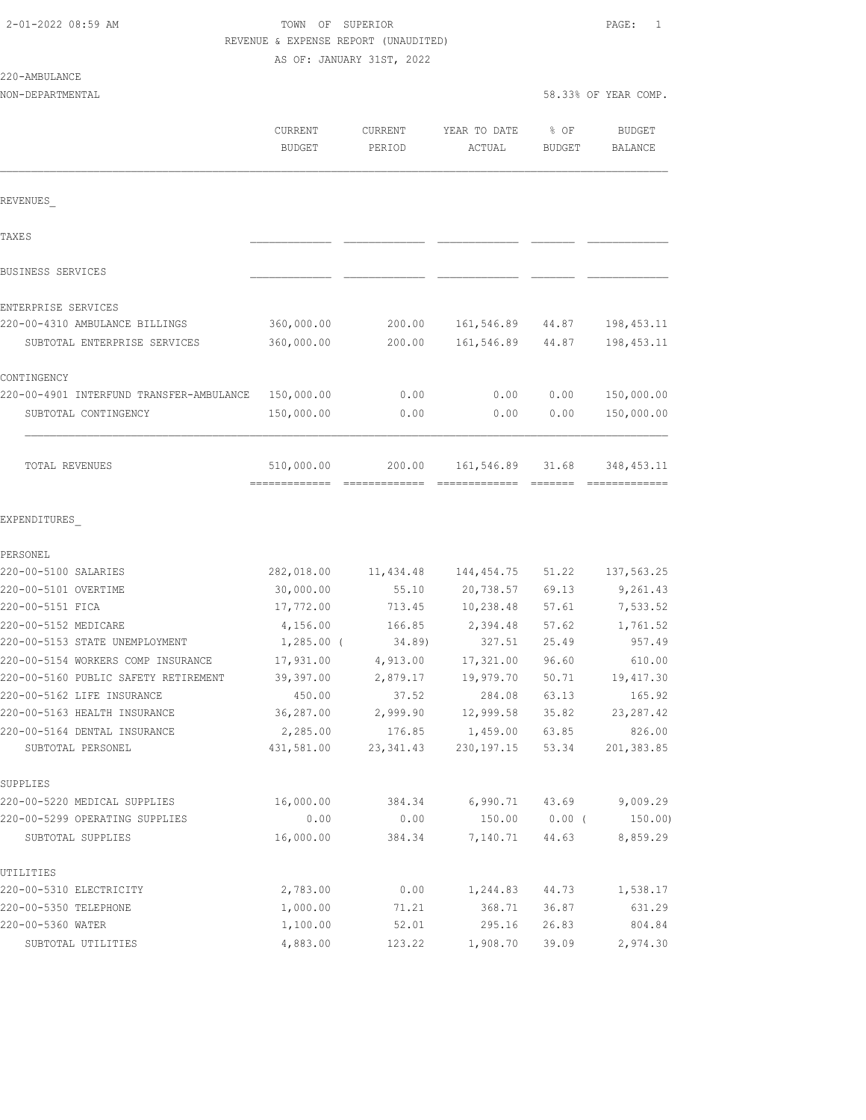## TOWN OF SUPERIOR **PAGE:** 1 REVENUE & EXPENSE REPORT (UNAUDITED)

AS OF: JANUARY 31ST, 2022

#### 22

| 220-AMBULANCE                            |               |            |              |               |                      |
|------------------------------------------|---------------|------------|--------------|---------------|----------------------|
| NON-DEPARTMENTAL                         |               |            |              |               | 58.33% OF YEAR COMP. |
|                                          | CURRENT       | CURRENT    | YEAR TO DATE | % OF          | <b>BUDGET</b>        |
|                                          | <b>BUDGET</b> | PERIOD     | ACTUAL       | <b>BUDGET</b> | BALANCE              |
|                                          |               |            |              |               |                      |
| REVENUES                                 |               |            |              |               |                      |
| TAXES                                    |               |            |              |               |                      |
| BUSINESS SERVICES                        |               |            |              |               |                      |
| ENTERPRISE SERVICES                      |               |            |              |               |                      |
| 220-00-4310 AMBULANCE BILLINGS           | 360,000.00    | 200.00     | 161,546.89   | 44.87         | 198, 453.11          |
| SUBTOTAL ENTERPRISE SERVICES             | 360,000.00    | 200.00     | 161,546.89   | 44.87         | 198, 453.11          |
| CONTINGENCY                              |               |            |              |               |                      |
| 220-00-4901 INTERFUND TRANSFER-AMBULANCE | 150,000.00    | 0.00       | 0.00         | 0.00          | 150,000.00           |
| SUBTOTAL CONTINGENCY                     | 150,000.00    | 0.00       | 0.00         | 0.00          | 150,000.00           |
| <b>TOTAL REVENUES</b>                    | 510,000.00    | 200.00     | 161,546.89   | 31.68         | 348, 453. 11         |
| EXPENDITURES                             |               |            |              |               |                      |
| PERSONEL                                 |               |            |              |               |                      |
| 220-00-5100 SALARIES                     | 282,018.00    | 11,434.48  | 144, 454.75  | 51.22         | 137,563.25           |
| 220-00-5101 OVERTIME                     | 30,000.00     | 55.10      | 20,738.57    | 69.13         | 9,261.43             |
| 220-00-5151 FICA                         | 17,772.00     | 713.45     | 10,238.48    | 57.61         | 7,533.52             |
| 220-00-5152 MEDICARE                     | 4,156.00      | 166.85     | 2,394.48     | 57.62         | 1,761.52             |
| 220-00-5153 STATE UNEMPLOYMENT           | $1,285.00$ (  | 34.89)     | 327.51       | 25.49         | 957.49               |
| 220-00-5154 WORKERS COMP INSURANCE       | 17,931.00     | 4,913.00   | 17,321.00    | 96.60         | 610.00               |
| 220-00-5160 PUBLIC SAFETY RETIREMENT     | 39,397.00     | 2,879.17   | 19,979.70    | 50.71         | 19, 417.30           |
| 220-00-5162 LIFE INSURANCE               | 450.00        | 37.52      | 284.08       | 63.13         | 165.92               |
| 220-00-5163 HEALTH INSURANCE             | 36,287.00     | 2,999.90   | 12,999.58    | 35.82         | 23, 287.42           |
| 220-00-5164 DENTAL INSURANCE             | 2,285.00      | 176.85     | 1,459.00     | 63.85         | 826.00               |
| SUBTOTAL PERSONEL                        | 431,581.00    | 23, 341.43 | 230, 197. 15 | 53.34         | 201,383.85           |
| SUPPLIES                                 |               |            |              |               |                      |
| 220-00-5220 MEDICAL SUPPLIES             | 16,000.00     | 384.34     | 6,990.71     | 43.69         | 9,009.29             |
| 220-00-5299 OPERATING SUPPLIES           | 0.00          | 0.00       | 150.00       | $0.00$ (      | 150.00)              |
| SUBTOTAL SUPPLIES                        | 16,000.00     | 384.34     | 7,140.71     | 44.63         | 8,859.29             |
| UTILITIES                                |               |            |              |               |                      |
| 220-00-5310 ELECTRICITY                  | 2,783.00      | 0.00       | 1,244.83     | 44.73         | 1,538.17             |
| 220-00-5350 TELEPHONE                    | 1,000.00      | 71.21      | 368.71       | 36.87         | 631.29               |
| 220-00-5360 WATER                        | 1,100.00      | 52.01      | 295.16       | 26.83         | 804.84               |
| SUBTOTAL UTILITIES                       | 4,883.00      | 123.22     | 1,908.70     | 39.09         | 2,974.30             |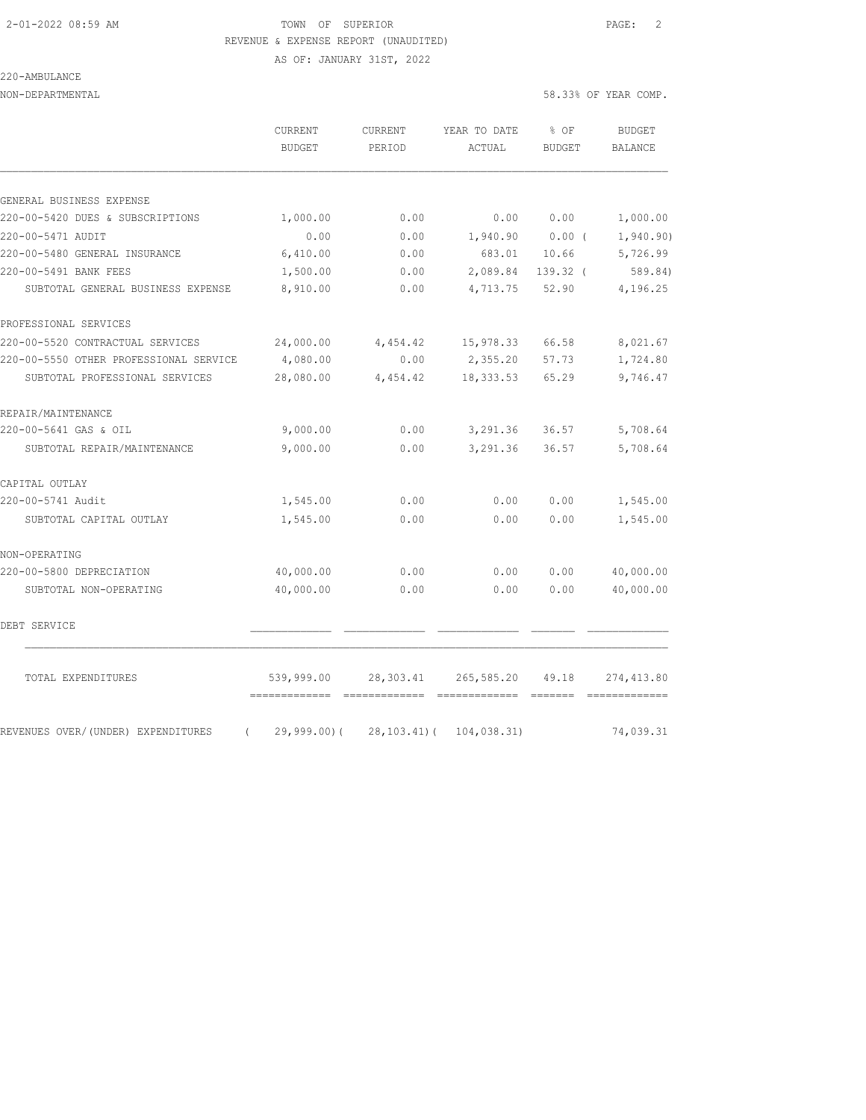AS OF: JANUARY 31ST, 2022

### 220-AMBULANCE

|                                                | <b>CURRENT</b><br><b>BUDGET</b>           | <b>CURRENT</b><br>PERIOD | YEAR TO DATE<br>ACTUAL       | % OF<br><b>BUDGET</b>                                                                                                                                                                                                                                                                                                                                                                                                                                                                                                                                                                         | <b>BUDGET</b><br>BALANCE   |
|------------------------------------------------|-------------------------------------------|--------------------------|------------------------------|-----------------------------------------------------------------------------------------------------------------------------------------------------------------------------------------------------------------------------------------------------------------------------------------------------------------------------------------------------------------------------------------------------------------------------------------------------------------------------------------------------------------------------------------------------------------------------------------------|----------------------------|
| GENERAL BUSINESS EXPENSE                       |                                           |                          |                              |                                                                                                                                                                                                                                                                                                                                                                                                                                                                                                                                                                                               |                            |
| 220-00-5420 DUES & SUBSCRIPTIONS               | 1,000.00                                  | 0.00                     | 0.00                         | 0.00                                                                                                                                                                                                                                                                                                                                                                                                                                                                                                                                                                                          | 1,000.00                   |
| 220-00-5471 AUDIT                              | 0.00                                      | 0.00                     | 1,940.90                     | $0.00$ (                                                                                                                                                                                                                                                                                                                                                                                                                                                                                                                                                                                      | 1,940.90)                  |
| 220-00-5480 GENERAL INSURANCE                  | 6,410.00                                  | 0.00                     | 683.01                       | 10.66                                                                                                                                                                                                                                                                                                                                                                                                                                                                                                                                                                                         | 5,726.99                   |
| 220-00-5491 BANK FEES                          | 1,500.00                                  | 0.00                     | 2,089.84                     | 139.32 (                                                                                                                                                                                                                                                                                                                                                                                                                                                                                                                                                                                      | 589.84)                    |
| SUBTOTAL GENERAL BUSINESS EXPENSE              | 8,910.00                                  | 0.00                     | 4,713.75                     | 52.90                                                                                                                                                                                                                                                                                                                                                                                                                                                                                                                                                                                         | 4,196.25                   |
| PROFESSIONAL SERVICES                          |                                           |                          |                              |                                                                                                                                                                                                                                                                                                                                                                                                                                                                                                                                                                                               |                            |
| 220-00-5520 CONTRACTUAL SERVICES               | 24,000.00                                 | 4,454.42                 | 15,978.33                    | 66.58                                                                                                                                                                                                                                                                                                                                                                                                                                                                                                                                                                                         | 8,021.67                   |
| 220-00-5550 OTHER PROFESSIONAL SERVICE         | 4,080.00                                  | 0.00                     | 2,355.20                     | 57.73                                                                                                                                                                                                                                                                                                                                                                                                                                                                                                                                                                                         | 1,724.80                   |
| SUBTOTAL PROFESSIONAL SERVICES                 | 28,080.00                                 | 4,454.42                 | 18, 333.53                   | 65.29                                                                                                                                                                                                                                                                                                                                                                                                                                                                                                                                                                                         | 9,746.47                   |
| REPAIR/MAINTENANCE                             |                                           |                          |                              |                                                                                                                                                                                                                                                                                                                                                                                                                                                                                                                                                                                               |                            |
| 220-00-5641 GAS & OIL                          | 9,000.00                                  | 0.00                     | 3,291.36                     | 36.57                                                                                                                                                                                                                                                                                                                                                                                                                                                                                                                                                                                         | 5,708.64                   |
| SUBTOTAL REPAIR/MAINTENANCE                    | 9,000.00                                  | 0.00                     | 3,291.36                     | 36.57                                                                                                                                                                                                                                                                                                                                                                                                                                                                                                                                                                                         | 5,708.64                   |
| CAPITAL OUTLAY                                 |                                           |                          |                              |                                                                                                                                                                                                                                                                                                                                                                                                                                                                                                                                                                                               |                            |
| 220-00-5741 Audit                              | 1,545.00                                  | 0.00                     | 0.00                         | 0.00                                                                                                                                                                                                                                                                                                                                                                                                                                                                                                                                                                                          | 1,545.00                   |
| SUBTOTAL CAPITAL OUTLAY                        | 1,545.00                                  | 0.00                     | 0.00                         | 0.00                                                                                                                                                                                                                                                                                                                                                                                                                                                                                                                                                                                          | 1,545.00                   |
| NON-OPERATING                                  |                                           |                          |                              |                                                                                                                                                                                                                                                                                                                                                                                                                                                                                                                                                                                               |                            |
| 220-00-5800 DEPRECIATION                       | 40,000.00                                 | 0.00                     | 0.00                         | 0.00                                                                                                                                                                                                                                                                                                                                                                                                                                                                                                                                                                                          | 40,000.00                  |
| SUBTOTAL NON-OPERATING                         | 40,000.00                                 | 0.00                     | 0.00                         | 0.00                                                                                                                                                                                                                                                                                                                                                                                                                                                                                                                                                                                          | 40,000.00                  |
| DEBT SERVICE                                   |                                           |                          |                              |                                                                                                                                                                                                                                                                                                                                                                                                                                                                                                                                                                                               |                            |
| TOTAL EXPENDITURES                             | 539,999.00                                | 28,303.41                | 265,585.20                   | 49.18                                                                                                                                                                                                                                                                                                                                                                                                                                                                                                                                                                                         | 274, 413.80                |
| REVENUES OVER/(UNDER) EXPENDITURES<br>$\left($ | ------------- -------------<br>29,999.00( | $28, 103.41)$ (          | -------------<br>104,038.31) | $\qquad \qquad \overline{\qquad \qquad }=\overline{\qquad \qquad }=\overline{\qquad \qquad }=\overline{\qquad \qquad }=\overline{\qquad \qquad }=\overline{\qquad \qquad }=\overline{\qquad \qquad }=\overline{\qquad \qquad }=\overline{\qquad \qquad }=\overline{\qquad \qquad }=\overline{\qquad \qquad }=\overline{\qquad \qquad }=\overline{\qquad \qquad }=\overline{\qquad \qquad }=\overline{\qquad \qquad }=\overline{\qquad \qquad }=\overline{\qquad \qquad }=\overline{\qquad \qquad }=\overline{\qquad \qquad }=\overline{\qquad \qquad }=\overline{\qquad \qquad }=\overline{\$ | =============<br>74,039.31 |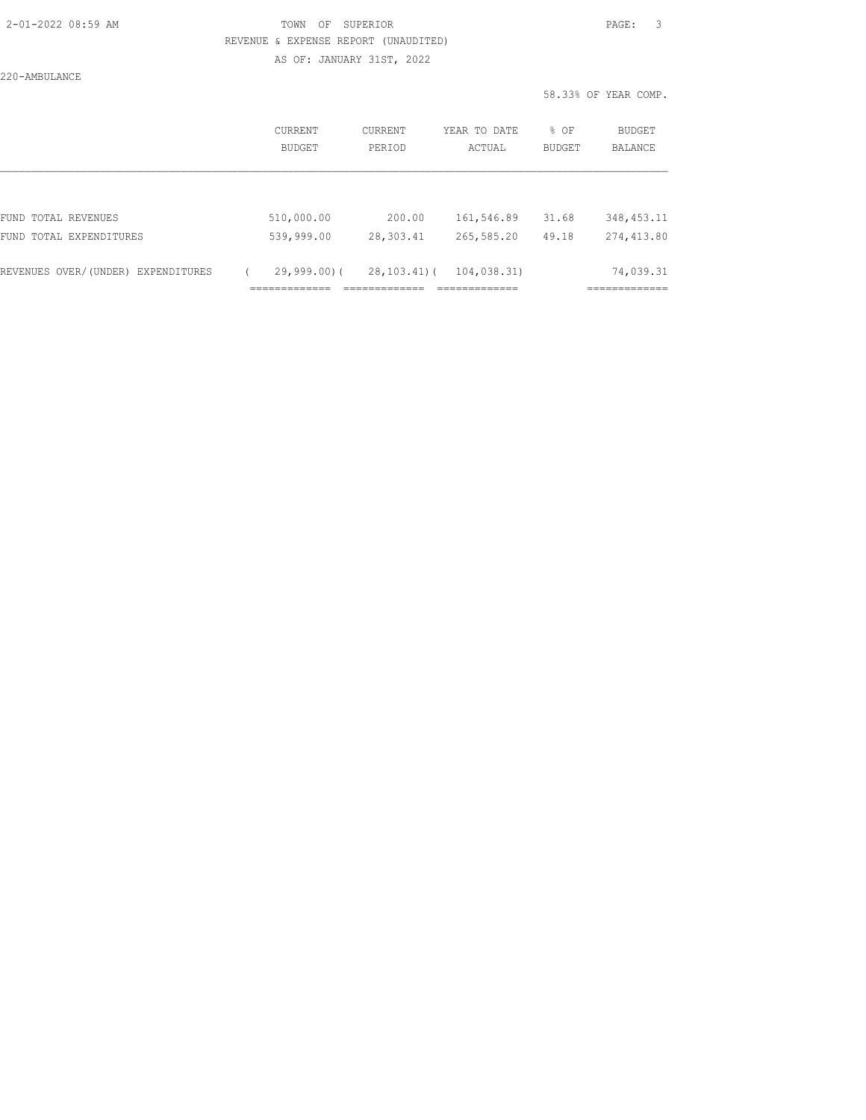AS OF: JANUARY 31ST, 2022

220-AMBULANCE

|                                    | CURRENT<br><b>BUDGET</b> | CURRENT<br>PERIOD | YEAR TO DATE<br>ACTUAL | % OF<br><b>BUDGET</b> | BUDGET<br><b>BALANCE</b> |
|------------------------------------|--------------------------|-------------------|------------------------|-----------------------|--------------------------|
|                                    |                          |                   |                        |                       |                          |
| FUND TOTAL REVENUES                | 510,000.00               | 200.00            | 161,546.89             | 31.68                 | 348, 453. 11             |
| FUND TOTAL EXPENDITURES            | 539,999.00               | 28,303.41         | 265,585.20             | 49.18                 | 274,413.80               |
| REVENUES OVER/(UNDER) EXPENDITURES | $29,999.00$ (            | $28, 103, 41)$ (  | 104,038.31)            |                       | 74,039.31                |
|                                    |                          |                   |                        |                       |                          |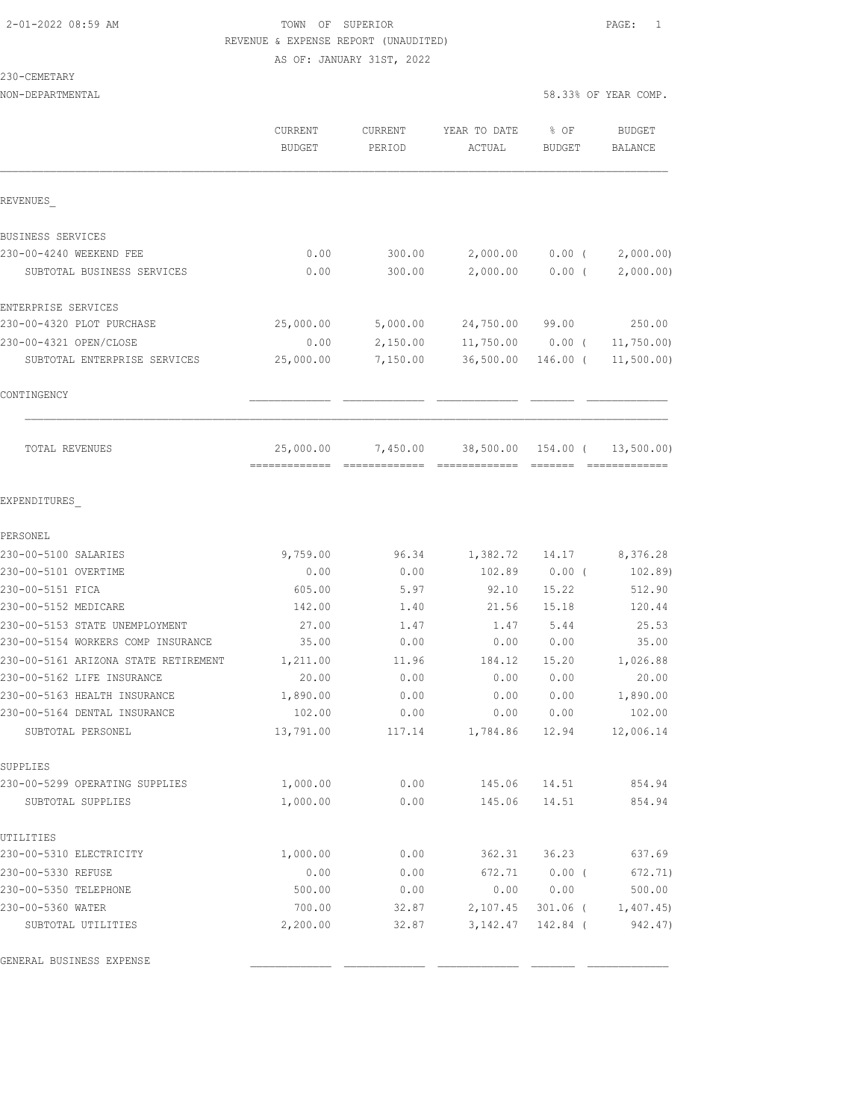AS OF: JANUARY 31ST, 2022

#### 230-CEMETARY

| NON-DEPARTMENTAL                     |                                              |                   |                            |                | 58.33% OF YEAR COMP.        |
|--------------------------------------|----------------------------------------------|-------------------|----------------------------|----------------|-----------------------------|
|                                      | CURRENT<br><b>BUDGET</b>                     | CURRENT<br>PERIOD | YEAR TO DATE<br>ACTUAL     | % OF<br>BUDGET | <b>BUDGET</b><br>BALANCE    |
| REVENUES                             |                                              |                   |                            |                |                             |
| BUSINESS SERVICES                    |                                              |                   |                            |                |                             |
| 230-00-4240 WEEKEND FEE              | 0.00                                         | 300.00            | 2,000.00                   | $0.00$ (       | 2,000.00                    |
| SUBTOTAL BUSINESS SERVICES           | 0.00                                         | 300.00            | 2,000.00                   | $0.00$ (       | 2,000.00)                   |
| ENTERPRISE SERVICES                  |                                              |                   |                            |                |                             |
| 230-00-4320 PLOT PURCHASE            | 25,000.00                                    | 5,000.00          | 24,750.00                  | 99.00          | 250.00                      |
| 230-00-4321 OPEN/CLOSE               | 0.00                                         | 2,150.00          | 11,750.00                  | $0.00$ (       | 11,750.00                   |
| SUBTOTAL ENTERPRISE SERVICES         | 25,000.00                                    | 7,150.00          | 36,500.00                  | 146.00 (       | 11,500.00)                  |
| CONTINGENCY                          |                                              |                   |                            |                |                             |
| TOTAL REVENUES                       | 25,000.00<br>=============================== | 7,450.00          | 38,500.00<br>============= | 154.00 (       | 13,500.00)<br>============= |
| EXPENDITURES                         |                                              |                   |                            |                |                             |
| PERSONEL                             |                                              |                   |                            |                |                             |
| 230-00-5100 SALARIES                 | 9,759.00                                     | 96.34             | 1,382.72                   | 14.17          | 8,376.28                    |
| 230-00-5101 OVERTIME                 | 0.00                                         | 0.00              | 102.89                     | $0.00$ (       | 102.89)                     |
| 230-00-5151 FICA                     | 605.00                                       | 5.97              | 92.10                      | 15.22          | 512.90                      |
| 230-00-5152 MEDICARE                 | 142.00                                       | 1.40              | 21.56                      | 15.18          | 120.44                      |
| 230-00-5153 STATE UNEMPLOYMENT       | 27.00                                        | 1.47              | 1.47                       | 5.44           | 25.53                       |
| 230-00-5154 WORKERS COMP INSURANCE   | 35.00                                        | 0.00              | 0.00                       | 0.00           | 35.00                       |
| 230-00-5161 ARIZONA STATE RETIREMENT | 1,211.00                                     | 11.96             | 184.12                     | 15.20          | 1,026.88                    |
| 230-00-5162 LIFE INSURANCE           | 20.00                                        | 0.00              | 0.00                       | 0.00           | 20.00                       |
| 230-00-5163 HEALTH INSURANCE         | 1,890.00                                     | 0.00              | 0.00                       | 0.00           | 1,890.00                    |
| 230-00-5164 DENTAL INSURANCE         | 102.00                                       | 0.00              | 0.00                       | 0.00           | 102.00                      |
| SUBTOTAL PERSONEL                    | 13,791.00                                    |                   | 117.14 1,784.86 12.94      |                | 12,006.14                   |
| SUPPLIES                             |                                              |                   |                            |                |                             |
| 230-00-5299 OPERATING SUPPLIES       | 1,000.00                                     | 0.00              | 145.06                     | 14.51          | 854.94                      |
| SUBTOTAL SUPPLIES                    | 1,000.00                                     | 0.00              | 145.06                     | 14.51          | 854.94                      |
| UTILITIES                            |                                              |                   |                            |                |                             |
| 230-00-5310 ELECTRICITY              | 1,000.00                                     | 0.00              | 362.31                     | 36.23          | 637.69                      |
| 230-00-5330 REFUSE                   | 0.00                                         | 0.00              | 672.71                     | $0.00$ (       | 672.71)                     |
| 230-00-5350 TELEPHONE                | 500.00                                       | 0.00              | 0.00                       | 0.00           | 500.00                      |
| 230-00-5360 WATER                    | 700.00                                       | 32.87             | 2,107.45                   |                | 301.06 ( 1,407.45)          |
| SUBTOTAL UTILITIES                   | 2,200.00                                     | 32.87             | 3,142.47                   | 142.84 (       | 942.47)                     |
| GENERAL BUSINESS EXPENSE             |                                              |                   |                            |                |                             |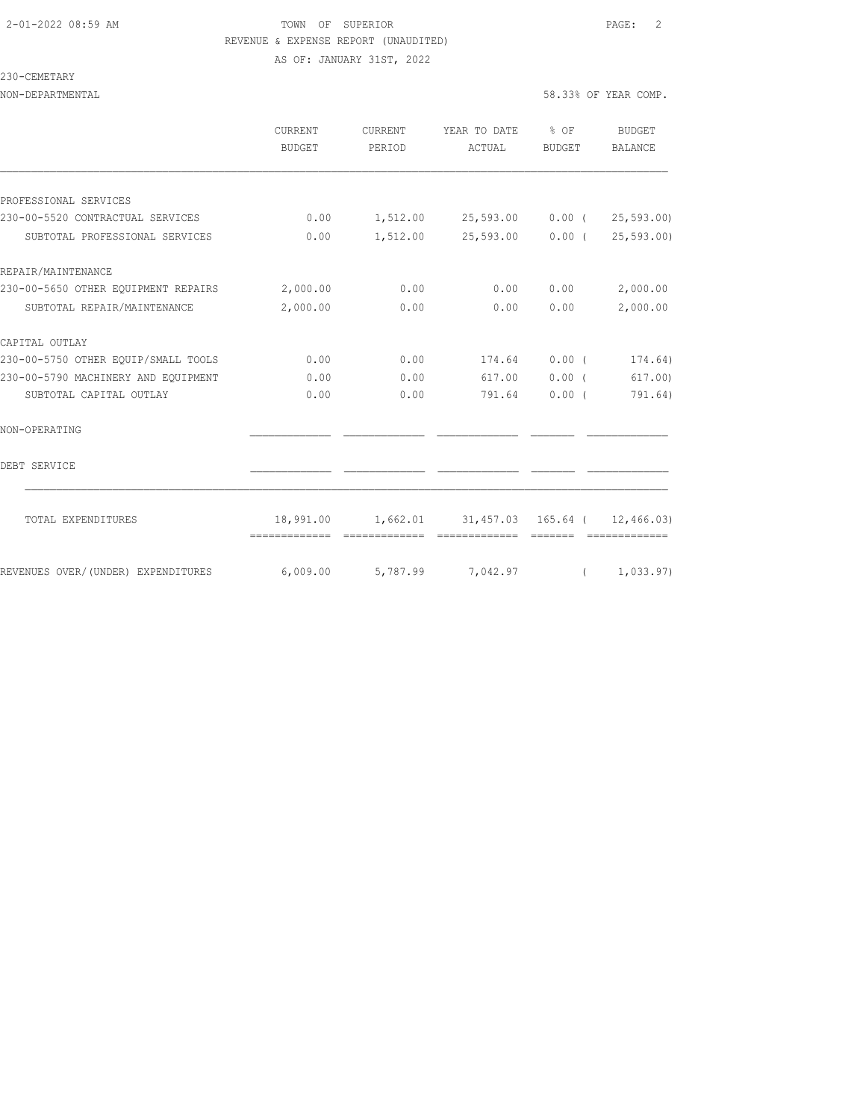AS OF: JANUARY 31ST, 2022

### 230-CEMETARY

|                                                           | CURRENT<br><b>BUDGET</b> | CURRENT<br>PERIOD | YEAR TO DATE<br>ACTUAL                                   | $8$ OF<br>BUDGET | BUDGET<br><b>BALANCE</b> |
|-----------------------------------------------------------|--------------------------|-------------------|----------------------------------------------------------|------------------|--------------------------|
|                                                           |                          |                   |                                                          |                  |                          |
| PROFESSIONAL SERVICES<br>230-00-5520 CONTRACTUAL SERVICES | 0.00                     |                   | $1,512.00$ $25,593.00$ $0.00$ ( $25,593.00$ )            |                  |                          |
| SUBTOTAL PROFESSIONAL SERVICES                            | 0.00                     |                   | $1,512.00$ $25,593.00$ $0.00$ ( $25,593.00$ )            |                  |                          |
| REPAIR/MAINTENANCE                                        |                          |                   |                                                          |                  |                          |
| 230-00-5650 OTHER EQUIPMENT REPAIRS 2,000.00              |                          | 0.00              | 0.00                                                     | 0.00             | 2,000.00                 |
| SUBTOTAL REPAIR/MAINTENANCE                               | 2,000.00                 | 0.00              | 0.00                                                     | 0.00             | 2,000.00                 |
| CAPITAL OUTLAY                                            |                          |                   |                                                          |                  |                          |
| 230-00-5750 OTHER EQUIP/SMALL TOOLS                       | 0.00                     | 0.00              | 174.64                                                   | $0.00$ (         | 174.64)                  |
| 230-00-5790 MACHINERY AND EOUIPMENT                       | 0.00                     | 0.00              | 617.00                                                   | 0.00(            | 617.00                   |
| SUBTOTAL CAPITAL OUTLAY                                   | 0.00                     | 0.00              | 791.64                                                   | $0.00$ (         | 791.64)                  |
| NON-OPERATING                                             |                          |                   |                                                          |                  |                          |
| DEBT SERVICE                                              |                          |                   |                                                          |                  |                          |
| TOTAL EXPENDITURES                                        |                          |                   | 18,991.00   1,662.01   31,457.03   165.64   ( 12,466.03) |                  |                          |
|                                                           | =============            |                   |                                                          |                  |                          |
| REVENUES OVER/(UNDER) EXPENDITURES                        | 6,009.00                 |                   | 5,787.99 7,042.97                                        | $\sqrt{2}$       | 1,033.97)                |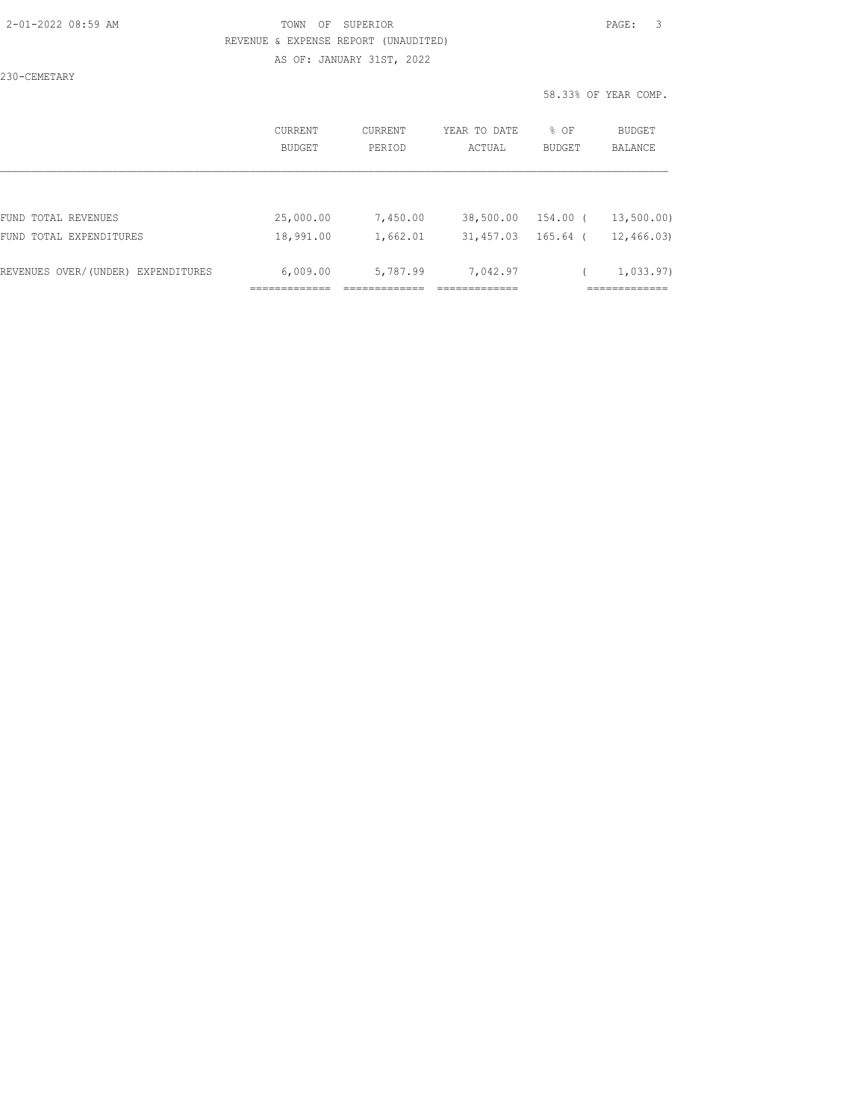AS OF: JANUARY 31ST, 2022

230-CEMETARY

|                                    | CURRENT<br>BUDGET | CURRENT<br>PERIOD | YEAR TO DATE<br>ACTUAL | % OF<br><b>BUDGET</b> | <b>BUDGET</b><br><b>BALANCE</b> |
|------------------------------------|-------------------|-------------------|------------------------|-----------------------|---------------------------------|
|                                    |                   |                   |                        |                       |                                 |
| FUND TOTAL REVENUES                | 25,000.00         | 7,450.00          | 38,500.00              | 154.00 (              | 13,500.00)                      |
| FUND TOTAL EXPENDITURES            | 18,991.00         | 1,662.01          | 31,457.03              | 165.64 (              | 12,466.03                       |
| REVENUES OVER/(UNDER) EXPENDITURES | 6,009.00          | 5,787.99          | 7,042.97               |                       | 1,033.97)                       |
|                                    |                   |                   |                        |                       |                                 |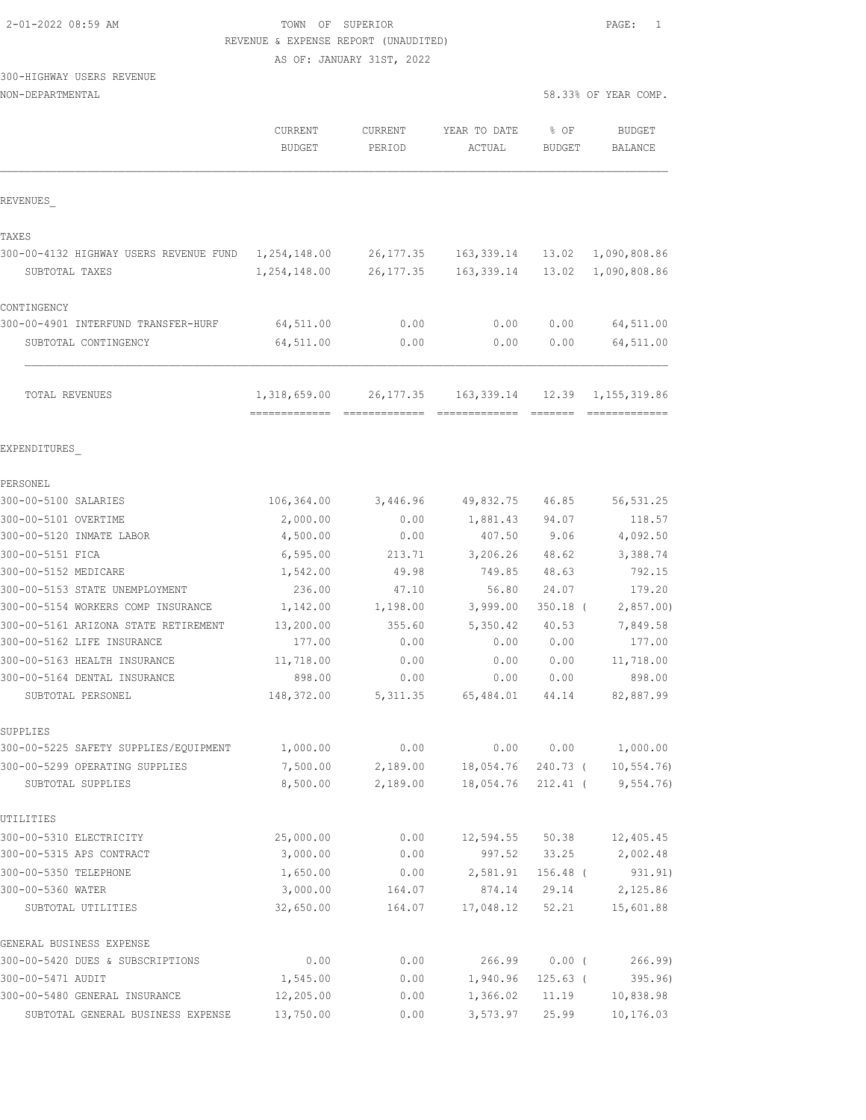#### TOWN OF SUPERIOR **Example 2010** PAGE: 1 REVENUE & EXPENSE REPORT (UNAUDITED)

AS OF: JANUARY 31ST, 2022

|                                                              | CURRENT<br><b>BUDGET</b> | <b>CURRENT</b><br>PERIOD | YEAR TO DATE<br>ACTUAL | % OF<br><b>BUDGET</b> | <b>BUDGET</b><br><b>BALANCE</b> |
|--------------------------------------------------------------|--------------------------|--------------------------|------------------------|-----------------------|---------------------------------|
| REVENUES                                                     |                          |                          |                        |                       |                                 |
| TAXES                                                        |                          |                          |                        |                       |                                 |
| 300-00-4132 HIGHWAY USERS REVENUE FUND                       | 1,254,148.00             | 26,177.35                | 163,339.14             | 13.02                 | 1,090,808.86                    |
| SUBTOTAL TAXES                                               | 1,254,148.00             | 26, 177.35               | 163, 339.14            | 13.02                 | 1,090,808.86                    |
| CONTINGENCY                                                  |                          |                          |                        |                       |                                 |
| 300-00-4901 INTERFUND TRANSFER-HURF                          | 64,511.00                | 0.00                     | 0.00                   | 0.00                  | 64,511.00                       |
| SUBTOTAL CONTINGENCY                                         | 64,511.00                | 0.00                     | 0.00                   | 0.00                  | 64,511.00                       |
| TOTAL REVENUES                                               | 1,318,659.00             | 26, 177.35               | 163,339.14             | 12.39                 | 1,155,319.86                    |
| EXPENDITURES                                                 |                          |                          |                        |                       |                                 |
| PERSONEL                                                     |                          |                          |                        |                       |                                 |
| 300-00-5100 SALARIES                                         | 106,364.00               | 3,446.96                 | 49,832.75              | 46.85                 | 56, 531.25                      |
| 300-00-5101 OVERTIME                                         | 2,000.00                 | 0.00                     | 1,881.43               | 94.07                 | 118.57                          |
| 300-00-5120 INMATE LABOR                                     | 4,500.00                 | 0.00                     | 407.50                 | 9.06                  | 4,092.50                        |
| 300-00-5151 FICA                                             | 6, 595.00                | 213.71                   | 3,206.26               | 48.62                 | 3,388.74                        |
| 300-00-5152 MEDICARE                                         | 1,542.00                 | 49.98                    | 749.85                 | 48.63                 | 792.15                          |
| 300-00-5153 STATE UNEMPLOYMENT                               | 236.00                   | 47.10                    | 56.80                  | 24.07                 | 179.20                          |
| 300-00-5154 WORKERS COMP INSURANCE                           | 1,142.00                 | 1,198.00                 | 3,999.00               | $350.18$ (            | 2,857.00                        |
| 300-00-5161 ARIZONA STATE RETIREMENT                         | 13,200.00                | 355.60                   | 5,350.42               | 40.53                 | 7,849.58                        |
| 300-00-5162 LIFE INSURANCE                                   | 177.00                   | 0.00                     | 0.00                   | 0.00                  | 177.00                          |
| 300-00-5163 HEALTH INSURANCE                                 | 11,718.00                | 0.00                     | 0.00                   | 0.00                  | 11,718.00                       |
| 300-00-5164 DENTAL INSURANCE                                 | 898.00                   | 0.00                     | 0.00                   | 0.00                  | 898.00                          |
| SUBTOTAL PERSONEL                                            | 148,372.00               | 5, 311.35                | 65,484.01              | 44.14                 | 82,887.99                       |
| SUPPLIES                                                     |                          |                          |                        |                       |                                 |
| 300-00-5225 SAFETY SUPPLIES/EQUIPMENT                        | 1,000.00                 | 0.00                     | 0.00                   | 0.00                  | 1,000.00                        |
| 300-00-5299 OPERATING SUPPLIES                               | 7,500.00                 | 2,189.00                 | 18,054.76              | 240.73 (              | 10, 554.76                      |
| SUBTOTAL SUPPLIES                                            | 8,500.00                 | 2,189.00                 | 18,054.76              | $212.41$ (            | 9,554.76                        |
| UTILITIES                                                    |                          |                          |                        |                       |                                 |
| 300-00-5310 ELECTRICITY                                      | 25,000.00                | 0.00                     | 12,594.55              | 50.38                 | 12,405.45                       |
| 300-00-5315 APS CONTRACT                                     | 3,000.00                 | 0.00                     | 997.52                 | 33.25                 | 2,002.48                        |
| 300-00-5350 TELEPHONE                                        | 1,650.00                 | 0.00                     | 2,581.91               | 156.48 (              | 931.91)                         |
| 300-00-5360 WATER<br>SUBTOTAL UTILITIES                      | 3,000.00<br>32,650.00    | 164.07<br>164.07         | 874.14<br>17,048.12    | 29.14<br>52.21        | 2,125.86<br>15,601.88           |
|                                                              |                          |                          |                        |                       |                                 |
| GENERAL BUSINESS EXPENSE<br>300-00-5420 DUES & SUBSCRIPTIONS | 0.00                     | 0.00                     | 266.99                 | $0.00$ (              | 266.99                          |
| 300-00-5471 AUDIT                                            | 1,545.00                 | 0.00                     | 1,940.96               | $125.63$ (            | 395.96)                         |
| 300-00-5480 GENERAL INSURANCE                                | 12,205.00                | 0.00                     | 1,366.02               | 11.19                 | 10,838.98                       |
| SUBTOTAL GENERAL BUSINESS EXPENSE                            | 13,750.00                | 0.00                     | 3,573.97               | 25.99                 | 10,176.03                       |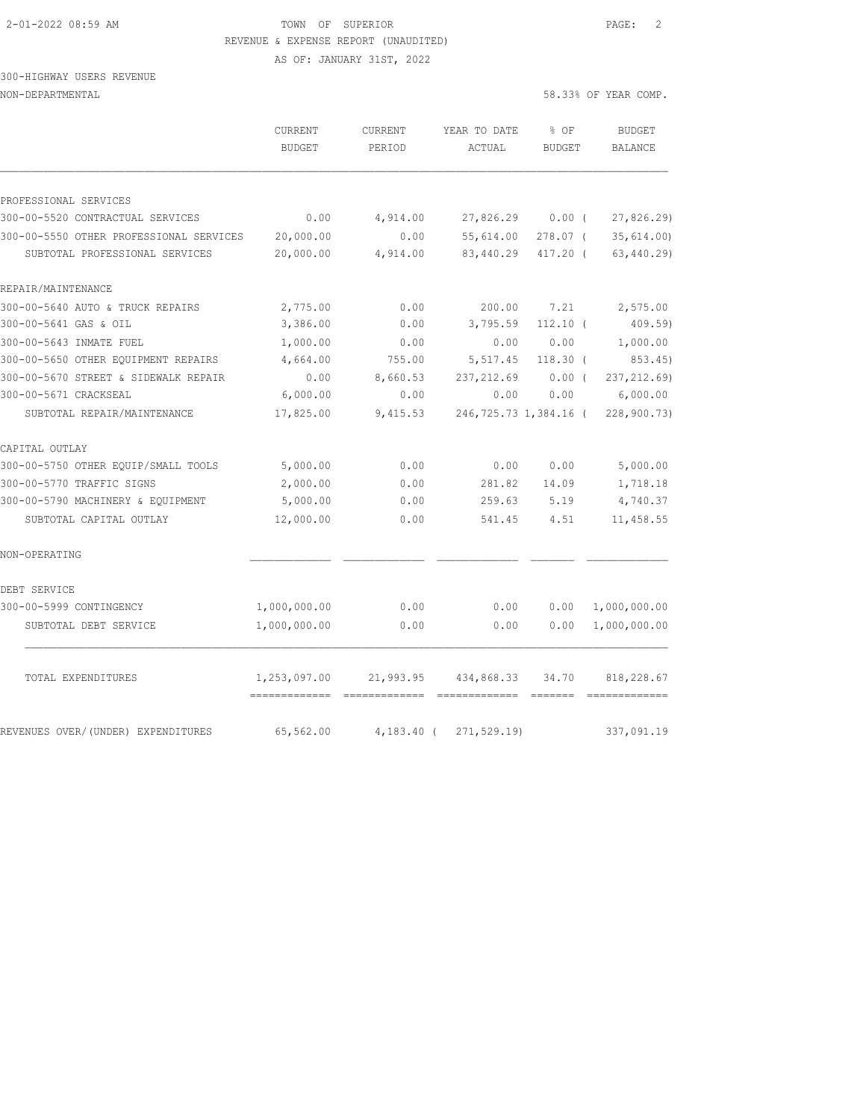AS OF: JANUARY 31ST, 2022

### 300-HIGHWAY USERS REVENUE NON-DEPARTMENTAL 58

| 8.33% OF YEAR COMP. |
|---------------------|
|---------------------|

|                                                                           | CURRENT<br><b>BUDGET</b> | CURRENT<br>PERIOD | YEAR TO DATE<br>ACTUAL | $8$ OF<br>BUDGET     | <b>BUDGET</b><br><b>BALANCE</b> |
|---------------------------------------------------------------------------|--------------------------|-------------------|------------------------|----------------------|---------------------------------|
|                                                                           |                          |                   |                        |                      |                                 |
| PROFESSIONAL SERVICES                                                     |                          |                   |                        |                      |                                 |
| 300-00-5520 CONTRACTUAL SERVICES                                          | 0.00                     | 4,914.00          | 27,826.29              | 0.00(                | 27,826.29)                      |
| 300-00-5550 OTHER PROFESSIONAL SERVICES<br>SUBTOTAL PROFESSIONAL SERVICES | 20,000.00<br>20,000.00   | 0.00<br>4,914.00  | 55,614.00<br>83,440.29 | 278.07 (<br>417.20 ( | 35,614.00<br>63, 440.29         |
| REPAIR/MAINTENANCE                                                        |                          |                   |                        |                      |                                 |
| 300-00-5640 AUTO & TRUCK REPAIRS                                          | 2,775.00                 | 0.00              | 200.00                 | 7.21                 | 2,575.00                        |
| 300-00-5641 GAS & OIL                                                     | 3,386.00                 | 0.00              | 3,795.59               | $112.10$ (           | 409.59                          |
| 300-00-5643 INMATE FUEL                                                   | 1,000.00                 | 0.00              | 0.00                   | 0.00                 | 1,000.00                        |
| 300-00-5650 OTHER EQUIPMENT REPAIRS                                       | 4,664.00                 | 755.00            | 5,517.45               | $118.30$ (           | 853.45)                         |
| 300-00-5670 STREET & SIDEWALK REPAIR                                      | 0.00                     | 8,660.53          | 237, 212.69            | $0.00$ (             | 237, 212.69)                    |
| 300-00-5671 CRACKSEAL                                                     | 6,000.00                 | 0.00              | 0.00                   | 0.00                 | 6,000.00                        |
| SUBTOTAL REPAIR/MAINTENANCE                                               | 17,825.00                | 9,415.53          | 246,725.73 1,384.16 (  |                      | 228,900.73)                     |
| CAPITAL OUTLAY                                                            |                          |                   |                        |                      |                                 |
| 300-00-5750 OTHER EQUIP/SMALL TOOLS                                       | 5,000.00                 | 0.00              | 0.00                   | 0.00                 | 5,000.00                        |
| 300-00-5770 TRAFFIC SIGNS                                                 | 2,000.00                 | 0.00              | 281.82                 | 14.09                | 1,718.18                        |
| 300-00-5790 MACHINERY & EQUIPMENT                                         | 5,000.00                 | 0.00              | 259.63                 | 5.19                 | 4,740.37                        |
| SUBTOTAL CAPITAL OUTLAY                                                   | 12,000.00                | 0.00              | 541.45                 | 4.51                 | 11,458.55                       |
| NON-OPERATING                                                             |                          |                   |                        |                      |                                 |
| DEBT SERVICE                                                              |                          |                   |                        |                      |                                 |
| 300-00-5999 CONTINGENCY                                                   | 1,000,000.00             | 0.00              | 0.00                   | 0.00                 | 1,000,000.00                    |
| SUBTOTAL DEBT SERVICE                                                     | 1,000,000.00             | 0.00              | 0.00                   | 0.00                 | 1,000,000.00                    |
| TOTAL EXPENDITURES                                                        | 1,253,097.00             | 21,993.95         | 434,868.33             | 34.70                | 818,228.67<br>=============     |
| REVENUES OVER/(UNDER) EXPENDITURES                                        | 65,562.00                | $4,183.40$ (      | 271, 529.19            |                      | 337,091.19                      |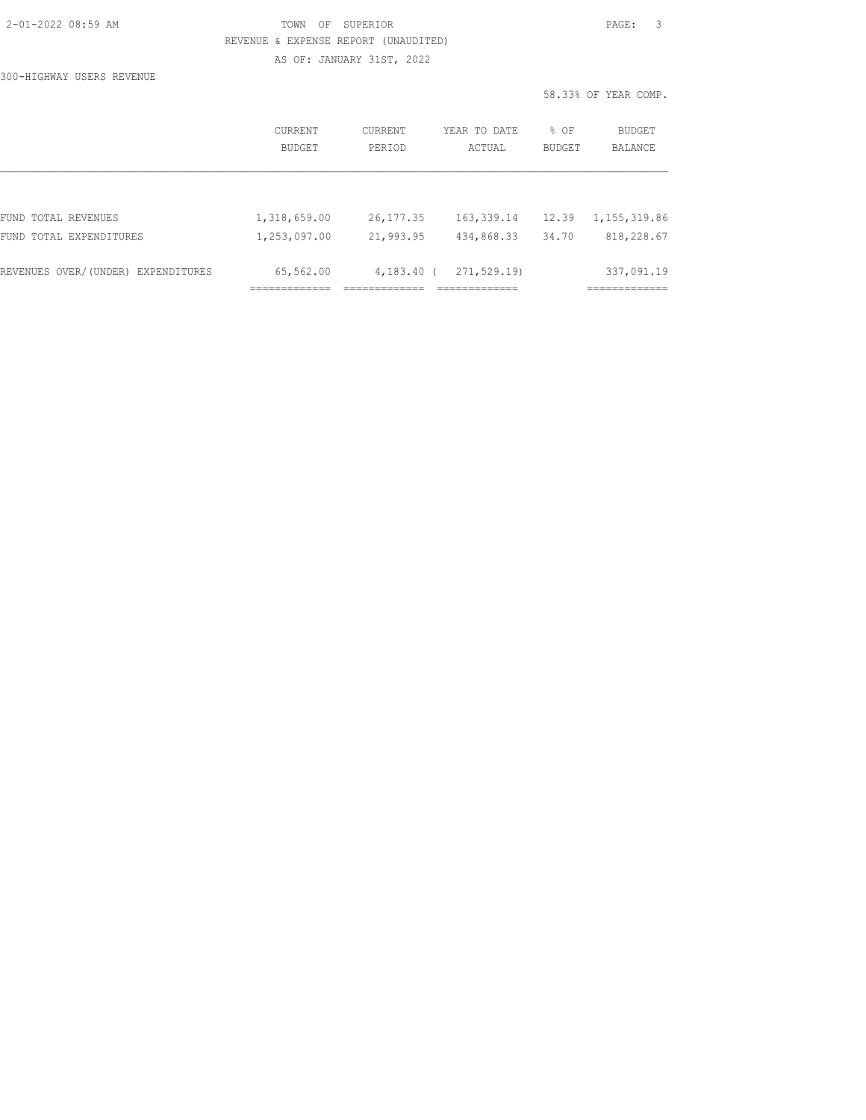|  | 2-01-2022 08:59 AM |  |
|--|--------------------|--|
|  |                    |  |

## TOWN OF SUPERIOR **Example 20:20 AM TOWN OF SUPERIOR**  REVENUE & EXPENSE REPORT (UNAUDITED) AS OF: JANUARY 31ST, 2022

300-HIGHWAY USERS REVENUE

|                                    | CURRENT<br><b>BUDGET</b> | <b>CURRENT</b><br>PERIOD | YEAR TO DATE<br>ACTUAL | % OF<br><b>BUDGET</b> | <b>BUDGET</b><br><b>BALANCE</b> |
|------------------------------------|--------------------------|--------------------------|------------------------|-----------------------|---------------------------------|
|                                    |                          |                          |                        |                       |                                 |
| FUND TOTAL REVENUES                | 1,318,659.00             | 26, 177.35               | 163, 339.14            | 12.39                 | 1, 155, 319.86                  |
| FUND TOTAL EXPENDITURES            | 1,253,097.00             | 21,993.95                | 434,868.33             | 34.70                 | 818,228.67                      |
| REVENUES OVER/(UNDER) EXPENDITURES | 65,562.00                | $4,183,40$ (             | 271,529.19)            |                       | 337,091.19                      |
|                                    |                          |                          |                        |                       |                                 |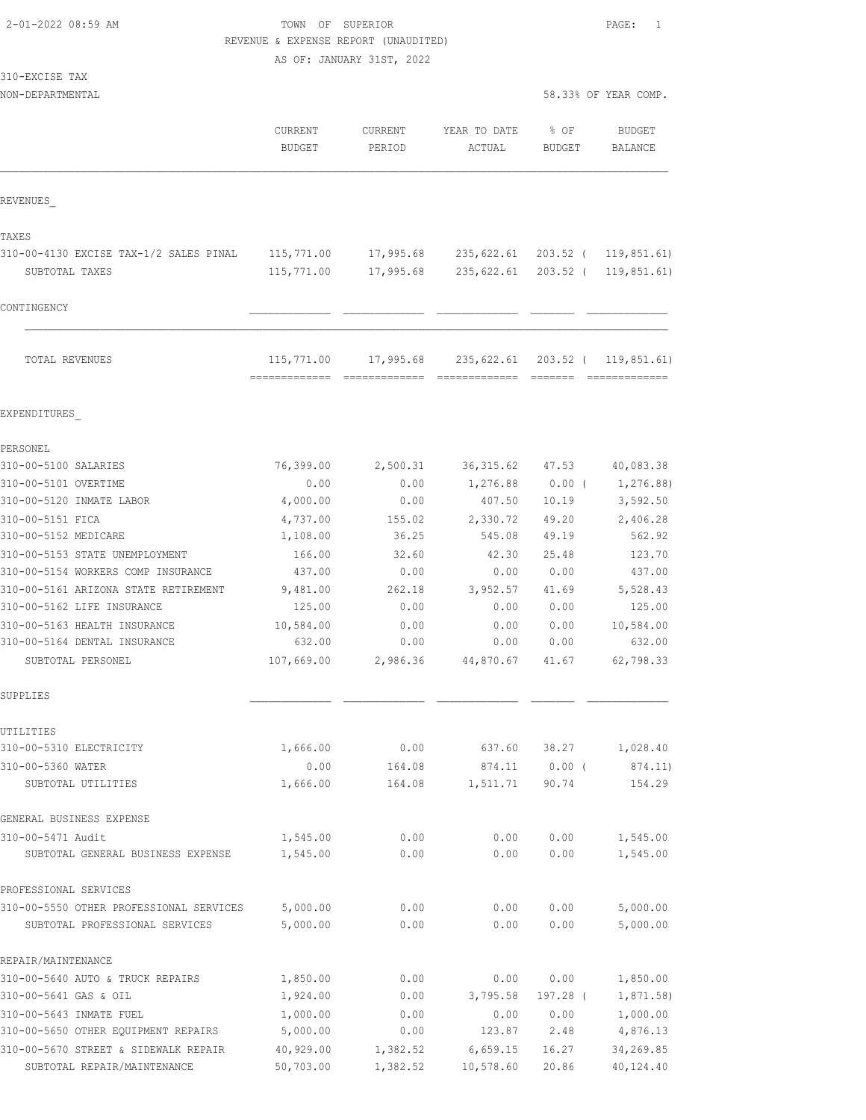## TOWN OF SUPERIOR **PAGE:** 1 REVENUE & EXPENSE REPORT (UNAUDITED)

AS OF: JANUARY 31ST, 2022

#### 310-EXCISE TAX

| 08.33% OF YEAR COMP. |  |  |
|----------------------|--|--|
|                      |  |  |

|                                         | <b>CURRENT</b><br><b>BUDGET</b> | <b>CURRENT</b><br>PERIOD | YEAR TO DATE<br>ACTUAL      | % OF<br>BUDGET | <b>BUDGET</b><br>BALANCE |
|-----------------------------------------|---------------------------------|--------------------------|-----------------------------|----------------|--------------------------|
| REVENUES                                |                                 |                          |                             |                |                          |
| TAXES                                   |                                 |                          |                             |                |                          |
| 310-00-4130 EXCISE TAX-1/2 SALES PINAL  | 115,771.00                      | 17,995.68                | 235,622.61                  |                | 203.52 ( 119,851.61)     |
| SUBTOTAL TAXES                          | 115,771.00                      | 17,995.68                | 235,622.61                  |                | 203.52 ( 119,851.61)     |
| CONTINGENCY                             |                                 |                          |                             |                |                          |
| TOTAL REVENUES                          | 115,771.00<br>-------------     | 17,995.68                | 235,622.61<br>============= |                | 203.52 ( 119,851.61)     |
| EXPENDITURES                            |                                 |                          |                             |                |                          |
| PERSONEL                                |                                 |                          |                             |                |                          |
| 310-00-5100 SALARIES                    | 76,399.00                       | 2,500.31                 | 36, 315.62 47.53            |                | 40,083.38                |
| 310-00-5101 OVERTIME                    | 0.00                            | 0.00                     | 1,276.88                    | $0.00$ (       | 1,276.88)                |
| 310-00-5120 INMATE LABOR                | 4,000.00                        | 0.00                     | 407.50                      | 10.19          | 3,592.50                 |
| 310-00-5151 FICA                        | 4,737.00                        | 155.02                   | 2,330.72                    | 49.20          | 2,406.28                 |
| 310-00-5152 MEDICARE                    | 1,108.00                        | 36.25                    | 545.08                      | 49.19          | 562.92                   |
| 310-00-5153 STATE UNEMPLOYMENT          | 166.00                          | 32.60                    | 42.30                       | 25.48          | 123.70                   |
| 310-00-5154 WORKERS COMP INSURANCE      | 437.00                          | 0.00                     | 0.00                        | 0.00           | 437.00                   |
| 310-00-5161 ARIZONA STATE RETIREMENT    | 9,481.00                        | 262.18                   | 3,952.57                    | 41.69          | 5,528.43                 |
| 310-00-5162 LIFE INSURANCE              | 125.00                          | 0.00                     | 0.00                        | 0.00           | 125.00                   |
| 310-00-5163 HEALTH INSURANCE            | 10,584.00                       | 0.00                     | 0.00                        | 0.00           | 10,584.00                |
| 310-00-5164 DENTAL INSURANCE            | 632.00                          | 0.00                     | 0.00                        | 0.00           | 632.00                   |
| SUBTOTAL PERSONEL                       | 107,669.00                      | 2,986.36                 | 44,870.67                   | 41.67          | 62,798.33                |
| SUPPLIES                                |                                 |                          |                             |                |                          |
| UTILITIES                               |                                 |                          |                             |                |                          |
| 310-00-5310 ELECTRICITY                 | 1,666.00                        | 0.00                     | 637.60                      | 38.27          | 1,028.40                 |
| 310-00-5360 WATER                       | 0.00                            | 164.08                   | 874.11                      | $0.00$ (       | 874.11)                  |
| SUBTOTAL UTILITIES                      | 1,666.00                        | 164.08                   | 1,511.71                    | 90.74          | 154.29                   |
| GENERAL BUSINESS EXPENSE                |                                 |                          |                             |                |                          |
| 310-00-5471 Audit                       | 1,545.00                        | 0.00                     | 0.00                        | 0.00           | 1,545.00                 |
| SUBTOTAL GENERAL BUSINESS EXPENSE       | 1,545.00                        | 0.00                     | 0.00                        | 0.00           | 1,545.00                 |
| PROFESSIONAL SERVICES                   |                                 |                          |                             |                |                          |
| 310-00-5550 OTHER PROFESSIONAL SERVICES | 5,000.00                        | 0.00                     | 0.00                        | 0.00           | 5,000.00                 |
| SUBTOTAL PROFESSIONAL SERVICES          | 5,000.00                        | 0.00                     | 0.00                        | 0.00           | 5,000.00                 |
| REPAIR/MAINTENANCE                      |                                 |                          |                             |                |                          |
| 310-00-5640 AUTO & TRUCK REPAIRS        | 1,850.00                        | 0.00                     | 0.00                        | 0.00           | 1,850.00                 |
| 310-00-5641 GAS & OIL                   | 1,924.00                        | 0.00                     | 3,795.58                    | 197.28 (       | 1,871.58)                |
| 310-00-5643 INMATE FUEL                 | 1,000.00                        | 0.00                     | 0.00                        | 0.00           | 1,000.00                 |
| 310-00-5650 OTHER EQUIPMENT REPAIRS     | 5,000.00                        | 0.00                     | 123.87                      | 2.48           | 4,876.13                 |
| 310-00-5670 STREET & SIDEWALK REPAIR    | 40,929.00                       | 1,382.52                 | 6,659.15                    | 16.27          | 34,269.85                |
| SUBTOTAL REPAIR/MAINTENANCE             | 50,703.00                       | 1,382.52                 | 10,578.60                   | 20.86          | 40,124.40                |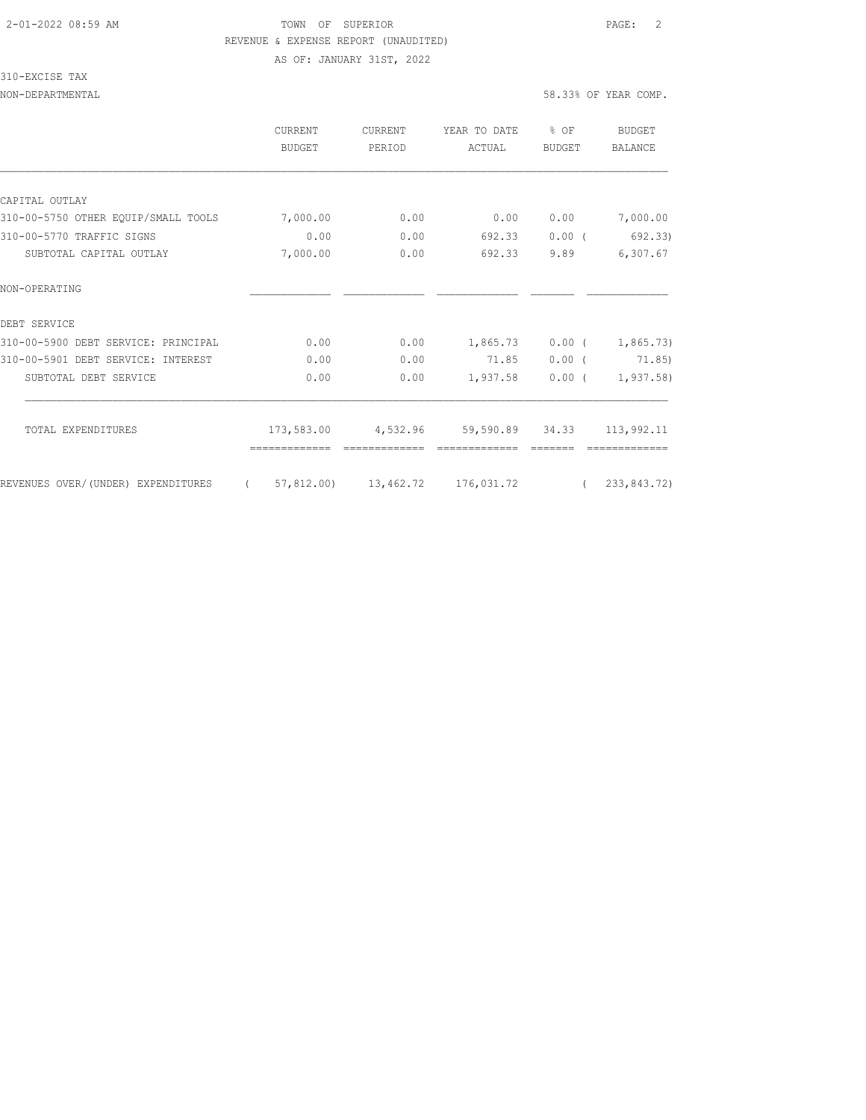AS OF: JANUARY 31ST, 2022

## 310-EXCISE TAX

|                                     | CURRENT<br><b>BUDGET</b> | <b>CURRENT</b><br>PERIOD | YEAR TO DATE<br>ACTUAL     | % OF<br>BUDGET | BUDGET<br>BALANCE |
|-------------------------------------|--------------------------|--------------------------|----------------------------|----------------|-------------------|
|                                     |                          |                          |                            |                |                   |
| CAPITAL OUTLAY                      |                          |                          |                            |                |                   |
| 310-00-5750 OTHER EQUIP/SMALL TOOLS | 7,000.00                 | 0.00                     | 0.00                       | 0.00           | 7,000.00          |
| 310-00-5770 TRAFFIC SIGNS           | 0.00                     | 0.00                     | 692.33                     | $0.00$ (       | 692.33)           |
| SUBTOTAL CAPITAL OUTLAY             | 7,000.00                 | 0.00                     | 692.33                     | 9.89           | 6,307.67          |
| NON-OPERATING                       |                          |                          |                            |                |                   |
| DEBT SERVICE                        |                          |                          |                            |                |                   |
| 310-00-5900 DEBT SERVICE: PRINCIPAL | 0.00                     | 0.00                     | 1,865.73                   | $0.00$ (       | 1,865.73          |
| 310-00-5901 DEBT SERVICE: INTEREST  | 0.00                     | 0.00                     | 71.85                      | $0.00$ (       | 71.85)            |
| SUBTOTAL DEBT SERVICE               | 0.00                     | 0.00                     | 1,937.58                   | $0.00$ (       | 1, 937.58         |
| TOTAL EXPENDITURES                  | 173,583.00               | 4,532.96                 | 59,590.89 34.33 113,992.11 |                |                   |
| REVENUES OVER/(UNDER) EXPENDITURES  | 57,812.00)<br>$\left($   | 13,462.72                | 176,031.72                 | $\left($       | 233,843.72)       |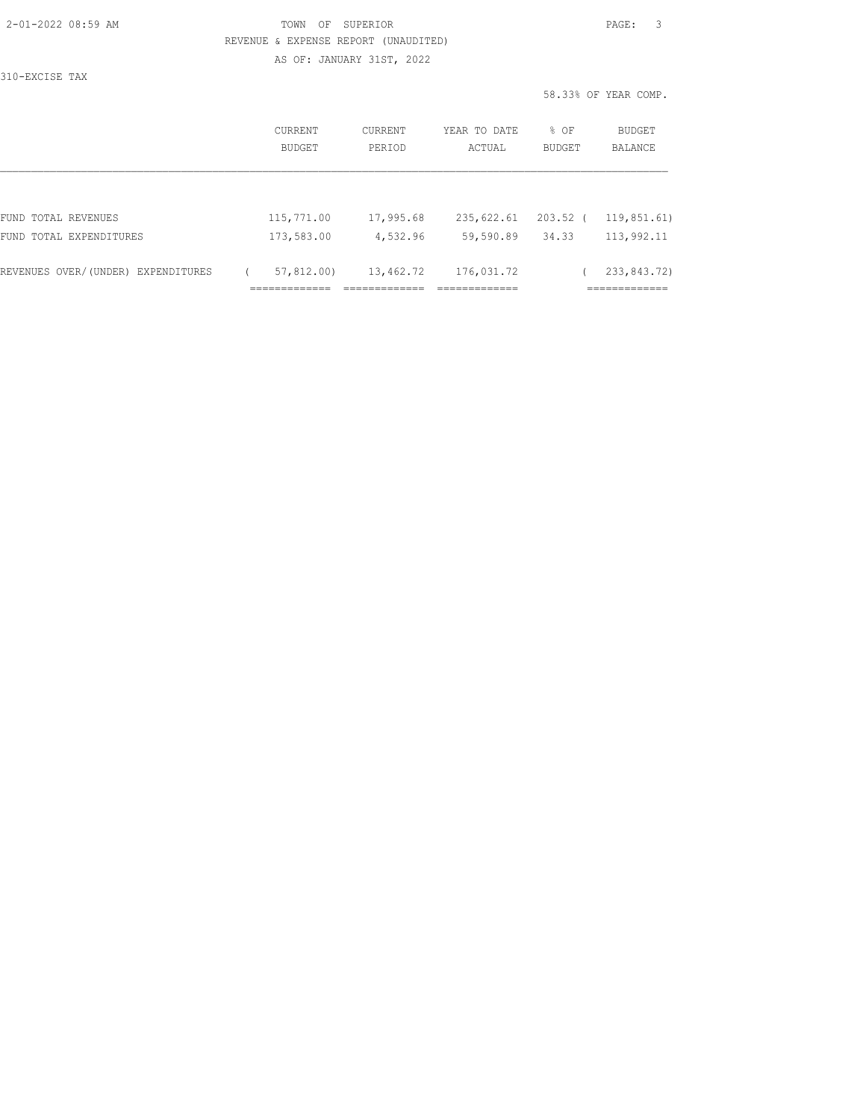AS OF: JANUARY 31ST, 2022

310-EXCISE TAX

|                                    | CURRENT<br>BUDGET | CURRENT<br>YEAR TO DATE<br>PERIOD<br>ACTUAL |            | % OF<br>BUDGET | BUDGET<br>BALANCE           |
|------------------------------------|-------------------|---------------------------------------------|------------|----------------|-----------------------------|
|                                    |                   |                                             |            |                |                             |
| FUND TOTAL REVENUES                | 115,771.00        | 17,995.68                                   | 235,622.61 | 203.52         | 119,851.61)                 |
| FUND TOTAL EXPENDITURES            | 173,583.00        | 4,532.96                                    | 59,590.89  | 34.33          | 113,992.11                  |
| REVENUES OVER/(UNDER) EXPENDITURES | 57,812,00)        | 13,462.72                                   | 176,031.72 |                | 233,843.72)<br>------------ |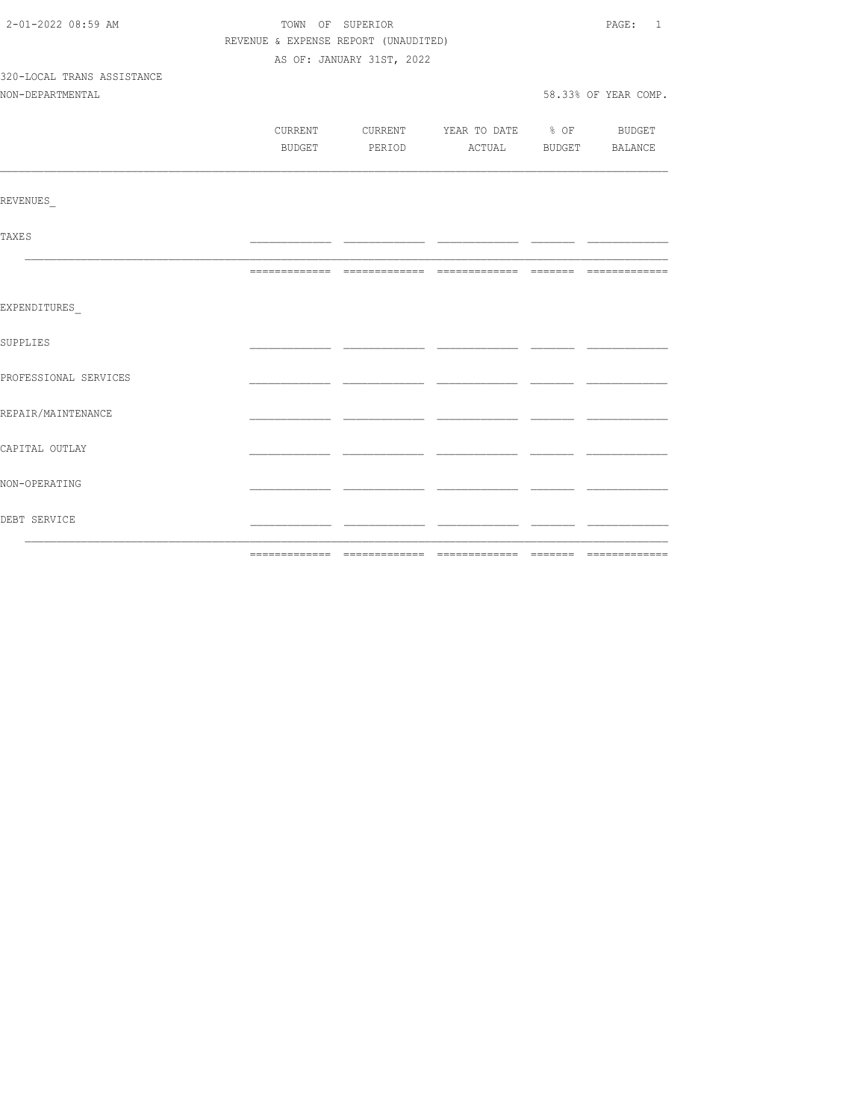| 2-01-2022 08:59 AM         | TOWN OF SUPERIOR                     | PAGE: 1                   |                                          |  |                      |
|----------------------------|--------------------------------------|---------------------------|------------------------------------------|--|----------------------|
|                            | REVENUE & EXPENSE REPORT (UNAUDITED) |                           |                                          |  |                      |
|                            |                                      | AS OF: JANUARY 31ST, 2022 |                                          |  |                      |
| 320-LOCAL TRANS ASSISTANCE |                                      |                           |                                          |  |                      |
| NON-DEPARTMENTAL           |                                      |                           |                                          |  | 58.33% OF YEAR COMP. |
|                            |                                      |                           |                                          |  |                      |
|                            |                                      |                           | CURRENT CURRENT YEAR TO DATE % OF BUDGET |  |                      |
|                            |                                      |                           | BUDGET PERIOD ACTUAL BUDGET BALANCE      |  |                      |
| REVENUES                   |                                      |                           |                                          |  |                      |
|                            |                                      |                           |                                          |  |                      |
| <b>TAXES</b>               |                                      |                           |                                          |  |                      |
|                            |                                      |                           |                                          |  |                      |
| EXPENDITURES               |                                      |                           |                                          |  |                      |
| SUPPLIES                   |                                      |                           |                                          |  |                      |
| PROFESSIONAL SERVICES      |                                      |                           |                                          |  |                      |
| REPAIR/MAINTENANCE         |                                      |                           |                                          |  |                      |
| CAPITAL OUTLAY             |                                      |                           |                                          |  |                      |
| NON-OPERATING              |                                      |                           |                                          |  |                      |
| DEBT SERVICE               |                                      |                           |                                          |  |                      |
|                            |                                      |                           |                                          |  |                      |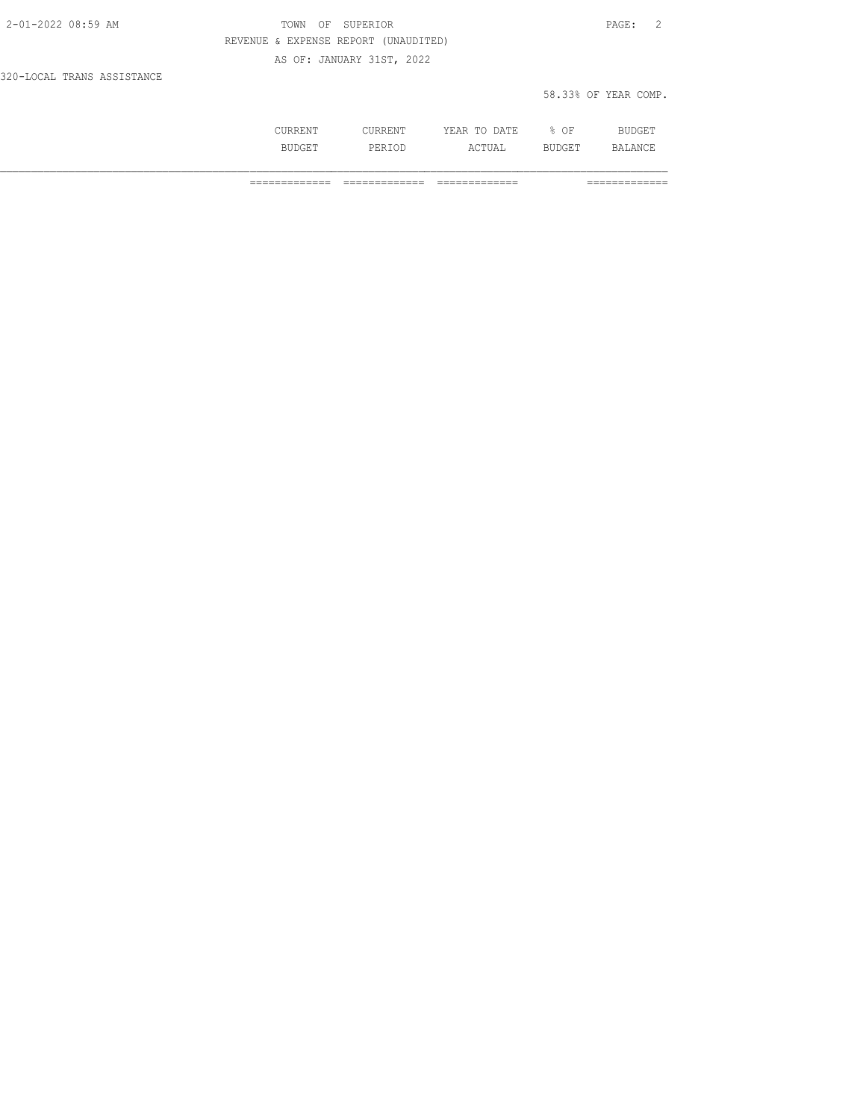| 2-01-2022 08:59 AM         | TOWN OF SUPERIOR                     | $\overline{2}$<br>PAGE: |  |
|----------------------------|--------------------------------------|-------------------------|--|
|                            | REVENUE & EXPENSE REPORT (UNAUDITED) |                         |  |
|                            | AS OF: JANUARY 31ST, 2022            |                         |  |
| 320-LOCAL TRANS ASSISTANCE |                                      |                         |  |

| 58.33% OF YEAR COMP. |  |  |
|----------------------|--|--|
|                      |  |  |

|  | m <sub>T</sub><br>.<br>---- | ΟF |  |
|--|-----------------------------|----|--|
|  | .                           | -- |  |

============= ============= ============= =============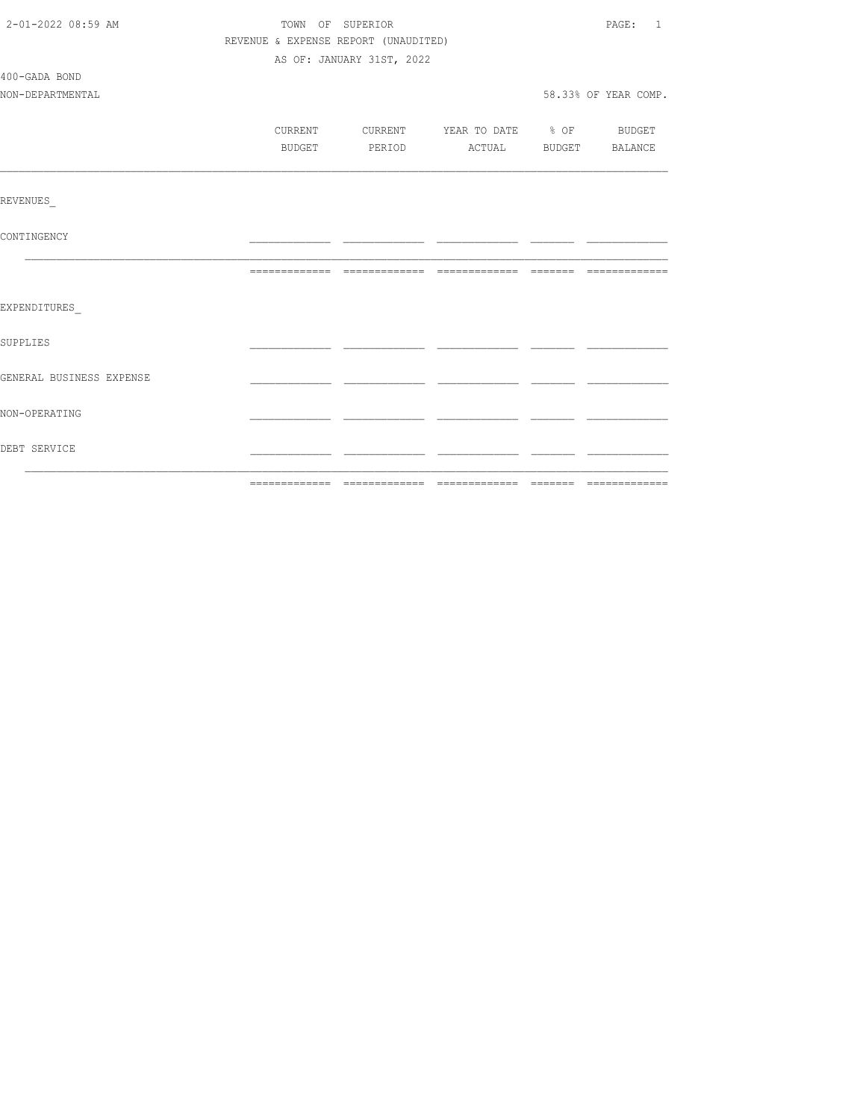| 2-01-2022 08:59 AM       | TOWN OF SUPERIOR                     | PAGE: 1                   |                          |                      |
|--------------------------|--------------------------------------|---------------------------|--------------------------|----------------------|
|                          | REVENUE & EXPENSE REPORT (UNAUDITED) |                           |                          |                      |
|                          |                                      | AS OF: JANUARY 31ST, 2022 |                          |                      |
| 400-GADA BOND            |                                      |                           |                          |                      |
| NON-DEPARTMENTAL         |                                      |                           |                          | 58.33% OF YEAR COMP. |
|                          |                                      |                           |                          |                      |
|                          | CURRENT                              | CURRENT                   | YEAR TO DATE % OF BUDGET |                      |
|                          | BUDGET                               | PERIOD                    | ACTUAL BUDGET BALANCE    |                      |
|                          |                                      |                           |                          |                      |
| REVENUES                 |                                      |                           |                          |                      |
| CONTINGENCY              |                                      |                           |                          |                      |
|                          |                                      |                           |                          |                      |
| EXPENDITURES             |                                      |                           |                          |                      |
| <b>SUPPLIES</b>          |                                      |                           |                          |                      |
| GENERAL BUSINESS EXPENSE |                                      |                           |                          |                      |
| NON-OPERATING            |                                      |                           |                          |                      |
| DEBT SERVICE             |                                      |                           |                          |                      |
|                          |                                      |                           |                          |                      |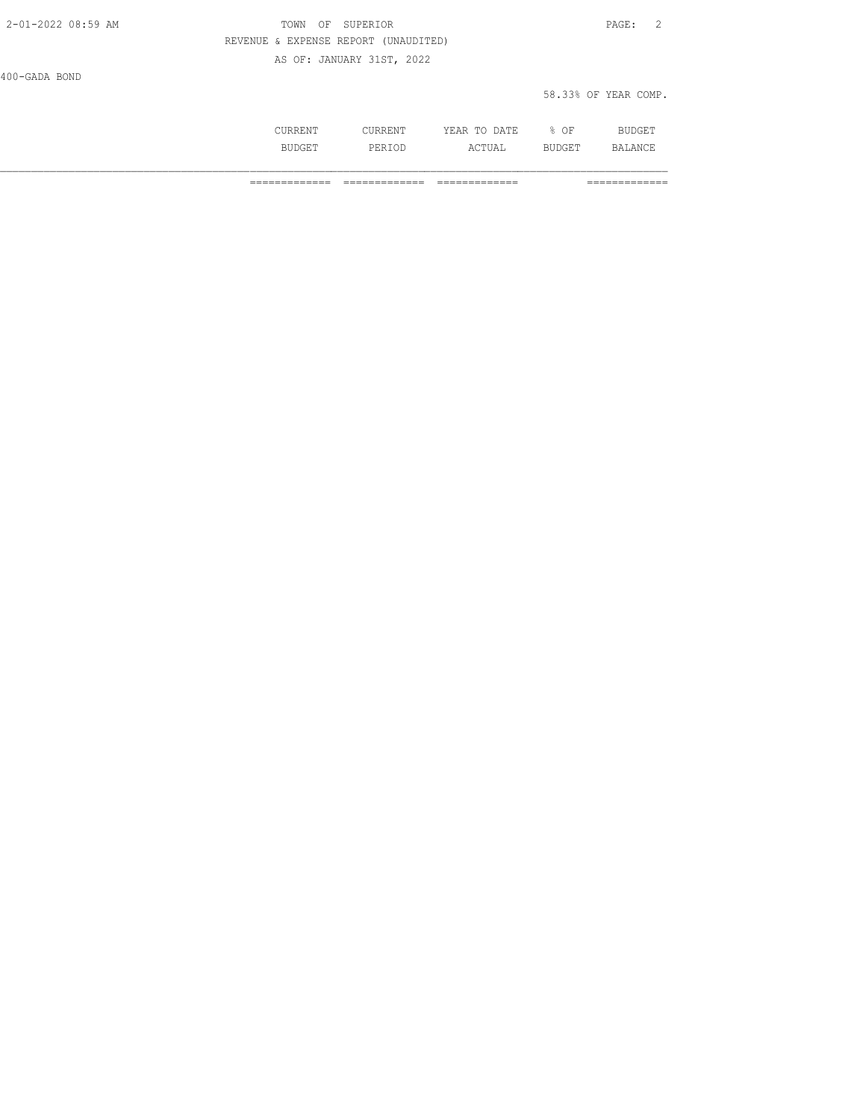| 2-01-2022 08:59 AM | TOWN OF SUPERIOR                     | PAGE: 2 |  |
|--------------------|--------------------------------------|---------|--|
|                    | REVENUE & EXPENSE REPORT (UNAUDITED) |         |  |
|                    | AS OF: JANUARY 31ST, 2022            |         |  |
| 100.035200         |                                      |         |  |

| $-11$ | ۰ |  |
|-------|---|--|
|       |   |  |

58.33% OF YEAR COMP.

|        |     | ັ້<br>$\sim$ $\sim$ |  |
|--------|-----|---------------------|--|
| $\sim$ | --- |                     |  |

============= ============= ============= =============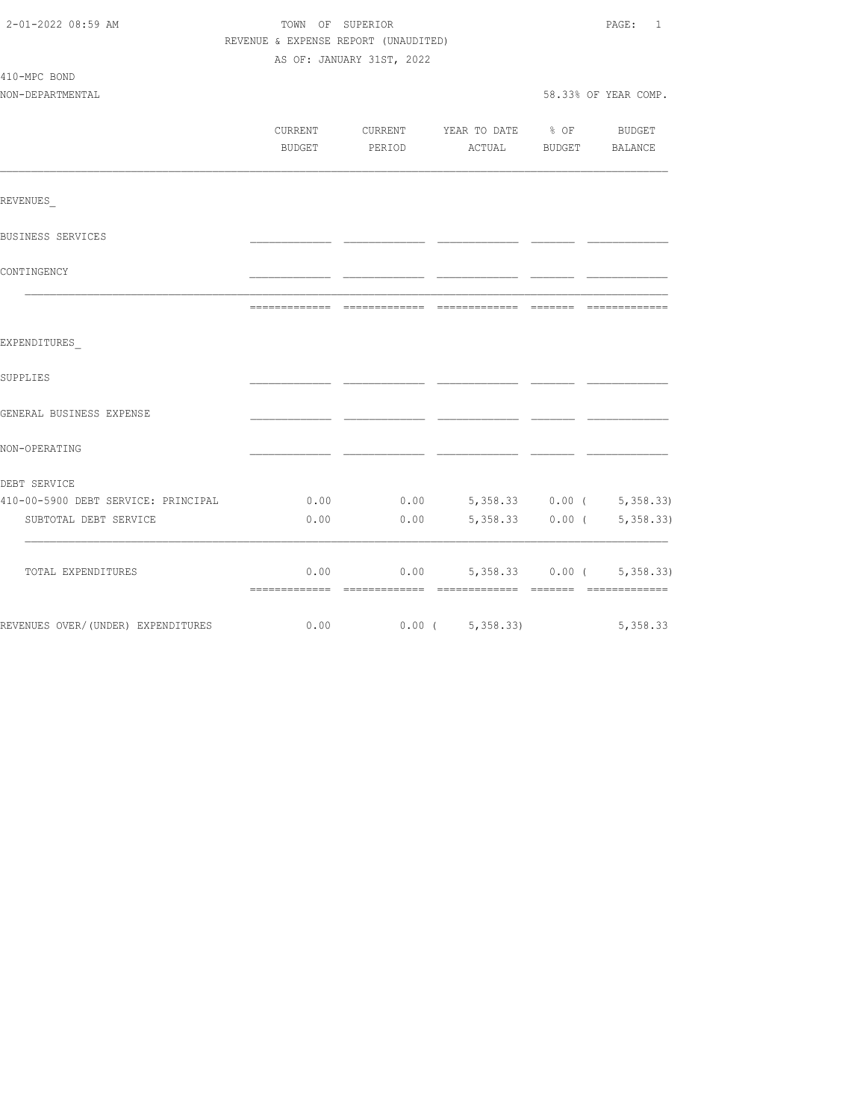| 2-01-2022 08:59 AM                  | TOWN OF SUPERIOR                     | PAGE:<br>$\mathbf{1}$     |                                  |                  |                                                                                                                                                                                                                                                                                                                                                                                                                                                                                        |  |
|-------------------------------------|--------------------------------------|---------------------------|----------------------------------|------------------|----------------------------------------------------------------------------------------------------------------------------------------------------------------------------------------------------------------------------------------------------------------------------------------------------------------------------------------------------------------------------------------------------------------------------------------------------------------------------------------|--|
|                                     | REVENUE & EXPENSE REPORT (UNAUDITED) |                           |                                  |                  |                                                                                                                                                                                                                                                                                                                                                                                                                                                                                        |  |
|                                     |                                      | AS OF: JANUARY 31ST, 2022 |                                  |                  |                                                                                                                                                                                                                                                                                                                                                                                                                                                                                        |  |
| 410-MPC BOND                        |                                      |                           |                                  |                  |                                                                                                                                                                                                                                                                                                                                                                                                                                                                                        |  |
| NON-DEPARTMENTAL                    |                                      |                           |                                  |                  | 58.33% OF YEAR COMP.                                                                                                                                                                                                                                                                                                                                                                                                                                                                   |  |
|                                     | CURRENT                              |                           | CURRENT YEAR TO DATE             | $\frac{1}{2}$ OF | BUDGET                                                                                                                                                                                                                                                                                                                                                                                                                                                                                 |  |
|                                     | <b>BUDGET</b>                        | PERIOD                    | ACTUAL                           | BUDGET           | BALANCE                                                                                                                                                                                                                                                                                                                                                                                                                                                                                |  |
|                                     |                                      |                           |                                  |                  |                                                                                                                                                                                                                                                                                                                                                                                                                                                                                        |  |
| REVENUES                            |                                      |                           |                                  |                  |                                                                                                                                                                                                                                                                                                                                                                                                                                                                                        |  |
| BUSINESS SERVICES                   |                                      |                           |                                  |                  |                                                                                                                                                                                                                                                                                                                                                                                                                                                                                        |  |
| CONTINGENCY                         |                                      |                           |                                  |                  |                                                                                                                                                                                                                                                                                                                                                                                                                                                                                        |  |
|                                     |                                      |                           |                                  |                  | $\begin{array}{cccccccccccccc} \multicolumn{2}{c}{} & \multicolumn{2}{c}{} & \multicolumn{2}{c}{} & \multicolumn{2}{c}{} & \multicolumn{2}{c}{} & \multicolumn{2}{c}{} & \multicolumn{2}{c}{} & \multicolumn{2}{c}{} & \multicolumn{2}{c}{} & \multicolumn{2}{c}{} & \multicolumn{2}{c}{} & \multicolumn{2}{c}{} & \multicolumn{2}{c}{} & \multicolumn{2}{c}{} & \multicolumn{2}{c}{} & \multicolumn{2}{c}{} & \multicolumn{2}{c}{} & \multicolumn{2}{c}{} & \multicolumn{2}{c}{} & \$ |  |
| EXPENDITURES                        |                                      |                           |                                  |                  |                                                                                                                                                                                                                                                                                                                                                                                                                                                                                        |  |
| SUPPLIES                            |                                      |                           |                                  |                  |                                                                                                                                                                                                                                                                                                                                                                                                                                                                                        |  |
| GENERAL BUSINESS EXPENSE            |                                      |                           |                                  |                  |                                                                                                                                                                                                                                                                                                                                                                                                                                                                                        |  |
| NON-OPERATING                       |                                      |                           |                                  |                  |                                                                                                                                                                                                                                                                                                                                                                                                                                                                                        |  |
| DEBT SERVICE                        |                                      |                           |                                  |                  |                                                                                                                                                                                                                                                                                                                                                                                                                                                                                        |  |
| 410-00-5900 DEBT SERVICE: PRINCIPAL | 0.00                                 |                           | $0.00$ 5,358.33 0.00 ( 5,358.33) |                  |                                                                                                                                                                                                                                                                                                                                                                                                                                                                                        |  |
| SUBTOTAL DEBT SERVICE               | 0.00                                 | 0.00                      |                                  |                  | 5, 358.33 0.00 ( 5, 358.33)                                                                                                                                                                                                                                                                                                                                                                                                                                                            |  |
| TOTAL EXPENDITURES                  | 0.00                                 | 0.00                      |                                  | 5,358.33 0.00 (  | 5,358.33                                                                                                                                                                                                                                                                                                                                                                                                                                                                               |  |
|                                     |                                      |                           |                                  |                  |                                                                                                                                                                                                                                                                                                                                                                                                                                                                                        |  |
| REVENUES OVER/(UNDER) EXPENDITURES  | 0.00                                 |                           | $0.00$ ( $5,358.33$ )            |                  | 5, 358.33                                                                                                                                                                                                                                                                                                                                                                                                                                                                              |  |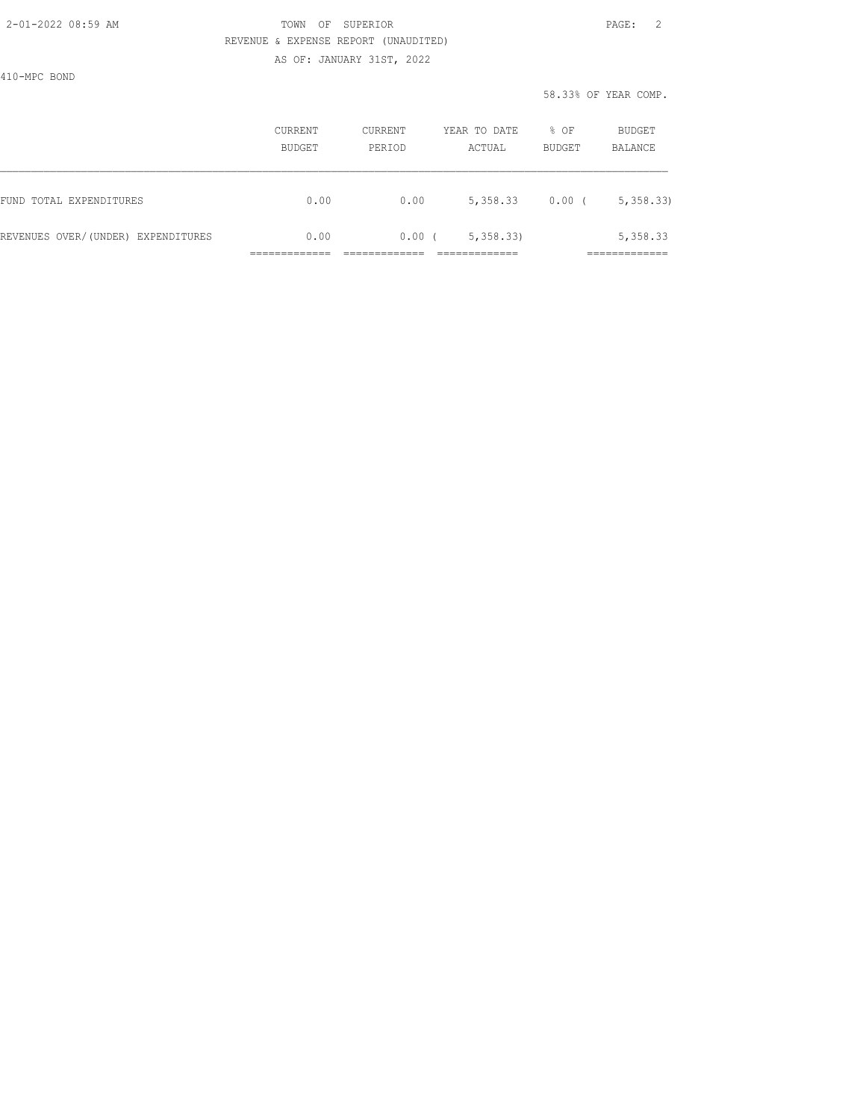AS OF: JANUARY 31ST, 2022

410-MPC BOND

|                                    | <b>CURRENT</b><br>BUDGET | <b>CURRENT</b><br>PERIOD | YEAR TO DATE<br>ACTUAL | % OF<br><b>BUDGET</b> | BUDGET<br><b>BALANCE</b> |
|------------------------------------|--------------------------|--------------------------|------------------------|-----------------------|--------------------------|
| FUND TOTAL EXPENDITURES            | 0.00                     | 0.00                     | 5,358.33               | $0.00$ (              | 5,358.33                 |
| REVENUES OVER/(UNDER) EXPENDITURES | 0.00                     | 0.00                     | 5,358.33               |                       | 5,358.33                 |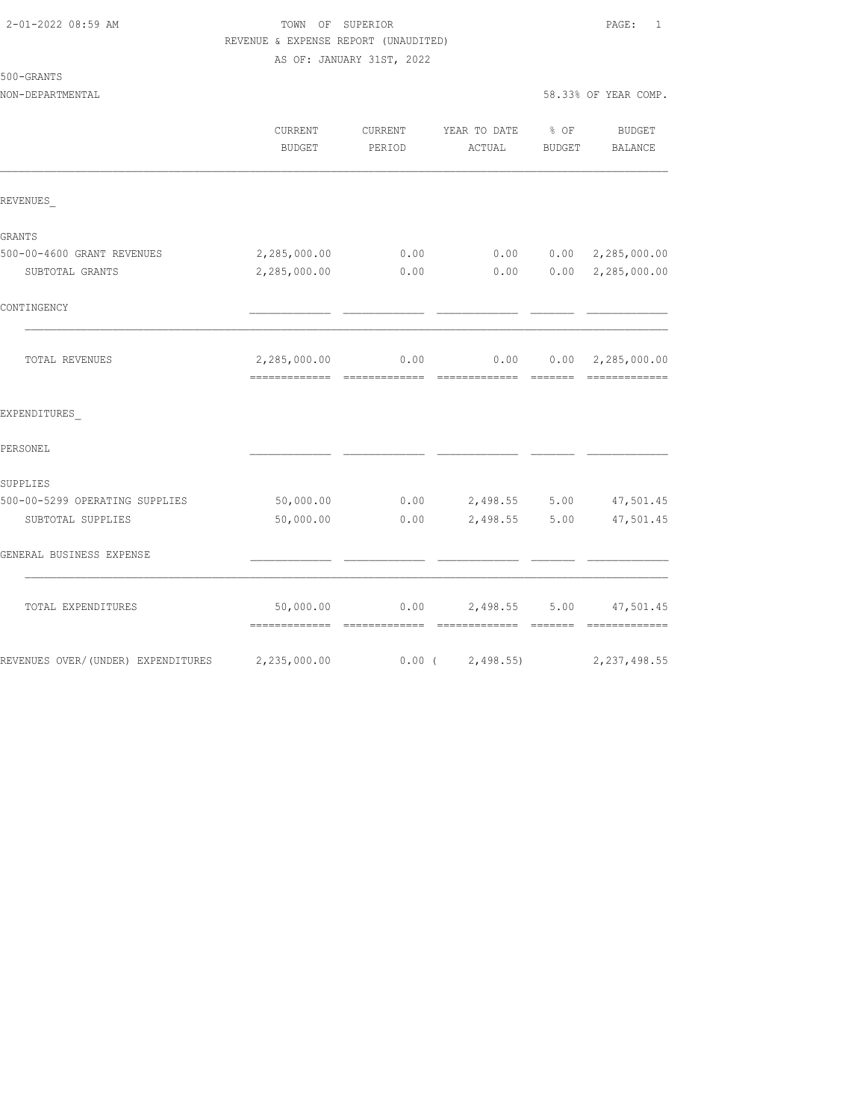AS OF: JANUARY 31ST, 2022

| 50 | U | GRANT |  |  |
|----|---|-------|--|--|
|    |   |       |  |  |

|                                    | CURRENT<br><b>BUDGET</b>                   | CURRENT<br>PERIOD | YEAR TO DATE % OF<br>ACTUAL                      | BUDGET         | <b>BUDGET</b><br>BALANCE  |
|------------------------------------|--------------------------------------------|-------------------|--------------------------------------------------|----------------|---------------------------|
| REVENUES                           |                                            |                   |                                                  |                |                           |
| GRANTS                             |                                            |                   |                                                  |                |                           |
| 500-00-4600 GRANT REVENUES         | 2,285,000.00                               | 0.00              | 0.00                                             |                | 0.00 2, 285, 000.00       |
| SUBTOTAL GRANTS                    | 2,285,000.00                               | 0.00              | 0.00                                             |                | $0.00 \quad 2,285,000.00$ |
| CONTINGENCY                        |                                            |                   |                                                  |                |                           |
| TOTAL REVENUES                     |                                            |                   | 2,285,000.00   0.00   0.00   0.00   2,285,000.00 |                |                           |
| EXPENDITURES                       |                                            |                   |                                                  |                |                           |
| PERSONEL                           |                                            |                   |                                                  |                |                           |
| SUPPLIES                           |                                            |                   |                                                  |                |                           |
| 500-00-5299 OPERATING SUPPLIES     | 50,000.00                                  |                   | $0.00$ 2,498.55 5.00                             |                | 47,501.45                 |
| SUBTOTAL SUPPLIES                  | 50,000.00                                  | 0.00              | 2,498.55 5.00                                    |                | 47,501.45                 |
| GENERAL BUSINESS EXPENSE           |                                            |                   |                                                  |                |                           |
| TOTAL EXPENDITURES                 | 50,000.00<br>-------------- -------------- |                   | $0.00$ 2,498.55 5.00 47,501.45<br>-------------  | <b>EEEEEEE</b> | -------------             |
| REVENUES OVER/(UNDER) EXPENDITURES | 2,235,000.00                               | $0.00$ (          | 2,498.55                                         |                | 2, 237, 498.55            |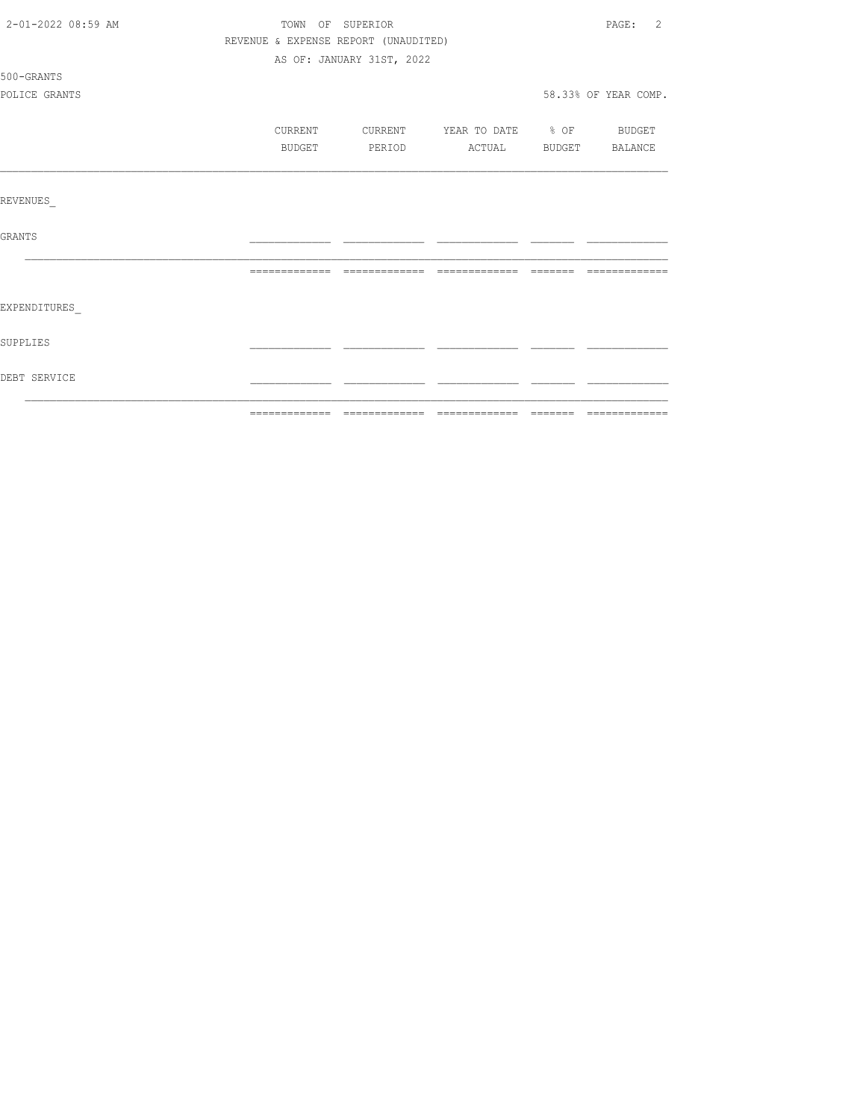| 2-01-2022 08:59 AM | TOWN OF SUPERIOR | 2<br>$\texttt{PAGE}$ :               |                                  |         |                      |
|--------------------|------------------|--------------------------------------|----------------------------------|---------|----------------------|
|                    |                  | REVENUE & EXPENSE REPORT (UNAUDITED) |                                  |         |                      |
|                    |                  | AS OF: JANUARY 31ST, 2022            |                                  |         |                      |
| 500-GRANTS         |                  |                                      |                                  |         |                      |
| POLICE GRANTS      |                  |                                      |                                  |         | 58.33% OF YEAR COMP. |
|                    | CURRENT          |                                      | CURRENT YEAR TO DATE % OF BUDGET |         |                      |
|                    | BUDGET           | PERIOD                               | ACTUAL BUDGET BALANCE            |         |                      |
|                    |                  |                                      |                                  |         |                      |
| REVENUES           |                  |                                      |                                  |         |                      |
| GRANTS             |                  |                                      |                                  |         |                      |
|                    | --------------   | --------------                       | --------------                   | _______ |                      |
| EXPENDITURES       |                  |                                      |                                  |         |                      |
| SUPPLIES           |                  |                                      |                                  |         |                      |
| DEBT SERVICE       |                  |                                      |                                  |         |                      |
|                    |                  |                                      |                                  |         |                      |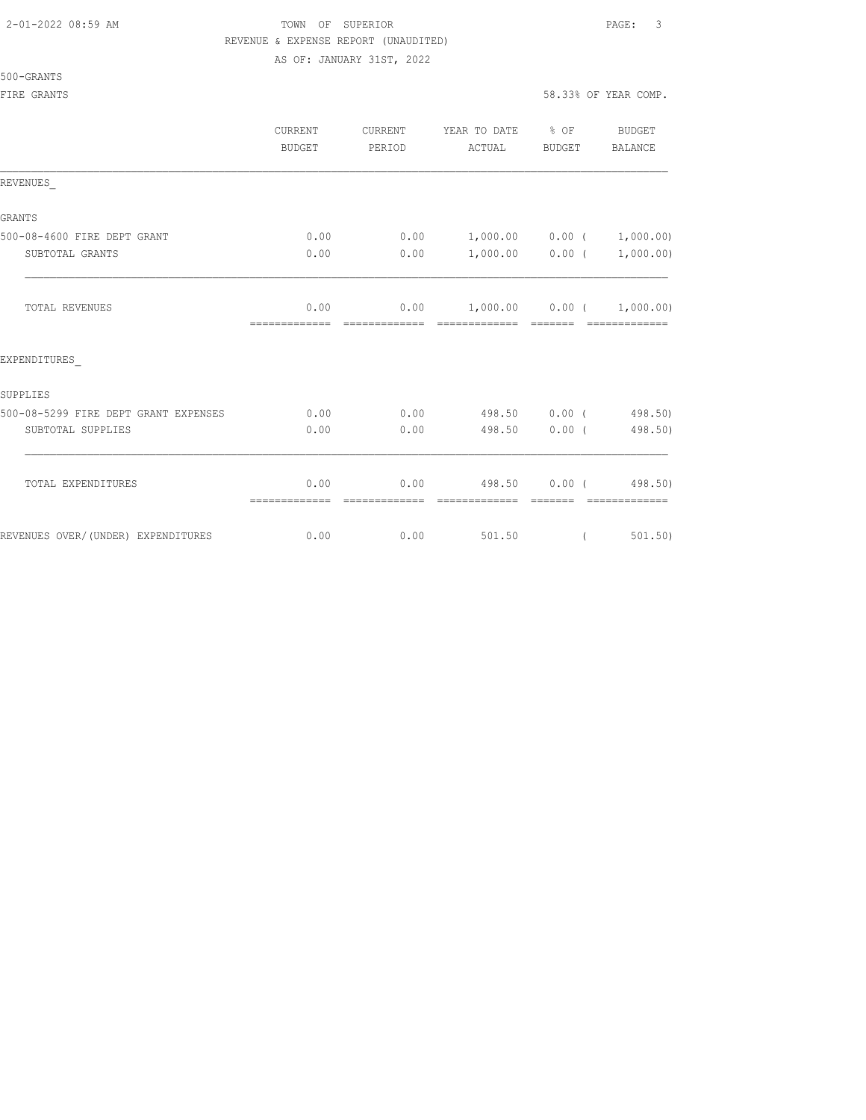AS OF: JANUARY 31ST, 2022

500-GRANTS

|                                      | CURRENT<br><b>BUDGET</b> | CURRENT<br>PERIOD | YEAR TO DATE % OF<br>ACTUAL                     | BUDGET            | BUDGET<br><b>BALANCE</b> |
|--------------------------------------|--------------------------|-------------------|-------------------------------------------------|-------------------|--------------------------|
| REVENUES                             |                          |                   |                                                 |                   |                          |
| GRANTS                               |                          |                   |                                                 |                   |                          |
| 500-08-4600 FIRE DEPT GRANT          | 0.00                     | 0.00              | $1,000.00$ $0.00$ $(1,000.00)$                  |                   |                          |
| SUBTOTAL GRANTS                      | 0.00                     | 0.00              |                                                 | $1,000.00$ 0.00 ( | 1,000.00)                |
| TOTAL REVENUES                       | 0.00<br>=============    | 0.00              | $1,000.00$ $0.00$ $(1,000.00)$<br>------------- |                   | -------------            |
| EXPENDITURES                         |                          |                   |                                                 |                   |                          |
| SUPPLIES                             |                          |                   |                                                 |                   |                          |
| 500-08-5299 FIRE DEPT GRANT EXPENSES | 0.00                     | 0.00              | 498.50 0.00 (498.50)                            |                   |                          |
| SUBTOTAL SUPPLIES                    | 0.00                     | 0.00              | 498.50 0.00 (                                   |                   | 498.50)                  |
| TOTAL EXPENDITURES                   | 0.00                     | 0.00              | 498.50 0.00 (                                   |                   | 498.50)                  |
|                                      | =============            | =============     | =============                                   | --------          | - =============          |
| REVENUES OVER/(UNDER) EXPENDITURES   | 0.00                     | 0.00              | 501.50                                          | $\left($          | 501, 50)                 |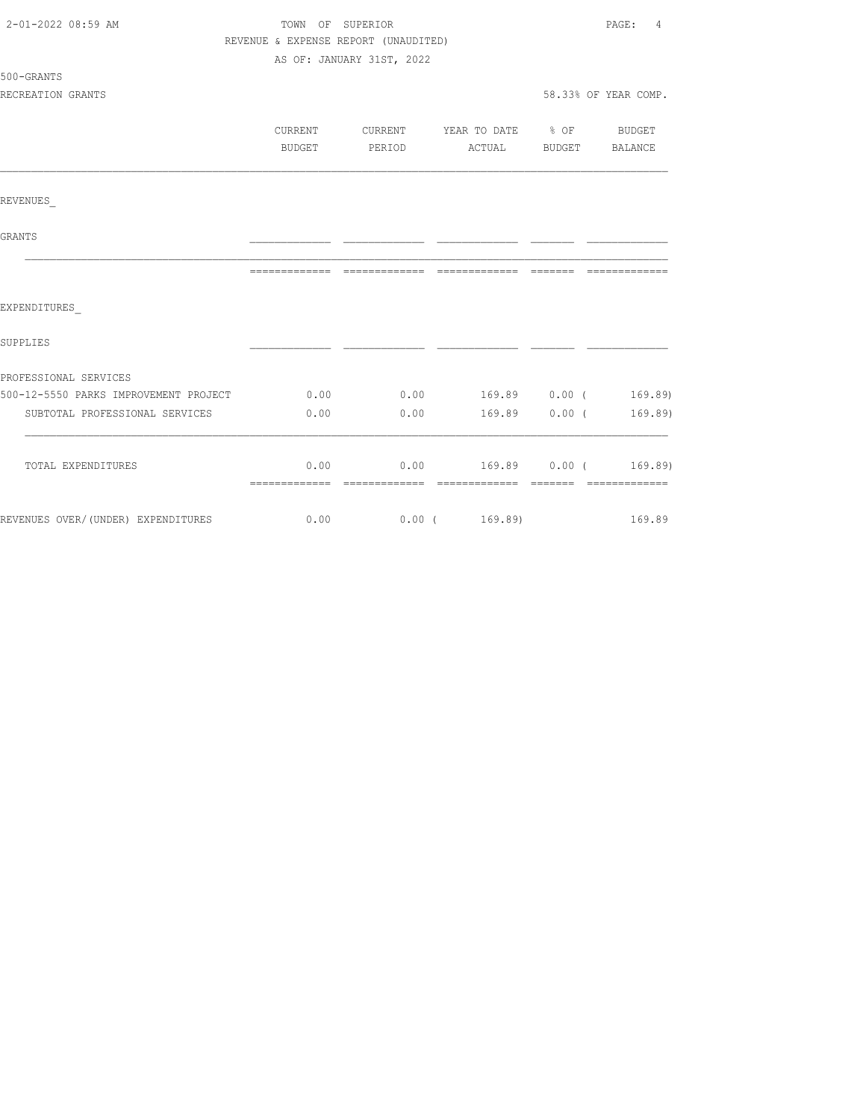| 2-01-2022 08:59 AM                    | TOWN OF SUPERIOR |                                      |                                | PAGE:<br>4           |
|---------------------------------------|------------------|--------------------------------------|--------------------------------|----------------------|
|                                       |                  | REVENUE & EXPENSE REPORT (UNAUDITED) |                                |                      |
|                                       |                  | AS OF: JANUARY 31ST, 2022            |                                |                      |
| 500-GRANTS                            |                  |                                      |                                |                      |
| RECREATION GRANTS                     |                  |                                      |                                | 58.33% OF YEAR COMP. |
|                                       |                  |                                      |                                |                      |
|                                       | CURRENT          | CURRENT                              | YEAR TO DATE % OF              | BUDGET               |
|                                       | BUDGET           | PERIOD                               | ACTUAL                         | BUDGET BALANCE       |
|                                       |                  |                                      |                                |                      |
| REVENUES                              |                  |                                      |                                |                      |
| <b>GRANTS</b>                         |                  |                                      |                                |                      |
|                                       |                  |                                      |                                | --------------       |
| EXPENDITURES                          |                  |                                      |                                |                      |
| SUPPLIES                              |                  |                                      |                                |                      |
| PROFESSIONAL SERVICES                 |                  |                                      |                                |                      |
| 500-12-5550 PARKS IMPROVEMENT PROJECT | 0.00             |                                      | $0.00$ 169.89 $0.00$ ( 169.89) |                      |
| SUBTOTAL PROFESSIONAL SERVICES        | 0.00             | 0.00                                 | $169.89$ 0.00 (                | 169.89)              |
|                                       |                  |                                      |                                |                      |
|                                       | 0.00             |                                      | $0.00$ 169.89 0.00 (           | 169.89)              |
| TOTAL EXPENDITURES                    |                  |                                      |                                |                      |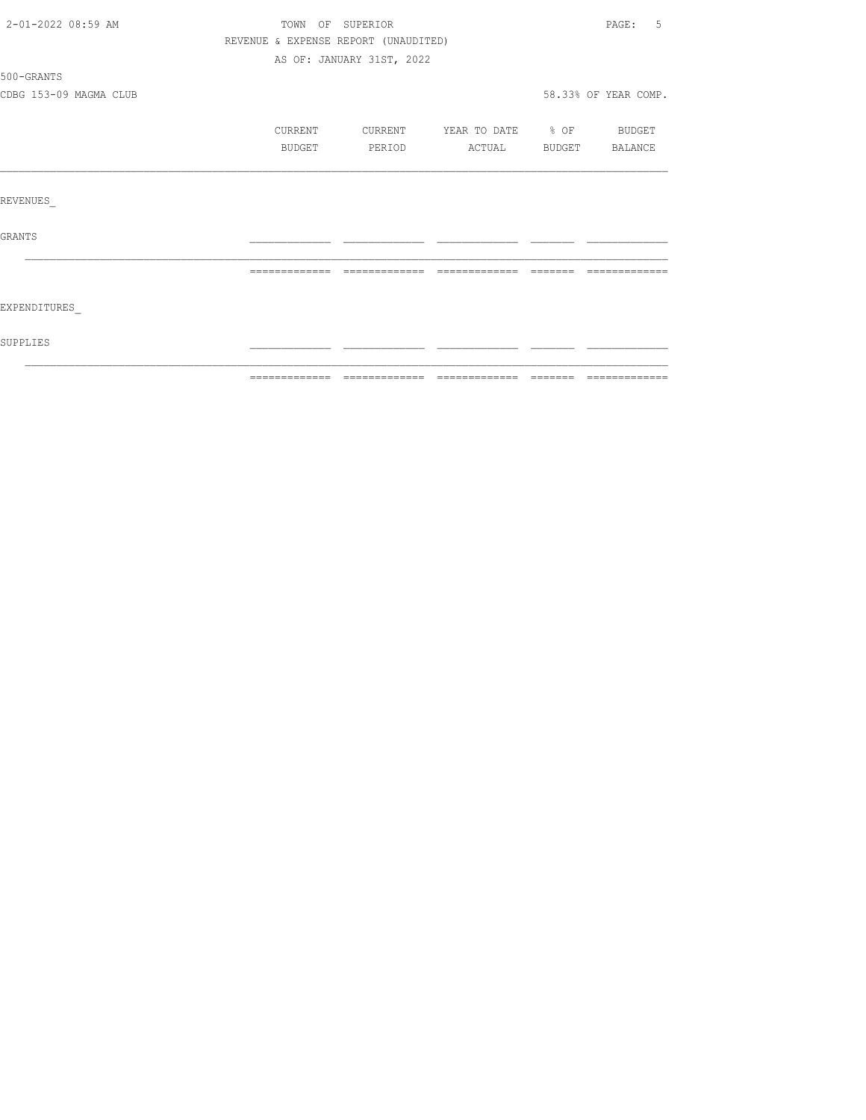| 2-01-2022 08:59 AM     | TOWN OF SUPERIOR                     | PAGE:<br>.5               |                          |                |                      |
|------------------------|--------------------------------------|---------------------------|--------------------------|----------------|----------------------|
|                        | REVENUE & EXPENSE REPORT (UNAUDITED) |                           |                          |                |                      |
|                        |                                      | AS OF: JANUARY 31ST, 2022 |                          |                |                      |
| 500-GRANTS             |                                      |                           |                          |                |                      |
| CDBG 153-09 MAGMA CLUB |                                      |                           |                          |                | 58.33% OF YEAR COMP. |
|                        | CURRENT                              | CURRENT                   | YEAR TO DATE % OF BUDGET |                |                      |
|                        | BUDGET                               | PERIOD                    | ACTUAL                   | BUDGET BALANCE |                      |
|                        |                                      |                           |                          |                |                      |
| REVENUES               |                                      |                           |                          |                |                      |
| GRANTS                 |                                      |                           |                          |                |                      |
|                        | =============                        |                           |                          |                |                      |
| EXPENDITURES           |                                      |                           |                          |                |                      |
| SUPPLIES               |                                      |                           |                          |                |                      |
|                        |                                      |                           |                          |                |                      |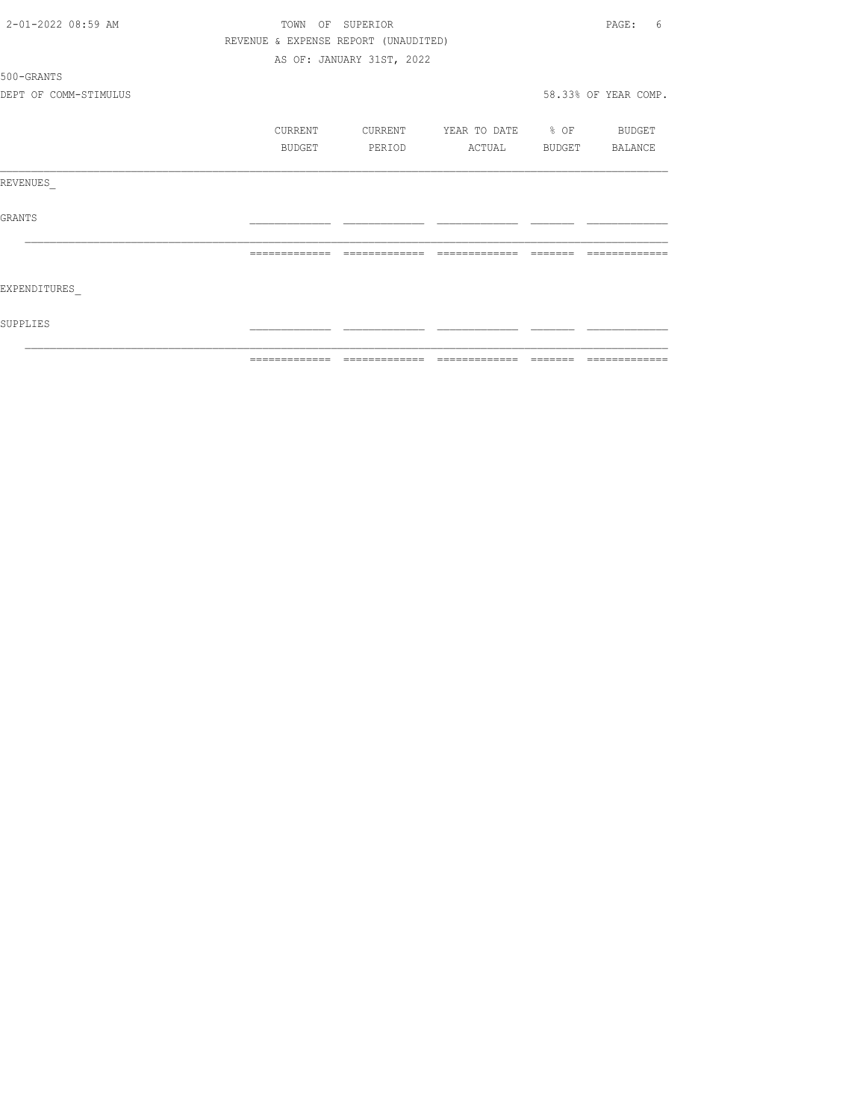| 2-01-2022 08:59 AM    | TOWN OF SUPERIOR |         |                                      |                   |        | PAGE:<br>6           |
|-----------------------|------------------|---------|--------------------------------------|-------------------|--------|----------------------|
|                       |                  |         | REVENUE & EXPENSE REPORT (UNAUDITED) |                   |        |                      |
|                       |                  |         | AS OF: JANUARY 31ST, 2022            |                   |        |                      |
| 500-GRANTS            |                  |         |                                      |                   |        |                      |
| DEPT OF COMM-STIMULUS |                  |         |                                      |                   |        | 58.33% OF YEAR COMP. |
|                       |                  | CURRENT | CURRENT                              | YEAR TO DATE % OF |        | BUDGET               |
|                       |                  | BUDGET  | PERIOD                               | ACTUAL            | BUDGET | BALANCE              |
| REVENUES              |                  |         |                                      |                   |        |                      |
| GRANTS                |                  |         |                                      |                   |        |                      |
|                       | -------------    |         | -------------                        | -------------     |        |                      |
| EXPENDITURES          |                  |         |                                      |                   |        |                      |
| SUPPLIES              |                  |         |                                      |                   |        |                      |
|                       |                  |         |                                      |                   |        |                      |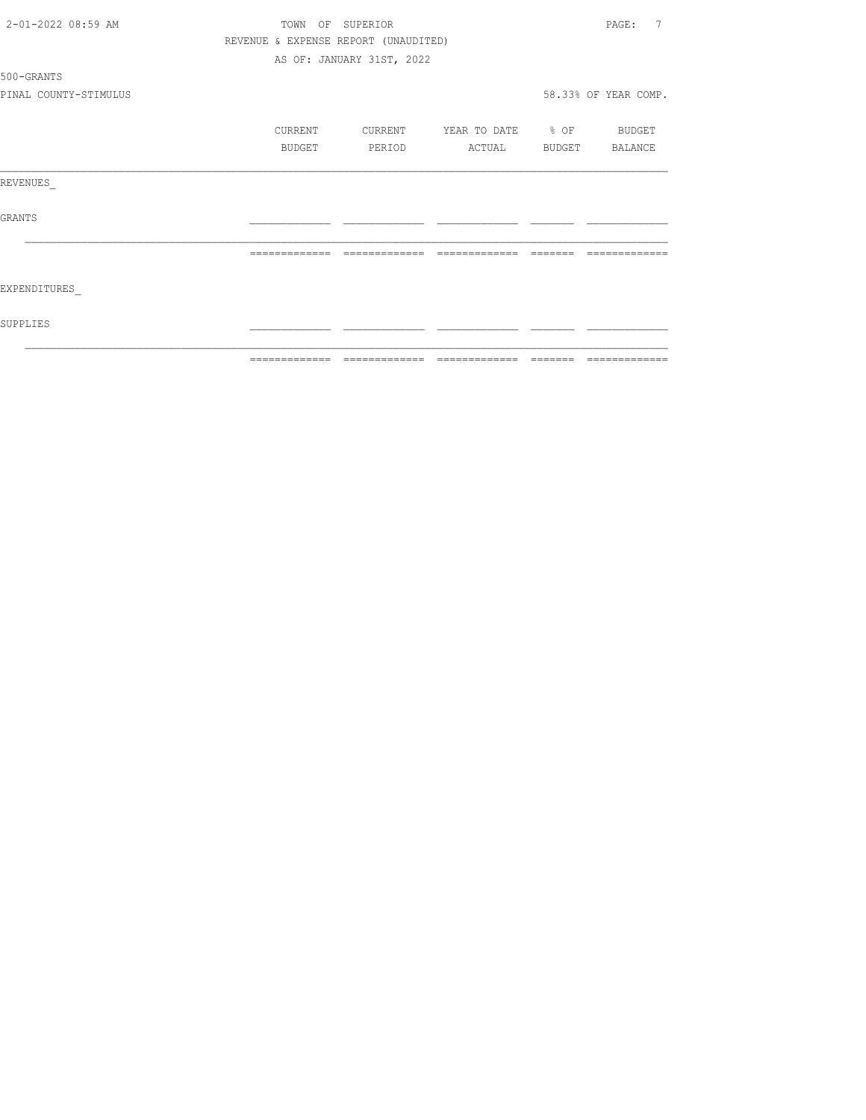| 2-01-2022 08:59 AM    | TOWN OF SUPERIOR |                |                                      |                   |          | PAGE:<br>7           |  |
|-----------------------|------------------|----------------|--------------------------------------|-------------------|----------|----------------------|--|
|                       |                  |                | REVENUE & EXPENSE REPORT (UNAUDITED) |                   |          |                      |  |
|                       |                  |                | AS OF: JANUARY 31ST, 2022            |                   |          |                      |  |
| 500-GRANTS            |                  |                |                                      |                   |          |                      |  |
| PINAL COUNTY-STIMULUS |                  |                |                                      |                   |          | 58.33% OF YEAR COMP. |  |
|                       |                  | CURRENT        | CURRENT                              | YEAR TO DATE % OF |          | BUDGET               |  |
|                       |                  | BUDGET         | PERIOD                               | ACTUAL            |          | BUDGET BALANCE       |  |
| REVENUES              |                  |                |                                      |                   |          |                      |  |
| GRANTS                |                  |                |                                      |                   |          |                      |  |
|                       |                  |                | --------------                       |                   |          |                      |  |
| EXPENDITURES          |                  |                |                                      |                   |          |                      |  |
| SUPPLIES              |                  |                |                                      |                   |          |                      |  |
|                       |                  | -------------- |                                      |                   | -------- | -------------        |  |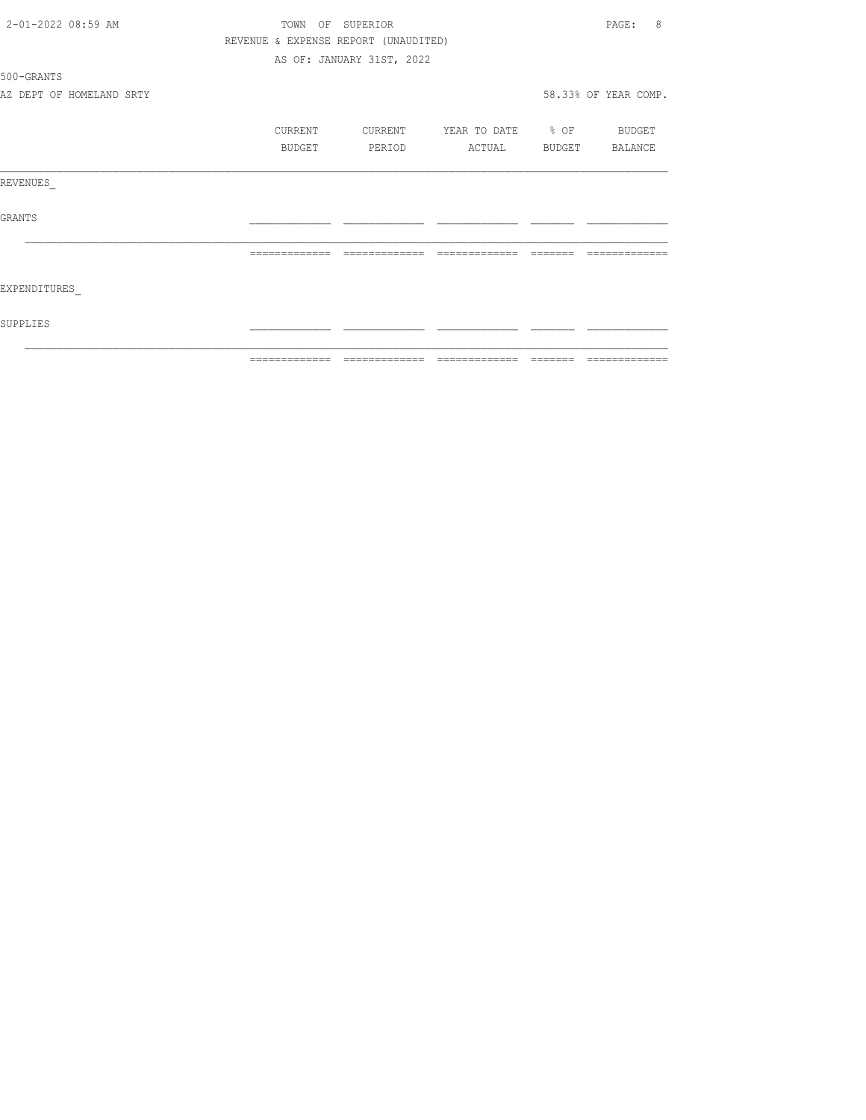| 2-01-2022 08:59 AM       | TOWN OF SUPERIOR                     | 8<br>PAGE:                |                          |                 |                      |
|--------------------------|--------------------------------------|---------------------------|--------------------------|-----------------|----------------------|
|                          | REVENUE & EXPENSE REPORT (UNAUDITED) |                           |                          |                 |                      |
|                          |                                      | AS OF: JANUARY 31ST, 2022 |                          |                 |                      |
| 500-GRANTS               |                                      |                           |                          |                 |                      |
| AZ DEPT OF HOMELAND SRTY |                                      |                           |                          |                 | 58.33% OF YEAR COMP. |
|                          | CURRENT                              | CURRENT                   | YEAR TO DATE % OF BUDGET |                 |                      |
|                          | BUDGET                               | PERIOD                    | ACTUAL                   | BUDGET BALANCE  |                      |
| REVENUES                 |                                      |                           |                          |                 |                      |
| <b>GRANTS</b>            |                                      |                           |                          |                 |                      |
|                          | =============                        | =============             |                          | --------        |                      |
| EXPENDITURES             |                                      |                           |                          |                 |                      |
| SUPPLIES                 |                                      |                           |                          |                 |                      |
|                          | -------------                        | -------------             | --------------           | $- - - - - - -$ | -------------        |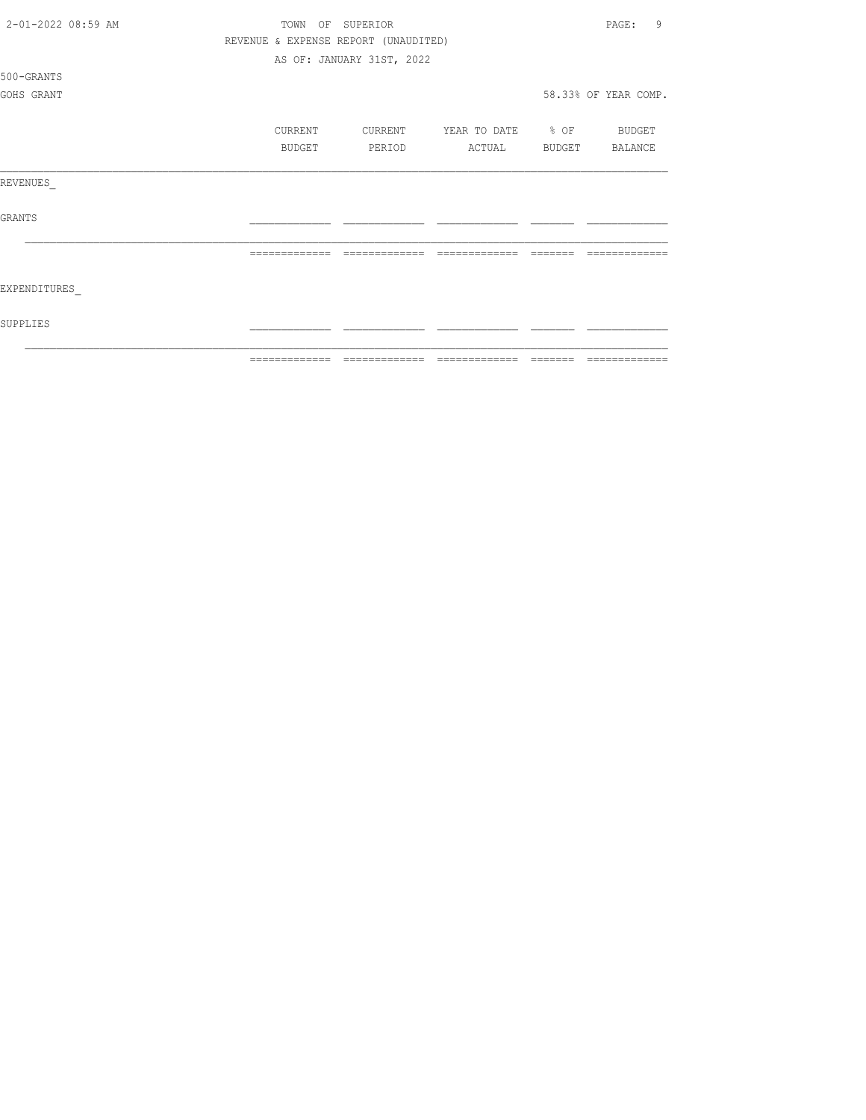| 2-01-2022 08:59 AM | TOWN          | OF<br>SUPERIOR                       |                   |        | 9<br>PAGE:           |
|--------------------|---------------|--------------------------------------|-------------------|--------|----------------------|
|                    |               | REVENUE & EXPENSE REPORT (UNAUDITED) |                   |        |                      |
|                    |               | AS OF: JANUARY 31ST, 2022            |                   |        |                      |
| 500-GRANTS         |               |                                      |                   |        |                      |
| GOHS GRANT         |               |                                      |                   |        | 58.33% OF YEAR COMP. |
|                    |               |                                      |                   |        |                      |
|                    | CURRENT       | CURRENT                              | YEAR TO DATE % OF |        | BUDGET               |
|                    | <b>BUDGET</b> | PERIOD                               | ACTUAL            | BUDGET | <b>BALANCE</b>       |
| REVENUES           |               |                                      |                   |        |                      |
| <b>GRANTS</b>      |               |                                      |                   |        |                      |
|                    |               |                                      |                   |        |                      |
| EXPENDITURES       |               |                                      |                   |        |                      |
| SUPPLIES           |               |                                      |                   |        |                      |
|                    | ============= | ======                               | =======           |        | ======               |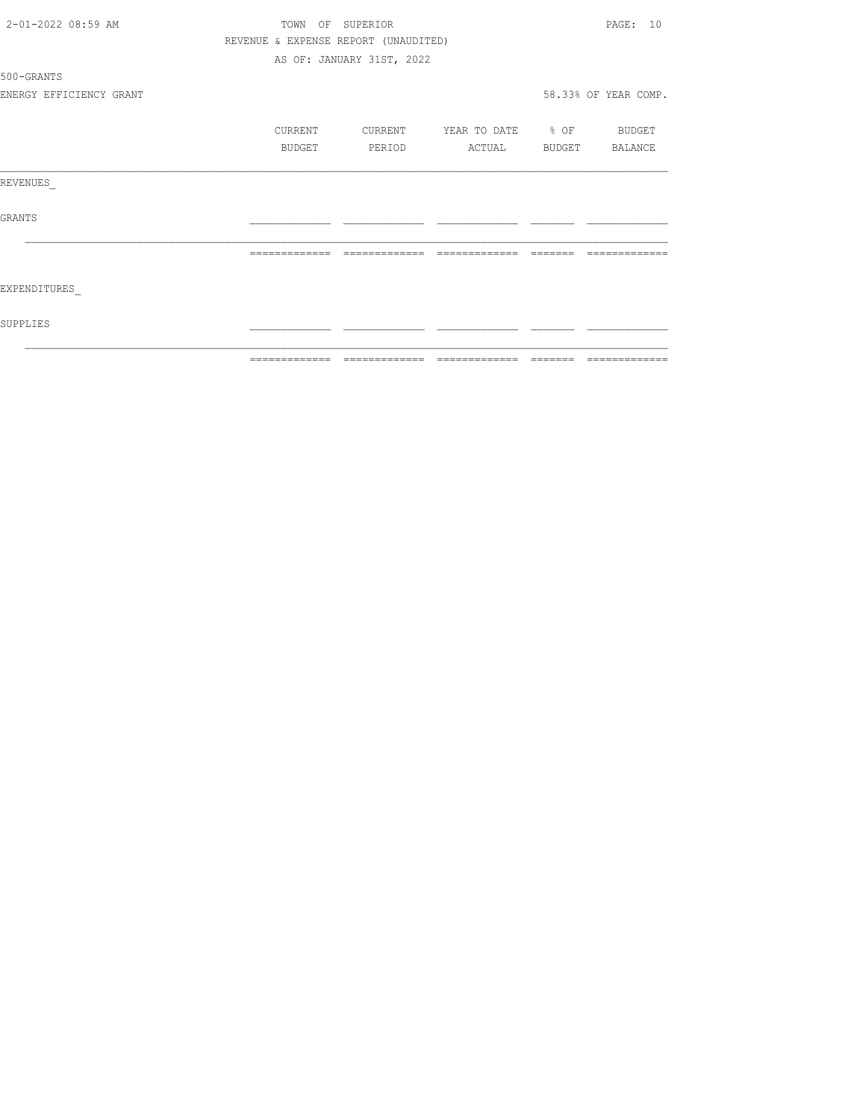| 2-01-2022 08:59 AM      | TOWN OF SUPERIOR | PAGE: 10                             |                                 |                |                      |
|-------------------------|------------------|--------------------------------------|---------------------------------|----------------|----------------------|
|                         |                  | REVENUE & EXPENSE REPORT (UNAUDITED) |                                 |                |                      |
|                         |                  | AS OF: JANUARY 31ST, 2022            |                                 |                |                      |
| 500-GRANTS              |                  |                                      |                                 |                |                      |
| ENERGY EFFICIENCY GRANT |                  |                                      |                                 |                | 58.33% OF YEAR COMP. |
|                         | <b>CURRENT</b>   | CURRENT                              | YEAR TO DATE % OF BUDGET        |                |                      |
|                         | BUDGET           | PERIOD                               | ACTUAL                          | BUDGET BALANCE |                      |
| REVENUES                |                  |                                      |                                 |                |                      |
| GRANTS                  |                  |                                      |                                 |                |                      |
|                         |                  |                                      |                                 |                |                      |
| EXPENDITURES            |                  |                                      |                                 |                |                      |
| SUPPLIES                |                  |                                      |                                 |                |                      |
|                         | =============    |                                      | =============================== | =======        | =============        |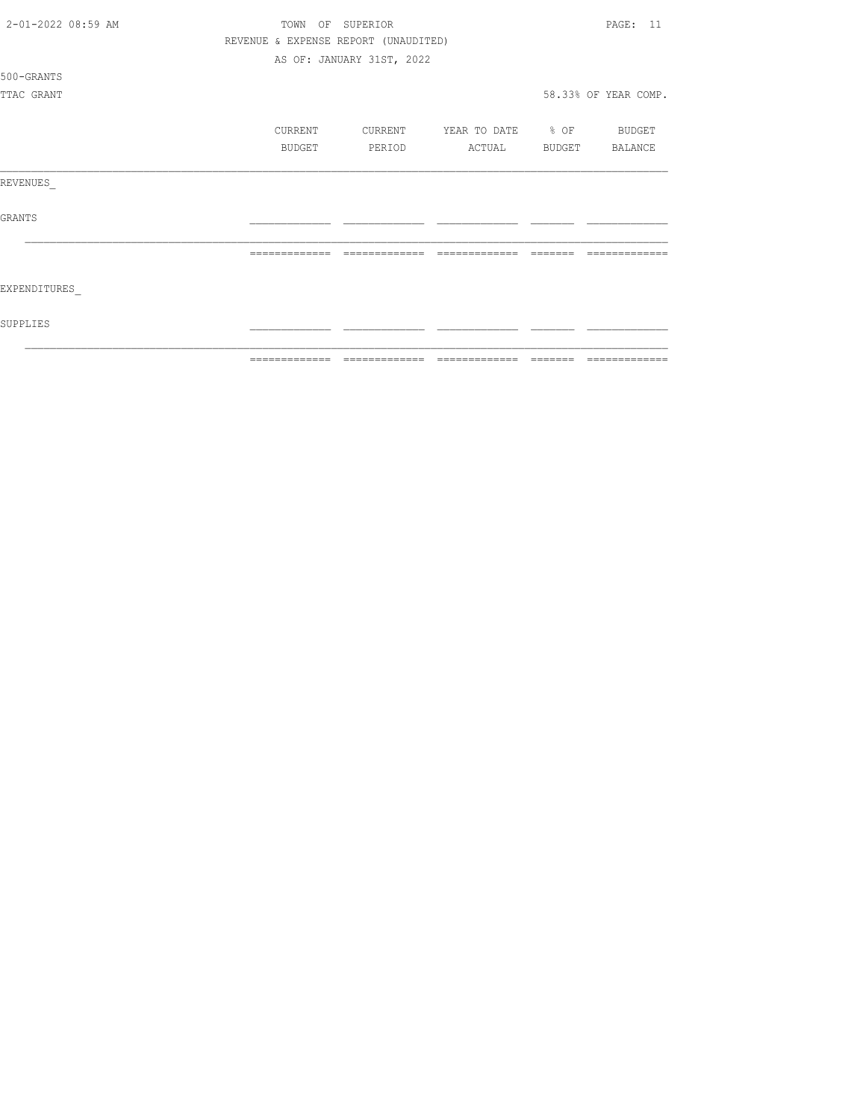| 2-01-2022 08:59 AM | TOWN OF SUPERIOR | PAGE: 11                                                 |                          |         |                      |
|--------------------|------------------|----------------------------------------------------------|--------------------------|---------|----------------------|
|                    |                  | REVENUE & EXPENSE REPORT (UNAUDITED)                     |                          |         |                      |
|                    |                  | AS OF: JANUARY 31ST, 2022                                |                          |         |                      |
| 500-GRANTS         |                  |                                                          |                          |         |                      |
| TTAC GRANT         |                  |                                                          |                          |         | 58.33% OF YEAR COMP. |
|                    | CURRENT          | CURRENT                                                  | YEAR TO DATE % OF BUDGET |         |                      |
|                    | BUDGET           | PERIOD                                                   | ACTUAL BUDGET            |         | BALANCE              |
| REVENUES           |                  |                                                          |                          |         |                      |
| <b>GRANTS</b>      |                  |                                                          |                          |         |                      |
|                    |                  | =============                                            |                          | ======= |                      |
| EXPENDITURES       |                  |                                                          |                          |         |                      |
| SUPPLIES           |                  |                                                          |                          |         |                      |
|                    | =============    | $\qquad \qquad = \qquad \qquad = \qquad \qquad = \qquad$ | --------------           |         |                      |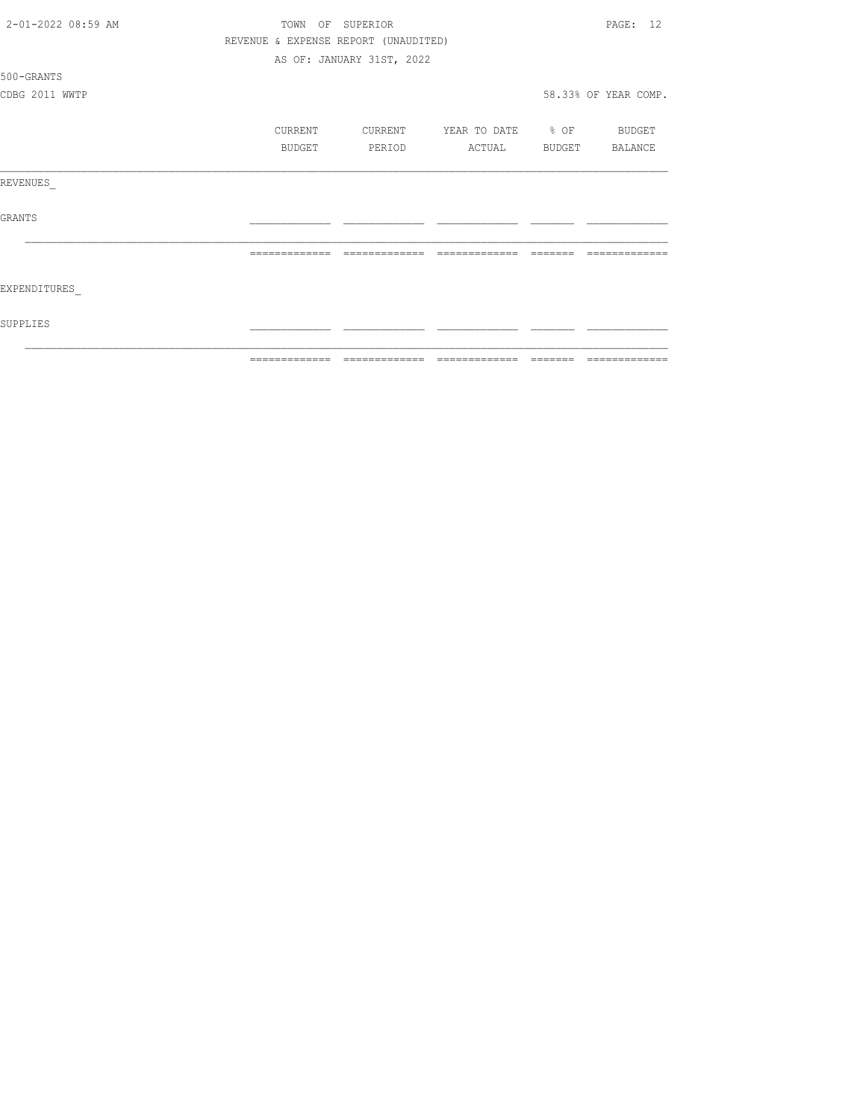| 2-01-2022 08:59 AM | TOWN OF SUPERIOR |                |                                      |                   | PAGE: 12       |                      |  |
|--------------------|------------------|----------------|--------------------------------------|-------------------|----------------|----------------------|--|
|                    |                  |                | REVENUE & EXPENSE REPORT (UNAUDITED) |                   |                |                      |  |
|                    |                  |                | AS OF: JANUARY 31ST, 2022            |                   |                |                      |  |
| 500-GRANTS         |                  |                |                                      |                   |                |                      |  |
| CDBG 2011 WWTP     |                  |                |                                      |                   |                | 58.33% OF YEAR COMP. |  |
|                    |                  | CURRENT        | CURRENT                              | YEAR TO DATE % OF |                | BUDGET               |  |
|                    |                  | BUDGET         | PERIOD                               | ACTUAL            | BUDGET BALANCE |                      |  |
| REVENUES           |                  |                |                                      |                   |                |                      |  |
| GRANTS             |                  |                |                                      |                   |                |                      |  |
|                    |                  | =============  | =============                        | =============     |                |                      |  |
| EXPENDITURES       |                  |                |                                      |                   |                |                      |  |
| SUPPLIES           |                  |                |                                      |                   |                |                      |  |
|                    |                  | -------------- |                                      |                   | _______        | -------------        |  |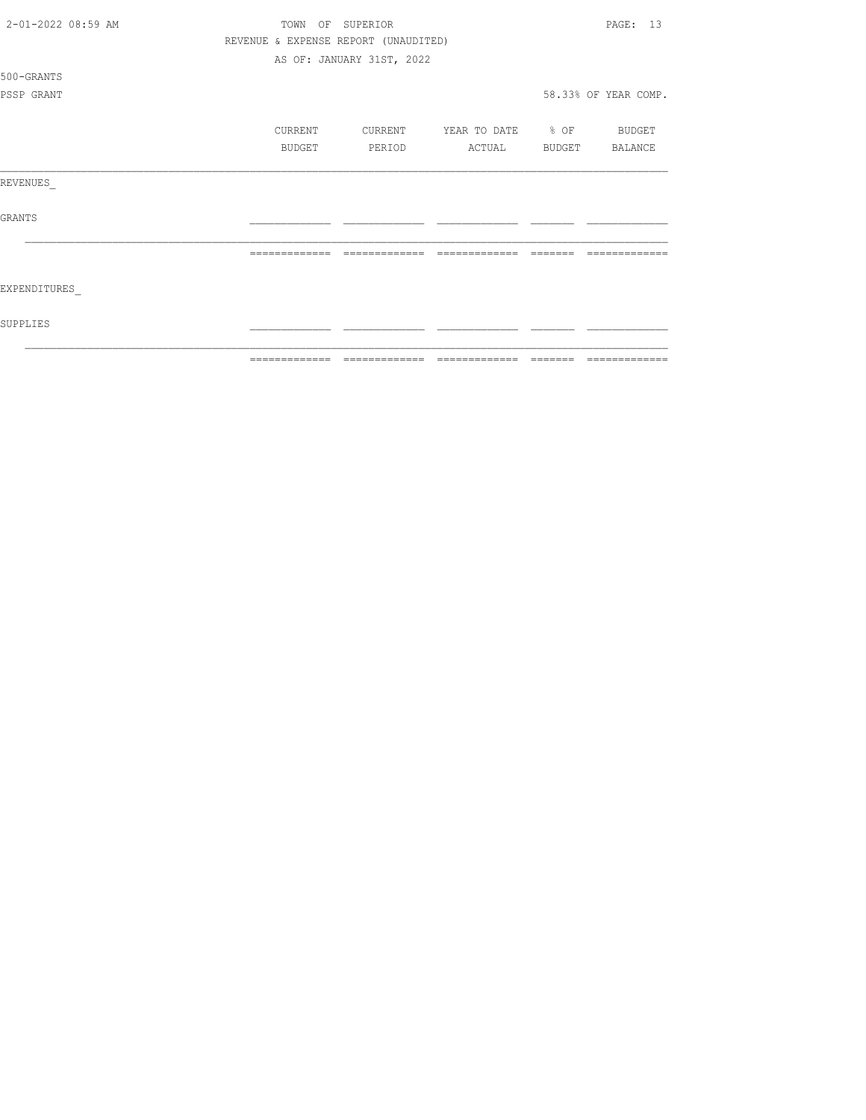| 2-01-2022 08:59 AM | TOWN OF SUPERIOR                     | PAGE: 13                  |                          |        |                      |
|--------------------|--------------------------------------|---------------------------|--------------------------|--------|----------------------|
|                    | REVENUE & EXPENSE REPORT (UNAUDITED) |                           |                          |        |                      |
|                    |                                      | AS OF: JANUARY 31ST, 2022 |                          |        |                      |
| 500-GRANTS         |                                      |                           |                          |        |                      |
| PSSP GRANT         |                                      |                           |                          |        | 58.33% OF YEAR COMP. |
|                    | CURRENT                              | CURRENT                   | YEAR TO DATE % OF BUDGET |        |                      |
|                    | BUDGET                               | PERIOD                    | ACTUAL                   | BUDGET | BALANCE              |
| REVENUES           |                                      |                           |                          |        |                      |
| <b>GRANTS</b>      |                                      |                           |                          |        |                      |
|                    |                                      | =============             |                          |        |                      |
| EXPENDITURES       |                                      |                           |                          |        |                      |
| SUPPLIES           |                                      |                           |                          |        |                      |
|                    | =============                        | ======                    | $22222222222222$         |        | ======               |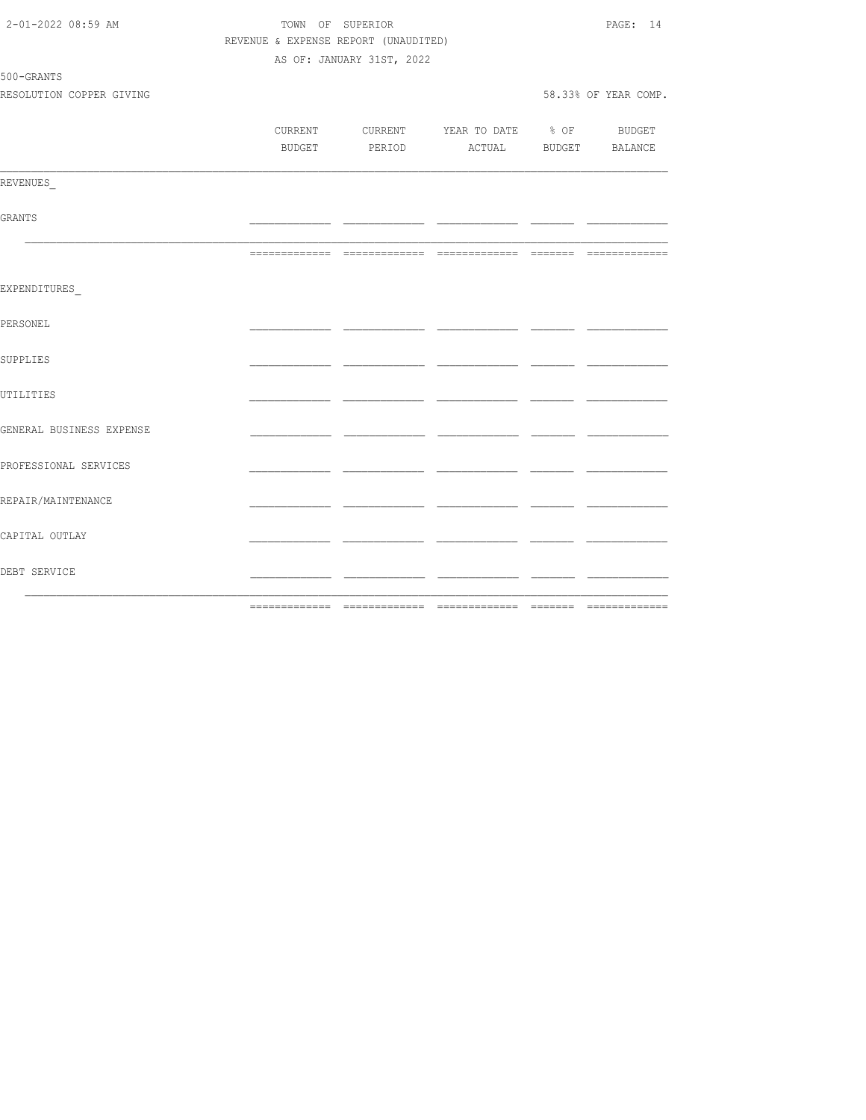| 2-01-2022 08:59 AM       | TOWN OF SUPERIOR                     |                           | PAGE: 14                                 |     |                      |
|--------------------------|--------------------------------------|---------------------------|------------------------------------------|-----|----------------------|
|                          | REVENUE & EXPENSE REPORT (UNAUDITED) |                           |                                          |     |                      |
|                          |                                      | AS OF: JANUARY 31ST, 2022 |                                          |     |                      |
| 500-GRANTS               |                                      |                           |                                          |     |                      |
| RESOLUTION COPPER GIVING |                                      |                           |                                          |     | 58.33% OF YEAR COMP. |
|                          |                                      |                           |                                          |     |                      |
|                          |                                      |                           | CURRENT CURRENT YEAR TO DATE % OF BUDGET |     |                      |
|                          |                                      |                           | BUDGET PERIOD ACTUAL BUDGET BALANCE      |     |                      |
|                          |                                      |                           |                                          |     |                      |
| REVENUES                 |                                      |                           |                                          |     |                      |
|                          |                                      |                           |                                          |     |                      |
| GRANTS                   |                                      |                           |                                          | - - |                      |
|                          |                                      |                           |                                          |     |                      |
|                          |                                      |                           |                                          |     |                      |
|                          |                                      |                           |                                          |     |                      |
| EXPENDITURES             |                                      |                           |                                          |     |                      |
|                          |                                      |                           |                                          |     |                      |
| PERSONEL                 |                                      |                           |                                          |     |                      |
|                          |                                      |                           |                                          |     |                      |
| SUPPLIES                 |                                      |                           |                                          |     |                      |
|                          |                                      |                           |                                          |     |                      |
| UTILITIES                |                                      |                           |                                          |     |                      |
|                          |                                      |                           |                                          |     |                      |
| GENERAL BUSINESS EXPENSE |                                      |                           |                                          | ___ |                      |
|                          |                                      |                           |                                          |     |                      |
| PROFESSIONAL SERVICES    |                                      |                           |                                          |     |                      |
|                          |                                      |                           |                                          |     |                      |
| REPAIR/MAINTENANCE       |                                      |                           |                                          |     |                      |
|                          |                                      |                           |                                          |     |                      |
| CAPITAL OUTLAY           |                                      |                           |                                          |     |                      |
|                          |                                      |                           |                                          |     |                      |
| DEBT SERVICE             |                                      |                           |                                          | - - |                      |
|                          |                                      |                           |                                          |     |                      |
|                          |                                      |                           |                                          |     |                      |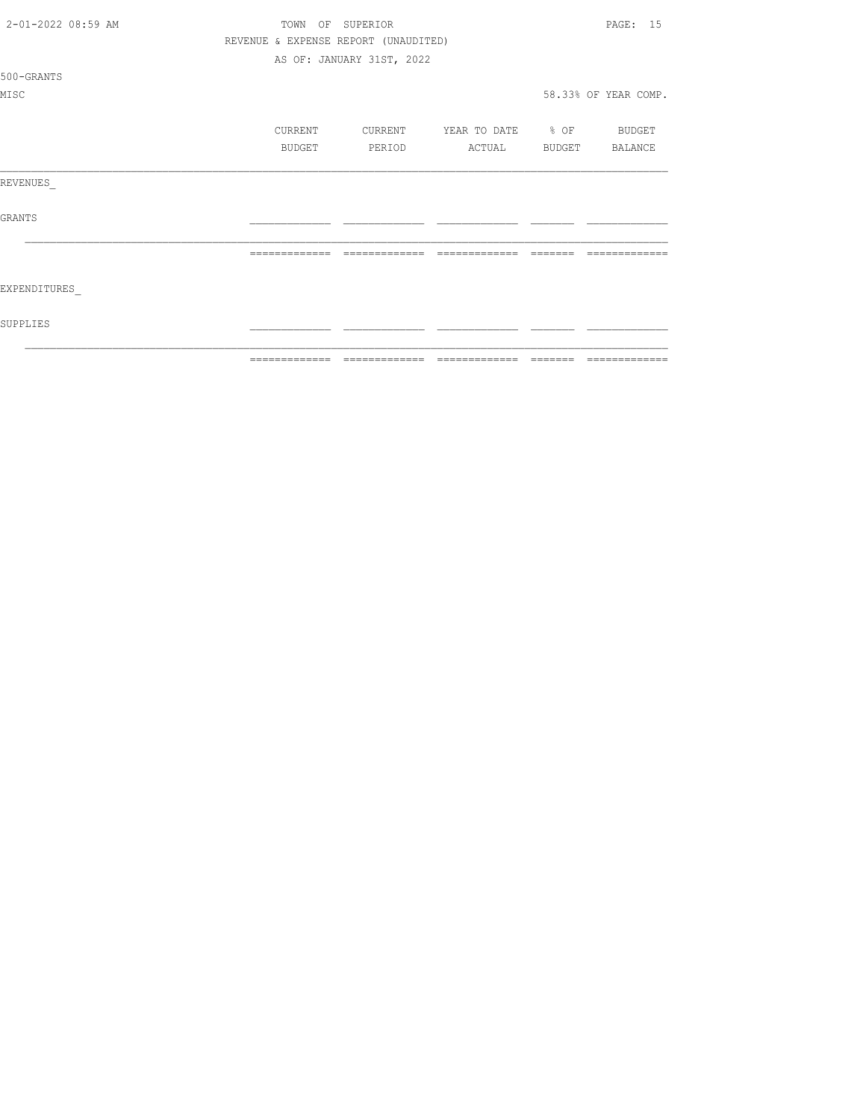| 2-01-2022 08:59 AM | TOWN          | OF SUPERIOR                          |                                  | PAGE: 15             |
|--------------------|---------------|--------------------------------------|----------------------------------|----------------------|
|                    |               | REVENUE & EXPENSE REPORT (UNAUDITED) |                                  |                      |
|                    |               | AS OF: JANUARY 31ST, 2022            |                                  |                      |
| 500-GRANTS         |               |                                      |                                  |                      |
| MISC               |               |                                      |                                  | 58.33% OF YEAR COMP. |
|                    | CURRENT       |                                      | CURRENT YEAR TO DATE % OF BUDGET |                      |
|                    | BUDGET        | PERIOD                               | ACTUAL BUDGET BALANCE            |                      |
| REVENUES           |               |                                      |                                  |                      |
| <b>GRANTS</b>      |               |                                      |                                  |                      |
|                    | ============= | =============                        | --------------                   | -------              |
| EXPENDITURES       |               |                                      |                                  |                      |
| SUPPLIES           |               |                                      |                                  |                      |
|                    | ------------- |                                      |                                  | -------------        |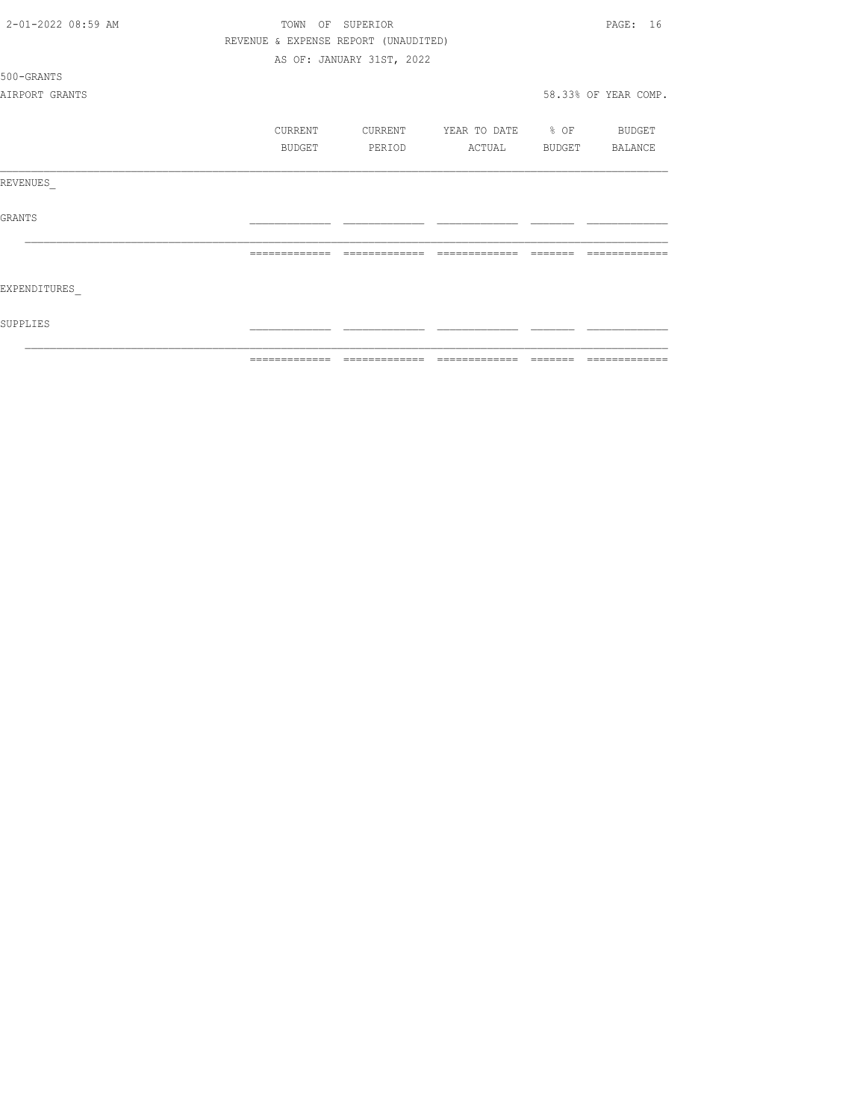| 2-01-2022 08:59 AM | OF SUPERIOR<br>TOWN |               |                                      |                          |  | PAGE: 16             |
|--------------------|---------------------|---------------|--------------------------------------|--------------------------|--|----------------------|
|                    |                     |               | REVENUE & EXPENSE REPORT (UNAUDITED) |                          |  |                      |
|                    |                     |               | AS OF: JANUARY 31ST, 2022            |                          |  |                      |
| 500-GRANTS         |                     |               |                                      |                          |  |                      |
| AIRPORT GRANTS     |                     |               |                                      |                          |  | 58.33% OF YEAR COMP. |
|                    |                     | CURRENT       | CURRENT                              | YEAR TO DATE % OF BUDGET |  |                      |
|                    |                     | BUDGET        | PERIOD                               | ACTUAL                   |  | BUDGET BALANCE       |
| REVENUES           |                     |               |                                      |                          |  |                      |
| <b>GRANTS</b>      |                     |               |                                      |                          |  |                      |
|                    |                     |               |                                      |                          |  |                      |
| EXPENDITURES       |                     |               |                                      |                          |  |                      |
| SUPPLIES           |                     |               |                                      |                          |  |                      |
|                    |                     | ------------- |                                      | --------------           |  |                      |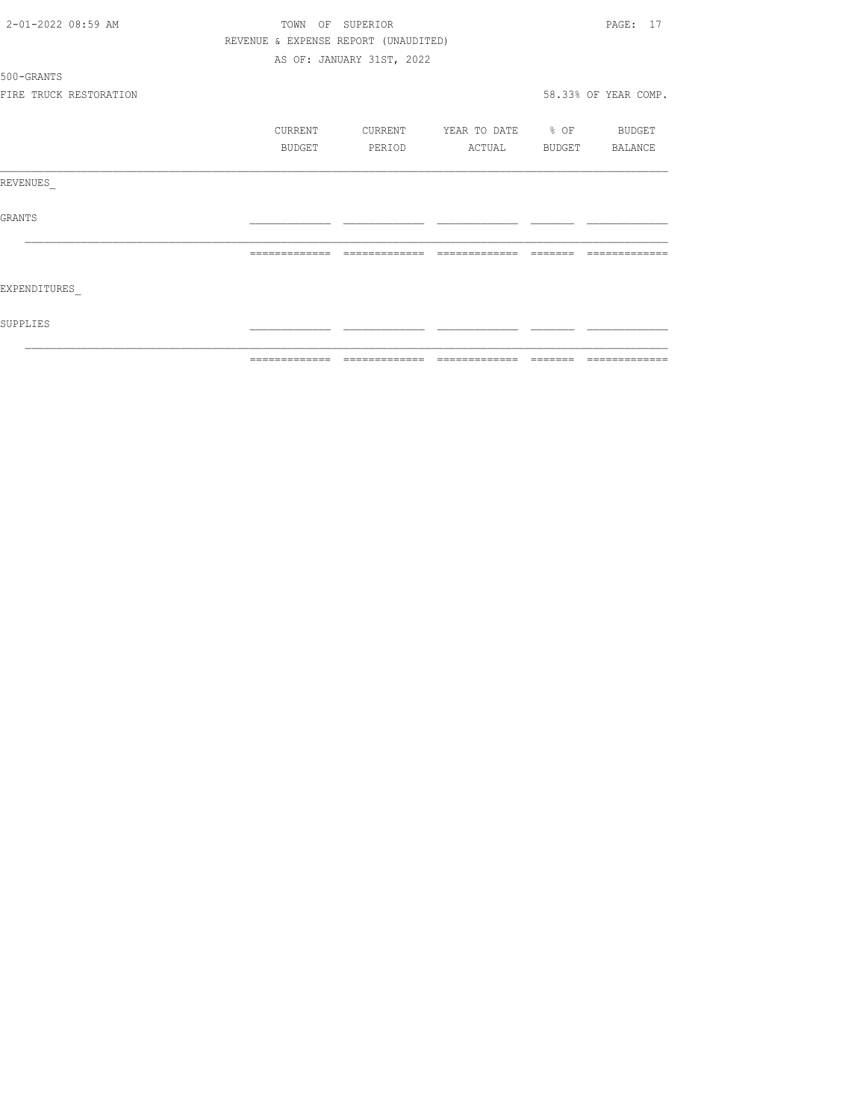| 2-01-2022 08:59 AM     |               | TOWN    | OF SUPERIOR                          |                   |        | PAGE: 17             |
|------------------------|---------------|---------|--------------------------------------|-------------------|--------|----------------------|
|                        |               |         | REVENUE & EXPENSE REPORT (UNAUDITED) |                   |        |                      |
|                        |               |         | AS OF: JANUARY 31ST, 2022            |                   |        |                      |
| 500-GRANTS             |               |         |                                      |                   |        |                      |
| FIRE TRUCK RESTORATION |               |         |                                      |                   |        | 58.33% OF YEAR COMP. |
|                        |               | CURRENT | CURRENT                              | YEAR TO DATE % OF |        | BUDGET               |
|                        |               | BUDGET  | PERIOD                               | ACTUAL            | BUDGET | BALANCE              |
| REVENUES               |               |         |                                      |                   |        |                      |
| <b>GRANTS</b>          |               |         |                                      |                   |        |                      |
|                        |               |         |                                      |                   |        |                      |
| EXPENDITURES           |               |         |                                      |                   |        |                      |
| SUPPLIES               |               |         |                                      |                   |        |                      |
|                        | ------------- |         |                                      | --------------    |        |                      |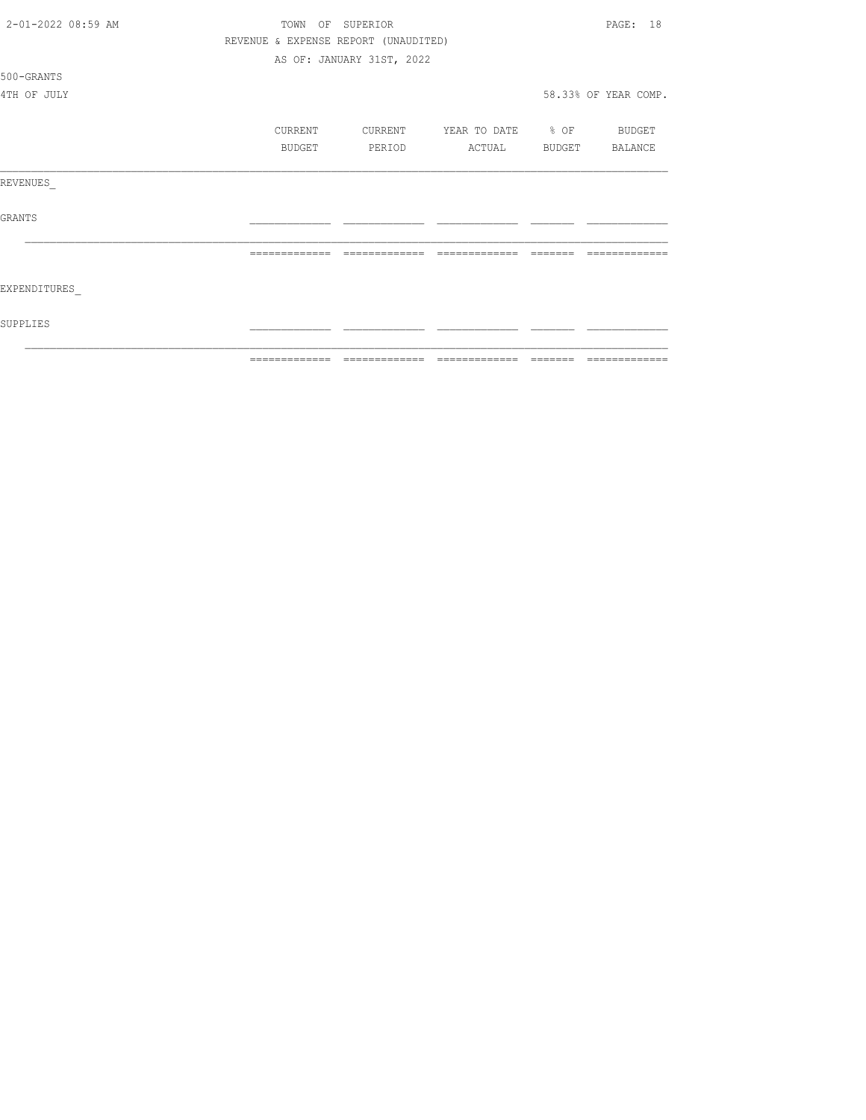|                    | ============= | ======                               |                          | ======= | =============        |
|--------------------|---------------|--------------------------------------|--------------------------|---------|----------------------|
| SUPPLIES           |               |                                      |                          |         |                      |
| EXPENDITURES       |               |                                      |                          |         |                      |
|                    |               | =============                        | =============            |         |                      |
| <b>GRANTS</b>      |               |                                      |                          |         |                      |
| REVENUES           |               |                                      |                          |         |                      |
|                    | BUDGET        | PERIOD                               | ACTUAL                   |         | BUDGET BALANCE       |
|                    | CURRENT       | CURRENT                              | YEAR TO DATE % OF BUDGET |         |                      |
| 4TH OF JULY        |               |                                      |                          |         | 58.33% OF YEAR COMP. |
| 500-GRANTS         |               |                                      |                          |         |                      |
|                    |               | AS OF: JANUARY 31ST, 2022            |                          |         |                      |
|                    |               | REVENUE & EXPENSE REPORT (UNAUDITED) |                          |         |                      |
| 2-01-2022 08:59 AM | TOWN          | OF SUPERIOR                          |                          |         | 18<br>PAGE:          |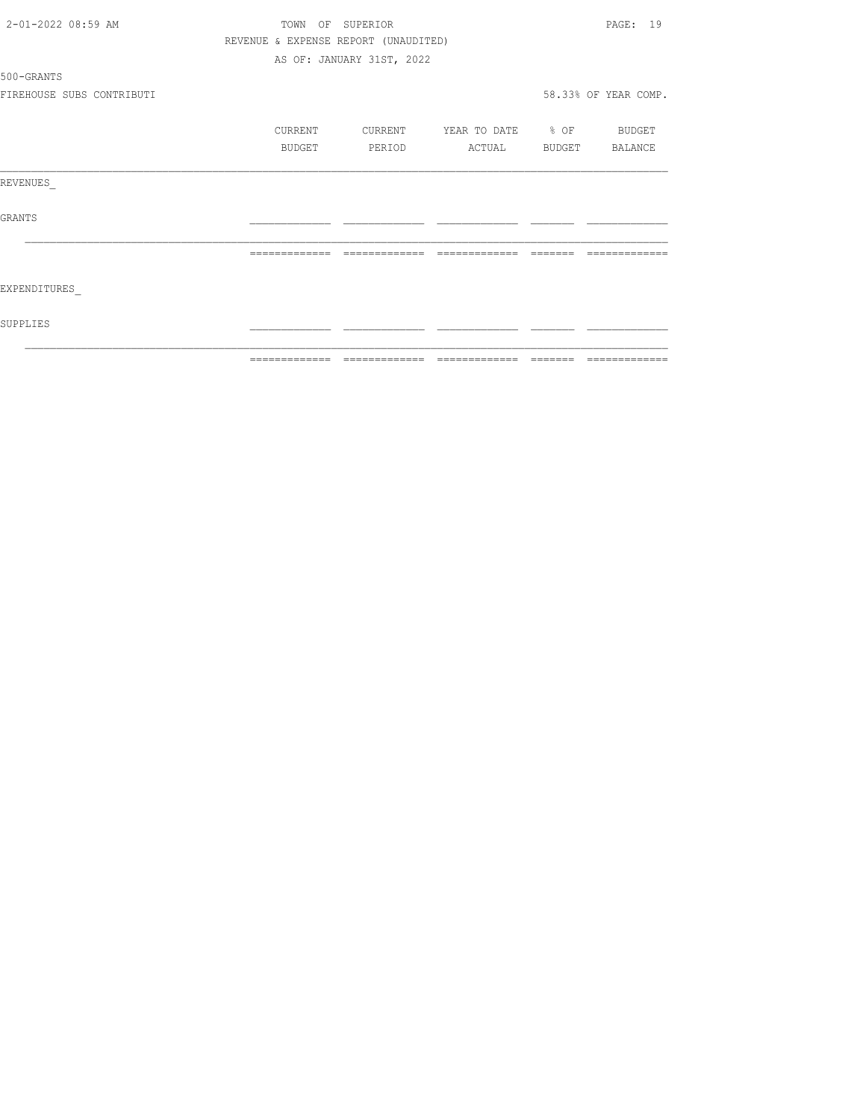| 2-01-2022 08:59 AM        |               | PAGE: 19                             |                          |                      |
|---------------------------|---------------|--------------------------------------|--------------------------|----------------------|
|                           |               | REVENUE & EXPENSE REPORT (UNAUDITED) |                          |                      |
|                           |               | AS OF: JANUARY 31ST, 2022            |                          |                      |
| 500-GRANTS                |               |                                      |                          |                      |
| FIREHOUSE SUBS CONTRIBUTI |               |                                      |                          | 58.33% OF YEAR COMP. |
|                           | CURRENT       | CURRENT                              | YEAR TO DATE % OF BUDGET |                      |
|                           | BUDGET        | PERIOD                               | ACTUAL                   | BUDGET BALANCE       |
| REVENUES                  |               |                                      |                          |                      |
| <b>GRANTS</b>             |               |                                      |                          |                      |
|                           |               |                                      |                          |                      |
| EXPENDITURES              |               |                                      |                          |                      |
| SUPPLIES                  |               |                                      |                          |                      |
|                           | ------------- |                                      | --------------           |                      |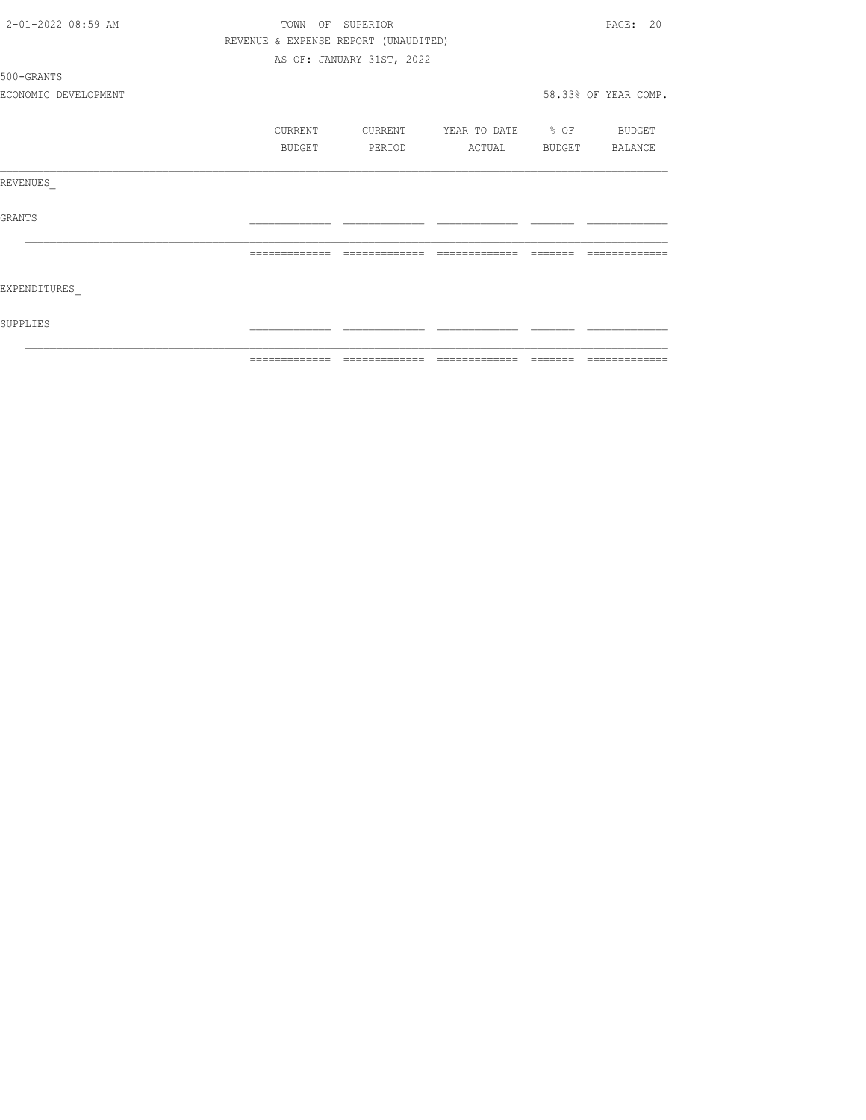| 2-01-2022 08:59 AM   |               | TOWN OF SUPERIOR                     |                   | PAGE: 20             |
|----------------------|---------------|--------------------------------------|-------------------|----------------------|
|                      |               | REVENUE & EXPENSE REPORT (UNAUDITED) |                   |                      |
|                      |               | AS OF: JANUARY 31ST, 2022            |                   |                      |
| 500-GRANTS           |               |                                      |                   |                      |
| ECONOMIC DEVELOPMENT |               |                                      |                   | 58.33% OF YEAR COMP. |
|                      | CURRENT       | CURRENT                              | YEAR TO DATE % OF | BUDGET               |
|                      | BUDGET        | PERIOD                               | ACTUAL            | BUDGET BALANCE       |
| REVENUES             |               |                                      |                   |                      |
| GRANTS               |               |                                      |                   |                      |
|                      | ============= | =============                        | =============     |                      |
| EXPENDITURES         |               |                                      |                   |                      |
| SUPPLIES             |               |                                      |                   |                      |
|                      |               |                                      |                   |                      |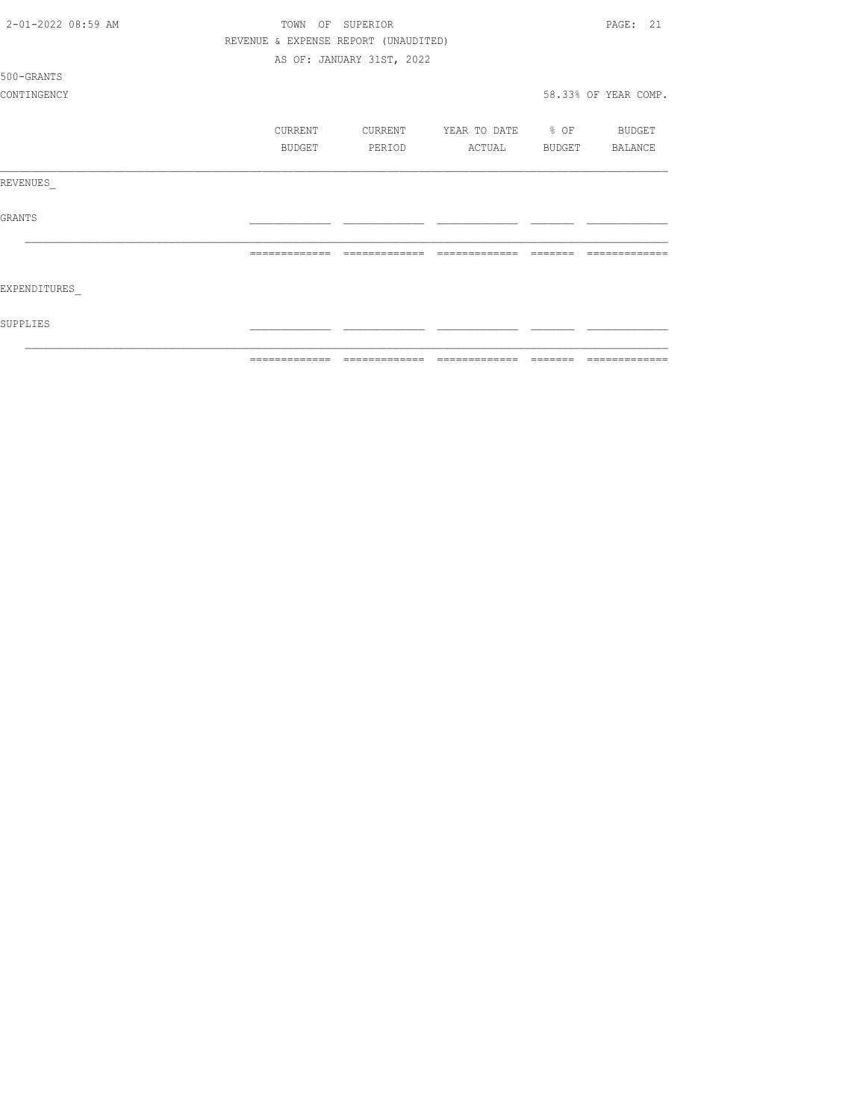| 2-01-2022 08:59 AM | OF<br>TOWN    | SUPERIOR                             |                   |               | PAGE: 21             |
|--------------------|---------------|--------------------------------------|-------------------|---------------|----------------------|
|                    |               | REVENUE & EXPENSE REPORT (UNAUDITED) |                   |               |                      |
|                    |               | AS OF: JANUARY 31ST, 2022            |                   |               |                      |
| 500-GRANTS         |               |                                      |                   |               |                      |
| CONTINGENCY        |               |                                      |                   |               | 58.33% OF YEAR COMP. |
|                    | CURRENT       | CURRENT                              | YEAR TO DATE % OF |               | BUDGET               |
|                    | BUDGET        | PERIOD                               | ACTUAL            | <b>BUDGET</b> | BALANCE              |
| REVENUES           |               |                                      |                   |               |                      |
| <b>GRANTS</b>      |               |                                      |                   |               |                      |
|                    | ------------- |                                      |                   |               |                      |
| EXPENDITURES       |               |                                      |                   |               |                      |
| SUPPLIES           |               |                                      |                   |               |                      |
|                    | ------------- |                                      | -------------     |               |                      |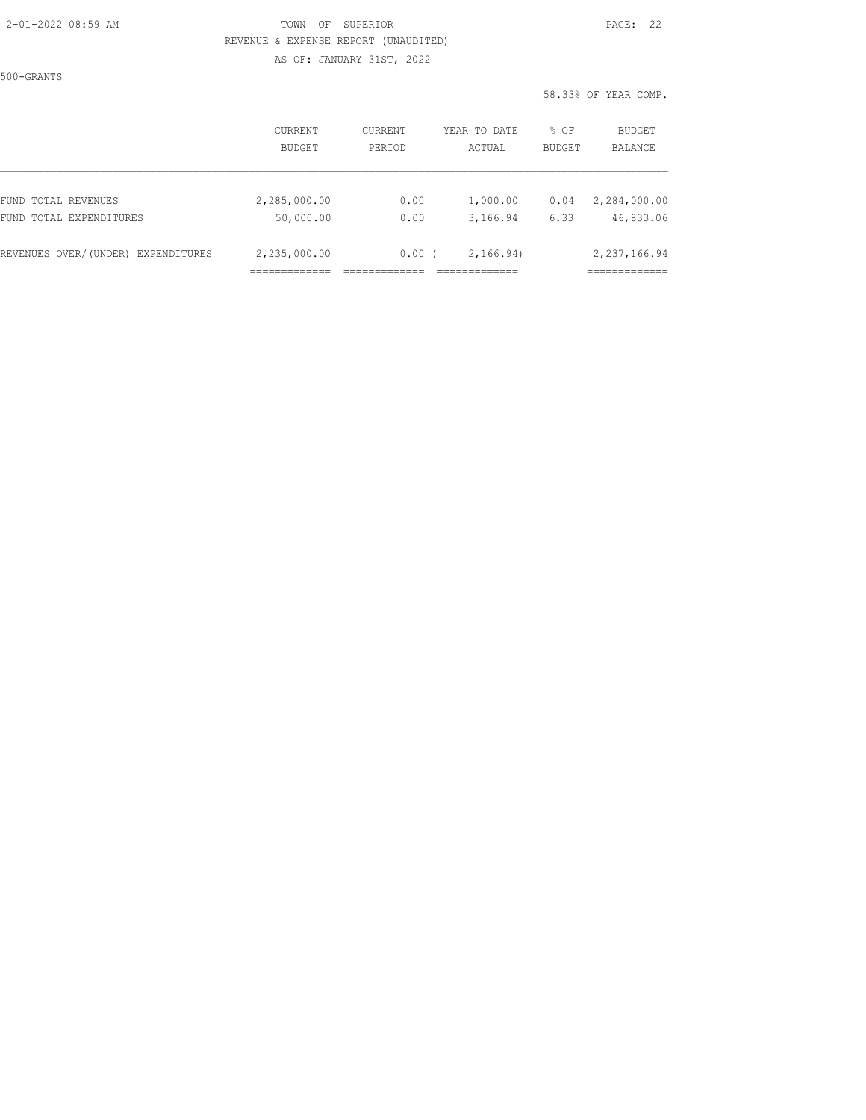#### 2-01-2022 08:59 AM TOWN OF SUPERIOR PAGE: 22 REVENUE & EXPENSE REPORT (UNAUDITED)

AS OF: JANUARY 31ST, 2022

500-GRANTS

58.33% OF YEAR COMP.

|                                    | <b>CURRENT</b> | <b>CURRENT</b> | YEAR TO DATE | % OF          | <b>BUDGET</b>               |
|------------------------------------|----------------|----------------|--------------|---------------|-----------------------------|
|                                    | BUDGET         | PERIOD         | ACTUAL       | <b>BUDGET</b> | BALANCE                     |
| FUND TOTAL REVENUES                | 2,285,000.00   | 0.00           | 1,000.00     | 0.04          | 2,284,000.00                |
| FUND TOTAL EXPENDITURES            | 50,000.00      | 0.00           | 3,166.94     | 6.33          | 46,833.06                   |
| REVENUES OVER/(UNDER) EXPENDITURES | 2,235,000.00   | 0.00           | 2,166.94)    |               | 2,237,166.94<br>___________ |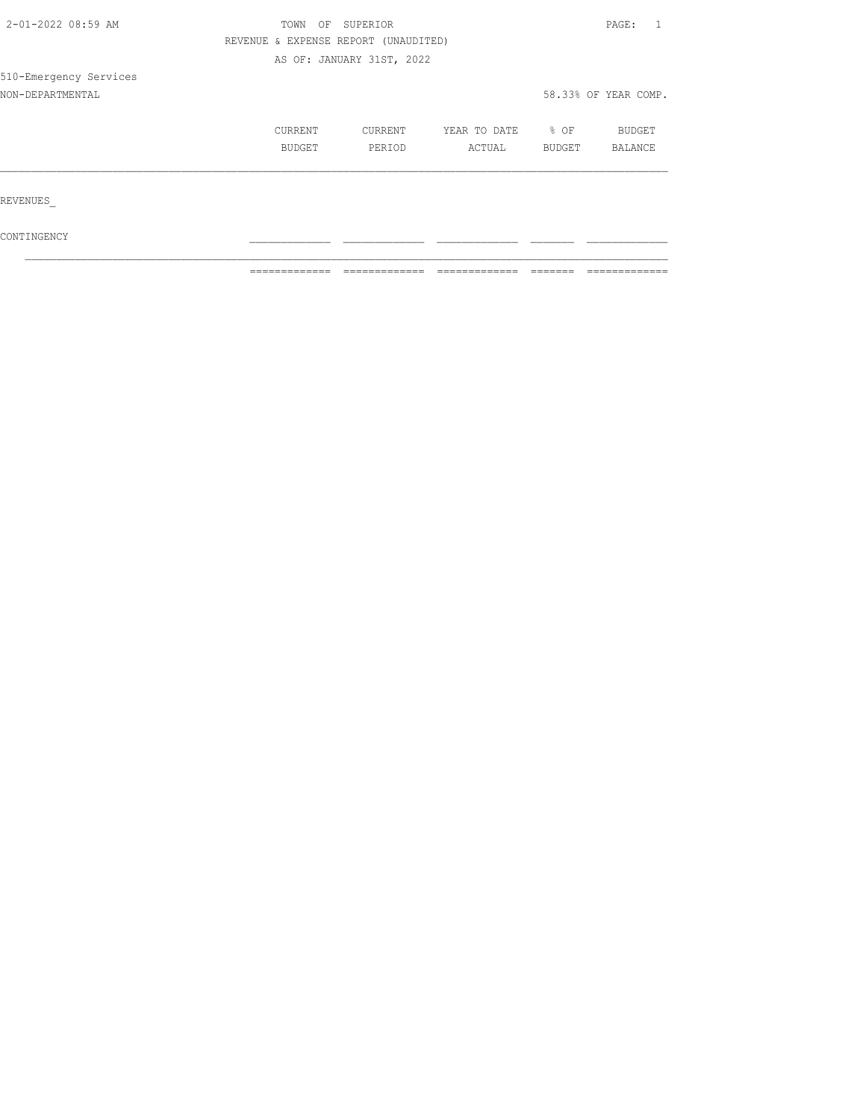| 2-01-2022 08:59 AM     | TOWN<br>OF                           | SUPERIOR                  |              |        |                      |  |
|------------------------|--------------------------------------|---------------------------|--------------|--------|----------------------|--|
|                        | REVENUE & EXPENSE REPORT (UNAUDITED) |                           |              |        |                      |  |
|                        |                                      | AS OF: JANUARY 31ST, 2022 |              |        |                      |  |
| 510-Emergency Services |                                      |                           |              |        |                      |  |
| NON-DEPARTMENTAL       |                                      |                           |              |        | 58.33% OF YEAR COMP. |  |
|                        | CURRENT                              | CURRENT                   | YEAR TO DATE | % OF   | BUDGET               |  |
|                        | BUDGET                               | PERIOD                    | ACTUAL       | BUDGET | BALANCE              |  |
|                        |                                      |                           |              |        |                      |  |
| REVENUES               |                                      |                           |              |        |                      |  |
| CONTINGENCY            |                                      |                           |              |        |                      |  |

 $\mathcal{L}_\text{max}$ ============= ============= ============= ======= =============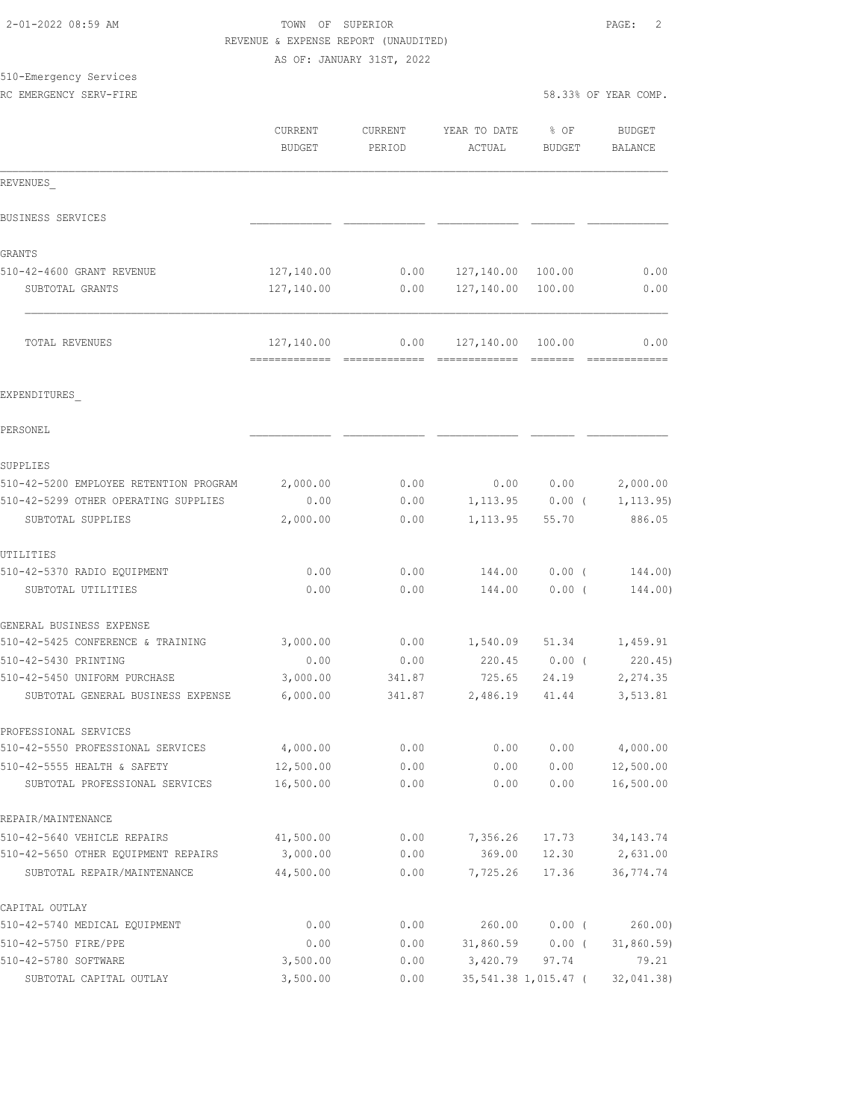| -01-2022 08:59 AM |  |  |  |
|-------------------|--|--|--|
|                   |  |  |  |

## 2-01-2022 08:59 AM TOWN OF SUPERIOR PAGE: 2 REVENUE & EXPENSE REPORT (UNAUDITED)

AS OF: JANUARY 31ST, 2022

# 510-Emergency Services

| RC EMERGENCY SERV-FIRE |  |
|------------------------|--|
|                        |  |

|                                                   | CURRENT<br><b>BUDGET</b> | CURRENT<br>PERIOD | YEAR TO DATE<br>ACTUAL          | $8$ OF<br>BUDGET  | BUDGET<br>BALANCE  |
|---------------------------------------------------|--------------------------|-------------------|---------------------------------|-------------------|--------------------|
| REVENUES                                          |                          |                   |                                 |                   |                    |
| BUSINESS SERVICES                                 |                          |                   |                                 |                   |                    |
| <b>GRANTS</b>                                     |                          |                   |                                 |                   |                    |
| 510-42-4600 GRANT REVENUE                         | 127,140.00               |                   | $0.00$ $127,140.00$             | 100.00            | 0.00               |
| SUBTOTAL GRANTS                                   | 127,140.00               | 0.00              | 127,140.00                      | 100.00            | 0.00               |
| TOTAL REVENUES                                    | 127,140.00               | 0.00              | 127,140.00 100.00               |                   | 0.00               |
| EXPENDITURES                                      |                          |                   |                                 |                   |                    |
| PERSONEL                                          |                          |                   |                                 |                   |                    |
| SUPPLIES                                          |                          |                   |                                 |                   |                    |
| 510-42-5200 EMPLOYEE RETENTION PROGRAM            | 2,000.00                 | 0.00              | 0.00                            |                   | $0.00$ 2,000.00    |
| 510-42-5299 OTHER OPERATING SUPPLIES              | 0.00                     | 0.00              |                                 | $1,113.95$ 0.00 ( | 1, 113.95)         |
| SUBTOTAL SUPPLIES                                 | 2,000.00                 | 0.00              | 1,113.95                        | 55.70             | 886.05             |
| UTILITIES                                         |                          |                   |                                 |                   |                    |
| 510-42-5370 RADIO EQUIPMENT<br>SUBTOTAL UTILITIES | 0.00<br>0.00             | 0.00<br>0.00      | 144.00<br>144.00                | $0.00$ (<br>0.00( | 144.00)<br>144.00) |
|                                                   |                          |                   |                                 |                   |                    |
| GENERAL BUSINESS EXPENSE                          |                          |                   |                                 |                   |                    |
| 510-42-5425 CONFERENCE & TRAINING                 | 3,000.00                 | 0.00              | 1,540.09 51.34 1,459.91         |                   |                    |
| 510-42-5430 PRINTING                              | 0.00                     | 0.00              | 220.45 0.00 (                   |                   | 220.45)            |
| 510-42-5450 UNIFORM PURCHASE                      | 3,000.00                 | 341.87            | 725.65                          | 24.19             | 2,274.35           |
| SUBTOTAL GENERAL BUSINESS EXPENSE                 | 6,000.00                 | 341.87            | 2,486.19                        | 41.44             | 3,513.81           |
| PROFESSIONAL SERVICES                             |                          |                   |                                 |                   |                    |
| 510-42-5550 PROFESSIONAL SERVICES                 | 4,000.00                 |                   | $0.00$ $0.00$ $0.00$ $4,000.00$ |                   |                    |
| 510-42-5555 HEALTH & SAFETY                       | 12,500.00                | 0.00              | 0.00                            | 0.00              | 12,500.00          |
| SUBTOTAL PROFESSIONAL SERVICES                    | 16,500.00                | 0.00              | 0.00                            | 0.00              | 16,500.00          |
| REPAIR/MAINTENANCE                                |                          |                   |                                 |                   |                    |
| 510-42-5640 VEHICLE REPAIRS                       | 41,500.00                | 0.00              | 7,356.26                        | 17.73             | 34, 143. 74        |
| 510-42-5650 OTHER EQUIPMENT REPAIRS               | 3,000.00                 | 0.00              | 369.00                          | 12.30             | 2,631.00           |
| SUBTOTAL REPAIR/MAINTENANCE                       | 44,500.00                | 0.00              | 7,725.26                        | 17.36             | 36, 774.74         |
| CAPITAL OUTLAY                                    |                          |                   |                                 |                   |                    |
| 510-42-5740 MEDICAL EQUIPMENT                     | 0.00                     | 0.00              | 260.00                          | $0.00$ (          | 260.00             |
| 510-42-5750 FIRE/PPE                              | 0.00                     | 0.00              | $31,860.59$ 0.00 (              |                   | 31,860.59          |
| 510-42-5780 SOFTWARE                              | 3,500.00                 | 0.00              | 3,420.79                        | 97.74             | 79.21              |
| SUBTOTAL CAPITAL OUTLAY                           | 3,500.00                 | 0.00              | 35,541.38 1,015.47 (            |                   | 32,041.38)         |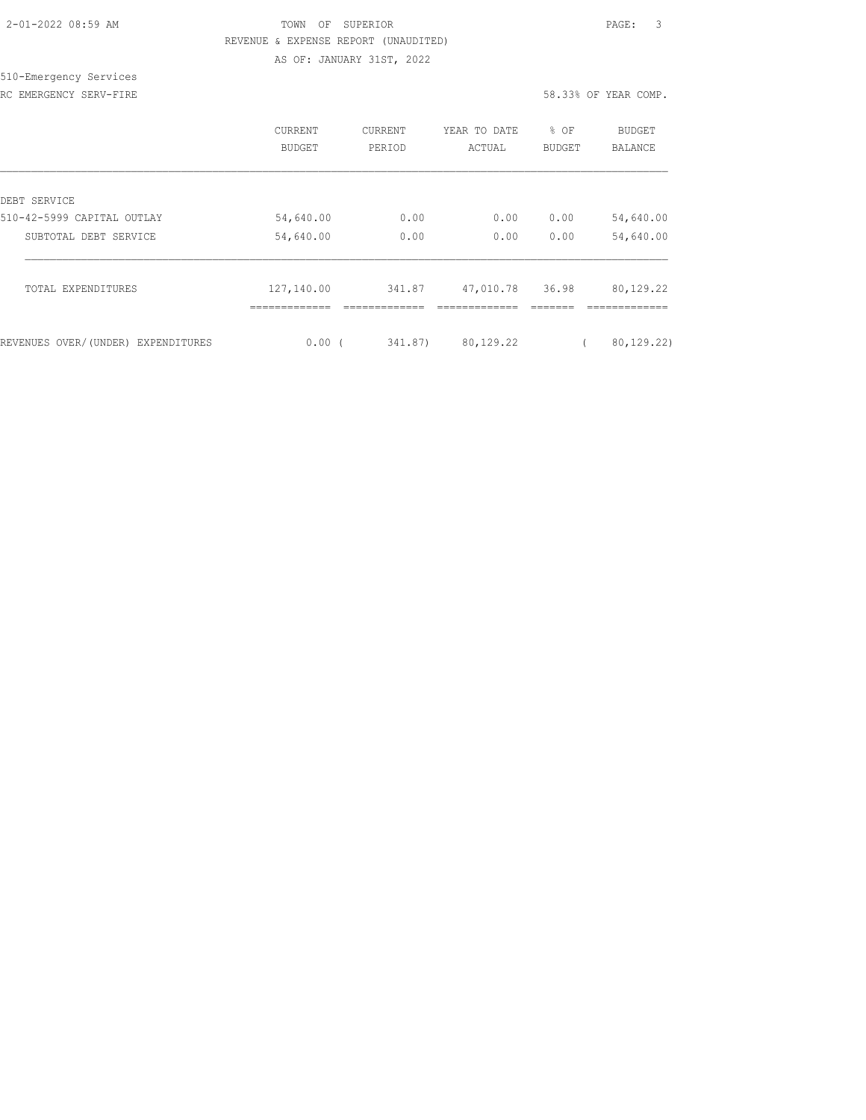| 2-01-2022 08:59 AM |  |
|--------------------|--|
|                    |  |

## TOWN OF SUPERIOR **Example 2010** PAGE: 3 REVENUE & EXPENSE REPORT (UNAUDITED)

AS OF: JANUARY 31ST, 2022

#### 510-Emergency Services RC EMERGENCY SERV-FIRE **First** comp. The series of the series of the series of the series of the series of the series of the series of the series of the series of the series of the series of the series of the series of the

|                                    | CURRENT<br>BUDGET | <b>CURRENT</b><br>PERIOD | YEAR TO DATE<br>ACTUAL | % OF<br><b>BUDGET</b> | BUDGET<br>BALANCE |
|------------------------------------|-------------------|--------------------------|------------------------|-----------------------|-------------------|
| DEBT SERVICE                       |                   |                          |                        |                       |                   |
| 510-42-5999 CAPITAL OUTLAY         | 54,640.00         | 0.00                     | 0.00                   | 0.00                  | 54,640.00         |
| SUBTOTAL DEBT SERVICE              | 54,640.00         | 0.00                     | 0.00                   | 0.00                  | 54,640.00         |
| TOTAL EXPENDITURES                 | 127,140.00        | 341.87                   | 47,010.78              | 36.98                 | 80,129.22         |
| REVENUES OVER/(UNDER) EXPENDITURES | 0.00(             | 341.87)                  | 80,129.22              |                       | 80, 129.22)       |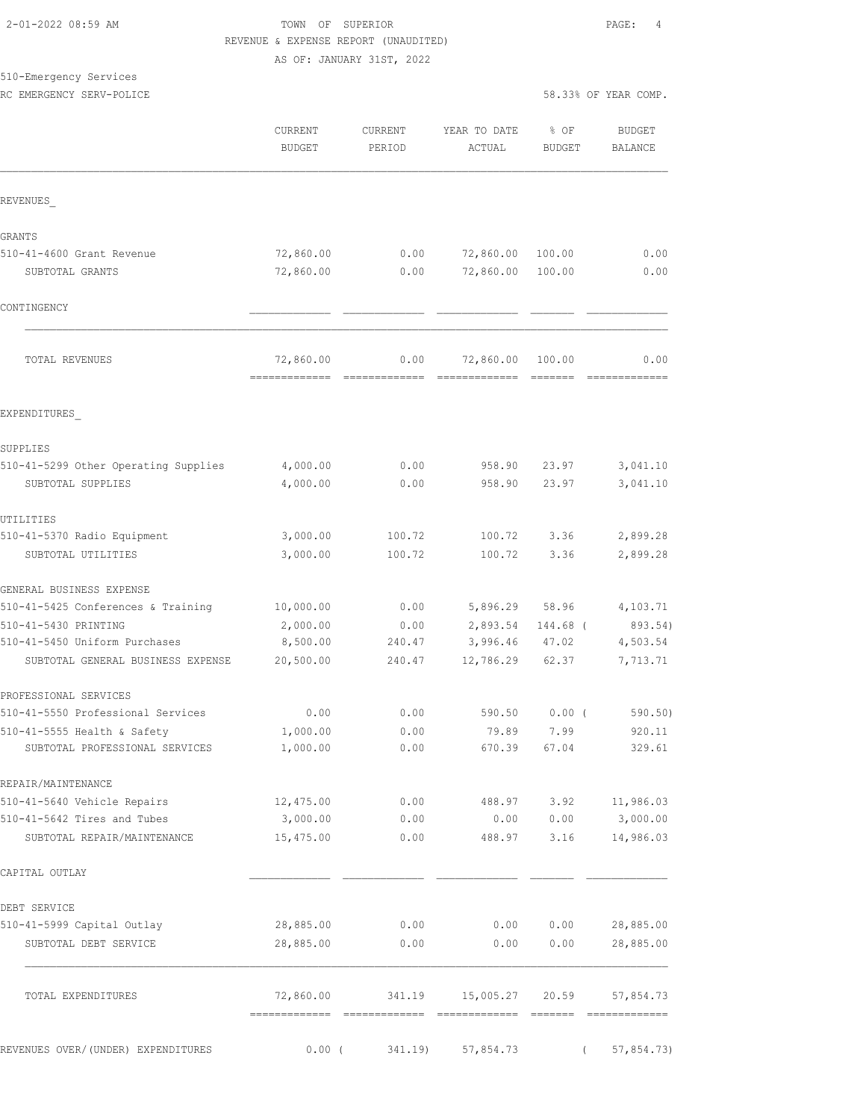## 2-01-2022 08:59 AM TOWN OF SUPERIOR PAGE: 4 REVENUE & EXPENSE REPORT (UNAUDITED)

AS OF: JANUARY 31ST, 2022

### 510-Emergency Services

|                                                                    | CURRENT<br><b>BUDGET</b> | CURRENT<br>PERIOD | YEAR TO DATE<br>ACTUAL      | % OF<br><b>BUDGET</b> | <b>BUDGET</b><br><b>BALANCE</b> |
|--------------------------------------------------------------------|--------------------------|-------------------|-----------------------------|-----------------------|---------------------------------|
| REVENUES                                                           |                          |                   |                             |                       |                                 |
| <b>GRANTS</b>                                                      |                          |                   |                             |                       |                                 |
| 510-41-4600 Grant Revenue                                          | 72,860.00                | 0.00              | 72,860.00                   | 100.00                | 0.00                            |
| SUBTOTAL GRANTS                                                    | 72,860.00                | 0.00              | 72,860.00                   | 100.00                | 0.00                            |
| CONTINGENCY                                                        |                          |                   |                             |                       |                                 |
| TOTAL REVENUES                                                     | 72,860.00                | 0.00              | 72,860.00 100.00            |                       | 0.00                            |
| EXPENDITURES                                                       |                          |                   |                             |                       |                                 |
| SUPPLIES                                                           |                          |                   |                             |                       |                                 |
| 510-41-5299 Other Operating Supplies                               | 4,000.00                 | 0.00              | 958.90                      | 23.97                 | 3,041.10                        |
| SUBTOTAL SUPPLIES                                                  | 4,000.00                 | 0.00              | 958.90                      | 23.97                 | 3,041.10                        |
| UTILITIES                                                          |                          |                   |                             |                       |                                 |
| 510-41-5370 Radio Equipment                                        | 3,000.00                 | 100.72            | 100.72                      | 3.36                  | 2,899.28                        |
| SUBTOTAL UTILITIES                                                 | 3,000.00                 | 100.72            | 100.72                      | 3.36                  | 2,899.28                        |
| GENERAL BUSINESS EXPENSE                                           |                          |                   |                             |                       |                                 |
| 510-41-5425 Conferences & Training                                 | 10,000.00                | 0.00              | 5,896.29 58.96              |                       | 4,103.71                        |
| 510-41-5430 PRINTING                                               | 2,000.00                 | 0.00              | 2,893.54                    | 144.68 (              | 893.54)                         |
| 510-41-5450 Uniform Purchases<br>SUBTOTAL GENERAL BUSINESS EXPENSE | 8,500.00<br>20,500.00    | 240.47<br>240.47  | 3,996.46 47.02<br>12,786.29 | 62.37                 | 4,503.54<br>7,713.71            |
| PROFESSIONAL SERVICES                                              |                          |                   |                             |                       |                                 |
| 510-41-5550 Professional Services                                  | 0.00                     | 0.00              | 590.50                      | 0.00(                 | 590.50                          |
| 510-41-5555 Health & Safety                                        | 1,000.00                 | 0.00              | 79.89                       | 7.99                  | 920.11                          |
| SUBTOTAL PROFESSIONAL SERVICES                                     | 1,000.00                 | 0.00              |                             | 670.39 67.04          | 329.61                          |
| REPAIR/MAINTENANCE                                                 |                          |                   |                             |                       |                                 |
| 510-41-5640 Vehicle Repairs                                        | 12,475.00                | 0.00              |                             | 488.97 3.92           | 11,986.03                       |
| 510-41-5642 Tires and Tubes                                        | 3,000.00                 | 0.00              | 0.00                        | 0.00                  | 3,000.00                        |
| SUBTOTAL REPAIR/MAINTENANCE                                        | 15,475.00                | 0.00              | 488.97                      | 3.16                  | 14,986.03                       |
| CAPITAL OUTLAY                                                     |                          |                   |                             |                       |                                 |
| DEBT SERVICE                                                       |                          |                   |                             |                       |                                 |
| 510-41-5999 Capital Outlay                                         | 28,885.00                | 0.00              | 0.00                        | 0.00                  | 28,885.00                       |
| SUBTOTAL DEBT SERVICE                                              | 28,885.00                | 0.00              | 0.00                        | 0.00                  | 28,885.00                       |
| TOTAL EXPENDITURES                                                 | 72,860.00                | 341.19            |                             |                       | 15,005.27 20.59 57,854.73       |
| REVENUES OVER/ (UNDER) EXPENDITURES                                | $0.00$ (                 | 341.19)           | 57,854.73                   |                       | 57,854.73)                      |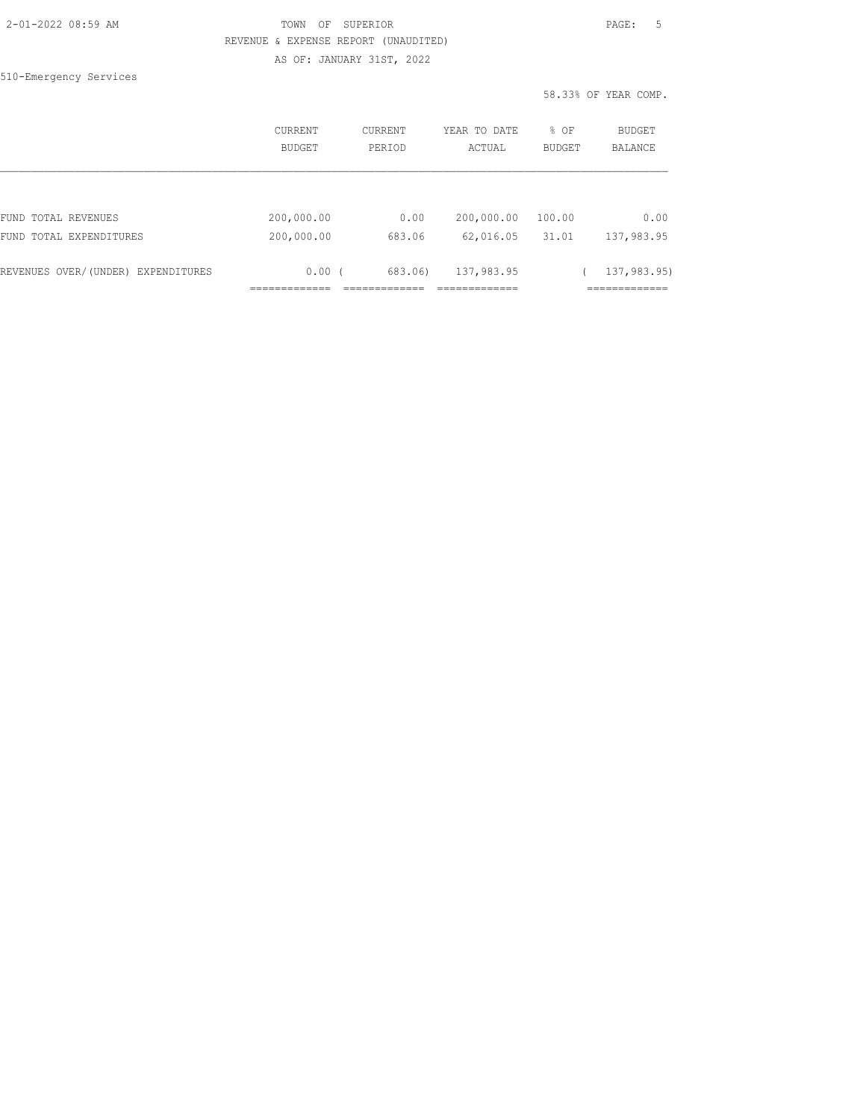#### TOWN OF SUPERIOR **PAGE:** 5 REVENUE & EXPENSE REPORT (UNAUDITED) AS OF: JANUARY 31ST, 2022

510-Emergency Services

58.33% OF YEAR COMP.

|                                    | <b>CURRENT</b><br><b>BUDGET</b> | <b>CURRENT</b><br>PERIOD | YEAR TO DATE<br>ACTUAL | % OF<br><b>BUDGET</b> | BUDGET<br>BALANCE |
|------------------------------------|---------------------------------|--------------------------|------------------------|-----------------------|-------------------|
|                                    |                                 |                          |                        |                       |                   |
| FUND TOTAL REVENUES                | 200,000.00                      | 0.00                     | 200,000.00             | 100.00                | 0.00              |
| FUND TOTAL EXPENDITURES            | 200,000.00                      | 683.06                   | 62,016.05              | 31.01                 | 137,983.95        |
| REVENUES OVER/(UNDER) EXPENDITURES | $0.00$ (                        | 683.06)                  | 137,983.95             |                       | 137,983.95)       |
|                                    |                                 |                          |                        |                       |                   |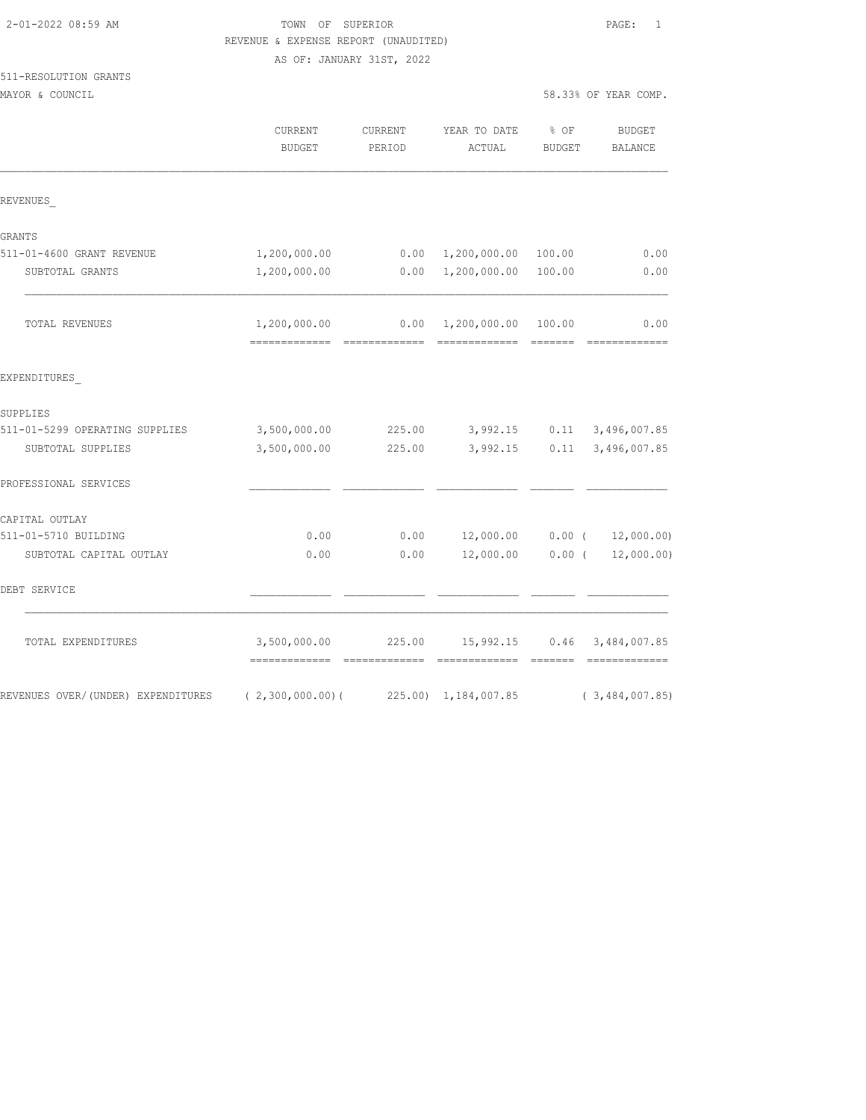### TOWN OF SUPERIOR **Example 2010** PAGE: 1 REVENUE & EXPENSE REPORT (UNAUDITED)

AS OF: JANUARY 31ST, 2022

# 511-RESOLUTION GRANTS

|                                    | CURRENT<br><b>BUDGET</b> | CURRENT<br>PERIOD | YEAR TO DATE<br>ACTUAL                 | % OF<br><b>BUDGET</b> | <b>BUDGET</b><br>BALANCE                                                                                                                                                                                                                                                                                                                                                                                                                                                                       |
|------------------------------------|--------------------------|-------------------|----------------------------------------|-----------------------|------------------------------------------------------------------------------------------------------------------------------------------------------------------------------------------------------------------------------------------------------------------------------------------------------------------------------------------------------------------------------------------------------------------------------------------------------------------------------------------------|
| REVENUES                           |                          |                   |                                        |                       |                                                                                                                                                                                                                                                                                                                                                                                                                                                                                                |
| GRANTS                             |                          |                   |                                        |                       |                                                                                                                                                                                                                                                                                                                                                                                                                                                                                                |
| 511-01-4600 GRANT REVENUE          | 1,200,000.00             |                   | $0.00 \quad 1,200,000.00$              | 100.00                | 0.00                                                                                                                                                                                                                                                                                                                                                                                                                                                                                           |
| SUBTOTAL GRANTS                    | 1,200,000.00             |                   | 0.00 1,200,000.00                      | 100.00                | 0.00                                                                                                                                                                                                                                                                                                                                                                                                                                                                                           |
| TOTAL REVENUES                     | 1,200,000.00             |                   | $0.00 \quad 1,200,000.00 \quad 100.00$ |                       | 0.00<br>$\begin{array}{cccccccccc} \multicolumn{2}{c}{} & \multicolumn{2}{c}{} & \multicolumn{2}{c}{} & \multicolumn{2}{c}{} & \multicolumn{2}{c}{} & \multicolumn{2}{c}{} & \multicolumn{2}{c}{} & \multicolumn{2}{c}{} & \multicolumn{2}{c}{} & \multicolumn{2}{c}{} & \multicolumn{2}{c}{} & \multicolumn{2}{c}{} & \multicolumn{2}{c}{} & \multicolumn{2}{c}{} & \multicolumn{2}{c}{} & \multicolumn{2}{c}{} & \multicolumn{2}{c}{} & \multicolumn{2}{c}{} & \multicolumn{2}{c}{} & \mult$ |
| EXPENDITURES                       |                          |                   |                                        |                       |                                                                                                                                                                                                                                                                                                                                                                                                                                                                                                |
| SUPPLIES                           |                          |                   |                                        |                       |                                                                                                                                                                                                                                                                                                                                                                                                                                                                                                |
| 511-01-5299 OPERATING SUPPLIES     | 3,500,000.00             | 225.00            | 3,992.15                               | 0.11                  | 3,496,007.85                                                                                                                                                                                                                                                                                                                                                                                                                                                                                   |
| SUBTOTAL SUPPLIES                  | 3,500,000.00             | 225.00            | 3,992.15                               | 0.11                  | 3,496,007.85                                                                                                                                                                                                                                                                                                                                                                                                                                                                                   |
| PROFESSIONAL SERVICES              |                          |                   |                                        |                       |                                                                                                                                                                                                                                                                                                                                                                                                                                                                                                |
| CAPITAL OUTLAY                     |                          |                   |                                        |                       |                                                                                                                                                                                                                                                                                                                                                                                                                                                                                                |
| 511-01-5710 BUILDING               | 0.00                     | 0.00              | 12,000.00                              | $0.00$ (              | 12,000.00)                                                                                                                                                                                                                                                                                                                                                                                                                                                                                     |
| SUBTOTAL CAPITAL OUTLAY            | 0.00                     | 0.00              | 12,000.00                              | $0.00$ (              | 12,000.00)                                                                                                                                                                                                                                                                                                                                                                                                                                                                                     |
| DEBT SERVICE                       |                          |                   |                                        |                       |                                                                                                                                                                                                                                                                                                                                                                                                                                                                                                |
| TOTAL EXPENDITURES                 | 3,500,000.00             | 225.00            | 15,992.15                              | 0.46                  | 3,484,007.85                                                                                                                                                                                                                                                                                                                                                                                                                                                                                   |
| REVENUES OVER/(UNDER) EXPENDITURES | (2,300,000.00)           |                   | 225.00) 1,184,007.85                   |                       | (3, 484, 007.85)                                                                                                                                                                                                                                                                                                                                                                                                                                                                               |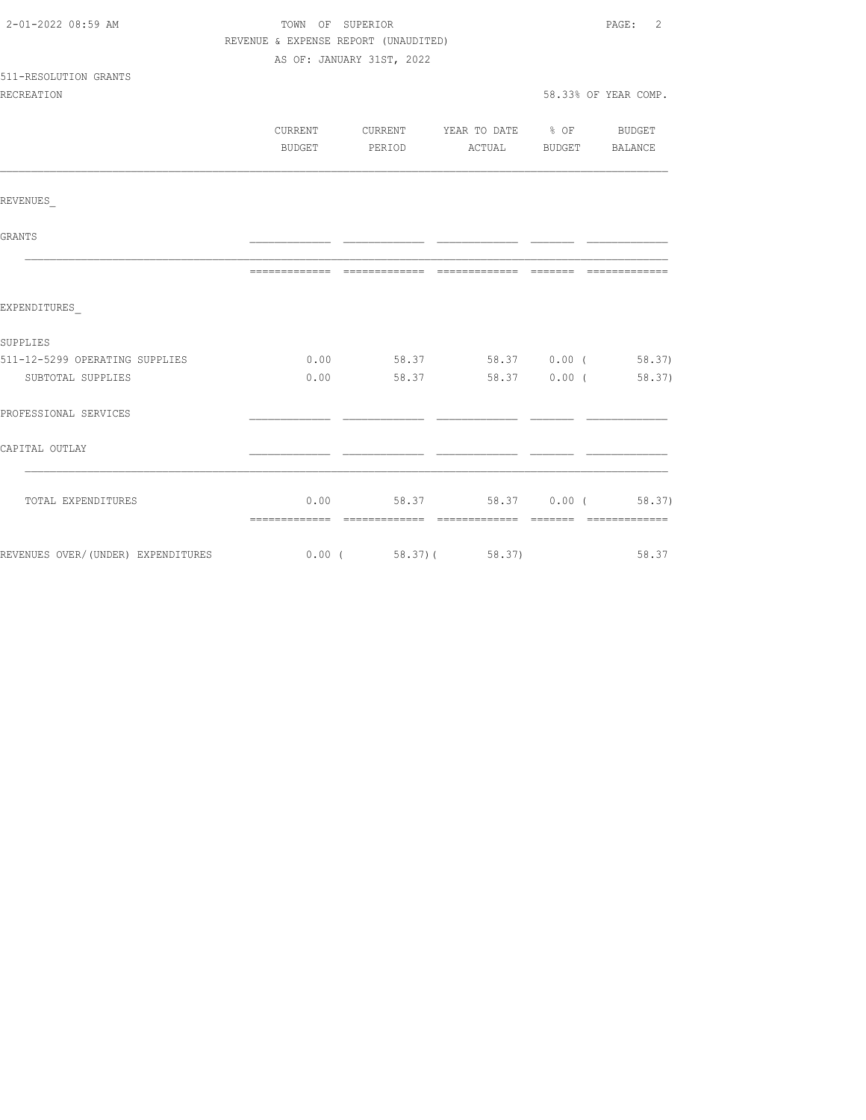| 2-01-2022 08:59 AM                                      | TOWN OF SUPERIOR                     |                           |                                          |                       | PAGE: 2              |
|---------------------------------------------------------|--------------------------------------|---------------------------|------------------------------------------|-----------------------|----------------------|
|                                                         | REVENUE & EXPENSE REPORT (UNAUDITED) |                           |                                          |                       |                      |
|                                                         |                                      | AS OF: JANUARY 31ST, 2022 |                                          |                       |                      |
| 511-RESOLUTION GRANTS                                   |                                      |                           |                                          |                       |                      |
| <b>RECREATION</b>                                       |                                      |                           |                                          |                       | 58.33% OF YEAR COMP. |
|                                                         |                                      |                           |                                          |                       |                      |
|                                                         |                                      |                           | CURRENT CURRENT YEAR TO DATE % OF BUDGET |                       |                      |
|                                                         |                                      | BUDGET PERIOD             |                                          | ACTUAL BUDGET BALANCE |                      |
|                                                         |                                      |                           |                                          |                       |                      |
| REVENUES                                                |                                      |                           |                                          |                       |                      |
| GRANTS                                                  |                                      |                           |                                          |                       |                      |
|                                                         |                                      |                           |                                          |                       |                      |
|                                                         |                                      |                           |                                          |                       |                      |
| EXPENDITURES                                            |                                      |                           |                                          |                       |                      |
| SUPPLIES                                                |                                      |                           |                                          |                       |                      |
| 511-12-5299 OPERATING SUPPLIES                          |                                      |                           | $0.00$ 58.37 58.37 0.00 (58.37)          |                       |                      |
| SUBTOTAL SUPPLIES                                       |                                      |                           | $0.00$ 58.37 58.37 0.00 (58.37)          |                       |                      |
| PROFESSIONAL SERVICES                                   |                                      |                           |                                          |                       |                      |
| CAPITAL OUTLAY                                          |                                      |                           |                                          |                       |                      |
|                                                         |                                      |                           |                                          |                       |                      |
| TOTAL EXPENDITURES                                      |                                      |                           | $0.00$ 58.37 58.37 0.00 (58.37)          |                       |                      |
| REVENUES OVER/(UNDER) EXPENDITURES 6.00 (58.37) (58.37) |                                      |                           |                                          |                       | 58.37                |
|                                                         |                                      |                           |                                          |                       |                      |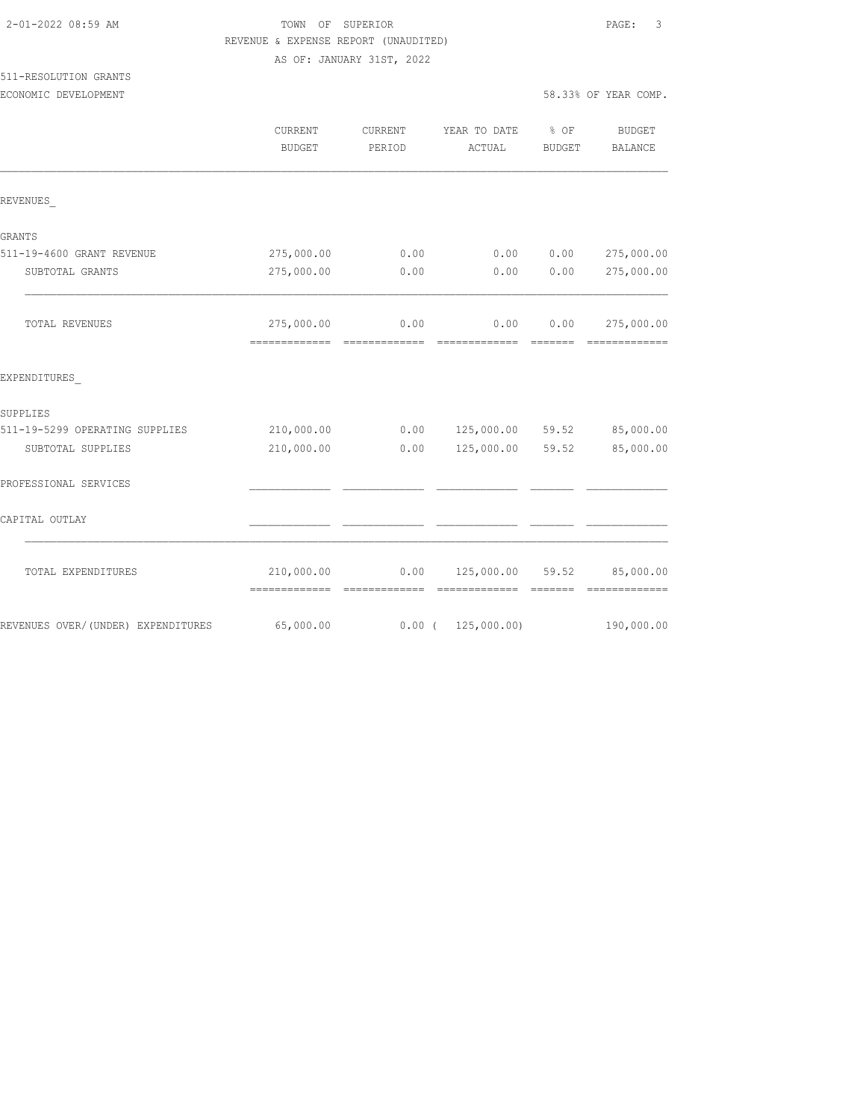| 2-01-2022 08:59 AM |  |
|--------------------|--|
|                    |  |

## TOWN OF SUPERIOR **Example 2010** PAGE: 3 REVENUE & EXPENSE REPORT (UNAUDITED)

AS OF: JANUARY 31ST, 2022

# 511-RESOLUTION GRANTS

| ECONOMIC DEVELOPMENT |  |
|----------------------|--|
|----------------------|--|

|                                    | CURRENT<br><b>BUDGET</b>                    | CURRENT<br>PERIOD | YEAR TO DATE % OF<br>ACTUAL | BUDGET | <b>BUDGET</b><br><b>BALANCE</b>                                                                                                                                                                                                                                                                                                                                                                                                                                                                      |
|------------------------------------|---------------------------------------------|-------------------|-----------------------------|--------|------------------------------------------------------------------------------------------------------------------------------------------------------------------------------------------------------------------------------------------------------------------------------------------------------------------------------------------------------------------------------------------------------------------------------------------------------------------------------------------------------|
| REVENUES                           |                                             |                   |                             |        |                                                                                                                                                                                                                                                                                                                                                                                                                                                                                                      |
| <b>GRANTS</b>                      |                                             |                   |                             |        |                                                                                                                                                                                                                                                                                                                                                                                                                                                                                                      |
| 511-19-4600 GRANT REVENUE          | 275,000.00                                  | 0.00              | 0.00                        | 0.00   | 275,000.00                                                                                                                                                                                                                                                                                                                                                                                                                                                                                           |
| SUBTOTAL GRANTS                    | 275,000.00                                  | 0.00              | 0.00                        | 0.00   | 275,000.00                                                                                                                                                                                                                                                                                                                                                                                                                                                                                           |
| TOTAL REVENUES                     | 275,000.00<br>-------------- -------------- | 0.00              | 0.00                        | 0.00   | 275,000.00<br>$\begin{array}{cccccccccc} \multicolumn{2}{c}{} & \multicolumn{2}{c}{} & \multicolumn{2}{c}{} & \multicolumn{2}{c}{} & \multicolumn{2}{c}{} & \multicolumn{2}{c}{} & \multicolumn{2}{c}{} & \multicolumn{2}{c}{} & \multicolumn{2}{c}{} & \multicolumn{2}{c}{} & \multicolumn{2}{c}{} & \multicolumn{2}{c}{} & \multicolumn{2}{c}{} & \multicolumn{2}{c}{} & \multicolumn{2}{c}{} & \multicolumn{2}{c}{} & \multicolumn{2}{c}{} & \multicolumn{2}{c}{} & \multicolumn{2}{c}{} & \mult$ |
| EXPENDITURES                       |                                             |                   |                             |        |                                                                                                                                                                                                                                                                                                                                                                                                                                                                                                      |
| SUPPLIES                           |                                             |                   |                             |        |                                                                                                                                                                                                                                                                                                                                                                                                                                                                                                      |
| 511-19-5299 OPERATING SUPPLIES     | 210,000.00                                  |                   | $0.00$ $125,000.00$ $59.52$ |        | 85,000.00                                                                                                                                                                                                                                                                                                                                                                                                                                                                                            |
| SUBTOTAL SUPPLIES                  | 210,000.00                                  | 0.00              | 125,000.00 59.52            |        | 85,000.00                                                                                                                                                                                                                                                                                                                                                                                                                                                                                            |
| PROFESSIONAL SERVICES              |                                             |                   |                             |        |                                                                                                                                                                                                                                                                                                                                                                                                                                                                                                      |
| CAPITAL OUTLAY                     |                                             |                   |                             |        |                                                                                                                                                                                                                                                                                                                                                                                                                                                                                                      |
| TOTAL EXPENDITURES                 | 210,000.00                                  |                   | $0.00$ 125,000.00 59.52     |        | 85,000.00                                                                                                                                                                                                                                                                                                                                                                                                                                                                                            |
| REVENUES OVER/(UNDER) EXPENDITURES | 65,000.00                                   |                   | $0.00$ ( 125,000.00)        |        | 190,000.00                                                                                                                                                                                                                                                                                                                                                                                                                                                                                           |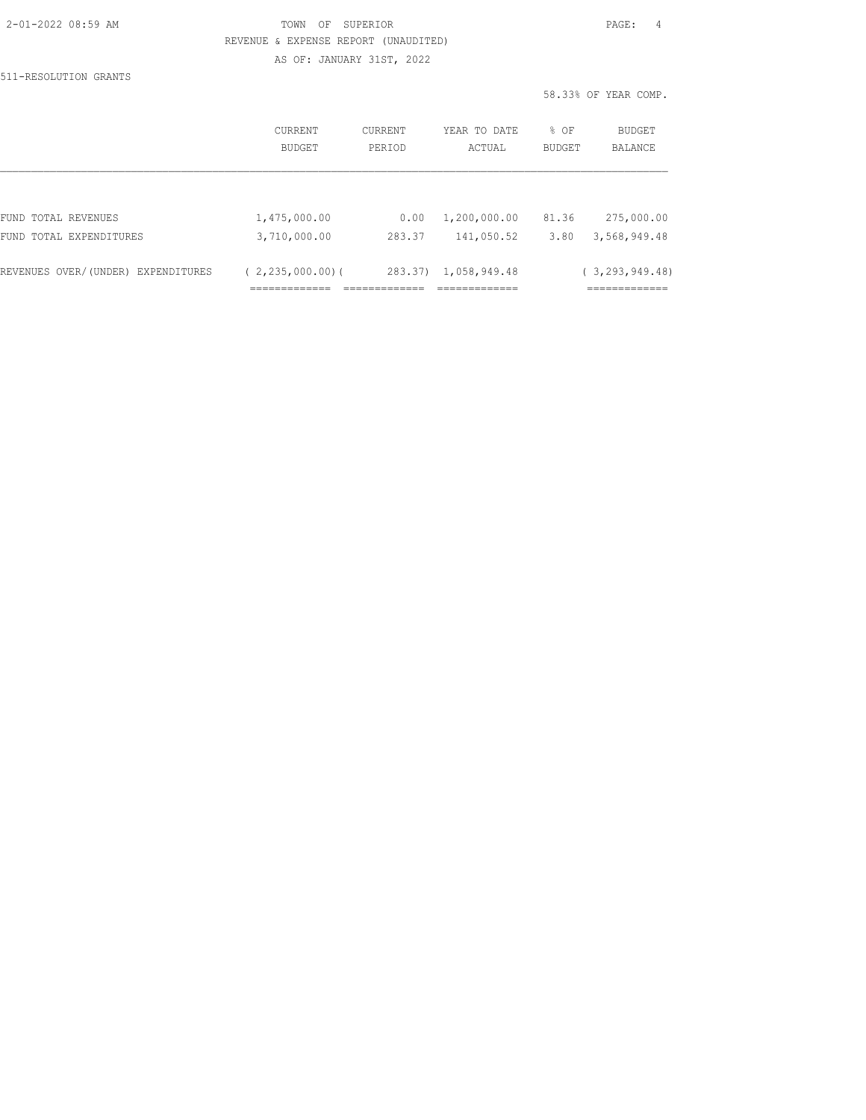| 2-01-2022 08:59 AM |  |
|--------------------|--|
|                    |  |

#### TOWN OF SUPERIOR **PAGE:** 4 REVENUE & EXPENSE REPORT (UNAUDITED) AS OF: JANUARY 31ST, 2022

511-RESOLUTION GRANTS

| 58.33% OF YEAR COMP. |  |  |
|----------------------|--|--|
|----------------------|--|--|

|                                    | CURRENT<br><b>BUDGET</b> | CURRENT<br>PERIOD | YEAR TO DATE<br>ACTUAL | % OF<br>BUDGET | BUDGET<br><b>BALANCE</b> |
|------------------------------------|--------------------------|-------------------|------------------------|----------------|--------------------------|
|                                    |                          |                   |                        |                |                          |
| FUND TOTAL REVENUES                | 1,475,000.00             | 0.00              | 1,200,000.00           | 81.36          | 275,000.00               |
| FUND TOTAL EXPENDITURES            | 3,710,000.00             | 283.37            | 141,050.52             | 3.80           | 3,568,949.48             |
| REVENUES OVER/(UNDER) EXPENDITURES | (2, 235, 000, 00)        | 283.37)           | 1,058,949.48           |                | (3, 293, 949, 48)        |
|                                    |                          |                   |                        |                | ___________              |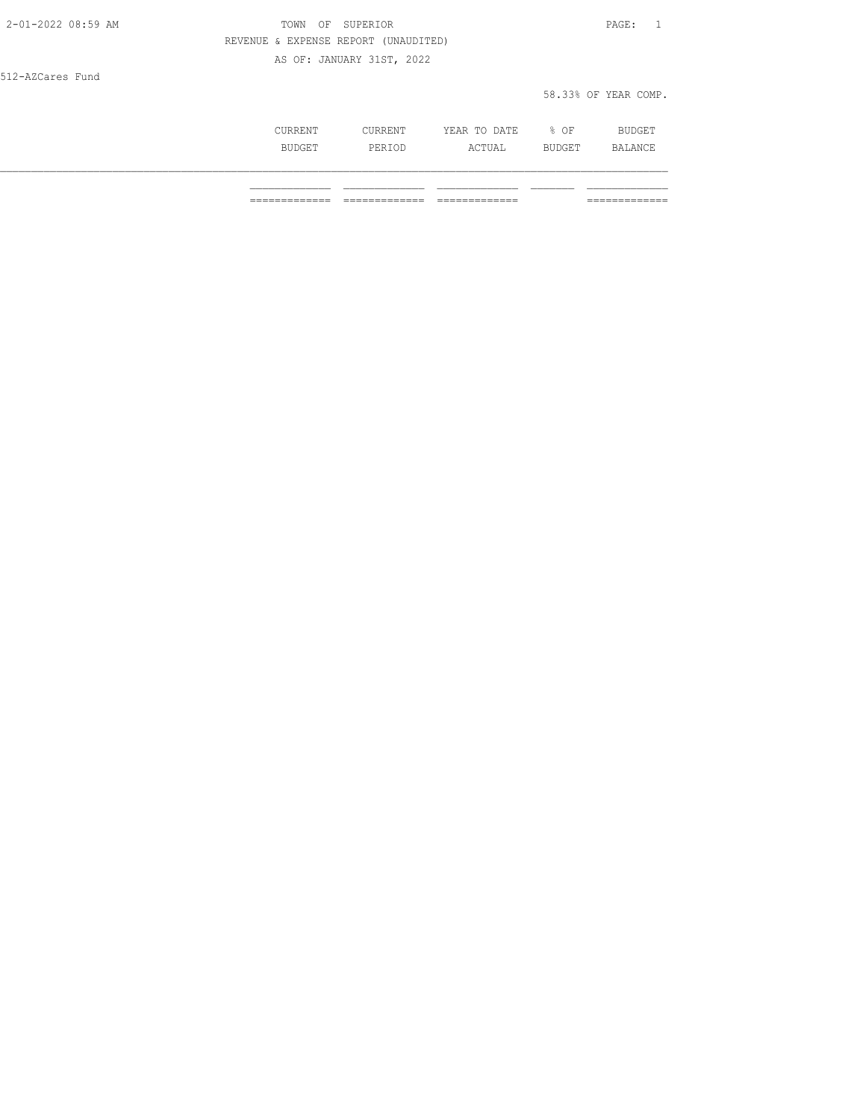| 2-01-2022 08:59 AM | OF SUPERIOR<br>TOWN                  | PAGE:                |
|--------------------|--------------------------------------|----------------------|
|                    | REVENUE & EXPENSE REPORT (UNAUDITED) |                      |
|                    | AS OF: JANUARY 31ST, 2022            |                      |
| 512-AZCares Fund   |                                      |                      |
|                    |                                      | 58.33% OF YEAR COMP. |
|                    |                                      |                      |

| CURRENT       | CURRENT | YEAR TO DATE | % OF          | <b>BUDGET</b> |
|---------------|---------|--------------|---------------|---------------|
| <b>BUDGET</b> | PERIOD  | ACTUAL       | <b>BUDGET</b> | BALANCE       |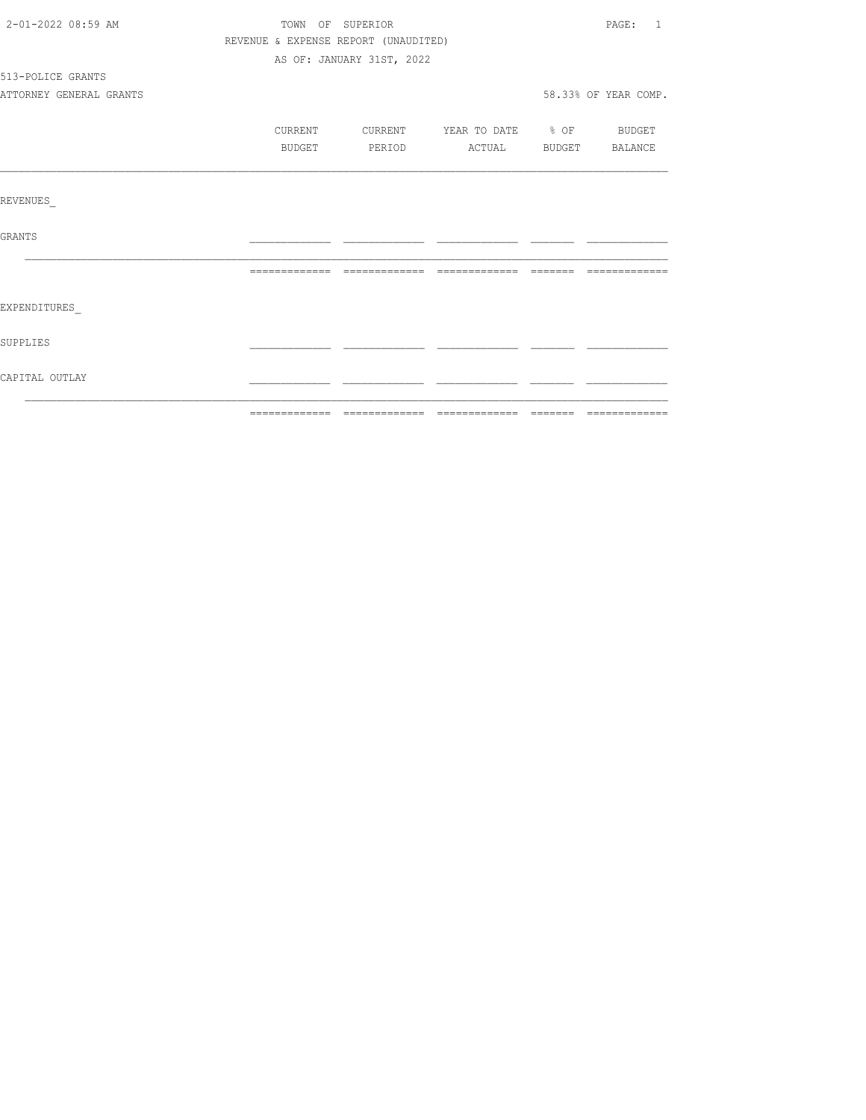| 2-01-2022 08:59 AM      | TOWN OF SUPERIOR                     |                           |                                  | PAGE: 1              |
|-------------------------|--------------------------------------|---------------------------|----------------------------------|----------------------|
|                         | REVENUE & EXPENSE REPORT (UNAUDITED) |                           |                                  |                      |
|                         |                                      | AS OF: JANUARY 31ST, 2022 |                                  |                      |
| 513-POLICE GRANTS       |                                      |                           |                                  |                      |
| ATTORNEY GENERAL GRANTS |                                      |                           |                                  | 58.33% OF YEAR COMP. |
|                         | CURRENT                              |                           | CURRENT YEAR TO DATE % OF BUDGET |                      |
|                         | BUDGET                               |                           | PERIOD ACTUAL BUDGET BALANCE     |                      |
|                         |                                      |                           |                                  |                      |
| REVENUES                |                                      |                           |                                  |                      |
| GRANTS                  |                                      |                           |                                  |                      |
|                         |                                      |                           |                                  |                      |
| EXPENDITURES            |                                      |                           |                                  |                      |
| SUPPLIES                |                                      |                           |                                  |                      |
| CAPITAL OUTLAY          |                                      |                           |                                  |                      |
|                         |                                      |                           |                                  |                      |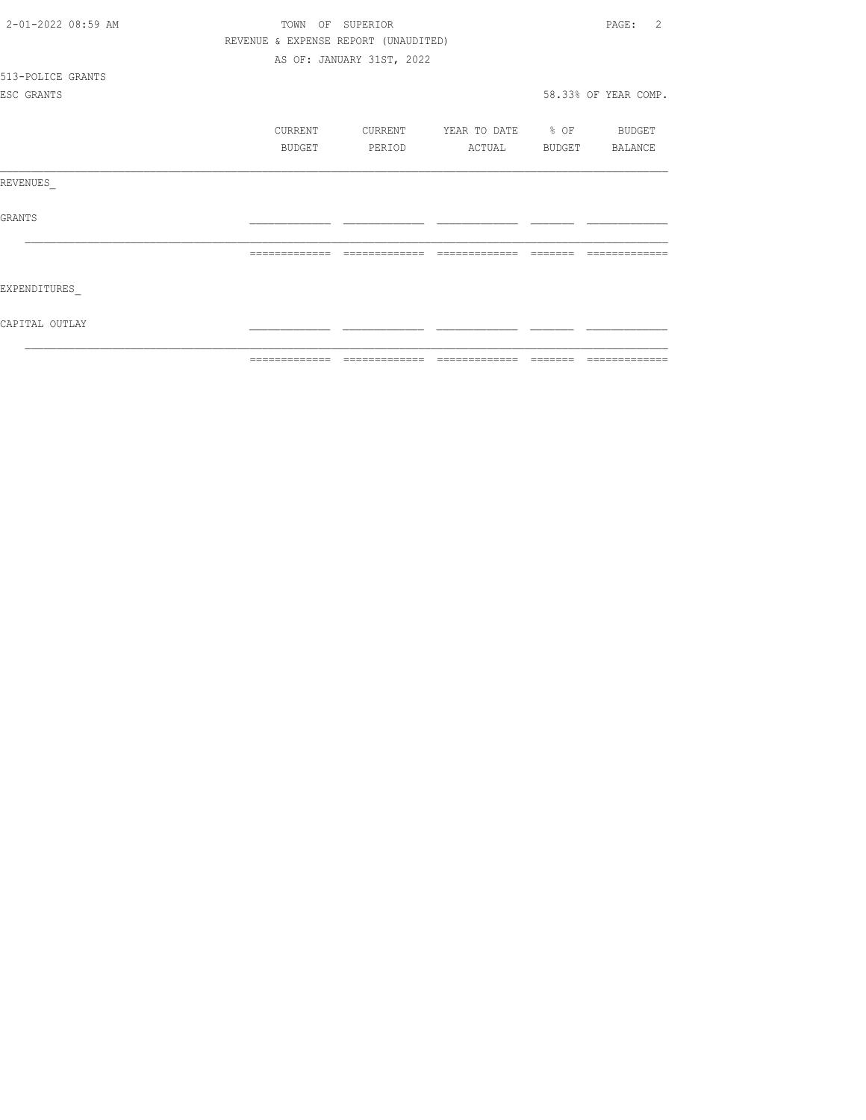| 2-01-2022 08:59 AM | TOWN          | OF SUPERIOR                          |                   | 2<br>PAGE:           |
|--------------------|---------------|--------------------------------------|-------------------|----------------------|
|                    |               | REVENUE & EXPENSE REPORT (UNAUDITED) |                   |                      |
|                    |               | AS OF: JANUARY 31ST, 2022            |                   |                      |
| 513-POLICE GRANTS  |               |                                      |                   |                      |
| ESC GRANTS         |               |                                      |                   | 58.33% OF YEAR COMP. |
|                    | CURRENT       | CURRENT                              | YEAR TO DATE % OF | BUDGET               |
|                    | BUDGET        | PERIOD                               | ACTUAL            | BUDGET BALANCE       |
| REVENUES           |               |                                      |                   |                      |
| GRANTS             |               |                                      |                   |                      |
|                    |               |                                      |                   |                      |
| EXPENDITURES       |               |                                      |                   |                      |
| CAPITAL OUTLAY     |               |                                      |                   |                      |
|                    | ------------- |                                      |                   |                      |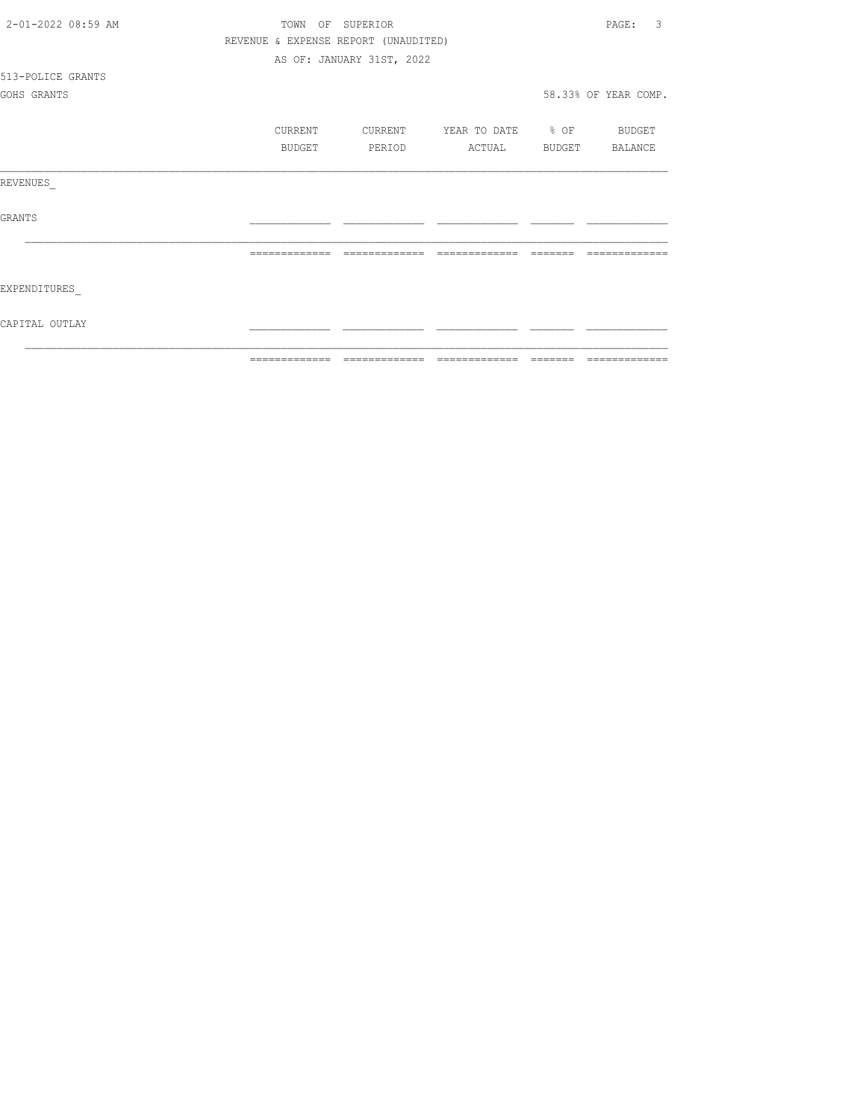| 2-01-2022 08:59 AM | TOWN          | OF SUPERIOR                          |                   |        | 3<br>PAGE:           |
|--------------------|---------------|--------------------------------------|-------------------|--------|----------------------|
|                    |               | REVENUE & EXPENSE REPORT (UNAUDITED) |                   |        |                      |
|                    |               | AS OF: JANUARY 31ST, 2022            |                   |        |                      |
| 513-POLICE GRANTS  |               |                                      |                   |        |                      |
| GOHS GRANTS        |               |                                      |                   |        | 58.33% OF YEAR COMP. |
|                    | CURRENT       | CURRENT                              | YEAR TO DATE % OF |        | BUDGET               |
|                    | BUDGET        | PERIOD                               | ACTUAL            | BUDGET | BALANCE              |
| REVENUES           |               |                                      |                   |        |                      |
| <b>GRANTS</b>      |               |                                      |                   |        |                      |
|                    |               |                                      |                   |        |                      |
| EXPENDITURES       |               |                                      |                   |        |                      |
| CAPITAL OUTLAY     |               |                                      |                   |        |                      |
|                    | ------------- |                                      |                   |        |                      |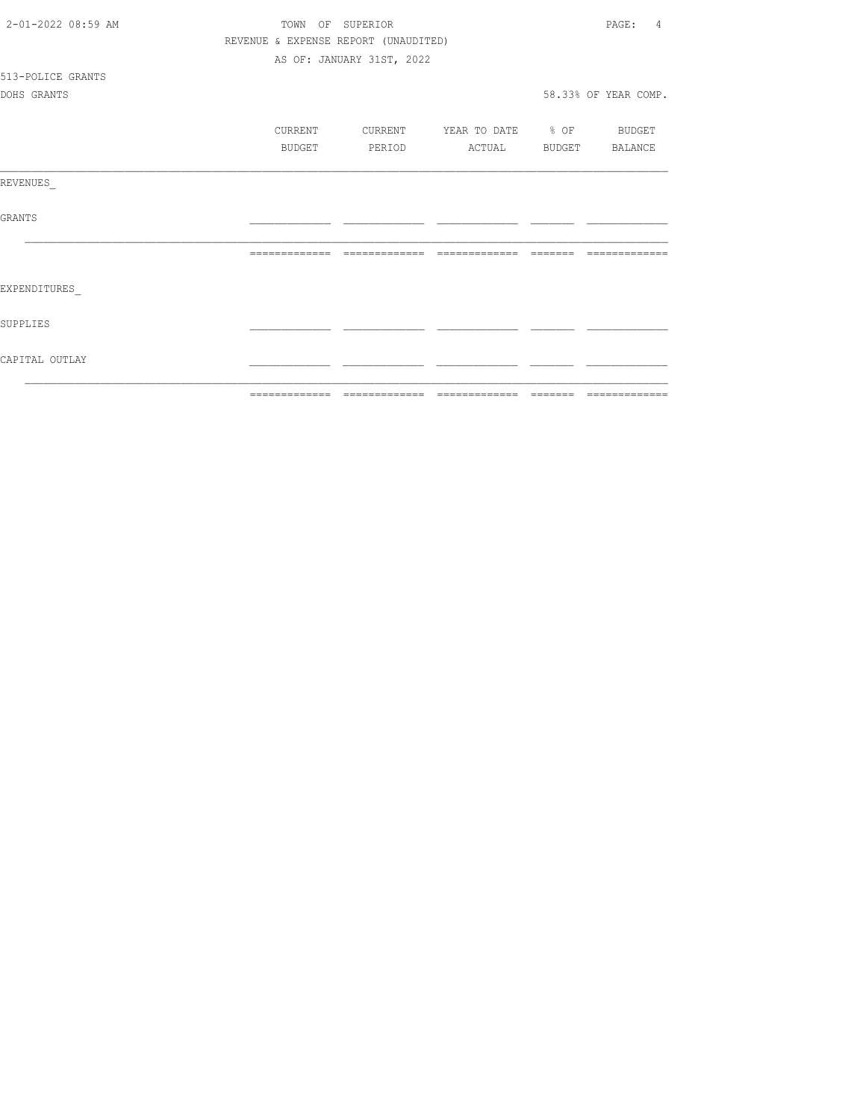| CAPITAL OUTLAY     |                  |                                      |                          |                         |
|--------------------|------------------|--------------------------------------|--------------------------|-------------------------|
| SUPPLIES           |                  |                                      |                          |                         |
| EXPENDITURES       |                  |                                      |                          |                         |
|                    |                  |                                      |                          | --------------          |
| GRANTS             |                  |                                      |                          |                         |
| REVENUES           |                  |                                      |                          |                         |
|                    | BUDGET           | PERIOD                               | ACTUAL                   | BUDGET BALANCE          |
|                    | CURRENT          | CURRENT                              | YEAR TO DATE % OF BUDGET |                         |
| DOHS GRANTS        |                  |                                      |                          | 58.33% OF YEAR COMP.    |
| 513-POLICE GRANTS  |                  |                                      |                          |                         |
|                    |                  | AS OF: JANUARY 31ST, 2022            |                          |                         |
|                    |                  | REVENUE & EXPENSE REPORT (UNAUDITED) |                          |                         |
| 2-01-2022 08:59 AM | TOWN OF SUPERIOR |                                      |                          | PAGE:<br>$\overline{4}$ |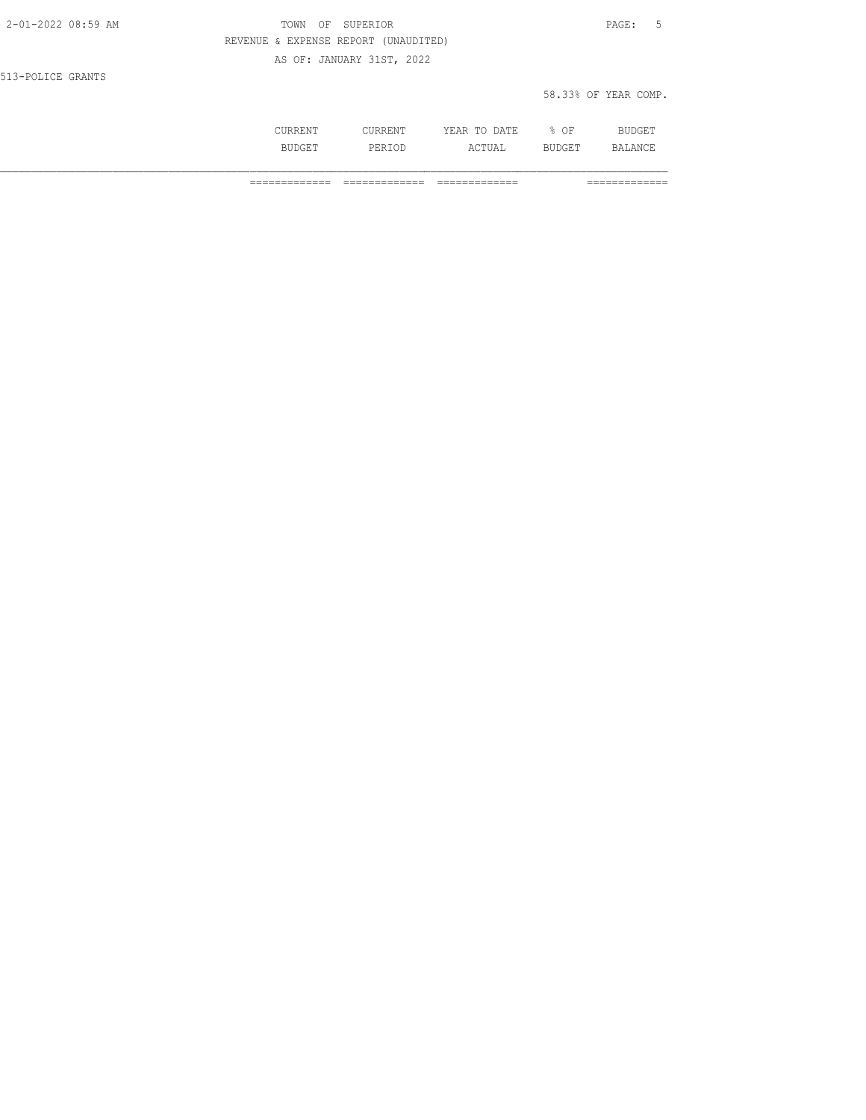| 2-01-2022 08:59 AM | TOWN<br>ΟF | SUPERIOR                             |              |        | $\texttt{PAGE}$ :<br>- 5 |
|--------------------|------------|--------------------------------------|--------------|--------|--------------------------|
|                    |            | REVENUE & EXPENSE REPORT (UNAUDITED) |              |        |                          |
|                    |            | AS OF: JANUARY 31ST, 2022            |              |        |                          |
| 513-POLICE GRANTS  |            |                                      |              |        |                          |
|                    |            |                                      |              |        | 58.33% OF YEAR COMP.     |
|                    |            |                                      |              |        |                          |
|                    | CURRENT    | CURRENT                              | YEAR TO DATE | $8$ OF | BUDGET                   |

BUDGET PERIOD ACTUAL BUDGET BALANCE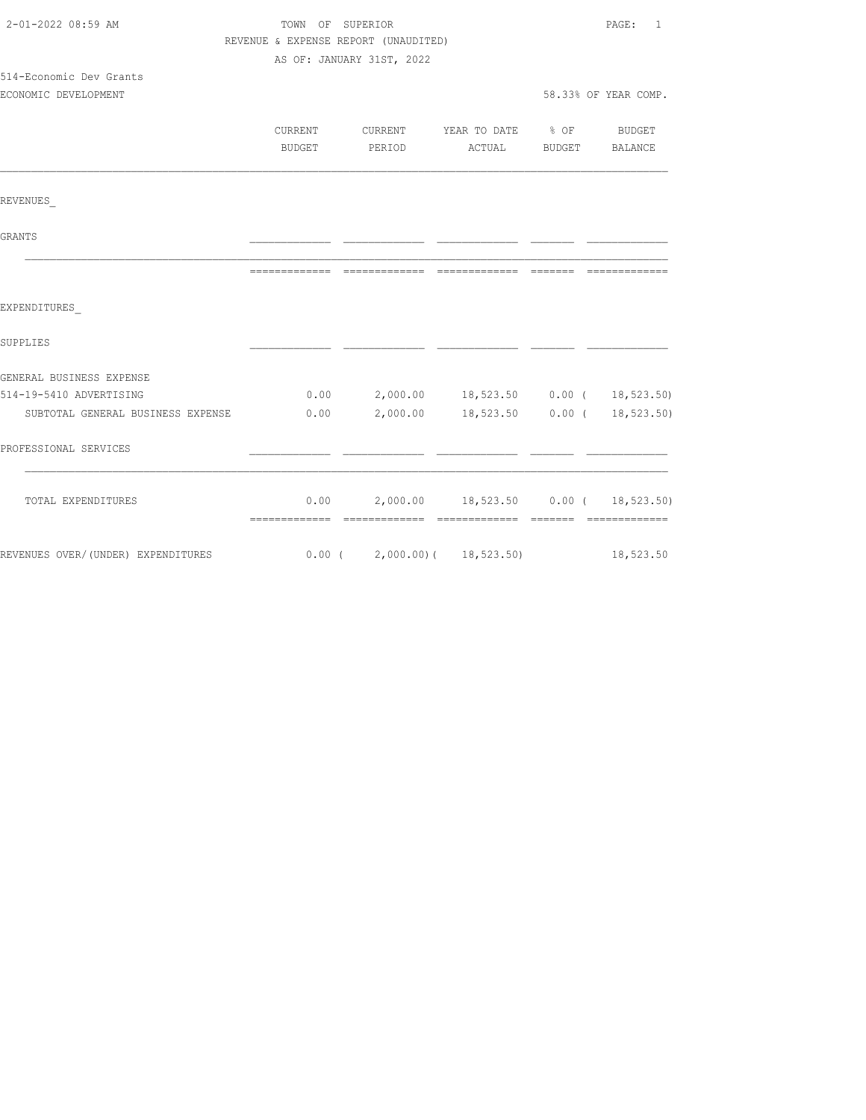| 2-01-2022 08:59 AM                                                       | TOWN OF SUPERIOR |                                             |                       | PAGE:<br>$\overline{1}$ |
|--------------------------------------------------------------------------|------------------|---------------------------------------------|-----------------------|-------------------------|
|                                                                          |                  | REVENUE & EXPENSE REPORT (UNAUDITED)        |                       |                         |
|                                                                          |                  | AS OF: JANUARY 31ST, 2022                   |                       |                         |
| 514-Economic Dev Grants                                                  |                  |                                             |                       |                         |
| ECONOMIC DEVELOPMENT                                                     |                  |                                             |                       | 58.33% OF YEAR COMP.    |
|                                                                          |                  |                                             |                       |                         |
|                                                                          | <b>CURRENT</b>   | CURRENT YEAR TO DATE % OF BUDGET            |                       |                         |
|                                                                          | BUDGET           | PERIOD                                      | ACTUAL BUDGET BALANCE |                         |
|                                                                          |                  |                                             |                       |                         |
| REVENUES                                                                 |                  |                                             |                       |                         |
| GRANTS                                                                   |                  |                                             |                       |                         |
|                                                                          |                  |                                             |                       | ---------               |
| EXPENDITURES                                                             |                  |                                             |                       |                         |
| SUPPLIES                                                                 |                  |                                             |                       |                         |
| GENERAL BUSINESS EXPENSE                                                 |                  |                                             |                       |                         |
| 514-19-5410 ADVERTISING                                                  |                  | $0.00$ 2,000.00 18,523.50 0.00 ( 18,523.50) |                       |                         |
| SUBTOTAL GENERAL BUSINESS EXPENSE 0.00                                   |                  | 2,000.00 18,523.50 0.00 ( 18,523.50)        |                       |                         |
| PROFESSIONAL SERVICES                                                    |                  |                                             |                       |                         |
| TOTAL EXPENDITURES                                                       |                  | $0.00$ 2,000.00 18,523.50 0.00 ( 18,523.50) |                       |                         |
|                                                                          |                  |                                             |                       |                         |
| REVENUES OVER/(UNDER) EXPENDITURES 6.00 (2,000.00) (18,523.50) 18,523.50 |                  |                                             |                       |                         |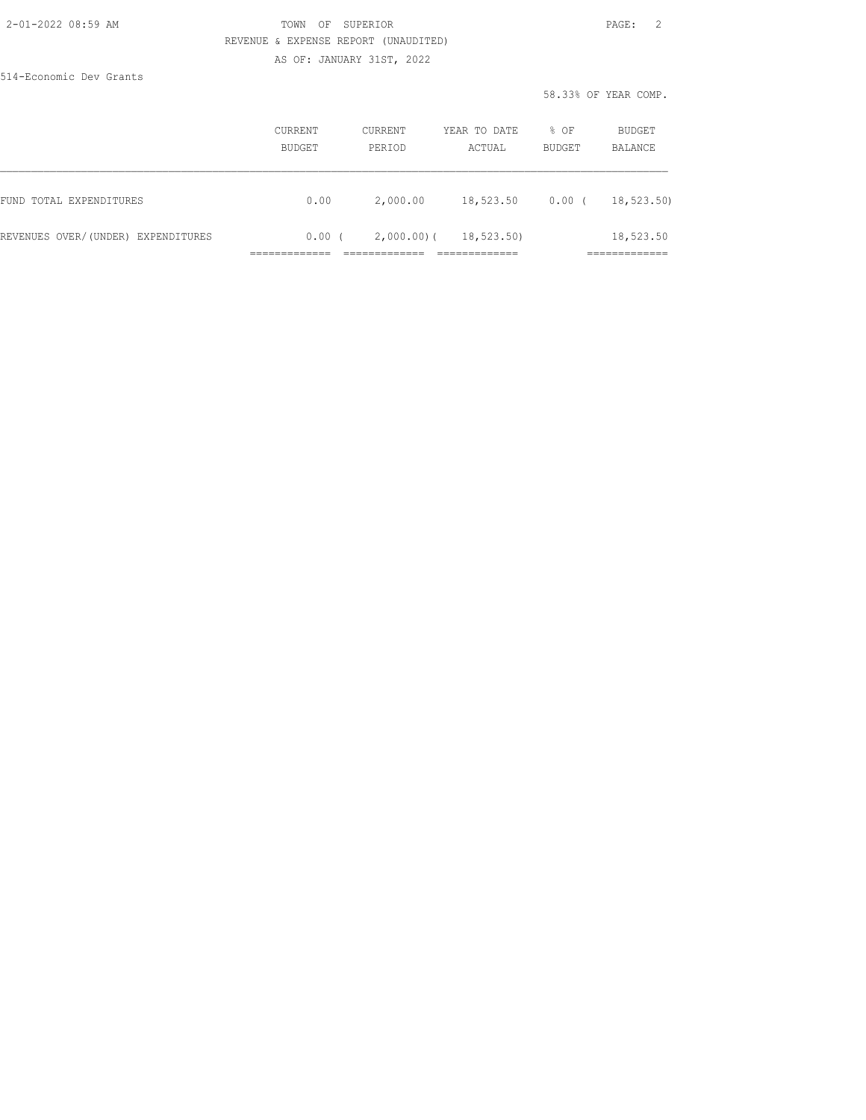### 2-01-2022 08:59 AM TOWN OF SUPERIOR PAGE: 2 REVENUE & EXPENSE REPORT (UNAUDITED)

AS OF: JANUARY 31ST, 2022

514-Economic Dev Grants

58.33% OF YEAR COMP.

|                                    | CURRENT<br>BUDGET | CURRENT<br>PERIOD | YEAR TO DATE<br>ACTUAL | % OF<br><b>BUDGET</b> | BUDGET<br>BALANCE         |
|------------------------------------|-------------------|-------------------|------------------------|-----------------------|---------------------------|
| FUND TOTAL EXPENDITURES            | 0.00              | 2,000.00          | 18,523.50              | $0.00$ (              | 18,523.50)                |
| REVENUES OVER/(UNDER) EXPENDITURES | 0.00(             | $2,000.00)$ (     | 18,523.50)             |                       | 18,523.50<br>____________ |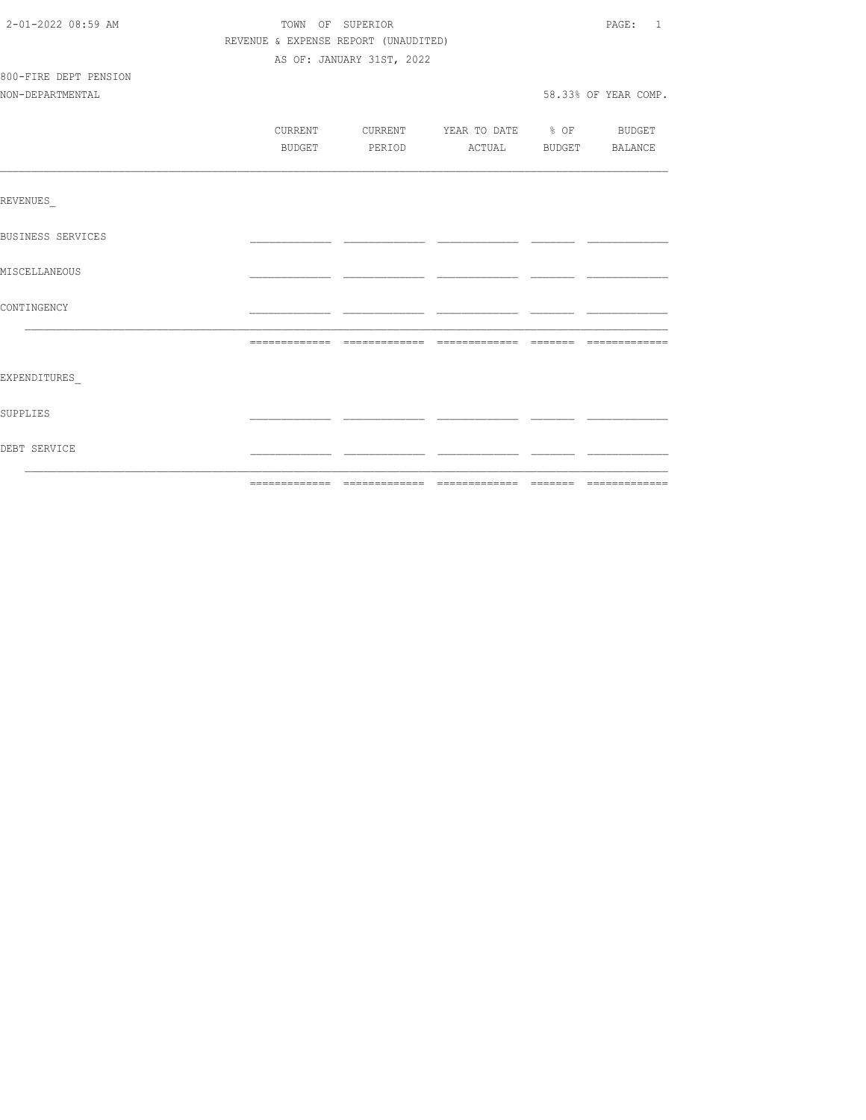| 2-01-2022 08:59 AM       |                                      | TOWN OF SUPERIOR                         |  | PAGE: 1              |
|--------------------------|--------------------------------------|------------------------------------------|--|----------------------|
|                          | REVENUE & EXPENSE REPORT (UNAUDITED) |                                          |  |                      |
|                          |                                      | AS OF: JANUARY 31ST, 2022                |  |                      |
| 800-FIRE DEPT PENSION    |                                      |                                          |  |                      |
| NON-DEPARTMENTAL         |                                      |                                          |  | 58.33% OF YEAR COMP. |
|                          |                                      |                                          |  |                      |
|                          |                                      | CURRENT CURRENT YEAR TO DATE % OF BUDGET |  |                      |
|                          | BUDGET                               | PERIOD ACTUAL BUDGET BALANCE             |  |                      |
|                          |                                      |                                          |  |                      |
| REVENUES                 |                                      |                                          |  |                      |
| <b>BUSINESS SERVICES</b> |                                      |                                          |  |                      |
| MISCELLANEOUS            |                                      |                                          |  |                      |
| CONTINGENCY              |                                      |                                          |  |                      |
|                          |                                      |                                          |  |                      |
| EXPENDITURES             |                                      |                                          |  |                      |
| SUPPLIES                 |                                      |                                          |  |                      |
| DEBT SERVICE             |                                      |                                          |  |                      |
|                          |                                      |                                          |  |                      |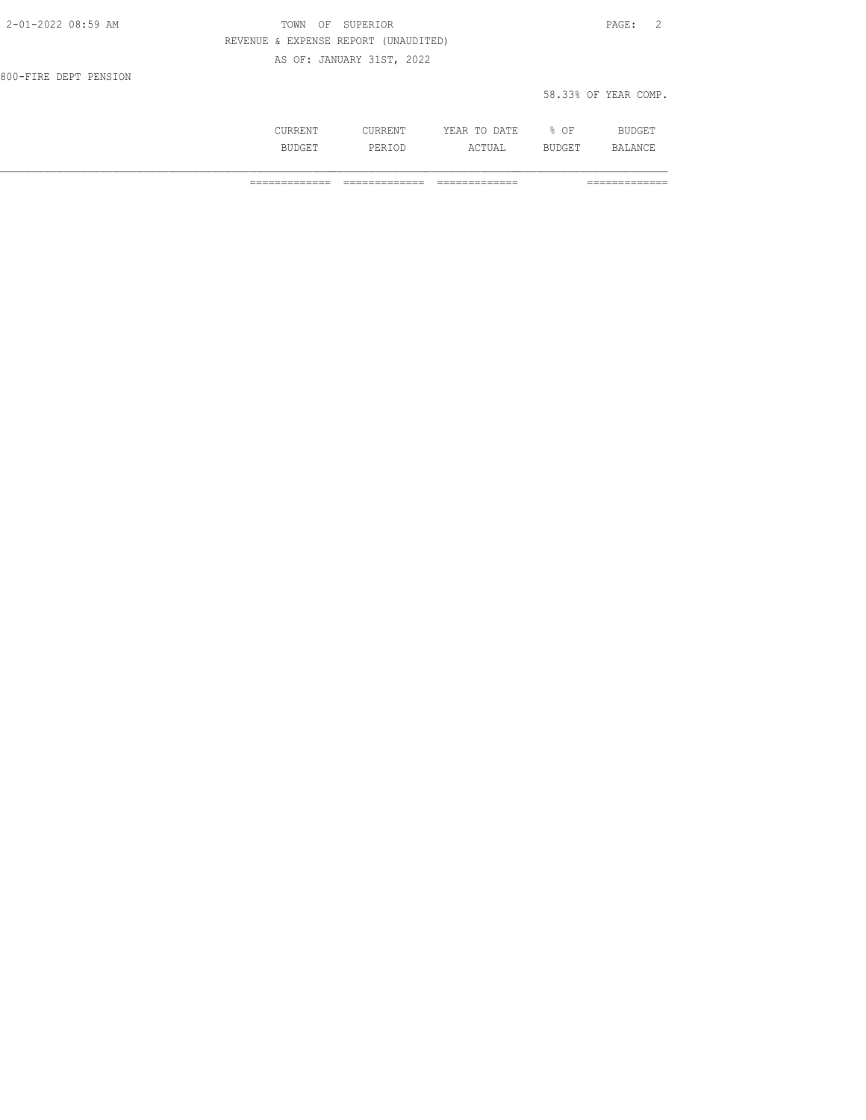| 2-01-2022 08:59 AM    | OF SUPERIOR<br>TOWN                  | PAGE: 2              |
|-----------------------|--------------------------------------|----------------------|
|                       | REVENUE & EXPENSE REPORT (UNAUDITED) |                      |
|                       | AS OF: JANUARY 31ST, 2022            |                      |
| 800-FIRE DEPT PENSION |                                      |                      |
|                       |                                      | 58.33% OF YEAR COMP. |

|     | .                   | הדוחיה<br>----<br>----- | ΟF<br>-<br>- | --   |
|-----|---------------------|-------------------------|--------------|------|
| --- | اما د .<br>ᆂ ᆜᆦᄾᆂᄝᄽ | ---<br>---              | .<br>-       | A NI |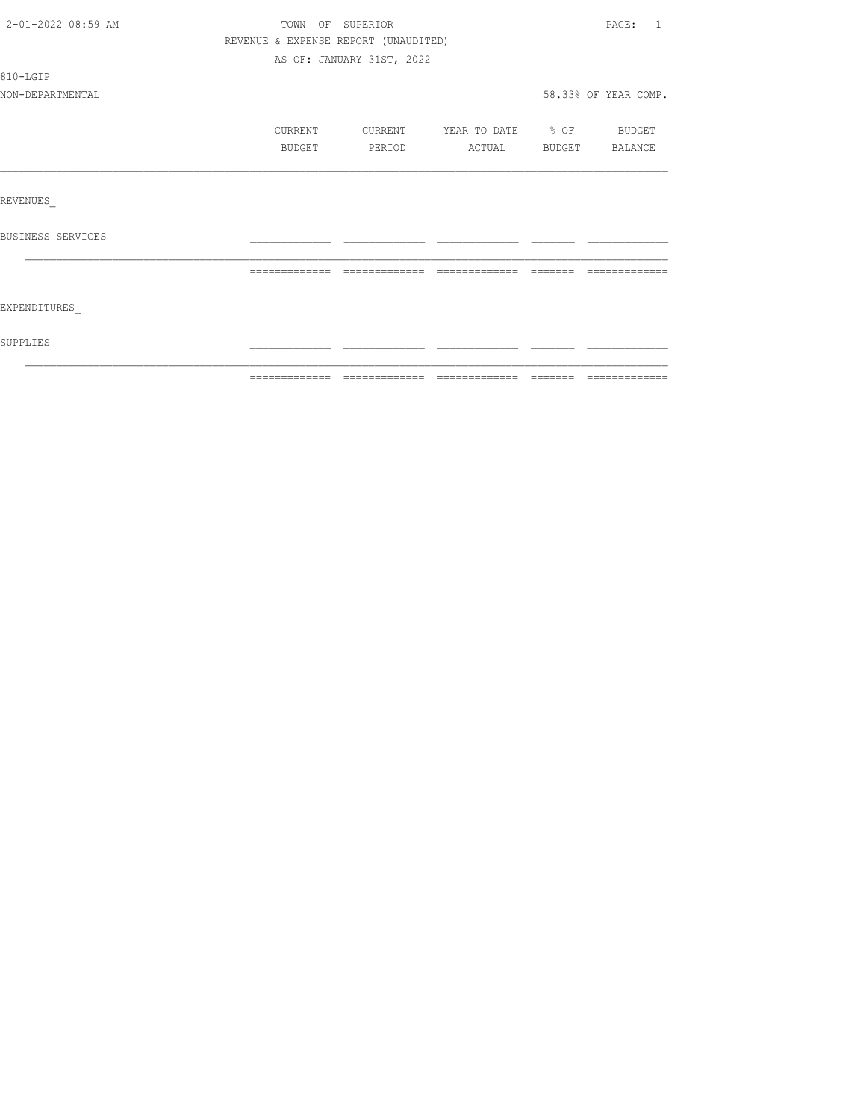| 2-01-2022 08:59 AM | TOWN OF SUPERIOR                     |                           |                   |        | PAGE:<br>-1          |
|--------------------|--------------------------------------|---------------------------|-------------------|--------|----------------------|
|                    | REVENUE & EXPENSE REPORT (UNAUDITED) |                           |                   |        |                      |
|                    |                                      | AS OF: JANUARY 31ST, 2022 |                   |        |                      |
| 810-LGIP           |                                      |                           |                   |        |                      |
| NON-DEPARTMENTAL   |                                      |                           |                   |        | 58.33% OF YEAR COMP. |
|                    | CURRENT                              | CURRENT                   | YEAR TO DATE % OF |        | BUDGET               |
|                    | BUDGET                               | PERIOD                    | ACTUAL            | BUDGET | BALANCE              |
|                    |                                      |                           |                   |        |                      |
| REVENUES           |                                      |                           |                   |        |                      |
| BUSINESS SERVICES  |                                      |                           |                   |        |                      |
|                    |                                      |                           |                   |        | =============        |
|                    |                                      |                           |                   |        |                      |
| EXPENDITURES       |                                      |                           |                   |        |                      |
| SUPPLIES           |                                      |                           |                   |        |                      |
|                    |                                      |                           |                   |        |                      |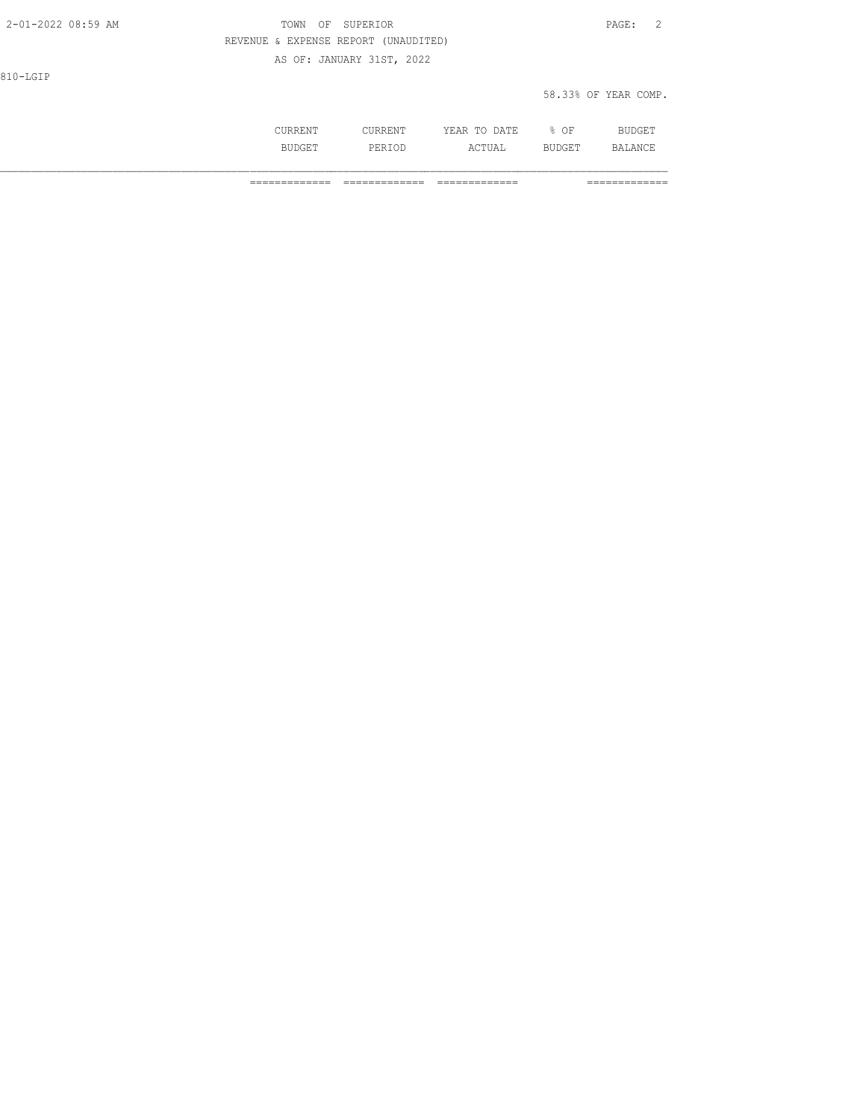| 2-01-2022 08:59 AM | SUPERIOR<br>TOWN<br>OF               | PAGE: 2              |
|--------------------|--------------------------------------|----------------------|
|                    | REVENUE & EXPENSE REPORT (UNAUDITED) |                      |
|                    | AS OF: JANUARY 31ST, 2022            |                      |
| 810-LGIP           |                                      |                      |
|                    |                                      | 58.33% OF YEAR COMP. |
|                    |                                      |                      |

 CURRENT CURRENT YEAR TO DATE % OF BUDGET BUDGET PERIOD ACTUAL BUDGET BALANCE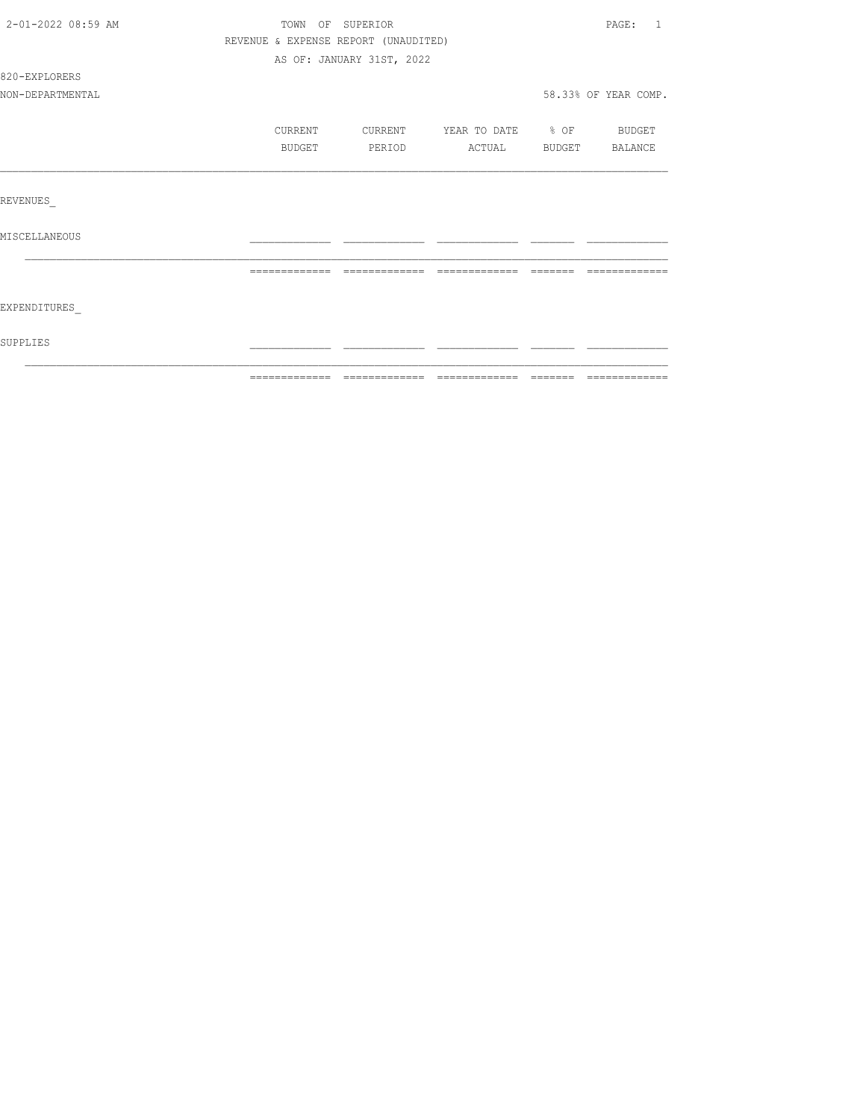| 2-01-2022 08:59 AM | TOWN OF SUPERIOR                     |                           |                   |          | PAGE:<br>$\overline{1}$ |
|--------------------|--------------------------------------|---------------------------|-------------------|----------|-------------------------|
|                    | REVENUE & EXPENSE REPORT (UNAUDITED) |                           |                   |          |                         |
|                    |                                      | AS OF: JANUARY 31ST, 2022 |                   |          |                         |
| 820-EXPLORERS      |                                      |                           |                   |          |                         |
| NON-DEPARTMENTAL   |                                      |                           |                   |          | 58.33% OF YEAR COMP.    |
|                    | CURRENT                              | CURRENT                   | YEAR TO DATE % OF |          | <b>BUDGET</b>           |
|                    | BUDGET                               | PERIOD                    | ACTUAL            |          | BUDGET BALANCE          |
|                    |                                      |                           |                   |          |                         |
| REVENUES           |                                      |                           |                   |          |                         |
| MISCELLANEOUS      |                                      |                           |                   |          |                         |
|                    |                                      |                           |                   | -------- |                         |
| EXPENDITURES       |                                      |                           |                   |          |                         |
| SUPPLIES           |                                      |                           |                   |          |                         |
|                    |                                      |                           |                   |          |                         |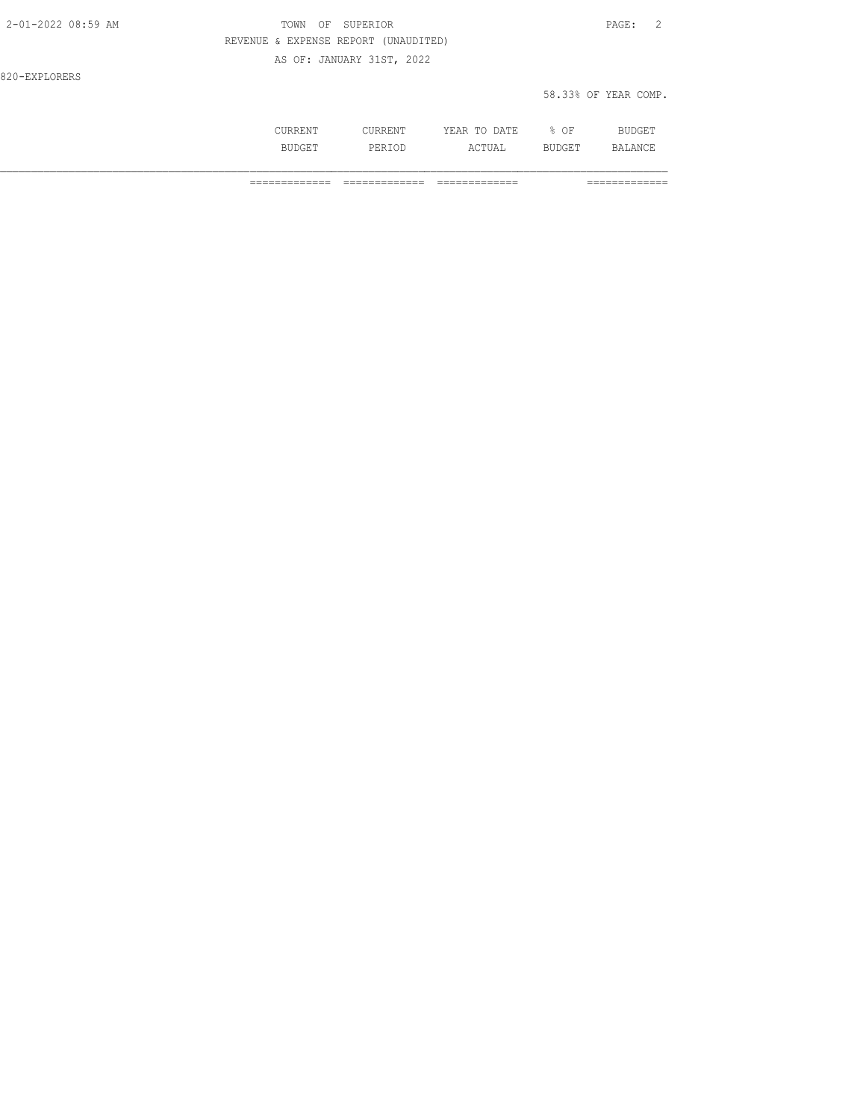| 2-01-2022 08:59 AM | OF SUPERIOR<br>TOWN                  | 2<br>PAGE:           |
|--------------------|--------------------------------------|----------------------|
|                    | REVENUE & EXPENSE REPORT (UNAUDITED) |                      |
|                    | AS OF: JANUARY 31ST, 2022            |                      |
| 820-EXPLORERS      |                                      |                      |
|                    |                                      | 58.33% OF YEAR COMP. |

|     | m<br>∸<br>----<br>-- | ∩F<br>◡ |                |
|-----|----------------------|---------|----------------|
| . . | .                    | ---     | $\mathbb{R}^n$ |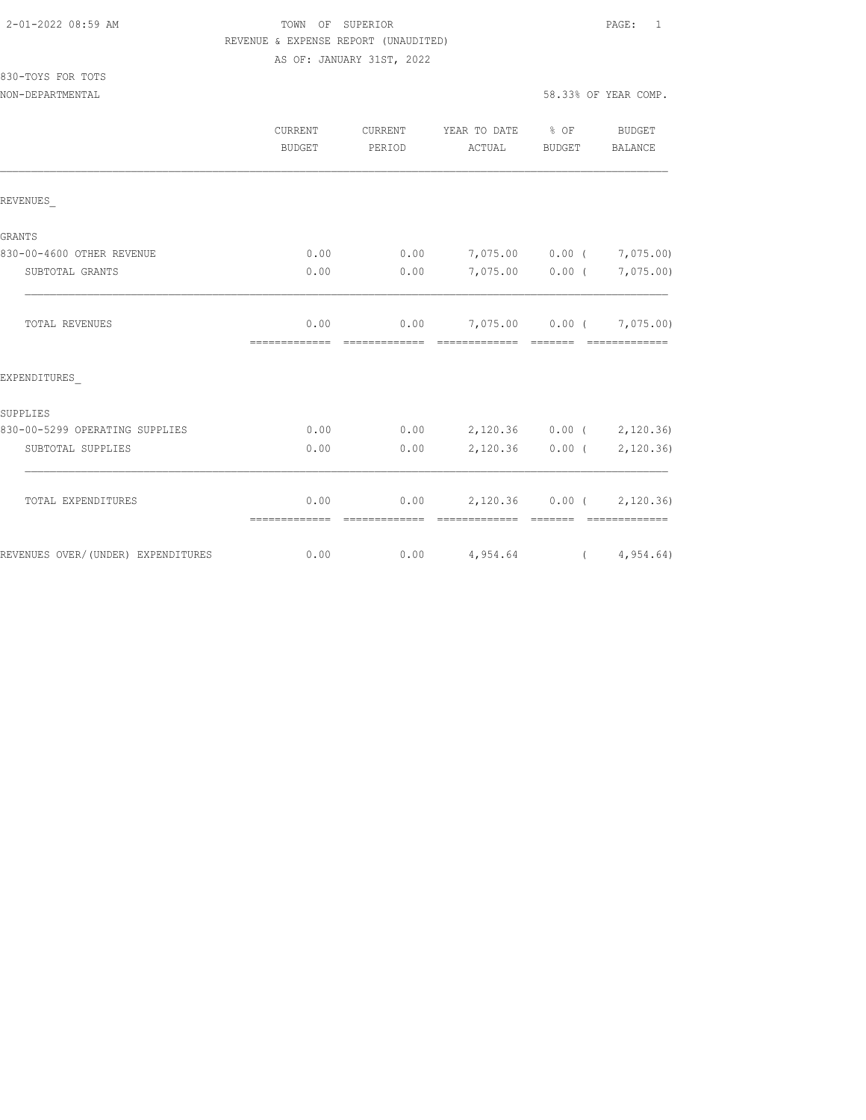#### 2-01-2022 08:59 AM TOWN OF SUPERIOR PAGE: 1 REVENUE & EXPENSE REPORT (UNAUDITED)

AS OF: JANUARY 31ST, 2022

| 830-TOYS FOR TOTS |  |  |
|-------------------|--|--|
|                   |  |  |

|                                    | CURRENT<br>BUDGET      | CURRENT<br>PERIOD | YEAR TO DATE % OF<br>ACTUAL                                                                                                                                                                                                                                                                                                                                                                                                                                                                                                                  | BUDGET                                                      | BUDGET<br>BALANCE           |
|------------------------------------|------------------------|-------------------|----------------------------------------------------------------------------------------------------------------------------------------------------------------------------------------------------------------------------------------------------------------------------------------------------------------------------------------------------------------------------------------------------------------------------------------------------------------------------------------------------------------------------------------------|-------------------------------------------------------------|-----------------------------|
| REVENUES                           |                        |                   |                                                                                                                                                                                                                                                                                                                                                                                                                                                                                                                                              |                                                             |                             |
| GRANTS                             |                        |                   |                                                                                                                                                                                                                                                                                                                                                                                                                                                                                                                                              |                                                             |                             |
| 830-00-4600 OTHER REVENUE          | 0.00                   | 0.00              | 7,075.00 0.00 ( 7,075.00)                                                                                                                                                                                                                                                                                                                                                                                                                                                                                                                    |                                                             |                             |
| SUBTOTAL GRANTS                    | 0.00                   | 0.00              |                                                                                                                                                                                                                                                                                                                                                                                                                                                                                                                                              | 7,075.00 0.00 (                                             | 7,075.00)                   |
| <b>TOTAL REVENUES</b>              | 0.00<br>-------------- | assessessesse     | $0.00$ 7,075.00 0.00 ( 7,075.00)<br>$\begin{tabular}{lllllllllllll} \multicolumn{2}{l}{{\color{red}\textbf{1}}}\\ \multicolumn{2}{l}{\color{blue}\textbf{2}}& \multicolumn{2}{l}{\color{blue}\textbf{2}}& \multicolumn{2}{l}{\color{blue}\textbf{2}}& \multicolumn{2}{l}{\color{blue}\textbf{2}}& \multicolumn{2}{l}{\color{blue}\textbf{2}}& \multicolumn{2}{l}{\color{blue}\textbf{2}}& \multicolumn{2}{l}{\color{blue}\textbf{2}}& \multicolumn{2}{l}{\color{blue}\textbf{2}}& \multicolumn{2}{l}{\color{blue}\textbf{2}}& \multicolumn{$ |                                                             |                             |
| EXPENDITURES                       |                        |                   |                                                                                                                                                                                                                                                                                                                                                                                                                                                                                                                                              |                                                             |                             |
| SUPPLIES                           |                        |                   |                                                                                                                                                                                                                                                                                                                                                                                                                                                                                                                                              |                                                             |                             |
| 830-00-5299 OPERATING SUPPLIES     | 0.00                   | 0.00              | 2,120.36 0.00 ( 2,120.36)                                                                                                                                                                                                                                                                                                                                                                                                                                                                                                                    |                                                             |                             |
| SUBTOTAL SUPPLIES                  | 0.00                   | 0.00              |                                                                                                                                                                                                                                                                                                                                                                                                                                                                                                                                              | $2,120.36$ 0.00 (                                           | 2,120.36)                   |
| TOTAL EXPENDITURES                 | 0.00<br>-------------  | 0.00              | --------------                                                                                                                                                                                                                                                                                                                                                                                                                                                                                                                               | $\begin{array}{cccccc} = & = & = & = & = & = & \end{array}$ | $2,120.36$ 0.00 ( 2,120.36) |
| REVENUES OVER/(UNDER) EXPENDITURES | 0.00                   | 0.00              | $4,954.64$ ( $4,954.64$ )                                                                                                                                                                                                                                                                                                                                                                                                                                                                                                                    |                                                             |                             |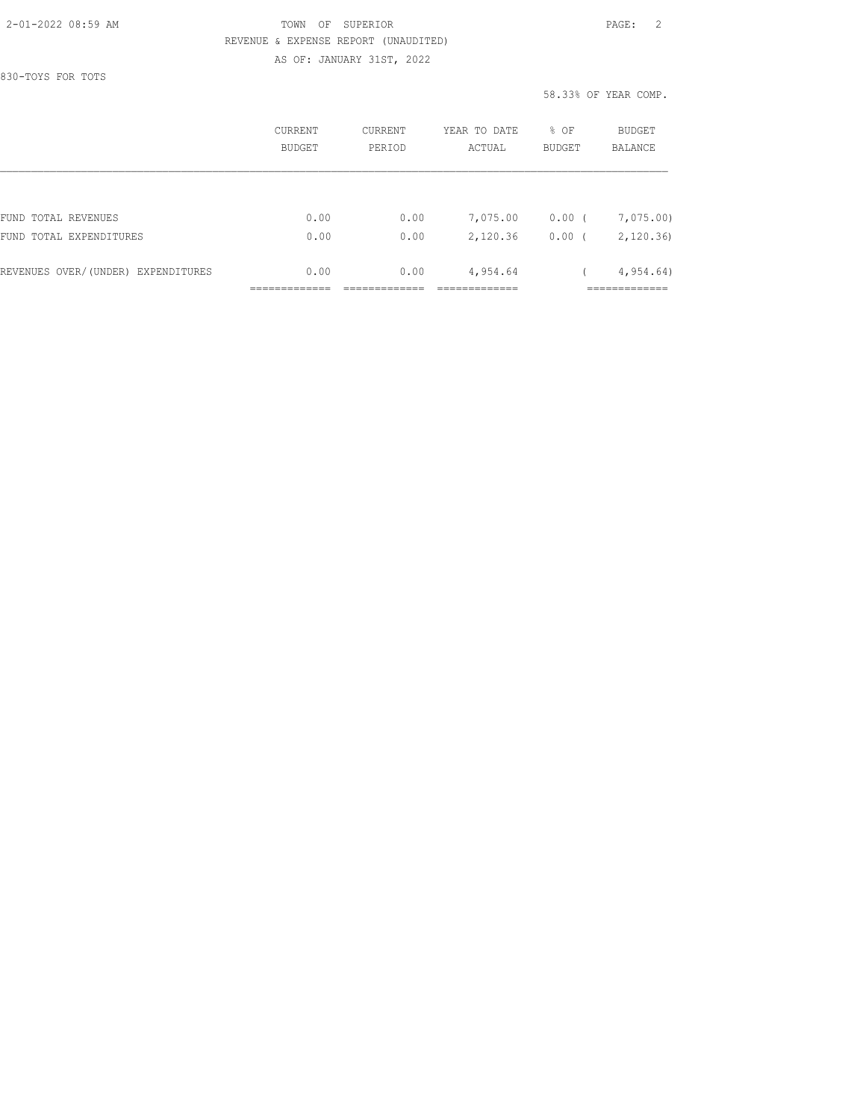#### 2-01-2022 08:59 AM TOWN OF SUPERIOR PAGE: 2 REVENUE & EXPENSE REPORT (UNAUDITED) AS OF: JANUARY 31ST, 2022

830-TOYS FOR TOTS

58.33% OF YEAR COMP.

|                                    | CURRENT<br><b>BUDGET</b> | CURRENT<br>PERTOD | YEAR TO DATE<br>ACTUAL | % OF<br><b>BUDGET</b> | BUDGET<br><b>BALANCE</b> |
|------------------------------------|--------------------------|-------------------|------------------------|-----------------------|--------------------------|
|                                    |                          |                   |                        |                       |                          |
| FUND TOTAL REVENUES                | 0.00                     | 0.00              | 7,075.00               | 0.00(                 | 7,075.00)                |
| FUND TOTAL EXPENDITURES            | 0.00                     | 0.00              | 2,120.36               | 0.00                  | 2,120.36                 |
| REVENUES OVER/(UNDER) EXPENDITURES | 0.00                     | 0.00              | 4,954.64               |                       | 4,954.64)                |
|                                    |                          |                   |                        |                       |                          |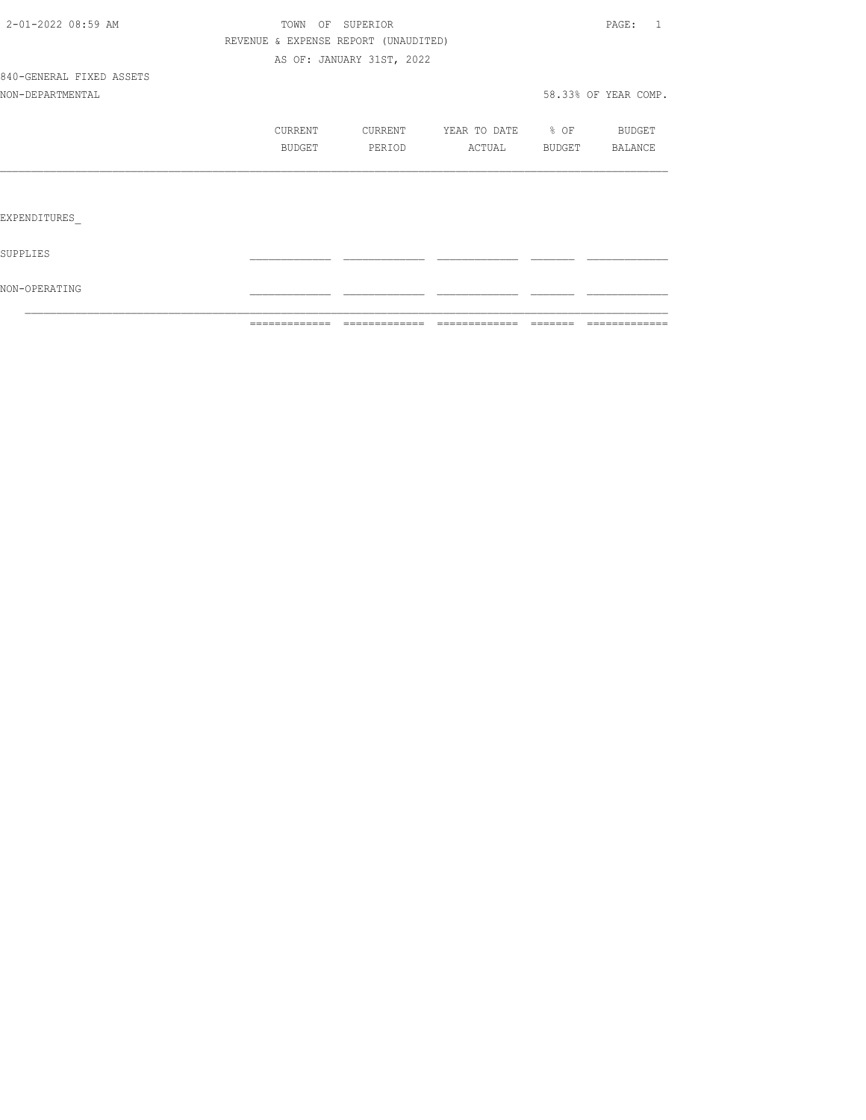|                          | =============                        | =============             | --------------           | assesse i | =============        |
|--------------------------|--------------------------------------|---------------------------|--------------------------|-----------|----------------------|
| NON-OPERATING            |                                      |                           |                          |           |                      |
| SUPPLIES                 |                                      |                           |                          |           |                      |
| EXPENDITURES             |                                      |                           |                          |           |                      |
|                          |                                      |                           |                          |           |                      |
|                          | BUDGET                               | PERIOD                    | ACTUAL BUDGET BALANCE    |           |                      |
|                          | CURRENT                              | CURRENT                   | YEAR TO DATE % OF BUDGET |           |                      |
| NON-DEPARTMENTAL         |                                      |                           |                          |           | 58.33% OF YEAR COMP. |
| 840-GENERAL FIXED ASSETS |                                      |                           |                          |           |                      |
|                          |                                      | AS OF: JANUARY 31ST, 2022 |                          |           |                      |
|                          | REVENUE & EXPENSE REPORT (UNAUDITED) |                           |                          |           |                      |
| 2-01-2022 08:59 AM       |                                      | TOWN OF SUPERIOR          |                          |           | PAGE: 1              |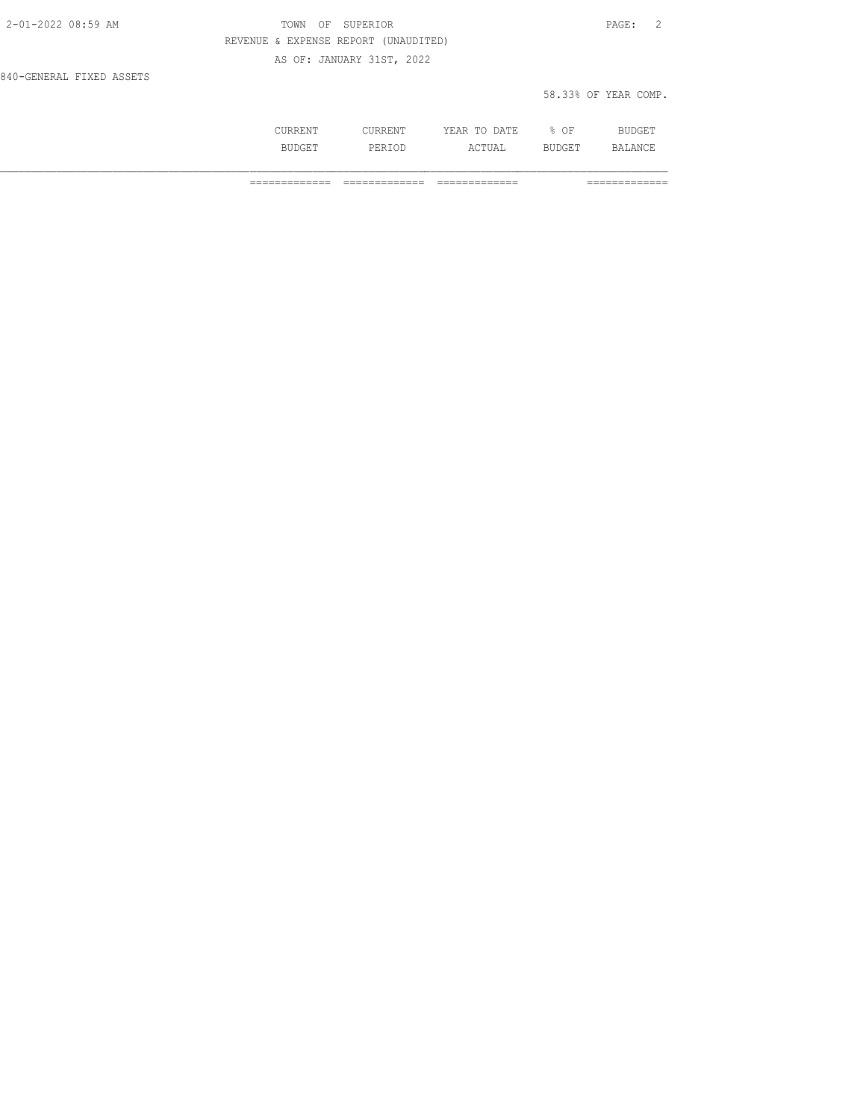| 2-01-2022 08:59 AM       | OF SUPERIOR<br>TOWN                  | $\texttt{PAGE}$ :    |
|--------------------------|--------------------------------------|----------------------|
|                          | REVENUE & EXPENSE REPORT (UNAUDITED) |                      |
|                          | AS OF: JANUARY 31ST, 2022            |                      |
| 840-GENERAL FIXED ASSETS |                                      |                      |
|                          |                                      | 58.33% OF YEAR COMP. |

|  | 175<br>. | ΟF<br>$\sim$ |  |
|--|----------|--------------|--|
|  |          |              |  |
|  |          |              |  |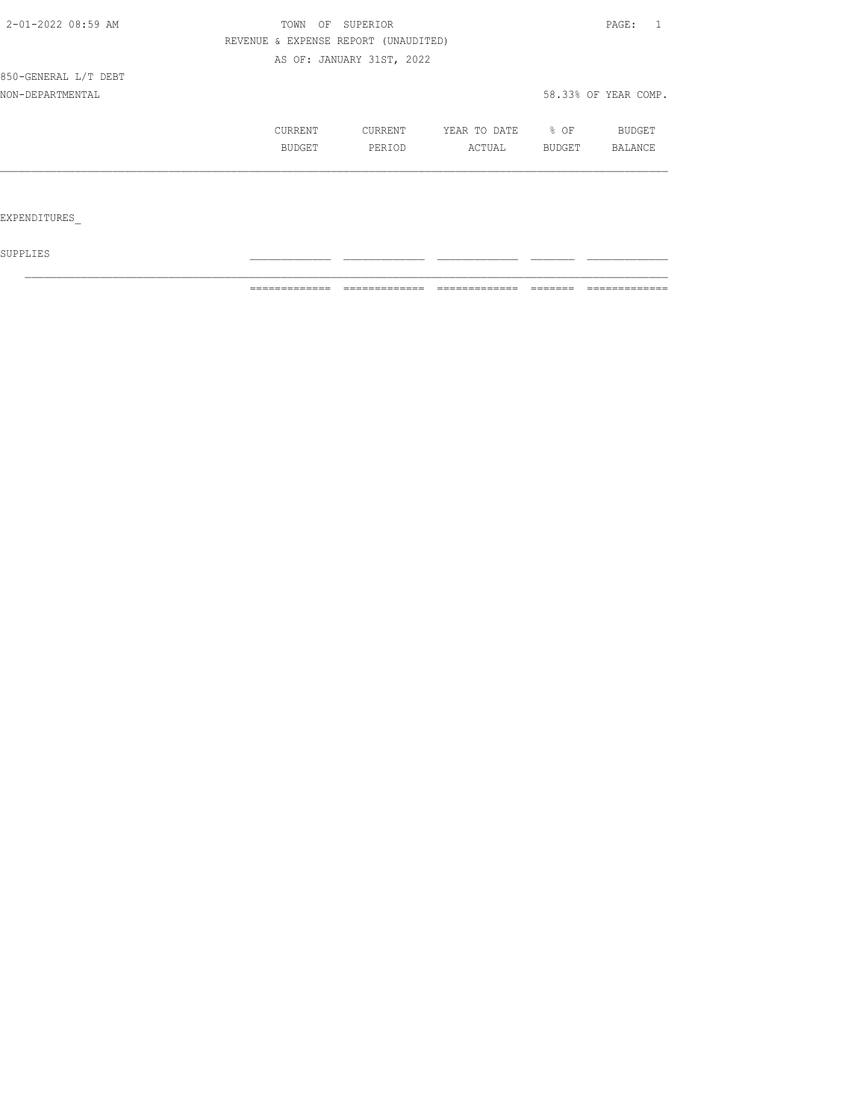| 2-01-2022 08:59 AM   | OF<br>TOWN                           | SUPERIOR                  |                   |        | PAGE:                |
|----------------------|--------------------------------------|---------------------------|-------------------|--------|----------------------|
|                      | REVENUE & EXPENSE REPORT (UNAUDITED) |                           |                   |        |                      |
|                      |                                      | AS OF: JANUARY 31ST, 2022 |                   |        |                      |
| 850-GENERAL L/T DEBT |                                      |                           |                   |        |                      |
| NON-DEPARTMENTAL     |                                      |                           |                   |        | 58.33% OF YEAR COMP. |
|                      | CURRENT                              | CURRENT                   | YEAR TO DATE % OF |        | BUDGET               |
|                      | BUDGET                               | PERIOD                    | ACTUAL            | BUDGET | BALANCE              |
|                      |                                      |                           |                   |        |                      |
|                      |                                      |                           |                   |        |                      |
| EXPENDITURES         |                                      |                           |                   |        |                      |
|                      |                                      |                           |                   |        |                      |

 ${\tt SUPPLIES}$